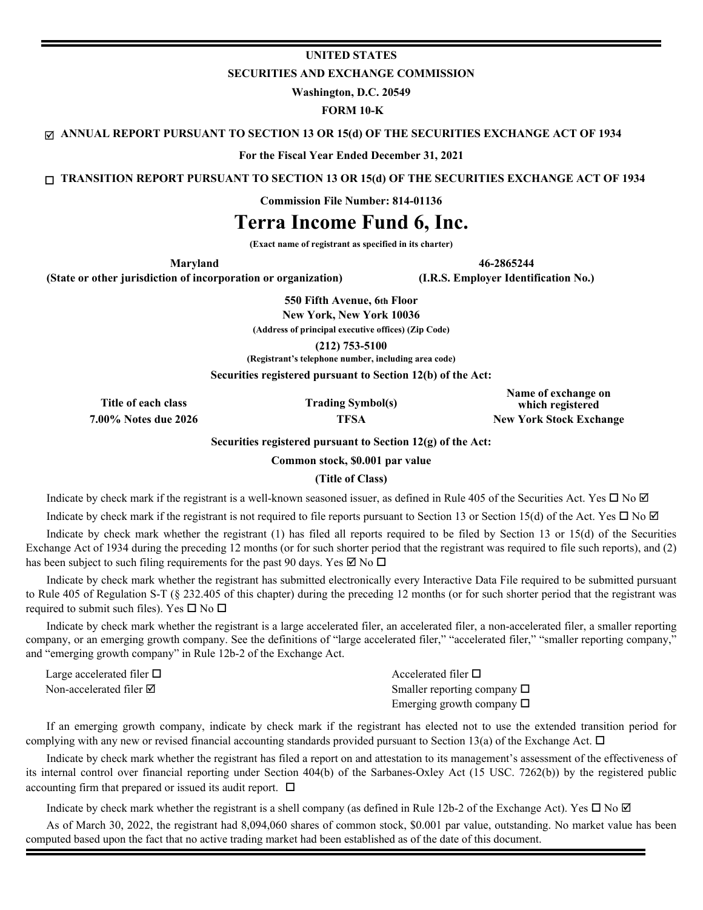## **UNITED STATES**

#### **SECURITIES AND EXCHANGE COMMISSION**

**Washington, D.C. 20549**

### **FORM 10-K**

þ **ANNUAL REPORT PURSUANT TO SECTION 13 OR 15(d) OF THE SECURITIES EXCHANGE ACT OF 1934**

**For the Fiscal Year Ended December 31, 2021**

o **TRANSITION REPORT PURSUANT TO SECTION 13 OR 15(d) OF THE SECURITIES EXCHANGE ACT OF 1934**

**Commission File Number: 814-01136**

# **Terra Income Fund 6, Inc.**

**(Exact name of registrant as specified in its charter)**

**Maryland 46-2865244**

**(State or other jurisdiction of incorporation or organization) (I.R.S. Employer Identification No.)**

**550 Fifth Avenue, 6th Floor New York, New York 10036 (Address of principal executive offices) (Zip Code)**

**(212) 753-5100**

**(Registrant's telephone number, including area code)**

**Securities registered pursuant to Section 12(b) of the Act:** 

| Title of each class  | <b>Trading Symbol(s)</b> | Name of exchange on<br>which registered |
|----------------------|--------------------------|-----------------------------------------|
| 7.00% Notes due 2026 | <b>TFSA</b>              | <b>New York Stock Exchange</b>          |

### **Securities registered pursuant to Section 12(g) of the Act:**

**Common stock, \$0.001 par value**

### **(Title of Class)**

Indicate by check mark if the registrant is a well-known seasoned issuer, as defined in Rule 405 of the Securities Act. Yes  $\Box$  No  $\Box$ 

Indicate by check mark if the registrant is not required to file reports pursuant to Section 13 or Section 15(d) of the Act. Yes  $\Box$  No  $\Box$ 

Indicate by check mark whether the registrant (1) has filed all reports required to be filed by Section 13 or 15(d) of the Securities Exchange Act of 1934 during the preceding 12 months (or for such shorter period that the registrant was required to file such reports), and (2) has been subject to such filing requirements for the past 90 days. Yes  $\boxtimes$  No  $\Box$ 

Indicate by check mark whether the registrant has submitted electronically every Interactive Data File required to be submitted pursuant to Rule 405 of Regulation S-T (§ 232.405 of this chapter) during the preceding 12 months (or for such shorter period that the registrant was required to submit such files). Yes  $\square$  No  $\square$ 

Indicate by check mark whether the registrant is a large accelerated filer, an accelerated filer, a non-accelerated filer, a smaller reporting company, or an emerging growth company. See the definitions of "large accelerated filer," "accelerated filer," "smaller reporting company," and "emerging growth company" in Rule 12b-2 of the Exchange Act.

| Large accelerated filer $\Box$    | Accelerated filer $\Box$         |
|-----------------------------------|----------------------------------|
| Non-accelerated filer $\boxtimes$ | Smaller reporting company $\Box$ |
|                                   | Emerging growth company $\Box$   |

If an emerging growth company, indicate by check mark if the registrant has elected not to use the extended transition period for complying with any new or revised financial accounting standards provided pursuant to Section 13(a) of the Exchange Act.  $\Box$ 

Indicate by check mark whether the registrant has filed a report on and attestation to its management's assessment of the effectiveness of its internal control over financial reporting under Section 404(b) of the Sarbanes-Oxley Act (15 USC. 7262(b)) by the registered public accounting firm that prepared or issued its audit report.  $\Box$ 

Indicate by check mark whether the registrant is a shell company (as defined in Rule 12b-2 of the Exchange Act). Yes  $\Box$  No  $\Box$ 

As of March 30, 2022, the registrant had 8,094,060 shares of common stock, \$0.001 par value, outstanding. No market value has been computed based upon the fact that no active trading market had been established as of the date of this document.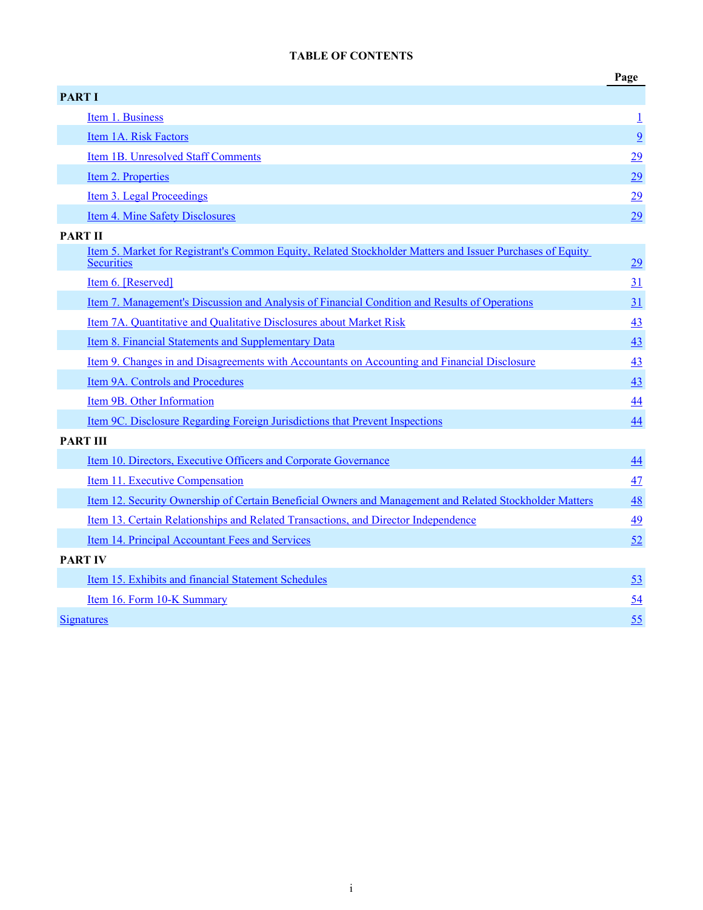<span id="page-1-0"></span>

|                                                                                                                                | Page           |
|--------------------------------------------------------------------------------------------------------------------------------|----------------|
| <b>PART I</b>                                                                                                                  |                |
| Item 1. Business                                                                                                               | $\overline{1}$ |
| Item 1A. Risk Factors                                                                                                          | $\overline{9}$ |
| Item 1B. Unresolved Staff Comments                                                                                             | 29             |
| Item 2. Properties                                                                                                             | 29             |
| Item 3. Legal Proceedings                                                                                                      | 29             |
| <b>Item 4. Mine Safety Disclosures</b>                                                                                         | 29             |
| <b>PART II</b>                                                                                                                 |                |
| Item 5. Market for Registrant's Common Equity, Related Stockholder Matters and Issuer Purchases of Equity<br><b>Securities</b> | 29             |
| Item 6. [Reserved]                                                                                                             | 31             |
| Item 7. Management's Discussion and Analysis of Financial Condition and Results of Operations                                  | 31             |
| Item 7A. Quantitative and Qualitative Disclosures about Market Risk                                                            | 43             |
| Item 8. Financial Statements and Supplementary Data                                                                            | 43             |
| Item 9. Changes in and Disagreements with Accountants on Accounting and Financial Disclosure                                   | 43             |
| Item 9A. Controls and Procedures                                                                                               | 43             |
| Item 9B. Other Information                                                                                                     | 44             |
| Item 9C. Disclosure Regarding Foreign Jurisdictions that Prevent Inspections                                                   | 44             |
| <b>PART III</b>                                                                                                                |                |
| Item 10. Directors, Executive Officers and Corporate Governance                                                                | 44             |
| <b>Item 11. Executive Compensation</b>                                                                                         | 47             |
| Item 12. Security Ownership of Certain Beneficial Owners and Management and Related Stockholder Matters                        | 48             |
| Item 13. Certain Relationships and Related Transactions, and Director Independence                                             | 49             |
| Item 14. Principal Accountant Fees and Services                                                                                | 52             |
| <b>PART IV</b>                                                                                                                 |                |
| Item 15. Exhibits and financial Statement Schedules                                                                            | 53             |
| Item 16. Form 10-K Summary                                                                                                     | 54             |
| <b>Signatures</b>                                                                                                              | 55             |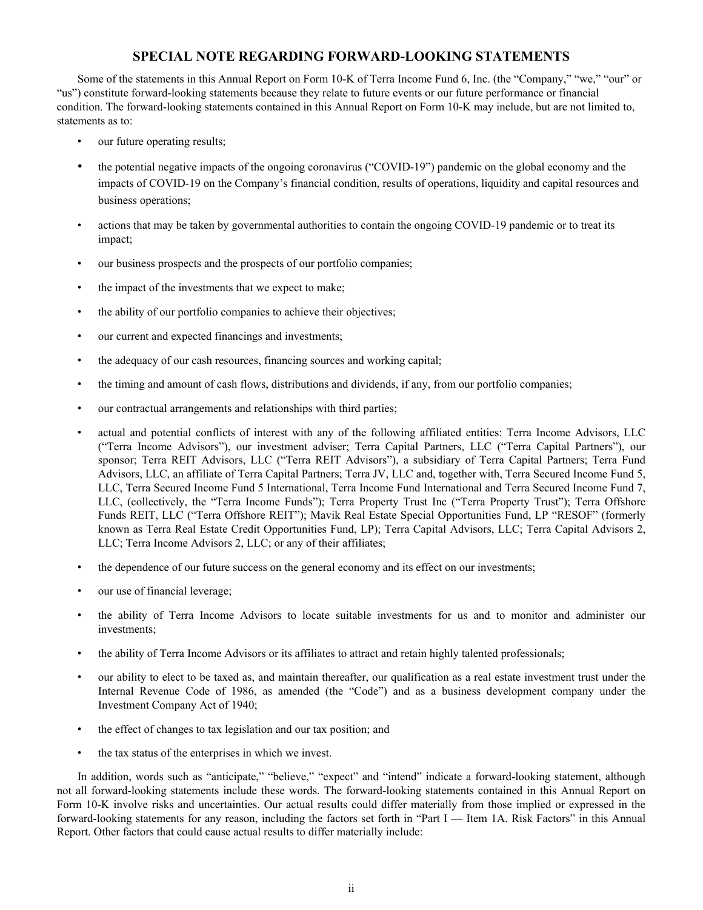## **SPECIAL NOTE REGARDING FORWARD-LOOKING STATEMENTS**

Some of the statements in this Annual Report on Form 10-K of Terra Income Fund 6, Inc. (the "Company," "we," "our" or "us") constitute forward-looking statements because they relate to future events or our future performance or financial condition. The forward-looking statements contained in this Annual Report on Form 10-K may include, but are not limited to, statements as to:

- our future operating results;
- the potential negative impacts of the ongoing coronavirus ("COVID-19") pandemic on the global economy and the impacts of COVID-19 on the Company's financial condition, results of operations, liquidity and capital resources and business operations;
- actions that may be taken by governmental authorities to contain the ongoing COVID-19 pandemic or to treat its impact;
- our business prospects and the prospects of our portfolio companies;
- the impact of the investments that we expect to make;
- the ability of our portfolio companies to achieve their objectives;
- our current and expected financings and investments;
- the adequacy of our cash resources, financing sources and working capital;
- the timing and amount of cash flows, distributions and dividends, if any, from our portfolio companies;
- our contractual arrangements and relationships with third parties;
- actual and potential conflicts of interest with any of the following affiliated entities: Terra Income Advisors, LLC ("Terra Income Advisors"), our investment adviser; Terra Capital Partners, LLC ("Terra Capital Partners"), our sponsor; Terra REIT Advisors, LLC ("Terra REIT Advisors"), a subsidiary of Terra Capital Partners; Terra Fund Advisors, LLC, an affiliate of Terra Capital Partners; Terra JV, LLC and, together with, Terra Secured Income Fund 5, LLC, Terra Secured Income Fund 5 International, Terra Income Fund International and Terra Secured Income Fund 7, LLC, (collectively, the "Terra Income Funds"); Terra Property Trust Inc ("Terra Property Trust"); Terra Offshore Funds REIT, LLC ("Terra Offshore REIT"); Mavik Real Estate Special Opportunities Fund, LP "RESOF" (formerly known as Terra Real Estate Credit Opportunities Fund, LP); Terra Capital Advisors, LLC; Terra Capital Advisors 2, LLC; Terra Income Advisors 2, LLC; or any of their affiliates;
- the dependence of our future success on the general economy and its effect on our investments;
- our use of financial leverage;
- the ability of Terra Income Advisors to locate suitable investments for us and to monitor and administer our investments;
- the ability of Terra Income Advisors or its affiliates to attract and retain highly talented professionals;
- our ability to elect to be taxed as, and maintain thereafter, our qualification as a real estate investment trust under the Internal Revenue Code of 1986, as amended (the "Code") and as a business development company under the Investment Company Act of 1940;
- the effect of changes to tax legislation and our tax position; and
- the tax status of the enterprises in which we invest.

In addition, words such as "anticipate," "believe," "expect" and "intend" indicate a forward-looking statement, although not all forward-looking statements include these words. The forward-looking statements contained in this Annual Report on Form 10-K involve risks and uncertainties. Our actual results could differ materially from those implied or expressed in the forward-looking statements for any reason, including the factors set forth in "Part I — Item 1A. Risk Factors" in this Annual Report. Other factors that could cause actual results to differ materially include: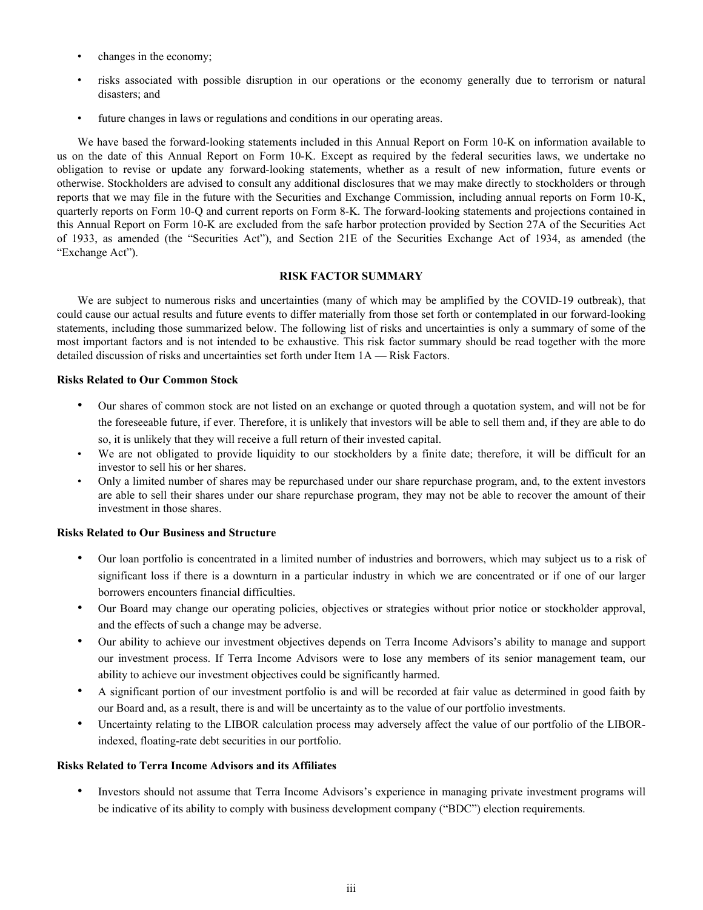- changes in the economy;
- risks associated with possible disruption in our operations or the economy generally due to terrorism or natural disasters; and
- future changes in laws or regulations and conditions in our operating areas.

We have based the forward-looking statements included in this Annual Report on Form 10-K on information available to us on the date of this Annual Report on Form 10-K. Except as required by the federal securities laws, we undertake no obligation to revise or update any forward-looking statements, whether as a result of new information, future events or otherwise. Stockholders are advised to consult any additional disclosures that we may make directly to stockholders or through reports that we may file in the future with the Securities and Exchange Commission, including annual reports on Form 10-K, quarterly reports on Form 10-Q and current reports on Form 8-K. The forward-looking statements and projections contained in this Annual Report on Form 10-K are excluded from the safe harbor protection provided by Section 27A of the Securities Act of 1933, as amended (the "Securities Act"), and Section 21E of the Securities Exchange Act of 1934, as amended (the "Exchange Act").

## **RISK FACTOR SUMMARY**

We are subject to numerous risks and uncertainties (many of which may be amplified by the COVID-19 outbreak), that could cause our actual results and future events to differ materially from those set forth or contemplated in our forward-looking statements, including those summarized below. The following list of risks and uncertainties is only a summary of some of the most important factors and is not intended to be exhaustive. This risk factor summary should be read together with the more detailed discussion of risks and uncertainties set forth under Item 1A — Risk Factors.

## **Risks Related to Our Common Stock**

- Our shares of common stock are not listed on an exchange or quoted through a quotation system, and will not be for the foreseeable future, if ever. Therefore, it is unlikely that investors will be able to sell them and, if they are able to do so, it is unlikely that they will receive a full return of their invested capital.
- We are not obligated to provide liquidity to our stockholders by a finite date; therefore, it will be difficult for an investor to sell his or her shares.
- Only a limited number of shares may be repurchased under our share repurchase program, and, to the extent investors are able to sell their shares under our share repurchase program, they may not be able to recover the amount of their investment in those shares.

## **Risks Related to Our Business and Structure**

- Our loan portfolio is concentrated in a limited number of industries and borrowers, which may subject us to a risk of significant loss if there is a downturn in a particular industry in which we are concentrated or if one of our larger borrowers encounters financial difficulties.
- Our Board may change our operating policies, objectives or strategies without prior notice or stockholder approval, and the effects of such a change may be adverse.
- Our ability to achieve our investment objectives depends on Terra Income Advisors's ability to manage and support our investment process. If Terra Income Advisors were to lose any members of its senior management team, our ability to achieve our investment objectives could be significantly harmed.
- A significant portion of our investment portfolio is and will be recorded at fair value as determined in good faith by our Board and, as a result, there is and will be uncertainty as to the value of our portfolio investments.
- Uncertainty relating to the LIBOR calculation process may adversely affect the value of our portfolio of the LIBORindexed, floating-rate debt securities in our portfolio.

## **Risks Related to Terra Income Advisors and its Affiliates**

• Investors should not assume that Terra Income Advisors's experience in managing private investment programs will be indicative of its ability to comply with business development company ("BDC") election requirements.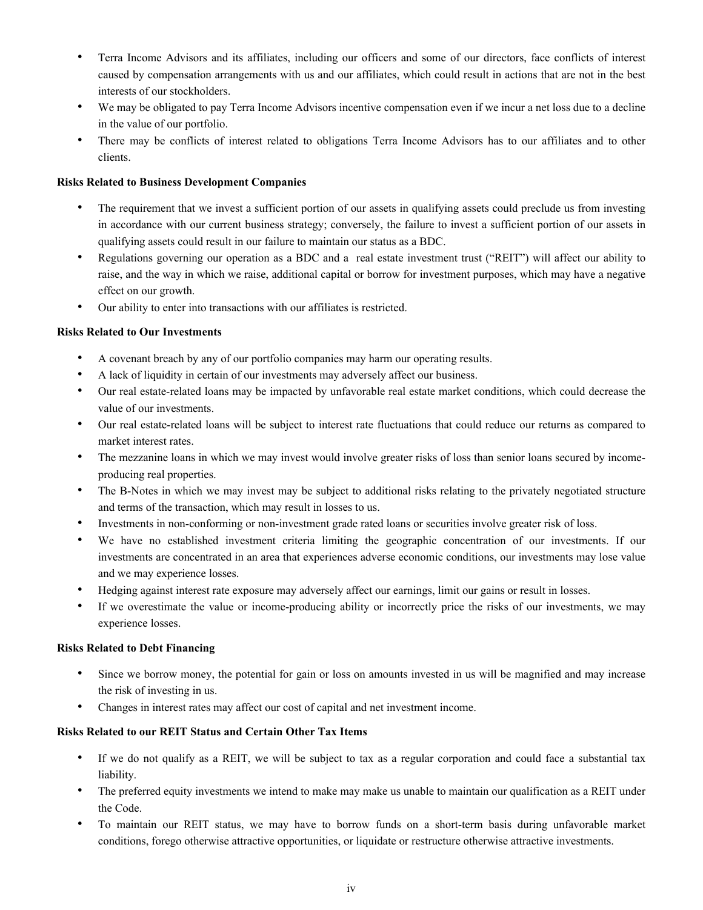- Terra Income Advisors and its affiliates, including our officers and some of our directors, face conflicts of interest caused by compensation arrangements with us and our affiliates, which could result in actions that are not in the best interests of our stockholders.
- We may be obligated to pay Terra Income Advisors incentive compensation even if we incur a net loss due to a decline in the value of our portfolio.
- There may be conflicts of interest related to obligations Terra Income Advisors has to our affiliates and to other clients.

## **Risks Related to Business Development Companies**

- The requirement that we invest a sufficient portion of our assets in qualifying assets could preclude us from investing in accordance with our current business strategy; conversely, the failure to invest a sufficient portion of our assets in qualifying assets could result in our failure to maintain our status as a BDC.
- Regulations governing our operation as a BDC and a real estate investment trust ("REIT") will affect our ability to raise, and the way in which we raise, additional capital or borrow for investment purposes, which may have a negative effect on our growth.
- Our ability to enter into transactions with our affiliates is restricted.

## **Risks Related to Our Investments**

- A covenant breach by any of our portfolio companies may harm our operating results.
- A lack of liquidity in certain of our investments may adversely affect our business.
- Our real estate-related loans may be impacted by unfavorable real estate market conditions, which could decrease the value of our investments.
- Our real estate-related loans will be subject to interest rate fluctuations that could reduce our returns as compared to market interest rates.
- The mezzanine loans in which we may invest would involve greater risks of loss than senior loans secured by incomeproducing real properties.
- The B-Notes in which we may invest may be subject to additional risks relating to the privately negotiated structure and terms of the transaction, which may result in losses to us.
- Investments in non-conforming or non-investment grade rated loans or securities involve greater risk of loss.
- We have no established investment criteria limiting the geographic concentration of our investments. If our investments are concentrated in an area that experiences adverse economic conditions, our investments may lose value and we may experience losses.
- Hedging against interest rate exposure may adversely affect our earnings, limit our gains or result in losses.
- If we overestimate the value or income-producing ability or incorrectly price the risks of our investments, we may experience losses.

## **Risks Related to Debt Financing**

- Since we borrow money, the potential for gain or loss on amounts invested in us will be magnified and may increase the risk of investing in us.
- Changes in interest rates may affect our cost of capital and net investment income.

## **Risks Related to our REIT Status and Certain Other Tax Items**

- If we do not qualify as a REIT, we will be subject to tax as a regular corporation and could face a substantial tax liability.
- The preferred equity investments we intend to make may make us unable to maintain our qualification as a REIT under the Code.
- To maintain our REIT status, we may have to borrow funds on a short-term basis during unfavorable market conditions, forego otherwise attractive opportunities, or liquidate or restructure otherwise attractive investments.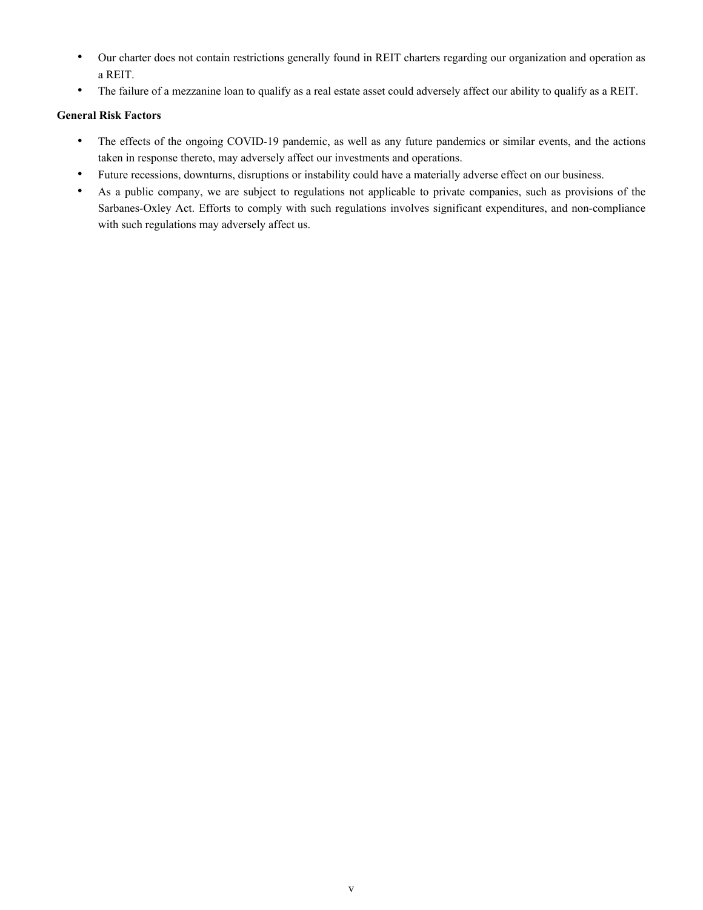- Our charter does not contain restrictions generally found in REIT charters regarding our organization and operation as a REIT.
- The failure of a mezzanine loan to qualify as a real estate asset could adversely affect our ability to qualify as a REIT.

## **General Risk Factors**

- The effects of the ongoing COVID-19 pandemic, as well as any future pandemics or similar events, and the actions taken in response thereto, may adversely affect our investments and operations.
- Future recessions, downturns, disruptions or instability could have a materially adverse effect on our business.
- As a public company, we are subject to regulations not applicable to private companies, such as provisions of the Sarbanes-Oxley Act. Efforts to comply with such regulations involves significant expenditures, and non-compliance with such regulations may adversely affect us.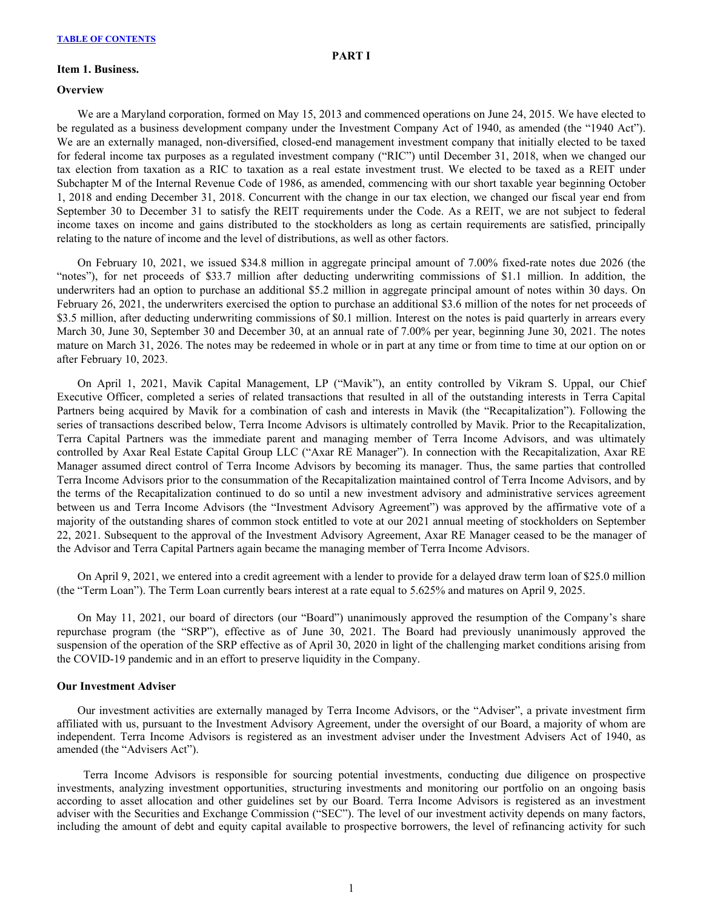## **PART I**

## <span id="page-6-0"></span>**Item 1. Business.**

#### **Overview**

We are a Maryland corporation, formed on May 15, 2013 and commenced operations on June 24, 2015. We have elected to be regulated as a business development company under the Investment Company Act of 1940, as amended (the "1940 Act"). We are an externally managed, non-diversified, closed-end management investment company that initially elected to be taxed for federal income tax purposes as a regulated investment company ("RIC") until December 31, 2018, when we changed our tax election from taxation as a RIC to taxation as a real estate investment trust. We elected to be taxed as a REIT under Subchapter M of the Internal Revenue Code of 1986, as amended, commencing with our short taxable year beginning October 1, 2018 and ending December 31, 2018. Concurrent with the change in our tax election, we changed our fiscal year end from September 30 to December 31 to satisfy the REIT requirements under the Code. As a REIT, we are not subject to federal income taxes on income and gains distributed to the stockholders as long as certain requirements are satisfied, principally relating to the nature of income and the level of distributions, as well as other factors.

On February 10, 2021, we issued \$34.8 million in aggregate principal amount of 7.00% fixed-rate notes due 2026 (the "notes"), for net proceeds of \$33.7 million after deducting underwriting commissions of \$1.1 million. In addition, the underwriters had an option to purchase an additional \$5.2 million in aggregate principal amount of notes within 30 days. On February 26, 2021, the underwriters exercised the option to purchase an additional \$3.6 million of the notes for net proceeds of \$3.5 million, after deducting underwriting commissions of \$0.1 million. Interest on the notes is paid quarterly in arrears every March 30, June 30, September 30 and December 30, at an annual rate of 7.00% per year, beginning June 30, 2021. The notes mature on March 31, 2026. The notes may be redeemed in whole or in part at any time or from time to time at our option on or after February 10, 2023.

On April 1, 2021, Mavik Capital Management, LP ("Mavik"), an entity controlled by Vikram S. Uppal, our Chief Executive Officer, completed a series of related transactions that resulted in all of the outstanding interests in Terra Capital Partners being acquired by Mavik for a combination of cash and interests in Mavik (the "Recapitalization"). Following the series of transactions described below, Terra Income Advisors is ultimately controlled by Mavik. Prior to the Recapitalization, Terra Capital Partners was the immediate parent and managing member of Terra Income Advisors, and was ultimately controlled by Axar Real Estate Capital Group LLC ("Axar RE Manager"). In connection with the Recapitalization, Axar RE Manager assumed direct control of Terra Income Advisors by becoming its manager. Thus, the same parties that controlled Terra Income Advisors prior to the consummation of the Recapitalization maintained control of Terra Income Advisors, and by the terms of the Recapitalization continued to do so until a new investment advisory and administrative services agreement between us and Terra Income Advisors (the "Investment Advisory Agreement") was approved by the affirmative vote of a majority of the outstanding shares of common stock entitled to vote at our 2021 annual meeting of stockholders on September 22, 2021. Subsequent to the approval of the Investment Advisory Agreement, Axar RE Manager ceased to be the manager of the Advisor and Terra Capital Partners again became the managing member of Terra Income Advisors.

On April 9, 2021, we entered into a credit agreement with a lender to provide for a delayed draw term loan of \$25.0 million (the "Term Loan"). The Term Loan currently bears interest at a rate equal to 5.625% and matures on April 9, 2025.

On May 11, 2021, our board of directors (our "Board") unanimously approved the resumption of the Company's share repurchase program (the "SRP"), effective as of June 30, 2021. The Board had previously unanimously approved the suspension of the operation of the SRP effective as of April 30, 2020 in light of the challenging market conditions arising from the COVID-19 pandemic and in an effort to preserve liquidity in the Company.

### **Our Investment Adviser**

Our investment activities are externally managed by Terra Income Advisors, or the "Adviser", a private investment firm affiliated with us, pursuant to the Investment Advisory Agreement, under the oversight of our Board, a majority of whom are independent. Terra Income Advisors is registered as an investment adviser under the Investment Advisers Act of 1940, as amended (the "Advisers Act").

 Terra Income Advisors is responsible for sourcing potential investments, conducting due diligence on prospective investments, analyzing investment opportunities, structuring investments and monitoring our portfolio on an ongoing basis according to asset allocation and other guidelines set by our Board. Terra Income Advisors is registered as an investment adviser with the Securities and Exchange Commission ("SEC"). The level of our investment activity depends on many factors, including the amount of debt and equity capital available to prospective borrowers, the level of refinancing activity for such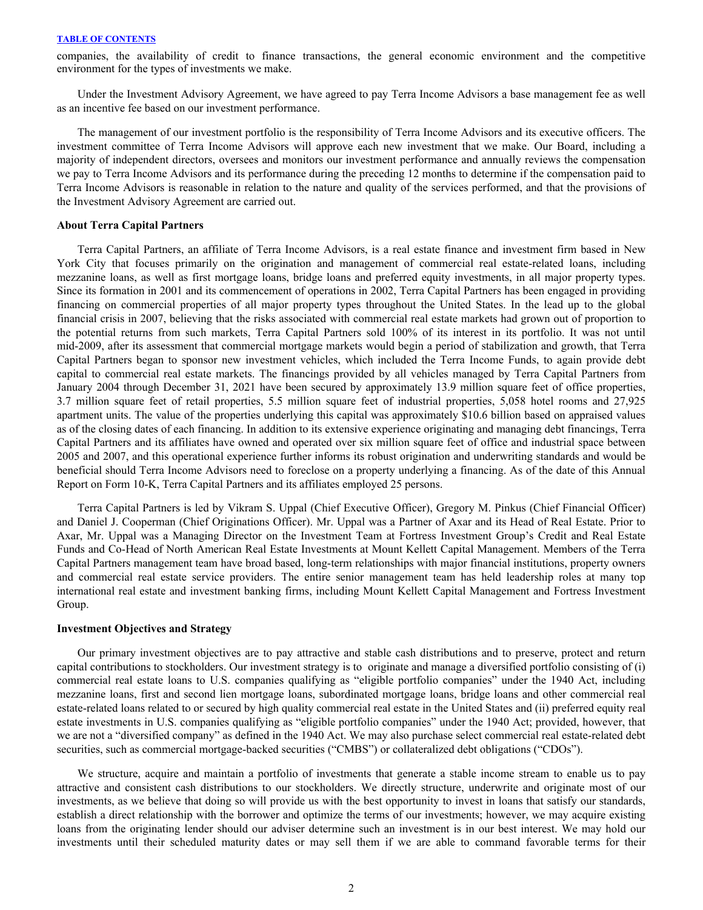companies, the availability of credit to finance transactions, the general economic environment and the competitive environment for the types of investments we make.

Under the Investment Advisory Agreement, we have agreed to pay Terra Income Advisors a base management fee as well as an incentive fee based on our investment performance.

The management of our investment portfolio is the responsibility of Terra Income Advisors and its executive officers. The investment committee of Terra Income Advisors will approve each new investment that we make. Our Board, including a majority of independent directors, oversees and monitors our investment performance and annually reviews the compensation we pay to Terra Income Advisors and its performance during the preceding 12 months to determine if the compensation paid to Terra Income Advisors is reasonable in relation to the nature and quality of the services performed, and that the provisions of the Investment Advisory Agreement are carried out.

### **About Terra Capital Partners**

Terra Capital Partners, an affiliate of Terra Income Advisors, is a real estate finance and investment firm based in New York City that focuses primarily on the origination and management of commercial real estate-related loans, including mezzanine loans, as well as first mortgage loans, bridge loans and preferred equity investments, in all major property types. Since its formation in 2001 and its commencement of operations in 2002, Terra Capital Partners has been engaged in providing financing on commercial properties of all major property types throughout the United States. In the lead up to the global financial crisis in 2007, believing that the risks associated with commercial real estate markets had grown out of proportion to the potential returns from such markets, Terra Capital Partners sold 100% of its interest in its portfolio. It was not until mid-2009, after its assessment that commercial mortgage markets would begin a period of stabilization and growth, that Terra Capital Partners began to sponsor new investment vehicles, which included the Terra Income Funds, to again provide debt capital to commercial real estate markets. The financings provided by all vehicles managed by Terra Capital Partners from January 2004 through December 31, 2021 have been secured by approximately 13.9 million square feet of office properties, 3.7 million square feet of retail properties, 5.5 million square feet of industrial properties, 5,058 hotel rooms and 27,925 apartment units. The value of the properties underlying this capital was approximately \$10.6 billion based on appraised values as of the closing dates of each financing. In addition to its extensive experience originating and managing debt financings, Terra Capital Partners and its affiliates have owned and operated over six million square feet of office and industrial space between 2005 and 2007, and this operational experience further informs its robust origination and underwriting standards and would be beneficial should Terra Income Advisors need to foreclose on a property underlying a financing. As of the date of this Annual Report on Form 10-K, Terra Capital Partners and its affiliates employed 25 persons.

 Terra Capital Partners is led by Vikram S. Uppal (Chief Executive Officer), Gregory M. Pinkus (Chief Financial Officer) and Daniel J. Cooperman (Chief Originations Officer). Mr. Uppal was a Partner of Axar and its Head of Real Estate. Prior to Axar, Mr. Uppal was a Managing Director on the Investment Team at Fortress Investment Group's Credit and Real Estate Funds and Co-Head of North American Real Estate Investments at Mount Kellett Capital Management. Members of the Terra Capital Partners management team have broad based, long-term relationships with major financial institutions, property owners and commercial real estate service providers. The entire senior management team has held leadership roles at many top international real estate and investment banking firms, including Mount Kellett Capital Management and Fortress Investment Group.

#### **Investment Objectives and Strategy**

Our primary investment objectives are to pay attractive and stable cash distributions and to preserve, protect and return capital contributions to stockholders. Our investment strategy is to originate and manage a diversified portfolio consisting of (i) commercial real estate loans to U.S. companies qualifying as "eligible portfolio companies" under the 1940 Act, including mezzanine loans, first and second lien mortgage loans, subordinated mortgage loans, bridge loans and other commercial real estate-related loans related to or secured by high quality commercial real estate in the United States and (ii) preferred equity real estate investments in U.S. companies qualifying as "eligible portfolio companies" under the 1940 Act; provided, however, that we are not a "diversified company" as defined in the 1940 Act. We may also purchase select commercial real estate-related debt securities, such as commercial mortgage-backed securities ("CMBS") or collateralized debt obligations ("CDOs").

We structure, acquire and maintain a portfolio of investments that generate a stable income stream to enable us to pay attractive and consistent cash distributions to our stockholders. We directly structure, underwrite and originate most of our investments, as we believe that doing so will provide us with the best opportunity to invest in loans that satisfy our standards, establish a direct relationship with the borrower and optimize the terms of our investments; however, we may acquire existing loans from the originating lender should our adviser determine such an investment is in our best interest. We may hold our investments until their scheduled maturity dates or may sell them if we are able to command favorable terms for their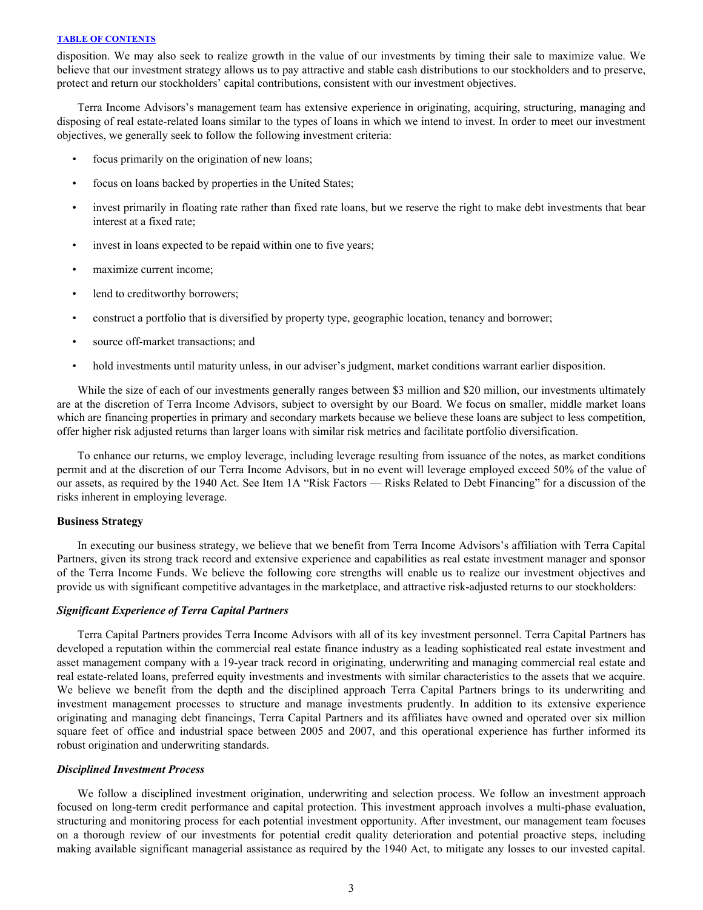disposition. We may also seek to realize growth in the value of our investments by timing their sale to maximize value. We believe that our investment strategy allows us to pay attractive and stable cash distributions to our stockholders and to preserve, protect and return our stockholders' capital contributions, consistent with our investment objectives.

Terra Income Advisors's management team has extensive experience in originating, acquiring, structuring, managing and disposing of real estate-related loans similar to the types of loans in which we intend to invest. In order to meet our investment objectives, we generally seek to follow the following investment criteria:

- focus primarily on the origination of new loans;
- focus on loans backed by properties in the United States;
- invest primarily in floating rate rather than fixed rate loans, but we reserve the right to make debt investments that bear interest at a fixed rate;
- invest in loans expected to be repaid within one to five years;
- maximize current income;
- lend to creditworthy borrowers;
- construct a portfolio that is diversified by property type, geographic location, tenancy and borrower;
- source off-market transactions; and
- hold investments until maturity unless, in our adviser's judgment, market conditions warrant earlier disposition.

While the size of each of our investments generally ranges between \$3 million and \$20 million, our investments ultimately are at the discretion of Terra Income Advisors, subject to oversight by our Board. We focus on smaller, middle market loans which are financing properties in primary and secondary markets because we believe these loans are subject to less competition, offer higher risk adjusted returns than larger loans with similar risk metrics and facilitate portfolio diversification.

To enhance our returns, we employ leverage, including leverage resulting from issuance of the notes, as market conditions permit and at the discretion of our Terra Income Advisors, but in no event will leverage employed exceed 50% of the value of our assets, as required by the 1940 Act. See Item 1A "Risk Factors — Risks Related to Debt Financing" for a discussion of the risks inherent in employing leverage.

### **Business Strategy**

In executing our business strategy, we believe that we benefit from Terra Income Advisors's affiliation with Terra Capital Partners, given its strong track record and extensive experience and capabilities as real estate investment manager and sponsor of the Terra Income Funds. We believe the following core strengths will enable us to realize our investment objectives and provide us with significant competitive advantages in the marketplace, and attractive risk-adjusted returns to our stockholders:

### *Significant Experience of Terra Capital Partners*

 Terra Capital Partners provides Terra Income Advisors with all of its key investment personnel. Terra Capital Partners has developed a reputation within the commercial real estate finance industry as a leading sophisticated real estate investment and asset management company with a 19-year track record in originating, underwriting and managing commercial real estate and real estate-related loans, preferred equity investments and investments with similar characteristics to the assets that we acquire. We believe we benefit from the depth and the disciplined approach Terra Capital Partners brings to its underwriting and investment management processes to structure and manage investments prudently. In addition to its extensive experience originating and managing debt financings, Terra Capital Partners and its affiliates have owned and operated over six million square feet of office and industrial space between 2005 and 2007, and this operational experience has further informed its robust origination and underwriting standards.

### *Disciplined Investment Process*

 We follow a disciplined investment origination, underwriting and selection process. We follow an investment approach focused on long-term credit performance and capital protection. This investment approach involves a multi-phase evaluation, structuring and monitoring process for each potential investment opportunity. After investment, our management team focuses on a thorough review of our investments for potential credit quality deterioration and potential proactive steps, including making available significant managerial assistance as required by the 1940 Act, to mitigate any losses to our invested capital.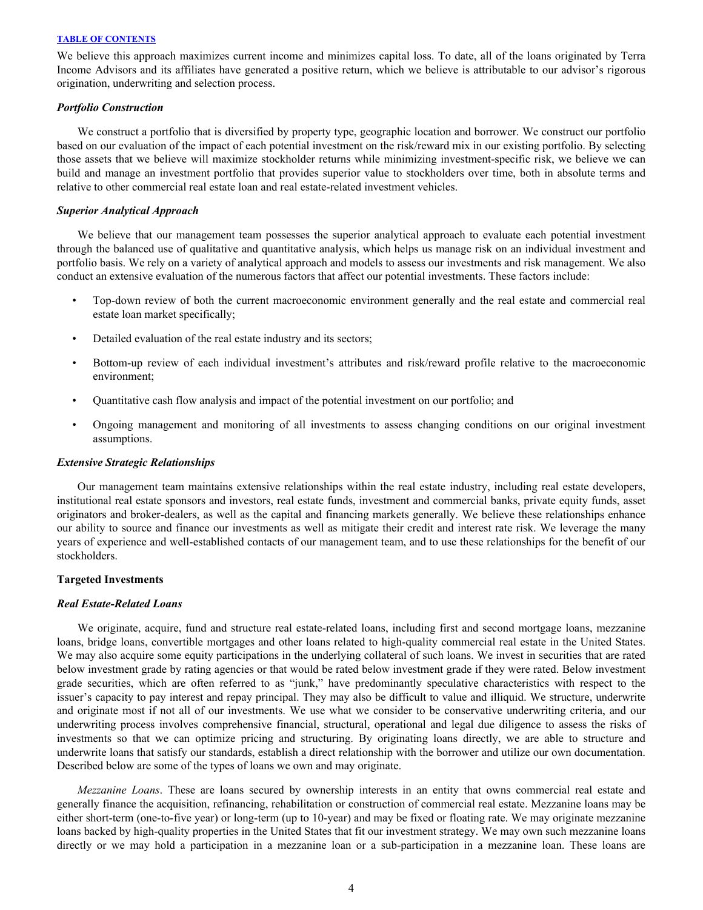We believe this approach maximizes current income and minimizes capital loss. To date, all of the loans originated by Terra Income Advisors and its affiliates have generated a positive return, which we believe is attributable to our advisor's rigorous origination, underwriting and selection process.

### *Portfolio Construction*

We construct a portfolio that is diversified by property type, geographic location and borrower. We construct our portfolio based on our evaluation of the impact of each potential investment on the risk/reward mix in our existing portfolio. By selecting those assets that we believe will maximize stockholder returns while minimizing investment-specific risk, we believe we can build and manage an investment portfolio that provides superior value to stockholders over time, both in absolute terms and relative to other commercial real estate loan and real estate-related investment vehicles.

### *Superior Analytical Approach*

We believe that our management team possesses the superior analytical approach to evaluate each potential investment through the balanced use of qualitative and quantitative analysis, which helps us manage risk on an individual investment and portfolio basis. We rely on a variety of analytical approach and models to assess our investments and risk management. We also conduct an extensive evaluation of the numerous factors that affect our potential investments. These factors include:

- Top-down review of both the current macroeconomic environment generally and the real estate and commercial real estate loan market specifically;
- Detailed evaluation of the real estate industry and its sectors;
- Bottom-up review of each individual investment's attributes and risk/reward profile relative to the macroeconomic environment;
- Quantitative cash flow analysis and impact of the potential investment on our portfolio; and
- Ongoing management and monitoring of all investments to assess changing conditions on our original investment assumptions.

### *Extensive Strategic Relationships*

Our management team maintains extensive relationships within the real estate industry, including real estate developers, institutional real estate sponsors and investors, real estate funds, investment and commercial banks, private equity funds, asset originators and broker-dealers, as well as the capital and financing markets generally. We believe these relationships enhance our ability to source and finance our investments as well as mitigate their credit and interest rate risk. We leverage the many years of experience and well-established contacts of our management team, and to use these relationships for the benefit of our stockholders.

### **Targeted Investments**

## *Real Estate-Related Loans*

 We originate, acquire, fund and structure real estate-related loans, including first and second mortgage loans, mezzanine loans, bridge loans, convertible mortgages and other loans related to high-quality commercial real estate in the United States. We may also acquire some equity participations in the underlying collateral of such loans. We invest in securities that are rated below investment grade by rating agencies or that would be rated below investment grade if they were rated. Below investment grade securities, which are often referred to as "junk," have predominantly speculative characteristics with respect to the issuer's capacity to pay interest and repay principal. They may also be difficult to value and illiquid. We structure, underwrite and originate most if not all of our investments. We use what we consider to be conservative underwriting criteria, and our underwriting process involves comprehensive financial, structural, operational and legal due diligence to assess the risks of investments so that we can optimize pricing and structuring. By originating loans directly, we are able to structure and underwrite loans that satisfy our standards, establish a direct relationship with the borrower and utilize our own documentation. Described below are some of the types of loans we own and may originate.

 *Mezzanine Loans*. These are loans secured by ownership interests in an entity that owns commercial real estate and generally finance the acquisition, refinancing, rehabilitation or construction of commercial real estate. Mezzanine loans may be either short-term (one-to-five year) or long-term (up to 10-year) and may be fixed or floating rate. We may originate mezzanine loans backed by high-quality properties in the United States that fit our investment strategy. We may own such mezzanine loans directly or we may hold a participation in a mezzanine loan or a sub-participation in a mezzanine loan. These loans are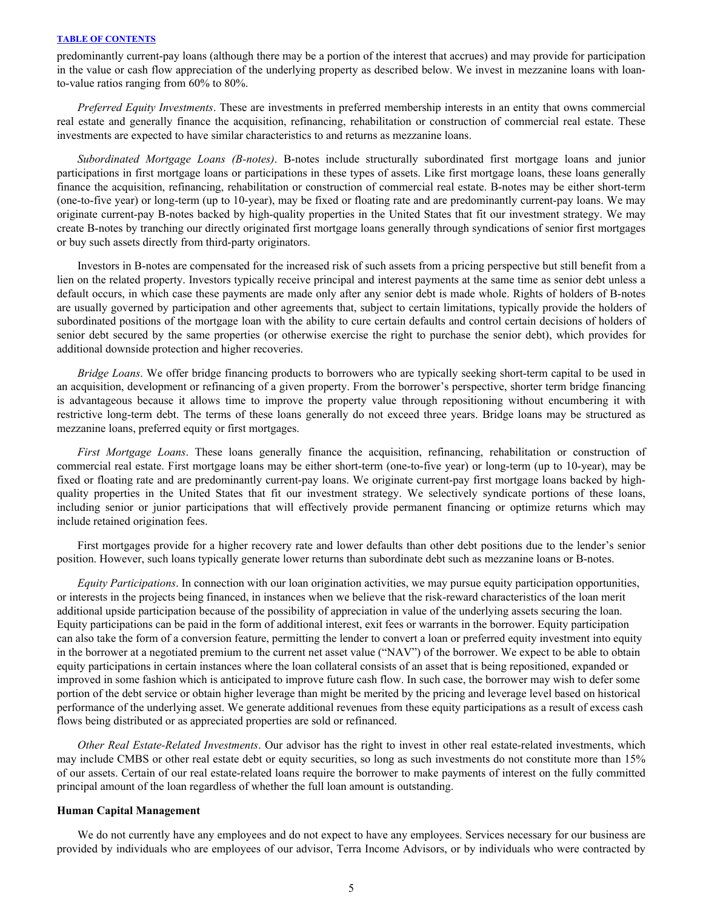predominantly current-pay loans (although there may be a portion of the interest that accrues) and may provide for participation in the value or cash flow appreciation of the underlying property as described below. We invest in mezzanine loans with loanto-value ratios ranging from 60% to 80%.

 *Preferred Equity Investments*. These are investments in preferred membership interests in an entity that owns commercial real estate and generally finance the acquisition, refinancing, rehabilitation or construction of commercial real estate. These investments are expected to have similar characteristics to and returns as mezzanine loans.

 *Subordinated Mortgage Loans (B-notes)*. B-notes include structurally subordinated first mortgage loans and junior participations in first mortgage loans or participations in these types of assets. Like first mortgage loans, these loans generally finance the acquisition, refinancing, rehabilitation or construction of commercial real estate. B-notes may be either short-term (one-to-five year) or long-term (up to 10-year), may be fixed or floating rate and are predominantly current-pay loans. We may originate current-pay B-notes backed by high-quality properties in the United States that fit our investment strategy. We may create B-notes by tranching our directly originated first mortgage loans generally through syndications of senior first mortgages or buy such assets directly from third-party originators.

 Investors in B-notes are compensated for the increased risk of such assets from a pricing perspective but still benefit from a lien on the related property. Investors typically receive principal and interest payments at the same time as senior debt unless a default occurs, in which case these payments are made only after any senior debt is made whole. Rights of holders of B-notes are usually governed by participation and other agreements that, subject to certain limitations, typically provide the holders of subordinated positions of the mortgage loan with the ability to cure certain defaults and control certain decisions of holders of senior debt secured by the same properties (or otherwise exercise the right to purchase the senior debt), which provides for additional downside protection and higher recoveries.

 *Bridge Loans*. We offer bridge financing products to borrowers who are typically seeking short-term capital to be used in an acquisition, development or refinancing of a given property. From the borrower's perspective, shorter term bridge financing is advantageous because it allows time to improve the property value through repositioning without encumbering it with restrictive long-term debt. The terms of these loans generally do not exceed three years. Bridge loans may be structured as mezzanine loans, preferred equity or first mortgages.

 *First Mortgage Loans*. These loans generally finance the acquisition, refinancing, rehabilitation or construction of commercial real estate. First mortgage loans may be either short-term (one-to-five year) or long-term (up to 10-year), may be fixed or floating rate and are predominantly current-pay loans. We originate current-pay first mortgage loans backed by highquality properties in the United States that fit our investment strategy. We selectively syndicate portions of these loans, including senior or junior participations that will effectively provide permanent financing or optimize returns which may include retained origination fees.

 First mortgages provide for a higher recovery rate and lower defaults than other debt positions due to the lender's senior position. However, such loans typically generate lower returns than subordinate debt such as mezzanine loans or B-notes.

 *Equity Participations*. In connection with our loan origination activities, we may pursue equity participation opportunities, or interests in the projects being financed, in instances when we believe that the risk-reward characteristics of the loan merit additional upside participation because of the possibility of appreciation in value of the underlying assets securing the loan. Equity participations can be paid in the form of additional interest, exit fees or warrants in the borrower. Equity participation can also take the form of a conversion feature, permitting the lender to convert a loan or preferred equity investment into equity in the borrower at a negotiated premium to the current net asset value ("NAV") of the borrower. We expect to be able to obtain equity participations in certain instances where the loan collateral consists of an asset that is being repositioned, expanded or improved in some fashion which is anticipated to improve future cash flow. In such case, the borrower may wish to defer some portion of the debt service or obtain higher leverage than might be merited by the pricing and leverage level based on historical performance of the underlying asset. We generate additional revenues from these equity participations as a result of excess cash flows being distributed or as appreciated properties are sold or refinanced.

 *Other Real Estate-Related Investments*. Our advisor has the right to invest in other real estate-related investments, which may include CMBS or other real estate debt or equity securities, so long as such investments do not constitute more than 15% of our assets. Certain of our real estate-related loans require the borrower to make payments of interest on the fully committed principal amount of the loan regardless of whether the full loan amount is outstanding.

### **Human Capital Management**

We do not currently have any employees and do not expect to have any employees. Services necessary for our business are provided by individuals who are employees of our advisor, Terra Income Advisors, or by individuals who were contracted by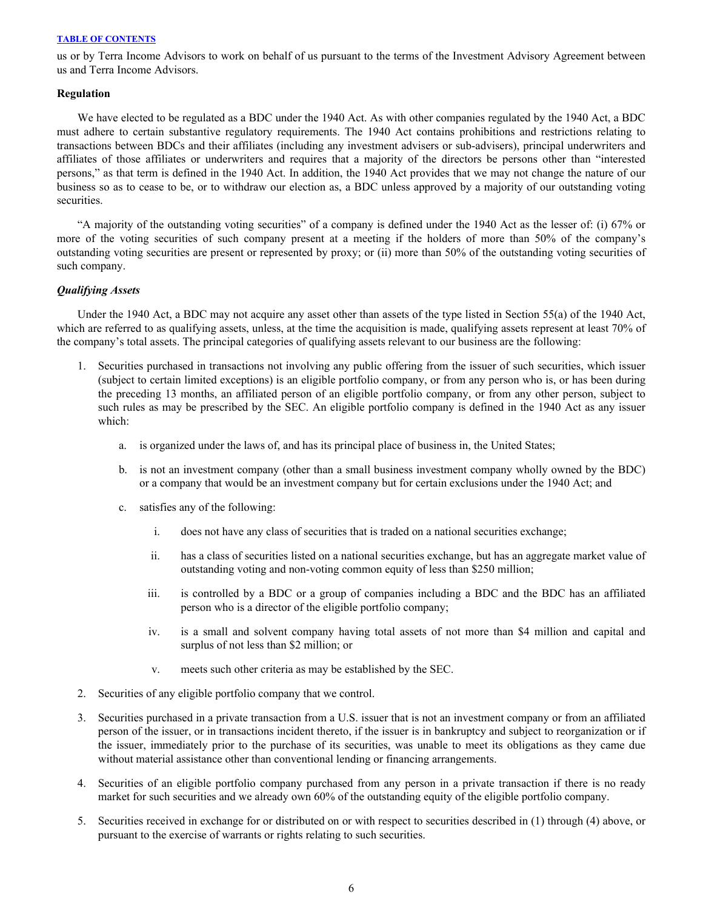us or by Terra Income Advisors to work on behalf of us pursuant to the terms of the Investment Advisory Agreement between us and Terra Income Advisors.

## **Regulation**

We have elected to be regulated as a BDC under the 1940 Act. As with other companies regulated by the 1940 Act, a BDC must adhere to certain substantive regulatory requirements. The 1940 Act contains prohibitions and restrictions relating to transactions between BDCs and their affiliates (including any investment advisers or sub-advisers), principal underwriters and affiliates of those affiliates or underwriters and requires that a majority of the directors be persons other than "interested persons," as that term is defined in the 1940 Act. In addition, the 1940 Act provides that we may not change the nature of our business so as to cease to be, or to withdraw our election as, a BDC unless approved by a majority of our outstanding voting securities.

"A majority of the outstanding voting securities" of a company is defined under the 1940 Act as the lesser of: (i) 67% or more of the voting securities of such company present at a meeting if the holders of more than 50% of the company's outstanding voting securities are present or represented by proxy; or (ii) more than 50% of the outstanding voting securities of such company.

## *Qualifying Assets*

Under the 1940 Act, a BDC may not acquire any asset other than assets of the type listed in Section 55(a) of the 1940 Act, which are referred to as qualifying assets, unless, at the time the acquisition is made, qualifying assets represent at least 70% of the company's total assets. The principal categories of qualifying assets relevant to our business are the following:

- 1. Securities purchased in transactions not involving any public offering from the issuer of such securities, which issuer (subject to certain limited exceptions) is an eligible portfolio company, or from any person who is, or has been during the preceding 13 months, an affiliated person of an eligible portfolio company, or from any other person, subject to such rules as may be prescribed by the SEC. An eligible portfolio company is defined in the 1940 Act as any issuer which:
	- a. is organized under the laws of, and has its principal place of business in, the United States;
	- b. is not an investment company (other than a small business investment company wholly owned by the BDC) or a company that would be an investment company but for certain exclusions under the 1940 Act; and
	- c. satisfies any of the following:
		- i. does not have any class of securities that is traded on a national securities exchange;
		- ii. has a class of securities listed on a national securities exchange, but has an aggregate market value of outstanding voting and non-voting common equity of less than \$250 million;
		- iii. is controlled by a BDC or a group of companies including a BDC and the BDC has an affiliated person who is a director of the eligible portfolio company;
		- iv. is a small and solvent company having total assets of not more than \$4 million and capital and surplus of not less than \$2 million; or
		- v. meets such other criteria as may be established by the SEC.
- 2. Securities of any eligible portfolio company that we control.
- 3. Securities purchased in a private transaction from a U.S. issuer that is not an investment company or from an affiliated person of the issuer, or in transactions incident thereto, if the issuer is in bankruptcy and subject to reorganization or if the issuer, immediately prior to the purchase of its securities, was unable to meet its obligations as they came due without material assistance other than conventional lending or financing arrangements.
- 4. Securities of an eligible portfolio company purchased from any person in a private transaction if there is no ready market for such securities and we already own 60% of the outstanding equity of the eligible portfolio company.
- 5. Securities received in exchange for or distributed on or with respect to securities described in (1) through (4) above, or pursuant to the exercise of warrants or rights relating to such securities.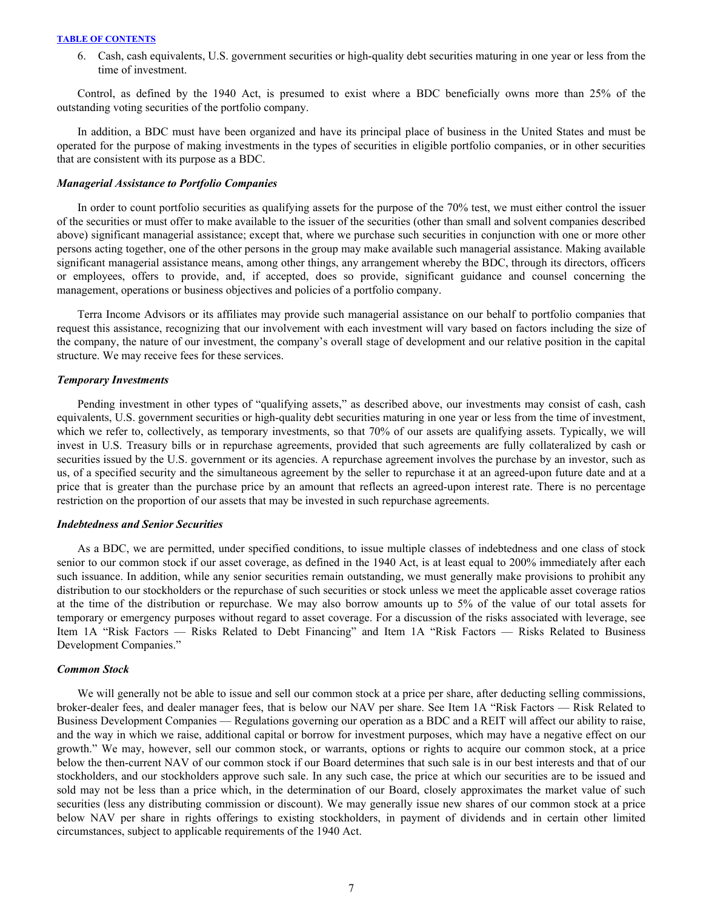6. Cash, cash equivalents, U.S. government securities or high-quality debt securities maturing in one year or less from the time of investment.

Control, as defined by the 1940 Act, is presumed to exist where a BDC beneficially owns more than 25% of the outstanding voting securities of the portfolio company.

In addition, a BDC must have been organized and have its principal place of business in the United States and must be operated for the purpose of making investments in the types of securities in eligible portfolio companies, or in other securities that are consistent with its purpose as a BDC.

#### *Managerial Assistance to Portfolio Companies*

In order to count portfolio securities as qualifying assets for the purpose of the 70% test, we must either control the issuer of the securities or must offer to make available to the issuer of the securities (other than small and solvent companies described above) significant managerial assistance; except that, where we purchase such securities in conjunction with one or more other persons acting together, one of the other persons in the group may make available such managerial assistance. Making available significant managerial assistance means, among other things, any arrangement whereby the BDC, through its directors, officers or employees, offers to provide, and, if accepted, does so provide, significant guidance and counsel concerning the management, operations or business objectives and policies of a portfolio company.

 Terra Income Advisors or its affiliates may provide such managerial assistance on our behalf to portfolio companies that request this assistance, recognizing that our involvement with each investment will vary based on factors including the size of the company, the nature of our investment, the company's overall stage of development and our relative position in the capital structure. We may receive fees for these services.

## *Temporary Investments*

Pending investment in other types of "qualifying assets," as described above, our investments may consist of cash, cash equivalents, U.S. government securities or high-quality debt securities maturing in one year or less from the time of investment, which we refer to, collectively, as temporary investments, so that 70% of our assets are qualifying assets. Typically, we will invest in U.S. Treasury bills or in repurchase agreements, provided that such agreements are fully collateralized by cash or securities issued by the U.S. government or its agencies. A repurchase agreement involves the purchase by an investor, such as us, of a specified security and the simultaneous agreement by the seller to repurchase it at an agreed-upon future date and at a price that is greater than the purchase price by an amount that reflects an agreed-upon interest rate. There is no percentage restriction on the proportion of our assets that may be invested in such repurchase agreements.

#### *Indebtedness and Senior Securities*

As a BDC, we are permitted, under specified conditions, to issue multiple classes of indebtedness and one class of stock senior to our common stock if our asset coverage, as defined in the 1940 Act, is at least equal to 200% immediately after each such issuance. In addition, while any senior securities remain outstanding, we must generally make provisions to prohibit any distribution to our stockholders or the repurchase of such securities or stock unless we meet the applicable asset coverage ratios at the time of the distribution or repurchase. We may also borrow amounts up to 5% of the value of our total assets for temporary or emergency purposes without regard to asset coverage. For a discussion of the risks associated with leverage, see Item 1A "Risk Factors — Risks Related to Debt Financing" and Item 1A "Risk Factors — Risks Related to Business Development Companies."

### *Common Stock*

We will generally not be able to issue and sell our common stock at a price per share, after deducting selling commissions, broker-dealer fees, and dealer manager fees, that is below our NAV per share. See Item 1A "Risk Factors — Risk Related to Business Development Companies — Regulations governing our operation as a BDC and a REIT will affect our ability to raise, and the way in which we raise, additional capital or borrow for investment purposes, which may have a negative effect on our growth." We may, however, sell our common stock, or warrants, options or rights to acquire our common stock, at a price below the then-current NAV of our common stock if our Board determines that such sale is in our best interests and that of our stockholders, and our stockholders approve such sale. In any such case, the price at which our securities are to be issued and sold may not be less than a price which, in the determination of our Board, closely approximates the market value of such securities (less any distributing commission or discount). We may generally issue new shares of our common stock at a price below NAV per share in rights offerings to existing stockholders, in payment of dividends and in certain other limited circumstances, subject to applicable requirements of the 1940 Act.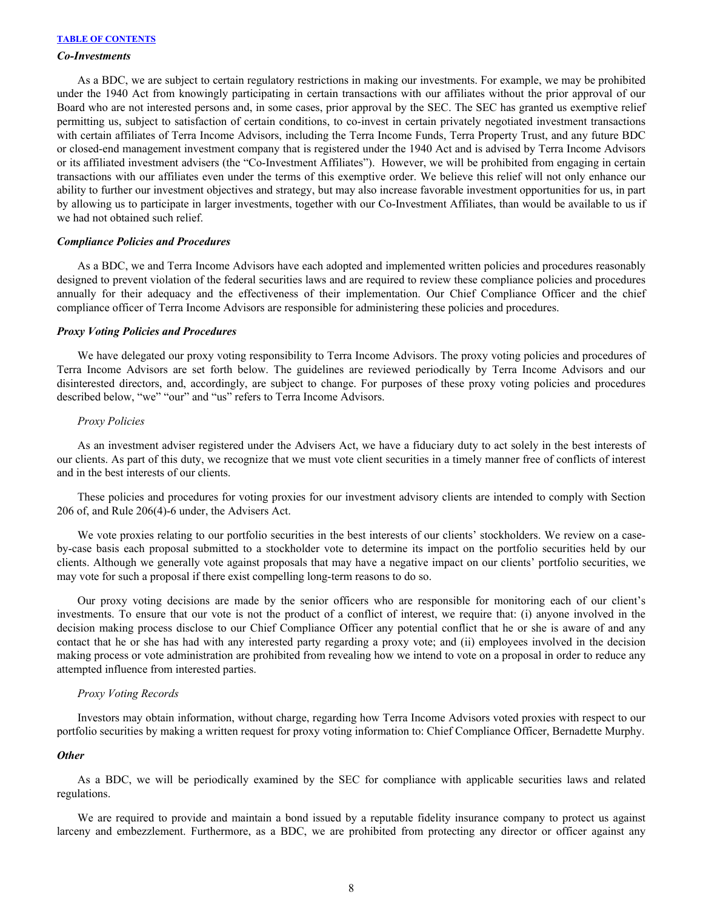#### *Co-Investments*

As a BDC, we are subject to certain regulatory restrictions in making our investments. For example, we may be prohibited under the 1940 Act from knowingly participating in certain transactions with our affiliates without the prior approval of our Board who are not interested persons and, in some cases, prior approval by the SEC. The SEC has granted us exemptive relief permitting us, subject to satisfaction of certain conditions, to co-invest in certain privately negotiated investment transactions with certain affiliates of Terra Income Advisors, including the Terra Income Funds, Terra Property Trust, and any future BDC or closed-end management investment company that is registered under the 1940 Act and is advised by Terra Income Advisors or its affiliated investment advisers (the "Co-Investment Affiliates"). However, we will be prohibited from engaging in certain transactions with our affiliates even under the terms of this exemptive order. We believe this relief will not only enhance our ability to further our investment objectives and strategy, but may also increase favorable investment opportunities for us, in part by allowing us to participate in larger investments, together with our Co-Investment Affiliates, than would be available to us if we had not obtained such relief.

#### *Compliance Policies and Procedures*

As a BDC, we and Terra Income Advisors have each adopted and implemented written policies and procedures reasonably designed to prevent violation of the federal securities laws and are required to review these compliance policies and procedures annually for their adequacy and the effectiveness of their implementation. Our Chief Compliance Officer and the chief compliance officer of Terra Income Advisors are responsible for administering these policies and procedures.

#### *Proxy Voting Policies and Procedures*

We have delegated our proxy voting responsibility to Terra Income Advisors. The proxy voting policies and procedures of Terra Income Advisors are set forth below. The guidelines are reviewed periodically by Terra Income Advisors and our disinterested directors, and, accordingly, are subject to change. For purposes of these proxy voting policies and procedures described below, "we" "our" and "us" refers to Terra Income Advisors.

#### *Proxy Policies*

As an investment adviser registered under the Advisers Act, we have a fiduciary duty to act solely in the best interests of our clients. As part of this duty, we recognize that we must vote client securities in a timely manner free of conflicts of interest and in the best interests of our clients.

These policies and procedures for voting proxies for our investment advisory clients are intended to comply with Section 206 of, and Rule 206(4)-6 under, the Advisers Act.

We vote proxies relating to our portfolio securities in the best interests of our clients' stockholders. We review on a caseby-case basis each proposal submitted to a stockholder vote to determine its impact on the portfolio securities held by our clients. Although we generally vote against proposals that may have a negative impact on our clients' portfolio securities, we may vote for such a proposal if there exist compelling long-term reasons to do so.

Our proxy voting decisions are made by the senior officers who are responsible for monitoring each of our client's investments. To ensure that our vote is not the product of a conflict of interest, we require that: (i) anyone involved in the decision making process disclose to our Chief Compliance Officer any potential conflict that he or she is aware of and any contact that he or she has had with any interested party regarding a proxy vote; and (ii) employees involved in the decision making process or vote administration are prohibited from revealing how we intend to vote on a proposal in order to reduce any attempted influence from interested parties.

### *Proxy Voting Records*

Investors may obtain information, without charge, regarding how Terra Income Advisors voted proxies with respect to our portfolio securities by making a written request for proxy voting information to: Chief Compliance Officer, Bernadette Murphy.

#### *Other*

As a BDC, we will be periodically examined by the SEC for compliance with applicable securities laws and related regulations.

We are required to provide and maintain a bond issued by a reputable fidelity insurance company to protect us against larceny and embezzlement. Furthermore, as a BDC, we are prohibited from protecting any director or officer against any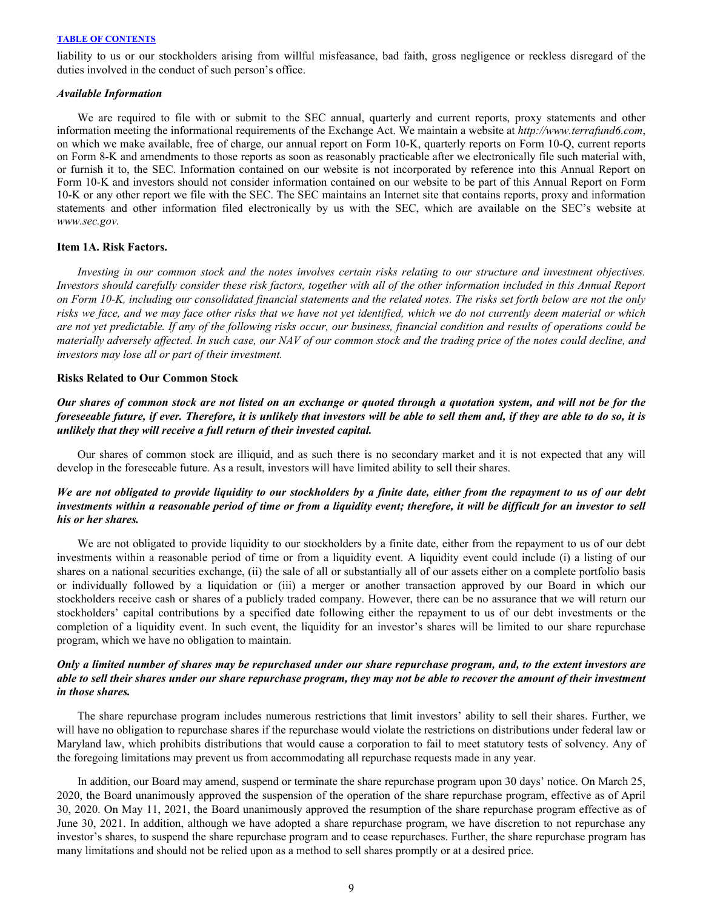<span id="page-14-0"></span>liability to us or our stockholders arising from willful misfeasance, bad faith, gross negligence or reckless disregard of the duties involved in the conduct of such person's office.

### *Available Information*

We are required to file with or submit to the SEC annual, quarterly and current reports, proxy statements and other information meeting the informational requirements of the Exchange Act. We maintain a website at *http://www.terrafund6.com*, on which we make available, free of charge, our annual report on Form 10-K, quarterly reports on Form 10-Q, current reports on Form 8-K and amendments to those reports as soon as reasonably practicable after we electronically file such material with, or furnish it to, the SEC. Information contained on our website is not incorporated by reference into this Annual Report on Form 10-K and investors should not consider information contained on our website to be part of this Annual Report on Form 10-K or any other report we file with the SEC. The SEC maintains an Internet site that contains reports, proxy and information statements and other information filed electronically by us with the SEC, which are available on the SEC's website at *www.sec.gov.*

### **Item 1A. Risk Factors.**

*Investing in our common stock and the notes involves certain risks relating to our structure and investment objectives. Investors should carefully consider these risk factors, together with all of the other information included in this Annual Report on Form 10-K, including our consolidated financial statements and the related notes. The risks set forth below are not the only risks we face, and we may face other risks that we have not yet identified, which we do not currently deem material or which are not yet predictable. If any of the following risks occur, our business, financial condition and results of operations could be materially adversely affected. In such case, our NAV of our common stock and the trading price of the notes could decline, and investors may lose all or part of their investment.*

### **Risks Related to Our Common Stock**

*Our shares of common stock are not listed on an exchange or quoted through a quotation system, and will not be for the foreseeable future, if ever. Therefore, it is unlikely that investors will be able to sell them and, if they are able to do so, it is unlikely that they will receive a full return of their invested capital.*

Our shares of common stock are illiquid, and as such there is no secondary market and it is not expected that any will develop in the foreseeable future. As a result, investors will have limited ability to sell their shares.

## *We are not obligated to provide liquidity to our stockholders by a finite date, either from the repayment to us of our debt investments within a reasonable period of time or from a liquidity event; therefore, it will be difficult for an investor to sell his or her shares.*

We are not obligated to provide liquidity to our stockholders by a finite date, either from the repayment to us of our debt investments within a reasonable period of time or from a liquidity event. A liquidity event could include (i) a listing of our shares on a national securities exchange, (ii) the sale of all or substantially all of our assets either on a complete portfolio basis or individually followed by a liquidation or (iii) a merger or another transaction approved by our Board in which our stockholders receive cash or shares of a publicly traded company. However, there can be no assurance that we will return our stockholders' capital contributions by a specified date following either the repayment to us of our debt investments or the completion of a liquidity event. In such event, the liquidity for an investor's shares will be limited to our share repurchase program, which we have no obligation to maintain.

## *Only a limited number of shares may be repurchased under our share repurchase program, and, to the extent investors are able to sell their shares under our share repurchase program, they may not be able to recover the amount of their investment in those shares.*

The share repurchase program includes numerous restrictions that limit investors' ability to sell their shares. Further, we will have no obligation to repurchase shares if the repurchase would violate the restrictions on distributions under federal law or Maryland law, which prohibits distributions that would cause a corporation to fail to meet statutory tests of solvency. Any of the foregoing limitations may prevent us from accommodating all repurchase requests made in any year.

In addition, our Board may amend, suspend or terminate the share repurchase program upon 30 days' notice. On March 25, 2020, the Board unanimously approved the suspension of the operation of the share repurchase program, effective as of April 30, 2020. On May 11, 2021, the Board unanimously approved the resumption of the share repurchase program effective as of June 30, 2021. In addition, although we have adopted a share repurchase program, we have discretion to not repurchase any investor's shares, to suspend the share repurchase program and to cease repurchases. Further, the share repurchase program has many limitations and should not be relied upon as a method to sell shares promptly or at a desired price.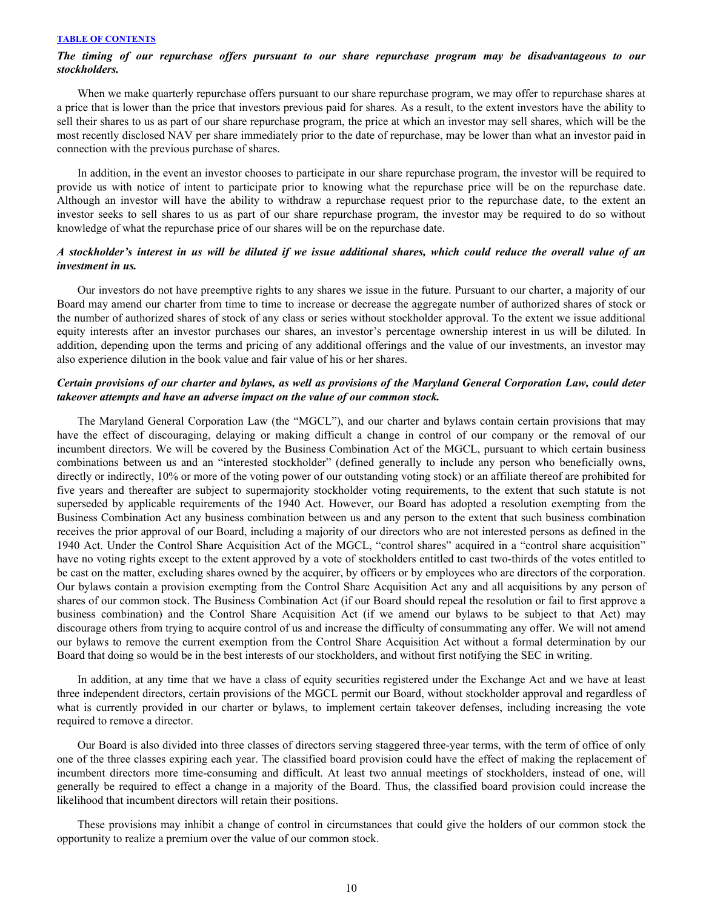## *The timing of our repurchase offers pursuant to our share repurchase program may be disadvantageous to our stockholders.*

When we make quarterly repurchase offers pursuant to our share repurchase program, we may offer to repurchase shares at a price that is lower than the price that investors previous paid for shares. As a result, to the extent investors have the ability to sell their shares to us as part of our share repurchase program, the price at which an investor may sell shares, which will be the most recently disclosed NAV per share immediately prior to the date of repurchase, may be lower than what an investor paid in connection with the previous purchase of shares.

In addition, in the event an investor chooses to participate in our share repurchase program, the investor will be required to provide us with notice of intent to participate prior to knowing what the repurchase price will be on the repurchase date. Although an investor will have the ability to withdraw a repurchase request prior to the repurchase date, to the extent an investor seeks to sell shares to us as part of our share repurchase program, the investor may be required to do so without knowledge of what the repurchase price of our shares will be on the repurchase date.

## *A stockholder's interest in us will be diluted if we issue additional shares, which could reduce the overall value of an investment in us.*

Our investors do not have preemptive rights to any shares we issue in the future. Pursuant to our charter, a majority of our Board may amend our charter from time to time to increase or decrease the aggregate number of authorized shares of stock or the number of authorized shares of stock of any class or series without stockholder approval. To the extent we issue additional equity interests after an investor purchases our shares, an investor's percentage ownership interest in us will be diluted. In addition, depending upon the terms and pricing of any additional offerings and the value of our investments, an investor may also experience dilution in the book value and fair value of his or her shares.

## *Certain provisions of our charter and bylaws, as well as provisions of the Maryland General Corporation Law, could deter takeover attempts and have an adverse impact on the value of our common stock.*

The Maryland General Corporation Law (the "MGCL"), and our charter and bylaws contain certain provisions that may have the effect of discouraging, delaying or making difficult a change in control of our company or the removal of our incumbent directors. We will be covered by the Business Combination Act of the MGCL, pursuant to which certain business combinations between us and an "interested stockholder" (defined generally to include any person who beneficially owns, directly or indirectly, 10% or more of the voting power of our outstanding voting stock) or an affiliate thereof are prohibited for five years and thereafter are subject to supermajority stockholder voting requirements, to the extent that such statute is not superseded by applicable requirements of the 1940 Act. However, our Board has adopted a resolution exempting from the Business Combination Act any business combination between us and any person to the extent that such business combination receives the prior approval of our Board, including a majority of our directors who are not interested persons as defined in the 1940 Act. Under the Control Share Acquisition Act of the MGCL, "control shares" acquired in a "control share acquisition" have no voting rights except to the extent approved by a vote of stockholders entitled to cast two-thirds of the votes entitled to be cast on the matter, excluding shares owned by the acquirer, by officers or by employees who are directors of the corporation. Our bylaws contain a provision exempting from the Control Share Acquisition Act any and all acquisitions by any person of shares of our common stock. The Business Combination Act (if our Board should repeal the resolution or fail to first approve a business combination) and the Control Share Acquisition Act (if we amend our bylaws to be subject to that Act) may discourage others from trying to acquire control of us and increase the difficulty of consummating any offer. We will not amend our bylaws to remove the current exemption from the Control Share Acquisition Act without a formal determination by our Board that doing so would be in the best interests of our stockholders, and without first notifying the SEC in writing.

In addition, at any time that we have a class of equity securities registered under the Exchange Act and we have at least three independent directors, certain provisions of the MGCL permit our Board, without stockholder approval and regardless of what is currently provided in our charter or bylaws, to implement certain takeover defenses, including increasing the vote required to remove a director.

Our Board is also divided into three classes of directors serving staggered three-year terms, with the term of office of only one of the three classes expiring each year. The classified board provision could have the effect of making the replacement of incumbent directors more time-consuming and difficult. At least two annual meetings of stockholders, instead of one, will generally be required to effect a change in a majority of the Board. Thus, the classified board provision could increase the likelihood that incumbent directors will retain their positions.

These provisions may inhibit a change of control in circumstances that could give the holders of our common stock the opportunity to realize a premium over the value of our common stock.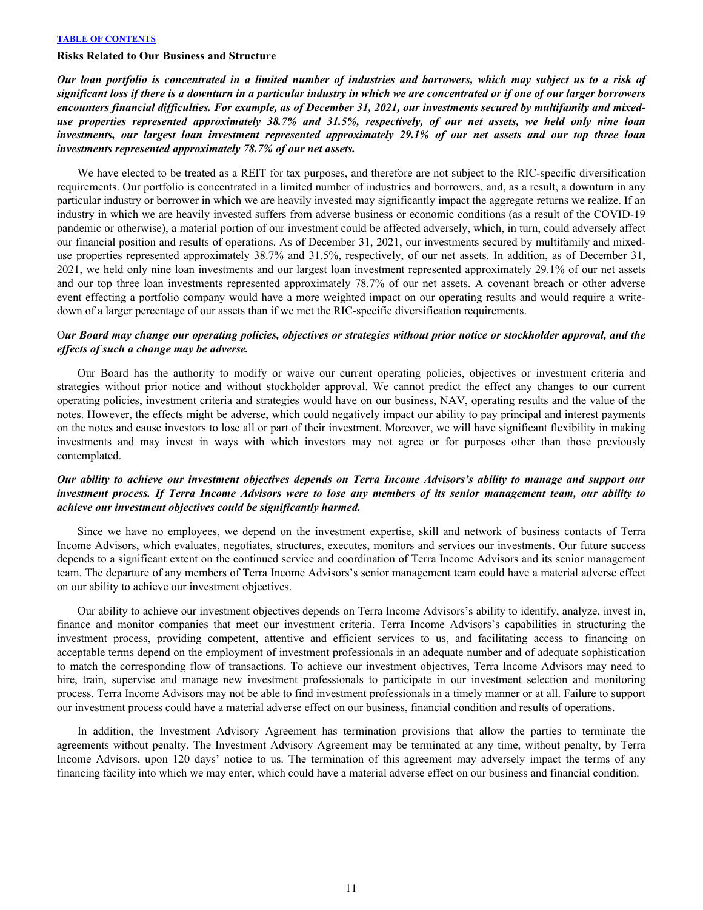### **Risks Related to Our Business and Structure**

*Our loan portfolio is concentrated in a limited number of industries and borrowers, which may subject us to a risk of significant loss if there is a downturn in a particular industry in which we are concentrated or if one of our larger borrowers encounters financial difficulties. For example, as of December 31, 2021, our investments secured by multifamily and mixeduse properties represented approximately 38.7% and 31.5%, respectively, of our net assets, we held only nine loan investments, our largest loan investment represented approximately 29.1% of our net assets and our top three loan investments represented approximately 78.7% of our net assets.*

We have elected to be treated as a REIT for tax purposes, and therefore are not subject to the RIC-specific diversification requirements. Our portfolio is concentrated in a limited number of industries and borrowers, and, as a result, a downturn in any particular industry or borrower in which we are heavily invested may significantly impact the aggregate returns we realize. If an industry in which we are heavily invested suffers from adverse business or economic conditions (as a result of the COVID-19 pandemic or otherwise), a material portion of our investment could be affected adversely, which, in turn, could adversely affect our financial position and results of operations. As of December 31, 2021, our investments secured by multifamily and mixeduse properties represented approximately 38.7% and 31.5%, respectively, of our net assets. In addition, as of December 31, 2021, we held only nine loan investments and our largest loan investment represented approximately 29.1% of our net assets and our top three loan investments represented approximately 78.7% of our net assets. A covenant breach or other adverse event effecting a portfolio company would have a more weighted impact on our operating results and would require a writedown of a larger percentage of our assets than if we met the RIC-specific diversification requirements.

## O*ur Board may change our operating policies, objectives or strategies without prior notice or stockholder approval, and the effects of such a change may be adverse.*

Our Board has the authority to modify or waive our current operating policies, objectives or investment criteria and strategies without prior notice and without stockholder approval. We cannot predict the effect any changes to our current operating policies, investment criteria and strategies would have on our business, NAV, operating results and the value of the notes. However, the effects might be adverse, which could negatively impact our ability to pay principal and interest payments on the notes and cause investors to lose all or part of their investment. Moreover, we will have significant flexibility in making investments and may invest in ways with which investors may not agree or for purposes other than those previously contemplated.

## *Our ability to achieve our investment objectives depends on Terra Income Advisors's ability to manage and support our investment process. If Terra Income Advisors were to lose any members of its senior management team, our ability to achieve our investment objectives could be significantly harmed.*

Since we have no employees, we depend on the investment expertise, skill and network of business contacts of Terra Income Advisors, which evaluates, negotiates, structures, executes, monitors and services our investments. Our future success depends to a significant extent on the continued service and coordination of Terra Income Advisors and its senior management team. The departure of any members of Terra Income Advisors's senior management team could have a material adverse effect on our ability to achieve our investment objectives.

Our ability to achieve our investment objectives depends on Terra Income Advisors's ability to identify, analyze, invest in, finance and monitor companies that meet our investment criteria. Terra Income Advisors's capabilities in structuring the investment process, providing competent, attentive and efficient services to us, and facilitating access to financing on acceptable terms depend on the employment of investment professionals in an adequate number and of adequate sophistication to match the corresponding flow of transactions. To achieve our investment objectives, Terra Income Advisors may need to hire, train, supervise and manage new investment professionals to participate in our investment selection and monitoring process. Terra Income Advisors may not be able to find investment professionals in a timely manner or at all. Failure to support our investment process could have a material adverse effect on our business, financial condition and results of operations.

In addition, the Investment Advisory Agreement has termination provisions that allow the parties to terminate the agreements without penalty. The Investment Advisory Agreement may be terminated at any time, without penalty, by Terra Income Advisors, upon 120 days' notice to us. The termination of this agreement may adversely impact the terms of any financing facility into which we may enter, which could have a material adverse effect on our business and financial condition.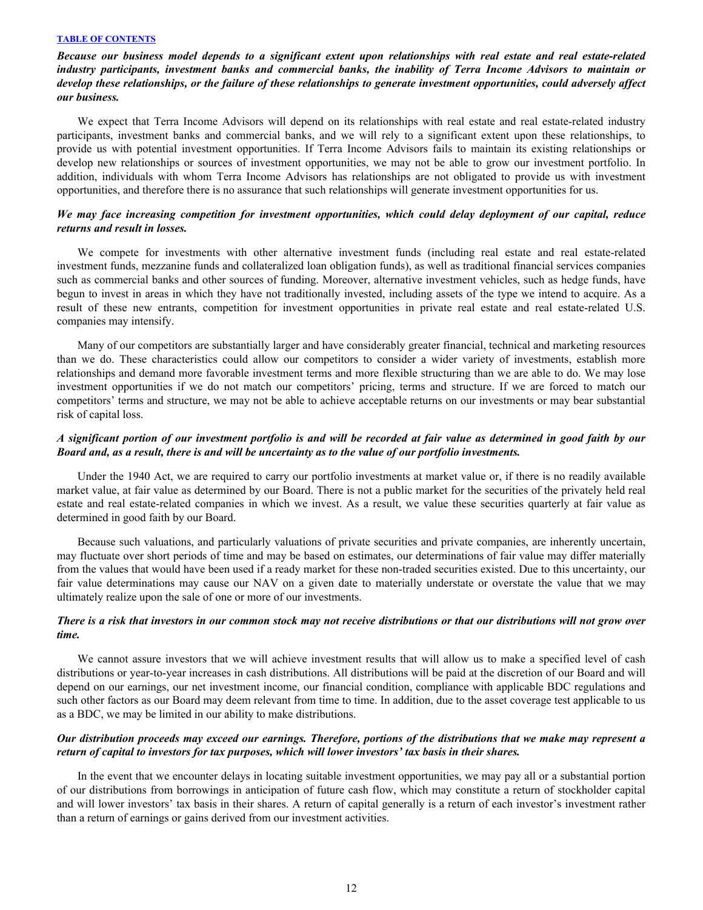## *Because our business model depends to a significant extent upon relationships with real estate and real estate-related industry participants, investment banks and commercial banks, the inability of Terra Income Advisors to maintain or develop these relationships, or the failure of these relationships to generate investment opportunities, could adversely affect our business.*

We expect that Terra Income Advisors will depend on its relationships with real estate and real estate-related industry participants, investment banks and commercial banks, and we will rely to a significant extent upon these relationships, to provide us with potential investment opportunities. If Terra Income Advisors fails to maintain its existing relationships or develop new relationships or sources of investment opportunities, we may not be able to grow our investment portfolio. In addition, individuals with whom Terra Income Advisors has relationships are not obligated to provide us with investment opportunities, and therefore there is no assurance that such relationships will generate investment opportunities for us.

## *We may face increasing competition for investment opportunities, which could delay deployment of our capital, reduce returns and result in losses.*

We compete for investments with other alternative investment funds (including real estate and real estate-related investment funds, mezzanine funds and collateralized loan obligation funds), as well as traditional financial services companies such as commercial banks and other sources of funding. Moreover, alternative investment vehicles, such as hedge funds, have begun to invest in areas in which they have not traditionally invested, including assets of the type we intend to acquire. As a result of these new entrants, competition for investment opportunities in private real estate and real estate-related U.S. companies may intensify.

Many of our competitors are substantially larger and have considerably greater financial, technical and marketing resources than we do. These characteristics could allow our competitors to consider a wider variety of investments, establish more relationships and demand more favorable investment terms and more flexible structuring than we are able to do. We may lose investment opportunities if we do not match our competitors' pricing, terms and structure. If we are forced to match our competitors' terms and structure, we may not be able to achieve acceptable returns on our investments or may bear substantial risk of capital loss.

## *A significant portion of our investment portfolio is and will be recorded at fair value as determined in good faith by our Board and, as a result, there is and will be uncertainty as to the value of our portfolio investments.*

Under the 1940 Act, we are required to carry our portfolio investments at market value or, if there is no readily available market value, at fair value as determined by our Board. There is not a public market for the securities of the privately held real estate and real estate-related companies in which we invest. As a result, we value these securities quarterly at fair value as determined in good faith by our Board.

Because such valuations, and particularly valuations of private securities and private companies, are inherently uncertain, may fluctuate over short periods of time and may be based on estimates, our determinations of fair value may differ materially from the values that would have been used if a ready market for these non-traded securities existed. Due to this uncertainty, our fair value determinations may cause our NAV on a given date to materially understate or overstate the value that we may ultimately realize upon the sale of one or more of our investments.

## *There is a risk that investors in our common stock may not receive distributions or that our distributions will not grow over time.*

We cannot assure investors that we will achieve investment results that will allow us to make a specified level of cash distributions or year-to-year increases in cash distributions. All distributions will be paid at the discretion of our Board and will depend on our earnings, our net investment income, our financial condition, compliance with applicable BDC regulations and such other factors as our Board may deem relevant from time to time. In addition, due to the asset coverage test applicable to us as a BDC, we may be limited in our ability to make distributions.

## *Our distribution proceeds may exceed our earnings. Therefore, portions of the distributions that we make may represent a return of capital to investors for tax purposes, which will lower investors' tax basis in their shares.*

In the event that we encounter delays in locating suitable investment opportunities, we may pay all or a substantial portion of our distributions from borrowings in anticipation of future cash flow, which may constitute a return of stockholder capital and will lower investors' tax basis in their shares. A return of capital generally is a return of each investor's investment rather than a return of earnings or gains derived from our investment activities.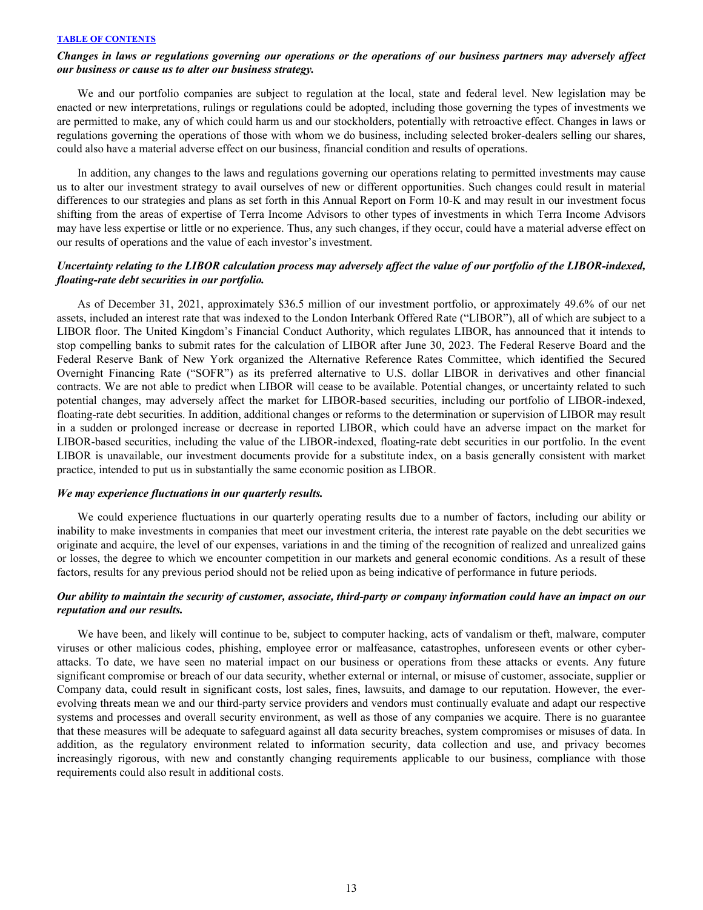## *Changes in laws or regulations governing our operations or the operations of our business partners may adversely affect our business or cause us to alter our business strategy.*

We and our portfolio companies are subject to regulation at the local, state and federal level. New legislation may be enacted or new interpretations, rulings or regulations could be adopted, including those governing the types of investments we are permitted to make, any of which could harm us and our stockholders, potentially with retroactive effect. Changes in laws or regulations governing the operations of those with whom we do business, including selected broker-dealers selling our shares, could also have a material adverse effect on our business, financial condition and results of operations.

In addition, any changes to the laws and regulations governing our operations relating to permitted investments may cause us to alter our investment strategy to avail ourselves of new or different opportunities. Such changes could result in material differences to our strategies and plans as set forth in this Annual Report on Form 10-K and may result in our investment focus shifting from the areas of expertise of Terra Income Advisors to other types of investments in which Terra Income Advisors may have less expertise or little or no experience. Thus, any such changes, if they occur, could have a material adverse effect on our results of operations and the value of each investor's investment.

## *Uncertainty relating to the LIBOR calculation process may adversely affect the value of our portfolio of the LIBOR-indexed, floating-rate debt securities in our portfolio.*

As of December 31, 2021, approximately \$36.5 million of our investment portfolio, or approximately 49.6% of our net assets, included an interest rate that was indexed to the London Interbank Offered Rate ("LIBOR"), all of which are subject to a LIBOR floor. The United Kingdom's Financial Conduct Authority, which regulates LIBOR, has announced that it intends to stop compelling banks to submit rates for the calculation of LIBOR after June 30, 2023. The Federal Reserve Board and the Federal Reserve Bank of New York organized the Alternative Reference Rates Committee, which identified the Secured Overnight Financing Rate ("SOFR") as its preferred alternative to U.S. dollar LIBOR in derivatives and other financial contracts. We are not able to predict when LIBOR will cease to be available. Potential changes, or uncertainty related to such potential changes, may adversely affect the market for LIBOR-based securities, including our portfolio of LIBOR-indexed, floating-rate debt securities. In addition, additional changes or reforms to the determination or supervision of LIBOR may result in a sudden or prolonged increase or decrease in reported LIBOR, which could have an adverse impact on the market for LIBOR-based securities, including the value of the LIBOR-indexed, floating-rate debt securities in our portfolio. In the event LIBOR is unavailable, our investment documents provide for a substitute index, on a basis generally consistent with market practice, intended to put us in substantially the same economic position as LIBOR.

#### *We may experience fluctuations in our quarterly results.*

We could experience fluctuations in our quarterly operating results due to a number of factors, including our ability or inability to make investments in companies that meet our investment criteria, the interest rate payable on the debt securities we originate and acquire, the level of our expenses, variations in and the timing of the recognition of realized and unrealized gains or losses, the degree to which we encounter competition in our markets and general economic conditions. As a result of these factors, results for any previous period should not be relied upon as being indicative of performance in future periods.

## *Our ability to maintain the security of customer, associate, third-party or company information could have an impact on our reputation and our results.*

We have been, and likely will continue to be, subject to computer hacking, acts of vandalism or theft, malware, computer viruses or other malicious codes, phishing, employee error or malfeasance, catastrophes, unforeseen events or other cyberattacks. To date, we have seen no material impact on our business or operations from these attacks or events. Any future significant compromise or breach of our data security, whether external or internal, or misuse of customer, associate, supplier or Company data, could result in significant costs, lost sales, fines, lawsuits, and damage to our reputation. However, the everevolving threats mean we and our third-party service providers and vendors must continually evaluate and adapt our respective systems and processes and overall security environment, as well as those of any companies we acquire. There is no guarantee that these measures will be adequate to safeguard against all data security breaches, system compromises or misuses of data. In addition, as the regulatory environment related to information security, data collection and use, and privacy becomes increasingly rigorous, with new and constantly changing requirements applicable to our business, compliance with those requirements could also result in additional costs.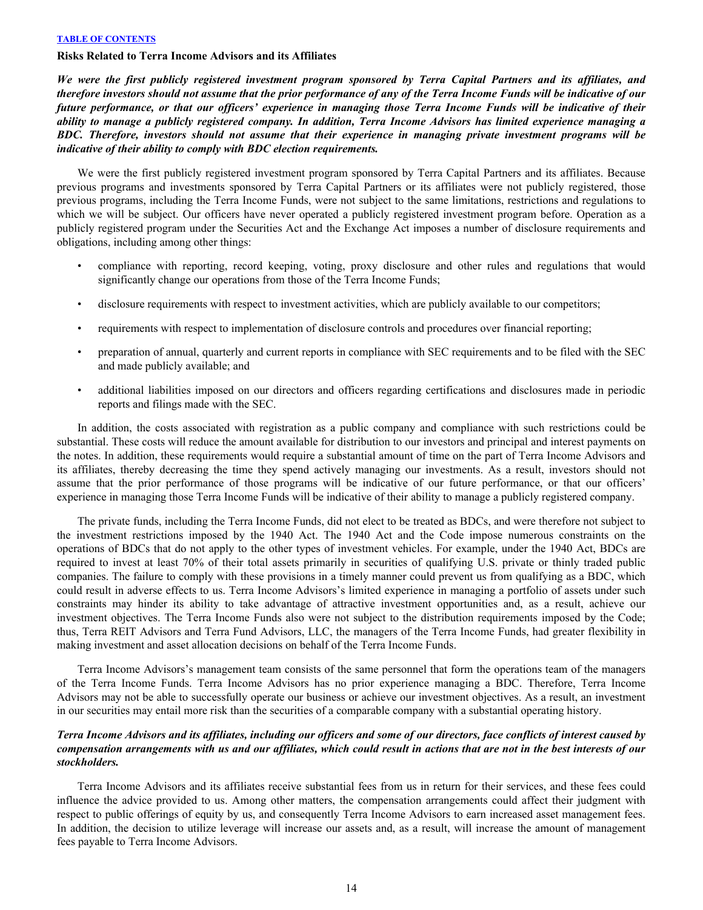## **Risks Related to Terra Income Advisors and its Affiliates**

*We were the first publicly registered investment program sponsored by Terra Capital Partners and its affiliates, and therefore investors should not assume that the prior performance of any of the Terra Income Funds will be indicative of our future performance, or that our officers' experience in managing those Terra Income Funds will be indicative of their ability to manage a publicly registered company. In addition, Terra Income Advisors has limited experience managing a BDC. Therefore, investors should not assume that their experience in managing private investment programs will be indicative of their ability to comply with BDC election requirements.*

We were the first publicly registered investment program sponsored by Terra Capital Partners and its affiliates. Because previous programs and investments sponsored by Terra Capital Partners or its affiliates were not publicly registered, those previous programs, including the Terra Income Funds, were not subject to the same limitations, restrictions and regulations to which we will be subject. Our officers have never operated a publicly registered investment program before. Operation as a publicly registered program under the Securities Act and the Exchange Act imposes a number of disclosure requirements and obligations, including among other things:

- compliance with reporting, record keeping, voting, proxy disclosure and other rules and regulations that would significantly change our operations from those of the Terra Income Funds;
- disclosure requirements with respect to investment activities, which are publicly available to our competitors;
- requirements with respect to implementation of disclosure controls and procedures over financial reporting;
- preparation of annual, quarterly and current reports in compliance with SEC requirements and to be filed with the SEC and made publicly available; and
- additional liabilities imposed on our directors and officers regarding certifications and disclosures made in periodic reports and filings made with the SEC.

In addition, the costs associated with registration as a public company and compliance with such restrictions could be substantial. These costs will reduce the amount available for distribution to our investors and principal and interest payments on the notes. In addition, these requirements would require a substantial amount of time on the part of Terra Income Advisors and its affiliates, thereby decreasing the time they spend actively managing our investments. As a result, investors should not assume that the prior performance of those programs will be indicative of our future performance, or that our officers' experience in managing those Terra Income Funds will be indicative of their ability to manage a publicly registered company.

The private funds, including the Terra Income Funds, did not elect to be treated as BDCs, and were therefore not subject to the investment restrictions imposed by the 1940 Act. The 1940 Act and the Code impose numerous constraints on the operations of BDCs that do not apply to the other types of investment vehicles. For example, under the 1940 Act, BDCs are required to invest at least 70% of their total assets primarily in securities of qualifying U.S. private or thinly traded public companies. The failure to comply with these provisions in a timely manner could prevent us from qualifying as a BDC, which could result in adverse effects to us. Terra Income Advisors's limited experience in managing a portfolio of assets under such constraints may hinder its ability to take advantage of attractive investment opportunities and, as a result, achieve our investment objectives. The Terra Income Funds also were not subject to the distribution requirements imposed by the Code; thus, Terra REIT Advisors and Terra Fund Advisors, LLC, the managers of the Terra Income Funds, had greater flexibility in making investment and asset allocation decisions on behalf of the Terra Income Funds.

Terra Income Advisors's management team consists of the same personnel that form the operations team of the managers of the Terra Income Funds. Terra Income Advisors has no prior experience managing a BDC. Therefore, Terra Income Advisors may not be able to successfully operate our business or achieve our investment objectives. As a result, an investment in our securities may entail more risk than the securities of a comparable company with a substantial operating history.

## *Terra Income Advisors and its affiliates, including our officers and some of our directors, face conflicts of interest caused by compensation arrangements with us and our affiliates, which could result in actions that are not in the best interests of our stockholders.*

Terra Income Advisors and its affiliates receive substantial fees from us in return for their services, and these fees could influence the advice provided to us. Among other matters, the compensation arrangements could affect their judgment with respect to public offerings of equity by us, and consequently Terra Income Advisors to earn increased asset management fees. In addition, the decision to utilize leverage will increase our assets and, as a result, will increase the amount of management fees payable to Terra Income Advisors.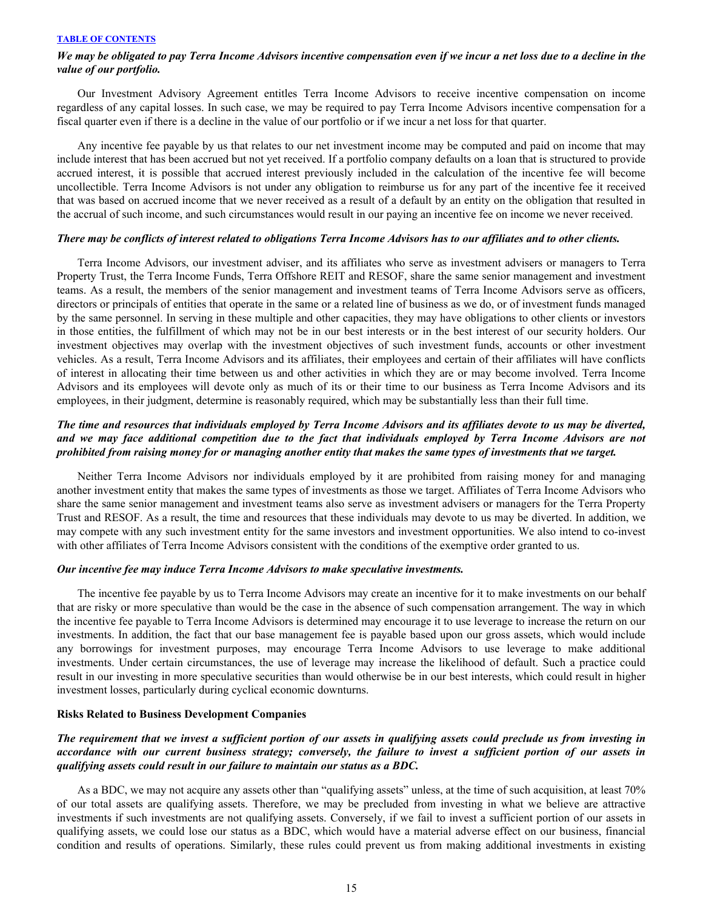## *We may be obligated to pay Terra Income Advisors incentive compensation even if we incur a net loss due to a decline in the value of our portfolio.*

Our Investment Advisory Agreement entitles Terra Income Advisors to receive incentive compensation on income regardless of any capital losses. In such case, we may be required to pay Terra Income Advisors incentive compensation for a fiscal quarter even if there is a decline in the value of our portfolio or if we incur a net loss for that quarter.

Any incentive fee payable by us that relates to our net investment income may be computed and paid on income that may include interest that has been accrued but not yet received. If a portfolio company defaults on a loan that is structured to provide accrued interest, it is possible that accrued interest previously included in the calculation of the incentive fee will become uncollectible. Terra Income Advisors is not under any obligation to reimburse us for any part of the incentive fee it received that was based on accrued income that we never received as a result of a default by an entity on the obligation that resulted in the accrual of such income, and such circumstances would result in our paying an incentive fee on income we never received.

### *There may be conflicts of interest related to obligations Terra Income Advisors has to our affiliates and to other clients.*

Terra Income Advisors, our investment adviser, and its affiliates who serve as investment advisers or managers to Terra Property Trust, the Terra Income Funds, Terra Offshore REIT and RESOF, share the same senior management and investment teams. As a result, the members of the senior management and investment teams of Terra Income Advisors serve as officers, directors or principals of entities that operate in the same or a related line of business as we do, or of investment funds managed by the same personnel. In serving in these multiple and other capacities, they may have obligations to other clients or investors in those entities, the fulfillment of which may not be in our best interests or in the best interest of our security holders. Our investment objectives may overlap with the investment objectives of such investment funds, accounts or other investment vehicles. As a result, Terra Income Advisors and its affiliates, their employees and certain of their affiliates will have conflicts of interest in allocating their time between us and other activities in which they are or may become involved. Terra Income Advisors and its employees will devote only as much of its or their time to our business as Terra Income Advisors and its employees, in their judgment, determine is reasonably required, which may be substantially less than their full time.

## *The time and resources that individuals employed by Terra Income Advisors and its affiliates devote to us may be diverted, and we may face additional competition due to the fact that individuals employed by Terra Income Advisors are not prohibited from raising money for or managing another entity that makes the same types of investments that we target.*

Neither Terra Income Advisors nor individuals employed by it are prohibited from raising money for and managing another investment entity that makes the same types of investments as those we target. Affiliates of Terra Income Advisors who share the same senior management and investment teams also serve as investment advisers or managers for the Terra Property Trust and RESOF. As a result, the time and resources that these individuals may devote to us may be diverted. In addition, we may compete with any such investment entity for the same investors and investment opportunities. We also intend to co-invest with other affiliates of Terra Income Advisors consistent with the conditions of the exemptive order granted to us.

#### *Our incentive fee may induce Terra Income Advisors to make speculative investments.*

The incentive fee payable by us to Terra Income Advisors may create an incentive for it to make investments on our behalf that are risky or more speculative than would be the case in the absence of such compensation arrangement. The way in which the incentive fee payable to Terra Income Advisors is determined may encourage it to use leverage to increase the return on our investments. In addition, the fact that our base management fee is payable based upon our gross assets, which would include any borrowings for investment purposes, may encourage Terra Income Advisors to use leverage to make additional investments. Under certain circumstances, the use of leverage may increase the likelihood of default. Such a practice could result in our investing in more speculative securities than would otherwise be in our best interests, which could result in higher investment losses, particularly during cyclical economic downturns.

### **Risks Related to Business Development Companies**

## *The requirement that we invest a sufficient portion of our assets in qualifying assets could preclude us from investing in accordance with our current business strategy; conversely, the failure to invest a sufficient portion of our assets in qualifying assets could result in our failure to maintain our status as a BDC.*

As a BDC, we may not acquire any assets other than "qualifying assets" unless, at the time of such acquisition, at least 70% of our total assets are qualifying assets. Therefore, we may be precluded from investing in what we believe are attractive investments if such investments are not qualifying assets. Conversely, if we fail to invest a sufficient portion of our assets in qualifying assets, we could lose our status as a BDC, which would have a material adverse effect on our business, financial condition and results of operations. Similarly, these rules could prevent us from making additional investments in existing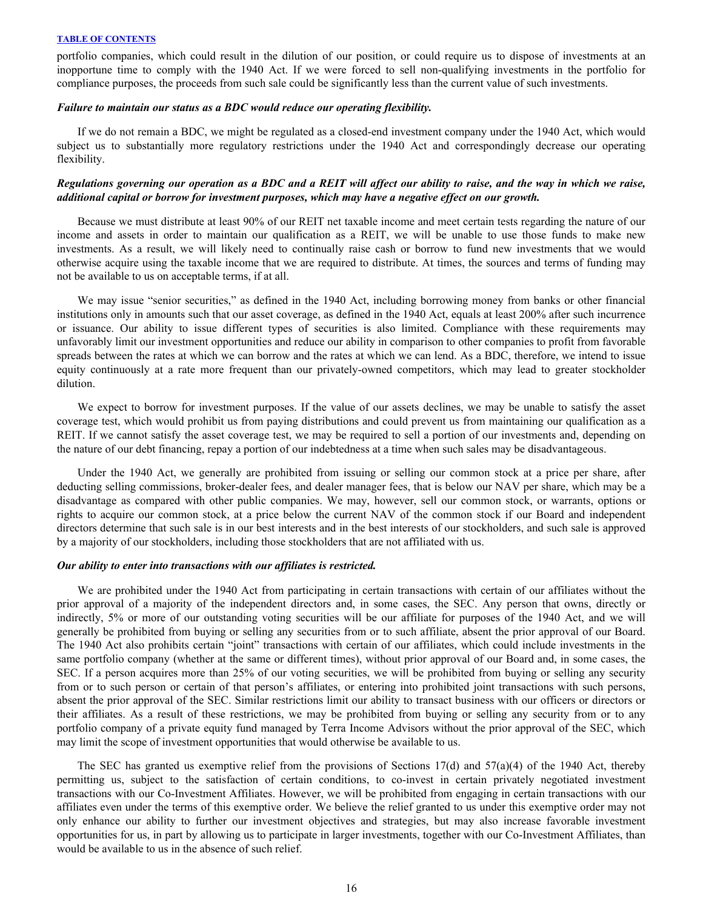portfolio companies, which could result in the dilution of our position, or could require us to dispose of investments at an inopportune time to comply with the 1940 Act. If we were forced to sell non-qualifying investments in the portfolio for compliance purposes, the proceeds from such sale could be significantly less than the current value of such investments.

### *Failure to maintain our status as a BDC would reduce our operating flexibility.*

If we do not remain a BDC, we might be regulated as a closed-end investment company under the 1940 Act, which would subject us to substantially more regulatory restrictions under the 1940 Act and correspondingly decrease our operating flexibility.

## *Regulations governing our operation as a BDC and a REIT will affect our ability to raise, and the way in which we raise, additional capital or borrow for investment purposes, which may have a negative effect on our growth.*

Because we must distribute at least 90% of our REIT net taxable income and meet certain tests regarding the nature of our income and assets in order to maintain our qualification as a REIT, we will be unable to use those funds to make new investments. As a result, we will likely need to continually raise cash or borrow to fund new investments that we would otherwise acquire using the taxable income that we are required to distribute. At times, the sources and terms of funding may not be available to us on acceptable terms, if at all.

We may issue "senior securities," as defined in the 1940 Act, including borrowing money from banks or other financial institutions only in amounts such that our asset coverage, as defined in the 1940 Act, equals at least 200% after such incurrence or issuance. Our ability to issue different types of securities is also limited. Compliance with these requirements may unfavorably limit our investment opportunities and reduce our ability in comparison to other companies to profit from favorable spreads between the rates at which we can borrow and the rates at which we can lend. As a BDC, therefore, we intend to issue equity continuously at a rate more frequent than our privately-owned competitors, which may lead to greater stockholder dilution.

We expect to borrow for investment purposes. If the value of our assets declines, we may be unable to satisfy the asset coverage test, which would prohibit us from paying distributions and could prevent us from maintaining our qualification as a REIT. If we cannot satisfy the asset coverage test, we may be required to sell a portion of our investments and, depending on the nature of our debt financing, repay a portion of our indebtedness at a time when such sales may be disadvantageous.

Under the 1940 Act, we generally are prohibited from issuing or selling our common stock at a price per share, after deducting selling commissions, broker-dealer fees, and dealer manager fees, that is below our NAV per share, which may be a disadvantage as compared with other public companies. We may, however, sell our common stock, or warrants, options or rights to acquire our common stock, at a price below the current NAV of the common stock if our Board and independent directors determine that such sale is in our best interests and in the best interests of our stockholders, and such sale is approved by a majority of our stockholders, including those stockholders that are not affiliated with us.

### *Our ability to enter into transactions with our affiliates is restricted.*

We are prohibited under the 1940 Act from participating in certain transactions with certain of our affiliates without the prior approval of a majority of the independent directors and, in some cases, the SEC. Any person that owns, directly or indirectly, 5% or more of our outstanding voting securities will be our affiliate for purposes of the 1940 Act, and we will generally be prohibited from buying or selling any securities from or to such affiliate, absent the prior approval of our Board. The 1940 Act also prohibits certain "joint" transactions with certain of our affiliates, which could include investments in the same portfolio company (whether at the same or different times), without prior approval of our Board and, in some cases, the SEC. If a person acquires more than 25% of our voting securities, we will be prohibited from buying or selling any security from or to such person or certain of that person's affiliates, or entering into prohibited joint transactions with such persons, absent the prior approval of the SEC. Similar restrictions limit our ability to transact business with our officers or directors or their affiliates. As a result of these restrictions, we may be prohibited from buying or selling any security from or to any portfolio company of a private equity fund managed by Terra Income Advisors without the prior approval of the SEC, which may limit the scope of investment opportunities that would otherwise be available to us.

The SEC has granted us exemptive relief from the provisions of Sections  $17(d)$  and  $57(a)(4)$  of the 1940 Act, thereby permitting us, subject to the satisfaction of certain conditions, to co-invest in certain privately negotiated investment transactions with our Co-Investment Affiliates. However, we will be prohibited from engaging in certain transactions with our affiliates even under the terms of this exemptive order. We believe the relief granted to us under this exemptive order may not only enhance our ability to further our investment objectives and strategies, but may also increase favorable investment opportunities for us, in part by allowing us to participate in larger investments, together with our Co-Investment Affiliates, than would be available to us in the absence of such relief.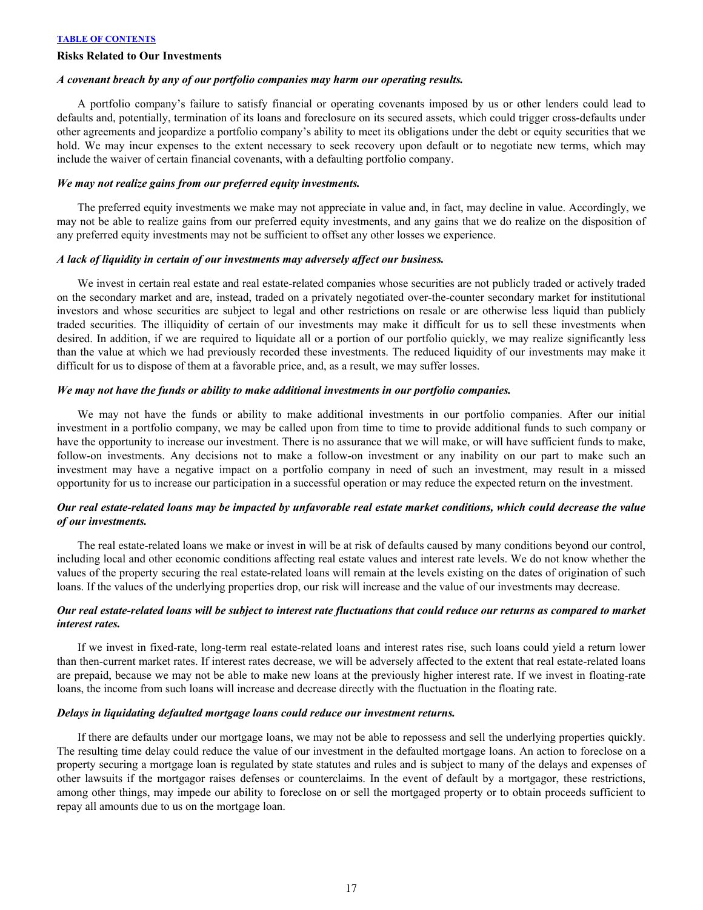## **Risks Related to Our Investments**

### *A covenant breach by any of our portfolio companies may harm our operating results.*

A portfolio company's failure to satisfy financial or operating covenants imposed by us or other lenders could lead to defaults and, potentially, termination of its loans and foreclosure on its secured assets, which could trigger cross-defaults under other agreements and jeopardize a portfolio company's ability to meet its obligations under the debt or equity securities that we hold. We may incur expenses to the extent necessary to seek recovery upon default or to negotiate new terms, which may include the waiver of certain financial covenants, with a defaulting portfolio company.

### *We may not realize gains from our preferred equity investments.*

The preferred equity investments we make may not appreciate in value and, in fact, may decline in value. Accordingly, we may not be able to realize gains from our preferred equity investments, and any gains that we do realize on the disposition of any preferred equity investments may not be sufficient to offset any other losses we experience.

### *A lack of liquidity in certain of our investments may adversely affect our business.*

We invest in certain real estate and real estate-related companies whose securities are not publicly traded or actively traded on the secondary market and are, instead, traded on a privately negotiated over-the-counter secondary market for institutional investors and whose securities are subject to legal and other restrictions on resale or are otherwise less liquid than publicly traded securities. The illiquidity of certain of our investments may make it difficult for us to sell these investments when desired. In addition, if we are required to liquidate all or a portion of our portfolio quickly, we may realize significantly less than the value at which we had previously recorded these investments. The reduced liquidity of our investments may make it difficult for us to dispose of them at a favorable price, and, as a result, we may suffer losses.

### *We may not have the funds or ability to make additional investments in our portfolio companies.*

We may not have the funds or ability to make additional investments in our portfolio companies. After our initial investment in a portfolio company, we may be called upon from time to time to provide additional funds to such company or have the opportunity to increase our investment. There is no assurance that we will make, or will have sufficient funds to make, follow-on investments. Any decisions not to make a follow-on investment or any inability on our part to make such an investment may have a negative impact on a portfolio company in need of such an investment, may result in a missed opportunity for us to increase our participation in a successful operation or may reduce the expected return on the investment.

## *Our real estate-related loans may be impacted by unfavorable real estate market conditions, which could decrease the value of our investments.*

The real estate-related loans we make or invest in will be at risk of defaults caused by many conditions beyond our control, including local and other economic conditions affecting real estate values and interest rate levels. We do not know whether the values of the property securing the real estate-related loans will remain at the levels existing on the dates of origination of such loans. If the values of the underlying properties drop, our risk will increase and the value of our investments may decrease.

### *Our real estate-related loans will be subject to interest rate fluctuations that could reduce our returns as compared to market interest rates.*

If we invest in fixed-rate, long-term real estate-related loans and interest rates rise, such loans could yield a return lower than then-current market rates. If interest rates decrease, we will be adversely affected to the extent that real estate-related loans are prepaid, because we may not be able to make new loans at the previously higher interest rate. If we invest in floating-rate loans, the income from such loans will increase and decrease directly with the fluctuation in the floating rate.

### *Delays in liquidating defaulted mortgage loans could reduce our investment returns.*

If there are defaults under our mortgage loans, we may not be able to repossess and sell the underlying properties quickly. The resulting time delay could reduce the value of our investment in the defaulted mortgage loans. An action to foreclose on a property securing a mortgage loan is regulated by state statutes and rules and is subject to many of the delays and expenses of other lawsuits if the mortgagor raises defenses or counterclaims. In the event of default by a mortgagor, these restrictions, among other things, may impede our ability to foreclose on or sell the mortgaged property or to obtain proceeds sufficient to repay all amounts due to us on the mortgage loan.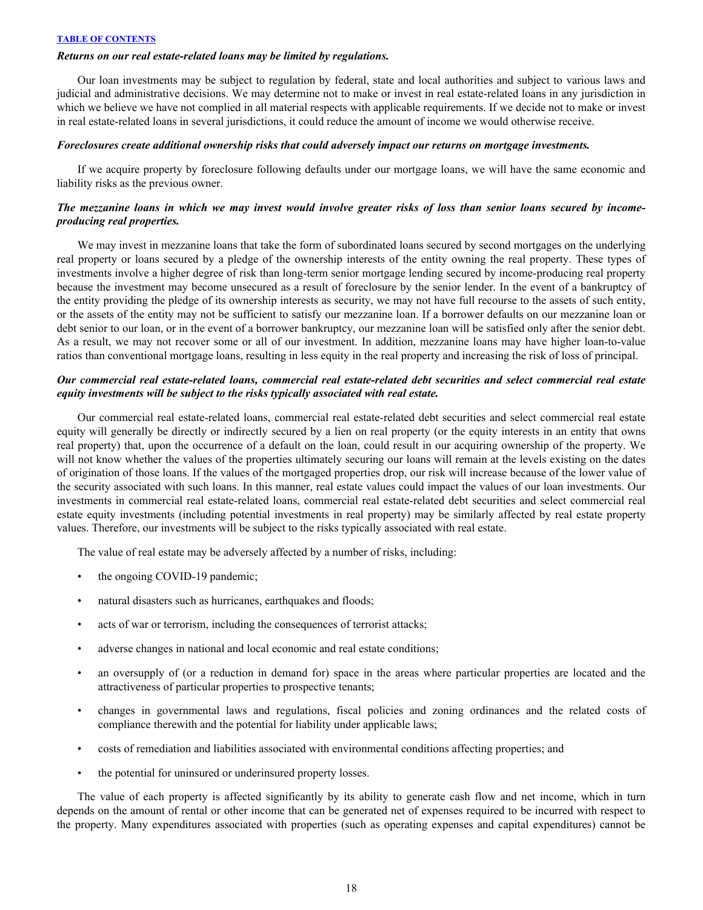### *Returns on our real estate-related loans may be limited by regulations.*

Our loan investments may be subject to regulation by federal, state and local authorities and subject to various laws and judicial and administrative decisions. We may determine not to make or invest in real estate-related loans in any jurisdiction in which we believe we have not complied in all material respects with applicable requirements. If we decide not to make or invest in real estate-related loans in several jurisdictions, it could reduce the amount of income we would otherwise receive.

### *Foreclosures create additional ownership risks that could adversely impact our returns on mortgage investments.*

If we acquire property by foreclosure following defaults under our mortgage loans, we will have the same economic and liability risks as the previous owner.

## *The mezzanine loans in which we may invest would involve greater risks of loss than senior loans secured by incomeproducing real properties.*

We may invest in mezzanine loans that take the form of subordinated loans secured by second mortgages on the underlying real property or loans secured by a pledge of the ownership interests of the entity owning the real property. These types of investments involve a higher degree of risk than long-term senior mortgage lending secured by income-producing real property because the investment may become unsecured as a result of foreclosure by the senior lender. In the event of a bankruptcy of the entity providing the pledge of its ownership interests as security, we may not have full recourse to the assets of such entity, or the assets of the entity may not be sufficient to satisfy our mezzanine loan. If a borrower defaults on our mezzanine loan or debt senior to our loan, or in the event of a borrower bankruptcy, our mezzanine loan will be satisfied only after the senior debt. As a result, we may not recover some or all of our investment. In addition, mezzanine loans may have higher loan-to-value ratios than conventional mortgage loans, resulting in less equity in the real property and increasing the risk of loss of principal.

## *Our commercial real estate-related loans, commercial real estate-related debt securities and select commercial real estate equity investments will be subject to the risks typically associated with real estate.*

Our commercial real estate-related loans, commercial real estate-related debt securities and select commercial real estate equity will generally be directly or indirectly secured by a lien on real property (or the equity interests in an entity that owns real property) that, upon the occurrence of a default on the loan, could result in our acquiring ownership of the property. We will not know whether the values of the properties ultimately securing our loans will remain at the levels existing on the dates of origination of those loans. If the values of the mortgaged properties drop, our risk will increase because of the lower value of the security associated with such loans. In this manner, real estate values could impact the values of our loan investments. Our investments in commercial real estate-related loans, commercial real estate-related debt securities and select commercial real estate equity investments (including potential investments in real property) may be similarly affected by real estate property values. Therefore, our investments will be subject to the risks typically associated with real estate.

The value of real estate may be adversely affected by a number of risks, including:

- the ongoing COVID-19 pandemic;
- natural disasters such as hurricanes, earthquakes and floods;
- acts of war or terrorism, including the consequences of terrorist attacks;
- adverse changes in national and local economic and real estate conditions;
- an oversupply of (or a reduction in demand for) space in the areas where particular properties are located and the attractiveness of particular properties to prospective tenants;
- changes in governmental laws and regulations, fiscal policies and zoning ordinances and the related costs of compliance therewith and the potential for liability under applicable laws;
- costs of remediation and liabilities associated with environmental conditions affecting properties; and
- the potential for uninsured or underinsured property losses.

The value of each property is affected significantly by its ability to generate cash flow and net income, which in turn depends on the amount of rental or other income that can be generated net of expenses required to be incurred with respect to the property. Many expenditures associated with properties (such as operating expenses and capital expenditures) cannot be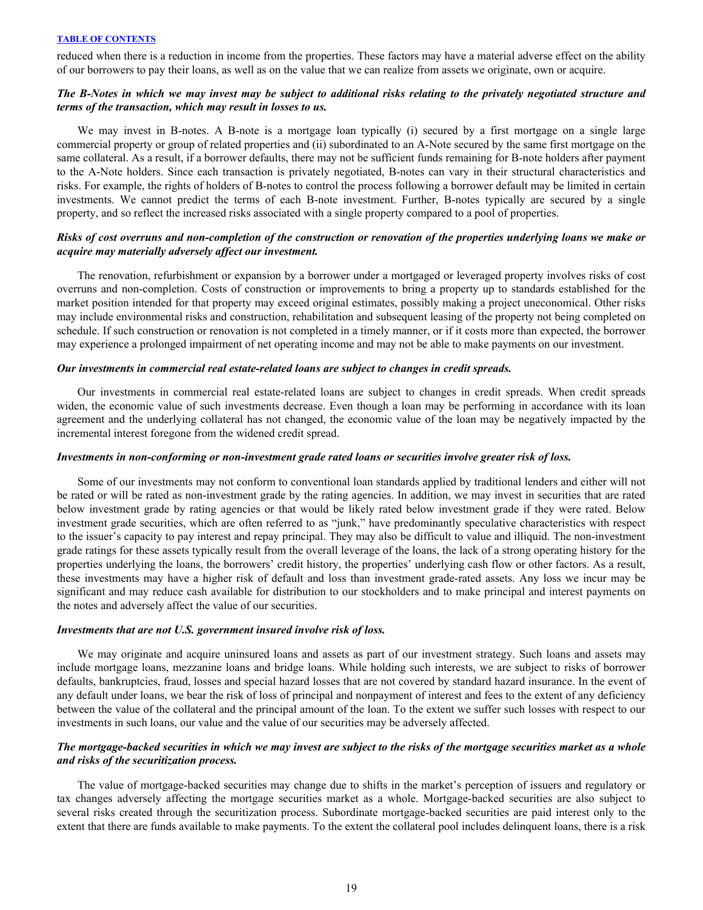reduced when there is a reduction in income from the properties. These factors may have a material adverse effect on the ability of our borrowers to pay their loans, as well as on the value that we can realize from assets we originate, own or acquire.

## *The B-Notes in which we may invest may be subject to additional risks relating to the privately negotiated structure and terms of the transaction, which may result in losses to us.*

We may invest in B-notes. A B-note is a mortgage loan typically (i) secured by a first mortgage on a single large commercial property or group of related properties and (ii) subordinated to an A-Note secured by the same first mortgage on the same collateral. As a result, if a borrower defaults, there may not be sufficient funds remaining for B-note holders after payment to the A-Note holders. Since each transaction is privately negotiated, B-notes can vary in their structural characteristics and risks. For example, the rights of holders of B-notes to control the process following a borrower default may be limited in certain investments. We cannot predict the terms of each B-note investment. Further, B-notes typically are secured by a single property, and so reflect the increased risks associated with a single property compared to a pool of properties.

## *Risks of cost overruns and non-completion of the construction or renovation of the properties underlying loans we make or acquire may materially adversely affect our investment.*

The renovation, refurbishment or expansion by a borrower under a mortgaged or leveraged property involves risks of cost overruns and non-completion. Costs of construction or improvements to bring a property up to standards established for the market position intended for that property may exceed original estimates, possibly making a project uneconomical. Other risks may include environmental risks and construction, rehabilitation and subsequent leasing of the property not being completed on schedule. If such construction or renovation is not completed in a timely manner, or if it costs more than expected, the borrower may experience a prolonged impairment of net operating income and may not be able to make payments on our investment.

### *Our investments in commercial real estate-related loans are subject to changes in credit spreads.*

Our investments in commercial real estate-related loans are subject to changes in credit spreads. When credit spreads widen, the economic value of such investments decrease. Even though a loan may be performing in accordance with its loan agreement and the underlying collateral has not changed, the economic value of the loan may be negatively impacted by the incremental interest foregone from the widened credit spread.

### *Investments in non-conforming or non-investment grade rated loans or securities involve greater risk of loss.*

Some of our investments may not conform to conventional loan standards applied by traditional lenders and either will not be rated or will be rated as non-investment grade by the rating agencies. In addition, we may invest in securities that are rated below investment grade by rating agencies or that would be likely rated below investment grade if they were rated. Below investment grade securities, which are often referred to as "junk," have predominantly speculative characteristics with respect to the issuer's capacity to pay interest and repay principal. They may also be difficult to value and illiquid. The non-investment grade ratings for these assets typically result from the overall leverage of the loans, the lack of a strong operating history for the properties underlying the loans, the borrowers' credit history, the properties' underlying cash flow or other factors. As a result, these investments may have a higher risk of default and loss than investment grade-rated assets. Any loss we incur may be significant and may reduce cash available for distribution to our stockholders and to make principal and interest payments on the notes and adversely affect the value of our securities.

### *Investments that are not U.S. government insured involve risk of loss.*

We may originate and acquire uninsured loans and assets as part of our investment strategy. Such loans and assets may include mortgage loans, mezzanine loans and bridge loans. While holding such interests, we are subject to risks of borrower defaults, bankruptcies, fraud, losses and special hazard losses that are not covered by standard hazard insurance. In the event of any default under loans, we bear the risk of loss of principal and nonpayment of interest and fees to the extent of any deficiency between the value of the collateral and the principal amount of the loan. To the extent we suffer such losses with respect to our investments in such loans, our value and the value of our securities may be adversely affected.

## *The mortgage-backed securities in which we may invest are subject to the risks of the mortgage securities market as a whole and risks of the securitization process.*

The value of mortgage-backed securities may change due to shifts in the market's perception of issuers and regulatory or tax changes adversely affecting the mortgage securities market as a whole. Mortgage-backed securities are also subject to several risks created through the securitization process. Subordinate mortgage-backed securities are paid interest only to the extent that there are funds available to make payments. To the extent the collateral pool includes delinquent loans, there is a risk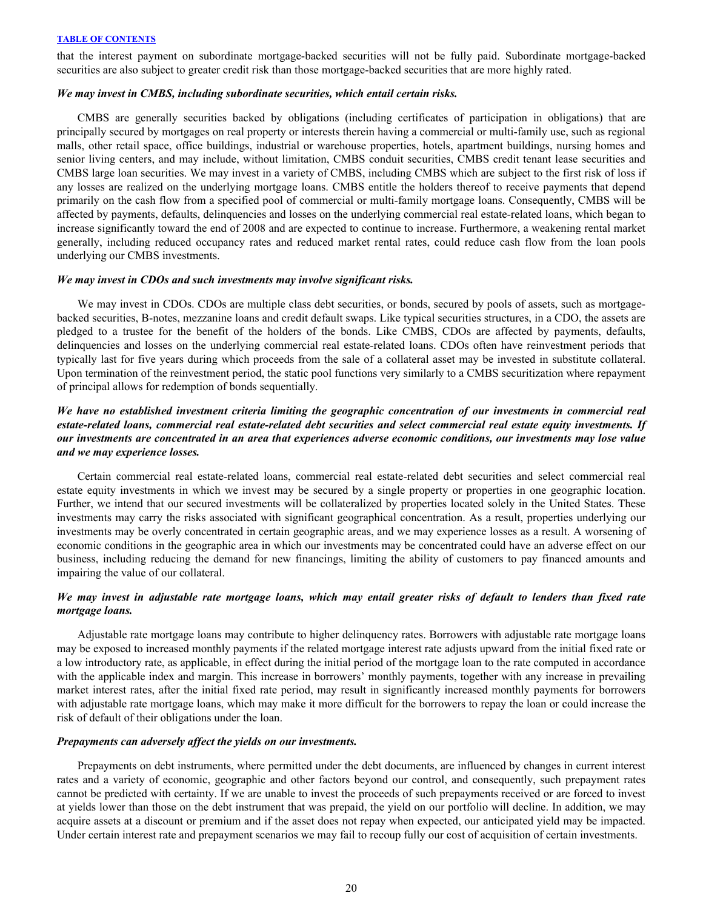that the interest payment on subordinate mortgage-backed securities will not be fully paid. Subordinate mortgage-backed securities are also subject to greater credit risk than those mortgage-backed securities that are more highly rated.

### *We may invest in CMBS, including subordinate securities, which entail certain risks.*

CMBS are generally securities backed by obligations (including certificates of participation in obligations) that are principally secured by mortgages on real property or interests therein having a commercial or multi-family use, such as regional malls, other retail space, office buildings, industrial or warehouse properties, hotels, apartment buildings, nursing homes and senior living centers, and may include, without limitation, CMBS conduit securities, CMBS credit tenant lease securities and CMBS large loan securities. We may invest in a variety of CMBS, including CMBS which are subject to the first risk of loss if any losses are realized on the underlying mortgage loans. CMBS entitle the holders thereof to receive payments that depend primarily on the cash flow from a specified pool of commercial or multi-family mortgage loans. Consequently, CMBS will be affected by payments, defaults, delinquencies and losses on the underlying commercial real estate-related loans, which began to increase significantly toward the end of 2008 and are expected to continue to increase. Furthermore, a weakening rental market generally, including reduced occupancy rates and reduced market rental rates, could reduce cash flow from the loan pools underlying our CMBS investments.

### *We may invest in CDOs and such investments may involve significant risks.*

We may invest in CDOs. CDOs are multiple class debt securities, or bonds, secured by pools of assets, such as mortgagebacked securities, B-notes, mezzanine loans and credit default swaps. Like typical securities structures, in a CDO, the assets are pledged to a trustee for the benefit of the holders of the bonds. Like CMBS, CDOs are affected by payments, defaults, delinquencies and losses on the underlying commercial real estate-related loans. CDOs often have reinvestment periods that typically last for five years during which proceeds from the sale of a collateral asset may be invested in substitute collateral. Upon termination of the reinvestment period, the static pool functions very similarly to a CMBS securitization where repayment of principal allows for redemption of bonds sequentially.

## *We have no established investment criteria limiting the geographic concentration of our investments in commercial real estate-related loans, commercial real estate-related debt securities and select commercial real estate equity investments. If our investments are concentrated in an area that experiences adverse economic conditions, our investments may lose value and we may experience losses.*

Certain commercial real estate-related loans, commercial real estate-related debt securities and select commercial real estate equity investments in which we invest may be secured by a single property or properties in one geographic location. Further, we intend that our secured investments will be collateralized by properties located solely in the United States. These investments may carry the risks associated with significant geographical concentration. As a result, properties underlying our investments may be overly concentrated in certain geographic areas, and we may experience losses as a result. A worsening of economic conditions in the geographic area in which our investments may be concentrated could have an adverse effect on our business, including reducing the demand for new financings, limiting the ability of customers to pay financed amounts and impairing the value of our collateral.

## *We may invest in adjustable rate mortgage loans, which may entail greater risks of default to lenders than fixed rate mortgage loans.*

Adjustable rate mortgage loans may contribute to higher delinquency rates. Borrowers with adjustable rate mortgage loans may be exposed to increased monthly payments if the related mortgage interest rate adjusts upward from the initial fixed rate or a low introductory rate, as applicable, in effect during the initial period of the mortgage loan to the rate computed in accordance with the applicable index and margin. This increase in borrowers' monthly payments, together with any increase in prevailing market interest rates, after the initial fixed rate period, may result in significantly increased monthly payments for borrowers with adjustable rate mortgage loans, which may make it more difficult for the borrowers to repay the loan or could increase the risk of default of their obligations under the loan.

### *Prepayments can adversely affect the yields on our investments.*

Prepayments on debt instruments, where permitted under the debt documents, are influenced by changes in current interest rates and a variety of economic, geographic and other factors beyond our control, and consequently, such prepayment rates cannot be predicted with certainty. If we are unable to invest the proceeds of such prepayments received or are forced to invest at yields lower than those on the debt instrument that was prepaid, the yield on our portfolio will decline. In addition, we may acquire assets at a discount or premium and if the asset does not repay when expected, our anticipated yield may be impacted. Under certain interest rate and prepayment scenarios we may fail to recoup fully our cost of acquisition of certain investments.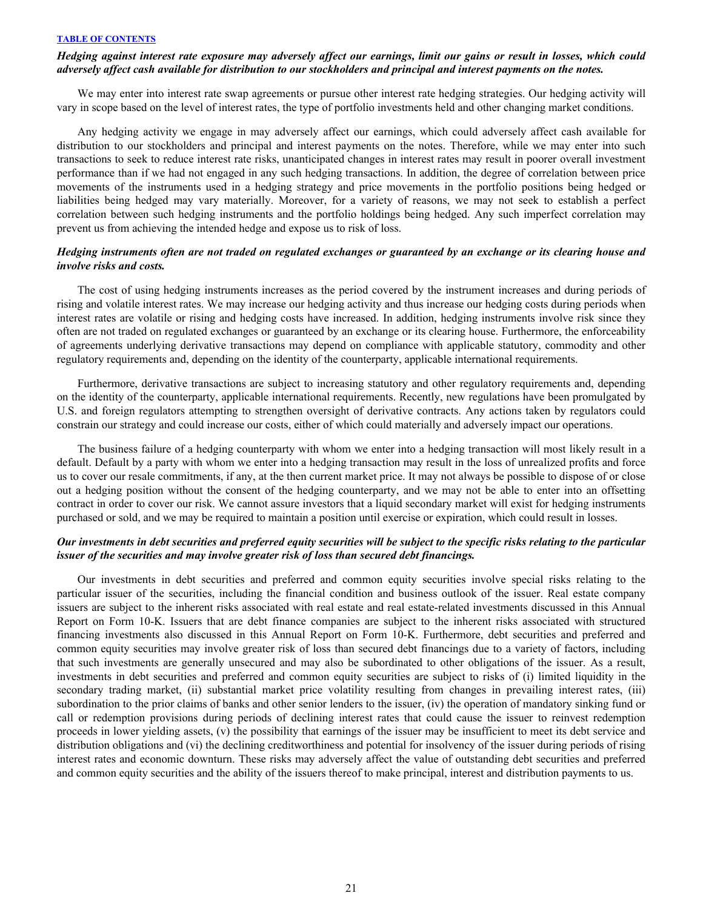## *Hedging against interest rate exposure may adversely affect our earnings, limit our gains or result in losses, which could adversely affect cash available for distribution to our stockholders and principal and interest payments on the notes.*

We may enter into interest rate swap agreements or pursue other interest rate hedging strategies. Our hedging activity will vary in scope based on the level of interest rates, the type of portfolio investments held and other changing market conditions.

Any hedging activity we engage in may adversely affect our earnings, which could adversely affect cash available for distribution to our stockholders and principal and interest payments on the notes. Therefore, while we may enter into such transactions to seek to reduce interest rate risks, unanticipated changes in interest rates may result in poorer overall investment performance than if we had not engaged in any such hedging transactions. In addition, the degree of correlation between price movements of the instruments used in a hedging strategy and price movements in the portfolio positions being hedged or liabilities being hedged may vary materially. Moreover, for a variety of reasons, we may not seek to establish a perfect correlation between such hedging instruments and the portfolio holdings being hedged. Any such imperfect correlation may prevent us from achieving the intended hedge and expose us to risk of loss.

## *Hedging instruments often are not traded on regulated exchanges or guaranteed by an exchange or its clearing house and involve risks and costs.*

The cost of using hedging instruments increases as the period covered by the instrument increases and during periods of rising and volatile interest rates. We may increase our hedging activity and thus increase our hedging costs during periods when interest rates are volatile or rising and hedging costs have increased. In addition, hedging instruments involve risk since they often are not traded on regulated exchanges or guaranteed by an exchange or its clearing house. Furthermore, the enforceability of agreements underlying derivative transactions may depend on compliance with applicable statutory, commodity and other regulatory requirements and, depending on the identity of the counterparty, applicable international requirements.

Furthermore, derivative transactions are subject to increasing statutory and other regulatory requirements and, depending on the identity of the counterparty, applicable international requirements. Recently, new regulations have been promulgated by U.S. and foreign regulators attempting to strengthen oversight of derivative contracts. Any actions taken by regulators could constrain our strategy and could increase our costs, either of which could materially and adversely impact our operations.

The business failure of a hedging counterparty with whom we enter into a hedging transaction will most likely result in a default. Default by a party with whom we enter into a hedging transaction may result in the loss of unrealized profits and force us to cover our resale commitments, if any, at the then current market price. It may not always be possible to dispose of or close out a hedging position without the consent of the hedging counterparty, and we may not be able to enter into an offsetting contract in order to cover our risk. We cannot assure investors that a liquid secondary market will exist for hedging instruments purchased or sold, and we may be required to maintain a position until exercise or expiration, which could result in losses.

## *Our investments in debt securities and preferred equity securities will be subject to the specific risks relating to the particular issuer of the securities and may involve greater risk of loss than secured debt financings.*

Our investments in debt securities and preferred and common equity securities involve special risks relating to the particular issuer of the securities, including the financial condition and business outlook of the issuer. Real estate company issuers are subject to the inherent risks associated with real estate and real estate-related investments discussed in this Annual Report on Form 10-K. Issuers that are debt finance companies are subject to the inherent risks associated with structured financing investments also discussed in this Annual Report on Form 10-K. Furthermore, debt securities and preferred and common equity securities may involve greater risk of loss than secured debt financings due to a variety of factors, including that such investments are generally unsecured and may also be subordinated to other obligations of the issuer. As a result, investments in debt securities and preferred and common equity securities are subject to risks of (i) limited liquidity in the secondary trading market, (ii) substantial market price volatility resulting from changes in prevailing interest rates, (iii) subordination to the prior claims of banks and other senior lenders to the issuer, (iv) the operation of mandatory sinking fund or call or redemption provisions during periods of declining interest rates that could cause the issuer to reinvest redemption proceeds in lower yielding assets, (v) the possibility that earnings of the issuer may be insufficient to meet its debt service and distribution obligations and (vi) the declining creditworthiness and potential for insolvency of the issuer during periods of rising interest rates and economic downturn. These risks may adversely affect the value of outstanding debt securities and preferred and common equity securities and the ability of the issuers thereof to make principal, interest and distribution payments to us.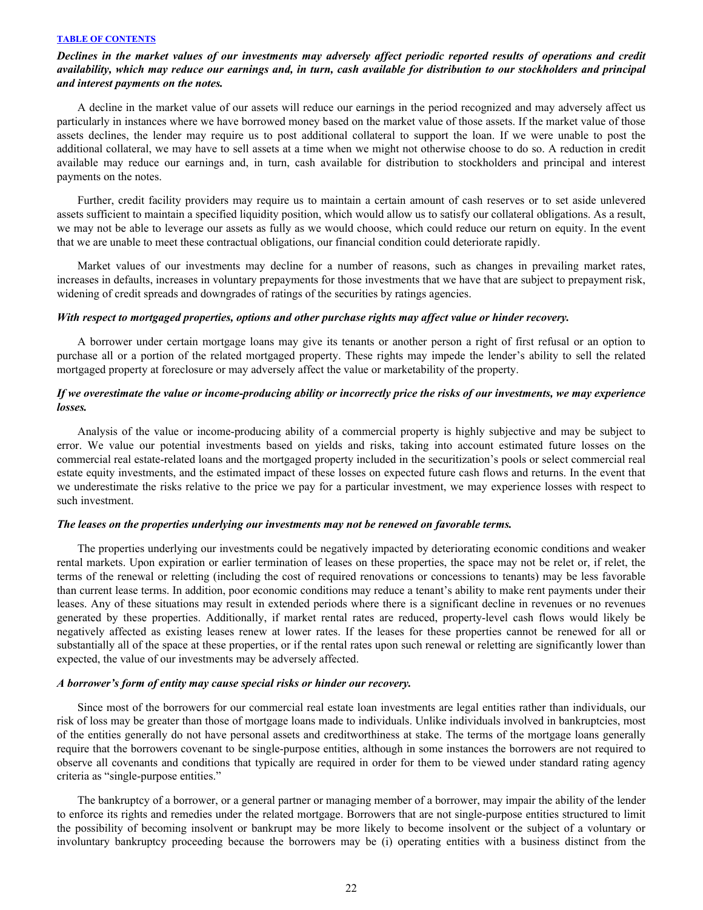## *Declines in the market values of our investments may adversely affect periodic reported results of operations and credit availability, which may reduce our earnings and, in turn, cash available for distribution to our stockholders and principal and interest payments on the notes.*

A decline in the market value of our assets will reduce our earnings in the period recognized and may adversely affect us particularly in instances where we have borrowed money based on the market value of those assets. If the market value of those assets declines, the lender may require us to post additional collateral to support the loan. If we were unable to post the additional collateral, we may have to sell assets at a time when we might not otherwise choose to do so. A reduction in credit available may reduce our earnings and, in turn, cash available for distribution to stockholders and principal and interest payments on the notes.

Further, credit facility providers may require us to maintain a certain amount of cash reserves or to set aside unlevered assets sufficient to maintain a specified liquidity position, which would allow us to satisfy our collateral obligations. As a result, we may not be able to leverage our assets as fully as we would choose, which could reduce our return on equity. In the event that we are unable to meet these contractual obligations, our financial condition could deteriorate rapidly.

Market values of our investments may decline for a number of reasons, such as changes in prevailing market rates, increases in defaults, increases in voluntary prepayments for those investments that we have that are subject to prepayment risk, widening of credit spreads and downgrades of ratings of the securities by ratings agencies.

#### *With respect to mortgaged properties, options and other purchase rights may affect value or hinder recovery.*

A borrower under certain mortgage loans may give its tenants or another person a right of first refusal or an option to purchase all or a portion of the related mortgaged property. These rights may impede the lender's ability to sell the related mortgaged property at foreclosure or may adversely affect the value or marketability of the property.

## *If we overestimate the value or income-producing ability or incorrectly price the risks of our investments, we may experience losses.*

Analysis of the value or income-producing ability of a commercial property is highly subjective and may be subject to error. We value our potential investments based on yields and risks, taking into account estimated future losses on the commercial real estate-related loans and the mortgaged property included in the securitization's pools or select commercial real estate equity investments, and the estimated impact of these losses on expected future cash flows and returns. In the event that we underestimate the risks relative to the price we pay for a particular investment, we may experience losses with respect to such investment.

## *The leases on the properties underlying our investments may not be renewed on favorable terms.*

The properties underlying our investments could be negatively impacted by deteriorating economic conditions and weaker rental markets. Upon expiration or earlier termination of leases on these properties, the space may not be relet or, if relet, the terms of the renewal or reletting (including the cost of required renovations or concessions to tenants) may be less favorable than current lease terms. In addition, poor economic conditions may reduce a tenant's ability to make rent payments under their leases. Any of these situations may result in extended periods where there is a significant decline in revenues or no revenues generated by these properties. Additionally, if market rental rates are reduced, property-level cash flows would likely be negatively affected as existing leases renew at lower rates. If the leases for these properties cannot be renewed for all or substantially all of the space at these properties, or if the rental rates upon such renewal or reletting are significantly lower than expected, the value of our investments may be adversely affected.

### *A borrower's form of entity may cause special risks or hinder our recovery.*

Since most of the borrowers for our commercial real estate loan investments are legal entities rather than individuals, our risk of loss may be greater than those of mortgage loans made to individuals. Unlike individuals involved in bankruptcies, most of the entities generally do not have personal assets and creditworthiness at stake. The terms of the mortgage loans generally require that the borrowers covenant to be single-purpose entities, although in some instances the borrowers are not required to observe all covenants and conditions that typically are required in order for them to be viewed under standard rating agency criteria as "single-purpose entities."

The bankruptcy of a borrower, or a general partner or managing member of a borrower, may impair the ability of the lender to enforce its rights and remedies under the related mortgage. Borrowers that are not single-purpose entities structured to limit the possibility of becoming insolvent or bankrupt may be more likely to become insolvent or the subject of a voluntary or involuntary bankruptcy proceeding because the borrowers may be (i) operating entities with a business distinct from the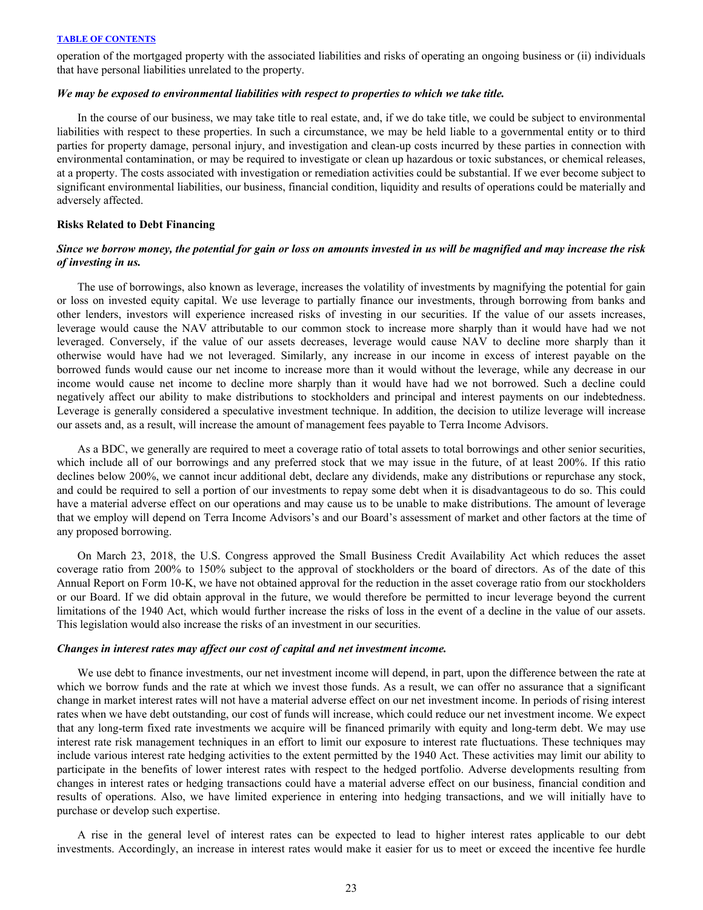operation of the mortgaged property with the associated liabilities and risks of operating an ongoing business or (ii) individuals that have personal liabilities unrelated to the property.

### *We may be exposed to environmental liabilities with respect to properties to which we take title.*

In the course of our business, we may take title to real estate, and, if we do take title, we could be subject to environmental liabilities with respect to these properties. In such a circumstance, we may be held liable to a governmental entity or to third parties for property damage, personal injury, and investigation and clean-up costs incurred by these parties in connection with environmental contamination, or may be required to investigate or clean up hazardous or toxic substances, or chemical releases, at a property. The costs associated with investigation or remediation activities could be substantial. If we ever become subject to significant environmental liabilities, our business, financial condition, liquidity and results of operations could be materially and adversely affected.

#### **Risks Related to Debt Financing**

## *Since we borrow money, the potential for gain or loss on amounts invested in us will be magnified and may increase the risk of investing in us.*

The use of borrowings, also known as leverage, increases the volatility of investments by magnifying the potential for gain or loss on invested equity capital. We use leverage to partially finance our investments, through borrowing from banks and other lenders, investors will experience increased risks of investing in our securities. If the value of our assets increases, leverage would cause the NAV attributable to our common stock to increase more sharply than it would have had we not leveraged. Conversely, if the value of our assets decreases, leverage would cause NAV to decline more sharply than it otherwise would have had we not leveraged. Similarly, any increase in our income in excess of interest payable on the borrowed funds would cause our net income to increase more than it would without the leverage, while any decrease in our income would cause net income to decline more sharply than it would have had we not borrowed. Such a decline could negatively affect our ability to make distributions to stockholders and principal and interest payments on our indebtedness. Leverage is generally considered a speculative investment technique. In addition, the decision to utilize leverage will increase our assets and, as a result, will increase the amount of management fees payable to Terra Income Advisors.

As a BDC, we generally are required to meet a coverage ratio of total assets to total borrowings and other senior securities, which include all of our borrowings and any preferred stock that we may issue in the future, of at least 200%. If this ratio declines below 200%, we cannot incur additional debt, declare any dividends, make any distributions or repurchase any stock, and could be required to sell a portion of our investments to repay some debt when it is disadvantageous to do so. This could have a material adverse effect on our operations and may cause us to be unable to make distributions. The amount of leverage that we employ will depend on Terra Income Advisors's and our Board's assessment of market and other factors at the time of any proposed borrowing.

On March 23, 2018, the U.S. Congress approved the Small Business Credit Availability Act which reduces the asset coverage ratio from 200% to 150% subject to the approval of stockholders or the board of directors. As of the date of this Annual Report on Form 10-K, we have not obtained approval for the reduction in the asset coverage ratio from our stockholders or our Board. If we did obtain approval in the future, we would therefore be permitted to incur leverage beyond the current limitations of the 1940 Act, which would further increase the risks of loss in the event of a decline in the value of our assets. This legislation would also increase the risks of an investment in our securities.

#### *Changes in interest rates may affect our cost of capital and net investment income.*

We use debt to finance investments, our net investment income will depend, in part, upon the difference between the rate at which we borrow funds and the rate at which we invest those funds. As a result, we can offer no assurance that a significant change in market interest rates will not have a material adverse effect on our net investment income. In periods of rising interest rates when we have debt outstanding, our cost of funds will increase, which could reduce our net investment income. We expect that any long-term fixed rate investments we acquire will be financed primarily with equity and long-term debt. We may use interest rate risk management techniques in an effort to limit our exposure to interest rate fluctuations. These techniques may include various interest rate hedging activities to the extent permitted by the 1940 Act. These activities may limit our ability to participate in the benefits of lower interest rates with respect to the hedged portfolio. Adverse developments resulting from changes in interest rates or hedging transactions could have a material adverse effect on our business, financial condition and results of operations. Also, we have limited experience in entering into hedging transactions, and we will initially have to purchase or develop such expertise.

A rise in the general level of interest rates can be expected to lead to higher interest rates applicable to our debt investments. Accordingly, an increase in interest rates would make it easier for us to meet or exceed the incentive fee hurdle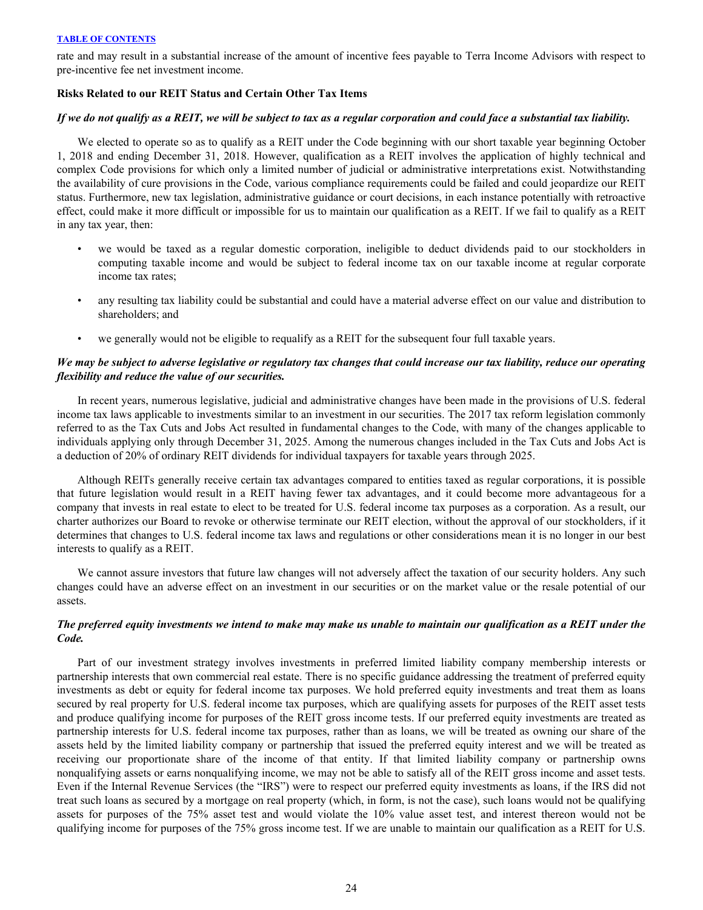rate and may result in a substantial increase of the amount of incentive fees payable to Terra Income Advisors with respect to pre-incentive fee net investment income.

### **Risks Related to our REIT Status and Certain Other Tax Items**

### *If we do not qualify as a REIT, we will be subject to tax as a regular corporation and could face a substantial tax liability.*

We elected to operate so as to qualify as a REIT under the Code beginning with our short taxable year beginning October 1, 2018 and ending December 31, 2018. However, qualification as a REIT involves the application of highly technical and complex Code provisions for which only a limited number of judicial or administrative interpretations exist. Notwithstanding the availability of cure provisions in the Code, various compliance requirements could be failed and could jeopardize our REIT status. Furthermore, new tax legislation, administrative guidance or court decisions, in each instance potentially with retroactive effect, could make it more difficult or impossible for us to maintain our qualification as a REIT. If we fail to qualify as a REIT in any tax year, then:

- we would be taxed as a regular domestic corporation, ineligible to deduct dividends paid to our stockholders in computing taxable income and would be subject to federal income tax on our taxable income at regular corporate income tax rates;
- any resulting tax liability could be substantial and could have a material adverse effect on our value and distribution to shareholders; and
- we generally would not be eligible to requalify as a REIT for the subsequent four full taxable years.

## *We may be subject to adverse legislative or regulatory tax changes that could increase our tax liability, reduce our operating flexibility and reduce the value of our securities.*

In recent years, numerous legislative, judicial and administrative changes have been made in the provisions of U.S. federal income tax laws applicable to investments similar to an investment in our securities. The 2017 tax reform legislation commonly referred to as the Tax Cuts and Jobs Act resulted in fundamental changes to the Code, with many of the changes applicable to individuals applying only through December 31, 2025. Among the numerous changes included in the Tax Cuts and Jobs Act is a deduction of 20% of ordinary REIT dividends for individual taxpayers for taxable years through 2025.

Although REITs generally receive certain tax advantages compared to entities taxed as regular corporations, it is possible that future legislation would result in a REIT having fewer tax advantages, and it could become more advantageous for a company that invests in real estate to elect to be treated for U.S. federal income tax purposes as a corporation. As a result, our charter authorizes our Board to revoke or otherwise terminate our REIT election, without the approval of our stockholders, if it determines that changes to U.S. federal income tax laws and regulations or other considerations mean it is no longer in our best interests to qualify as a REIT.

We cannot assure investors that future law changes will not adversely affect the taxation of our security holders. Any such changes could have an adverse effect on an investment in our securities or on the market value or the resale potential of our assets.

## *The preferred equity investments we intend to make may make us unable to maintain our qualification as a REIT under the Code.*

Part of our investment strategy involves investments in preferred limited liability company membership interests or partnership interests that own commercial real estate. There is no specific guidance addressing the treatment of preferred equity investments as debt or equity for federal income tax purposes. We hold preferred equity investments and treat them as loans secured by real property for U.S. federal income tax purposes, which are qualifying assets for purposes of the REIT asset tests and produce qualifying income for purposes of the REIT gross income tests. If our preferred equity investments are treated as partnership interests for U.S. federal income tax purposes, rather than as loans, we will be treated as owning our share of the assets held by the limited liability company or partnership that issued the preferred equity interest and we will be treated as receiving our proportionate share of the income of that entity. If that limited liability company or partnership owns nonqualifying assets or earns nonqualifying income, we may not be able to satisfy all of the REIT gross income and asset tests. Even if the Internal Revenue Services (the "IRS") were to respect our preferred equity investments as loans, if the IRS did not treat such loans as secured by a mortgage on real property (which, in form, is not the case), such loans would not be qualifying assets for purposes of the 75% asset test and would violate the 10% value asset test, and interest thereon would not be qualifying income for purposes of the 75% gross income test. If we are unable to maintain our qualification as a REIT for U.S.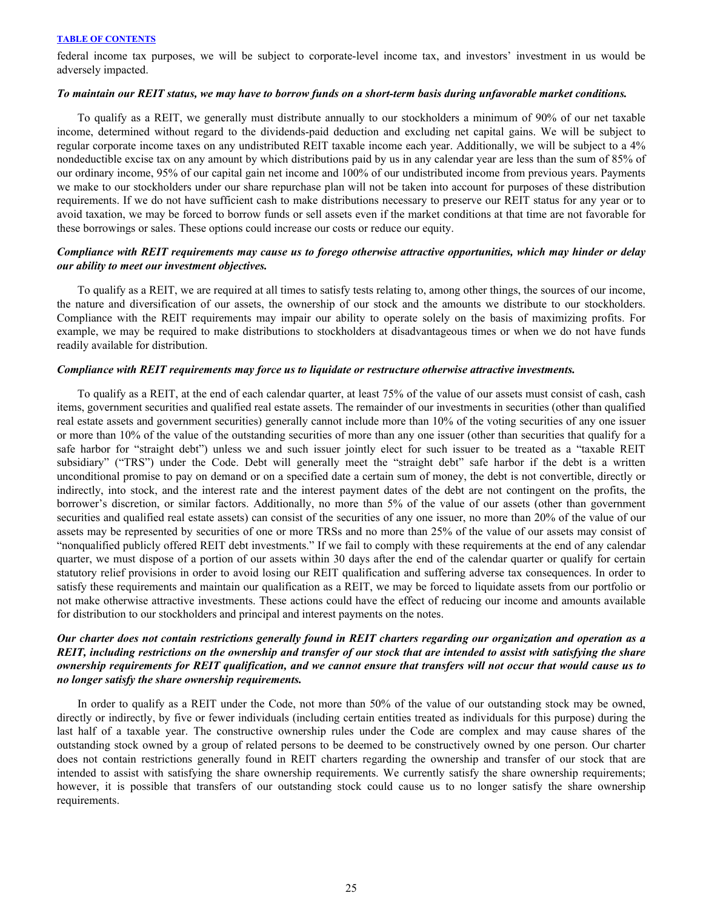federal income tax purposes, we will be subject to corporate-level income tax, and investors' investment in us would be adversely impacted.

### *To maintain our REIT status, we may have to borrow funds on a short-term basis during unfavorable market conditions.*

To qualify as a REIT, we generally must distribute annually to our stockholders a minimum of 90% of our net taxable income, determined without regard to the dividends-paid deduction and excluding net capital gains. We will be subject to regular corporate income taxes on any undistributed REIT taxable income each year. Additionally, we will be subject to a 4% nondeductible excise tax on any amount by which distributions paid by us in any calendar year are less than the sum of 85% of our ordinary income, 95% of our capital gain net income and 100% of our undistributed income from previous years. Payments we make to our stockholders under our share repurchase plan will not be taken into account for purposes of these distribution requirements. If we do not have sufficient cash to make distributions necessary to preserve our REIT status for any year or to avoid taxation, we may be forced to borrow funds or sell assets even if the market conditions at that time are not favorable for these borrowings or sales. These options could increase our costs or reduce our equity.

## *Compliance with REIT requirements may cause us to forego otherwise attractive opportunities, which may hinder or delay our ability to meet our investment objectives.*

To qualify as a REIT, we are required at all times to satisfy tests relating to, among other things, the sources of our income, the nature and diversification of our assets, the ownership of our stock and the amounts we distribute to our stockholders. Compliance with the REIT requirements may impair our ability to operate solely on the basis of maximizing profits. For example, we may be required to make distributions to stockholders at disadvantageous times or when we do not have funds readily available for distribution.

### *Compliance with REIT requirements may force us to liquidate or restructure otherwise attractive investments.*

To qualify as a REIT, at the end of each calendar quarter, at least 75% of the value of our assets must consist of cash, cash items, government securities and qualified real estate assets. The remainder of our investments in securities (other than qualified real estate assets and government securities) generally cannot include more than 10% of the voting securities of any one issuer or more than 10% of the value of the outstanding securities of more than any one issuer (other than securities that qualify for a safe harbor for "straight debt") unless we and such issuer jointly elect for such issuer to be treated as a "taxable REIT subsidiary" ("TRS") under the Code. Debt will generally meet the "straight debt" safe harbor if the debt is a written unconditional promise to pay on demand or on a specified date a certain sum of money, the debt is not convertible, directly or indirectly, into stock, and the interest rate and the interest payment dates of the debt are not contingent on the profits, the borrower's discretion, or similar factors. Additionally, no more than 5% of the value of our assets (other than government securities and qualified real estate assets) can consist of the securities of any one issuer, no more than 20% of the value of our assets may be represented by securities of one or more TRSs and no more than 25% of the value of our assets may consist of "nonqualified publicly offered REIT debt investments." If we fail to comply with these requirements at the end of any calendar quarter, we must dispose of a portion of our assets within 30 days after the end of the calendar quarter or qualify for certain statutory relief provisions in order to avoid losing our REIT qualification and suffering adverse tax consequences. In order to satisfy these requirements and maintain our qualification as a REIT, we may be forced to liquidate assets from our portfolio or not make otherwise attractive investments. These actions could have the effect of reducing our income and amounts available for distribution to our stockholders and principal and interest payments on the notes.

## *Our charter does not contain restrictions generally found in REIT charters regarding our organization and operation as a REIT, including restrictions on the ownership and transfer of our stock that are intended to assist with satisfying the share ownership requirements for REIT qualification, and we cannot ensure that transfers will not occur that would cause us to no longer satisfy the share ownership requirements.*

In order to qualify as a REIT under the Code, not more than 50% of the value of our outstanding stock may be owned, directly or indirectly, by five or fewer individuals (including certain entities treated as individuals for this purpose) during the last half of a taxable year. The constructive ownership rules under the Code are complex and may cause shares of the outstanding stock owned by a group of related persons to be deemed to be constructively owned by one person. Our charter does not contain restrictions generally found in REIT charters regarding the ownership and transfer of our stock that are intended to assist with satisfying the share ownership requirements. We currently satisfy the share ownership requirements; however, it is possible that transfers of our outstanding stock could cause us to no longer satisfy the share ownership requirements.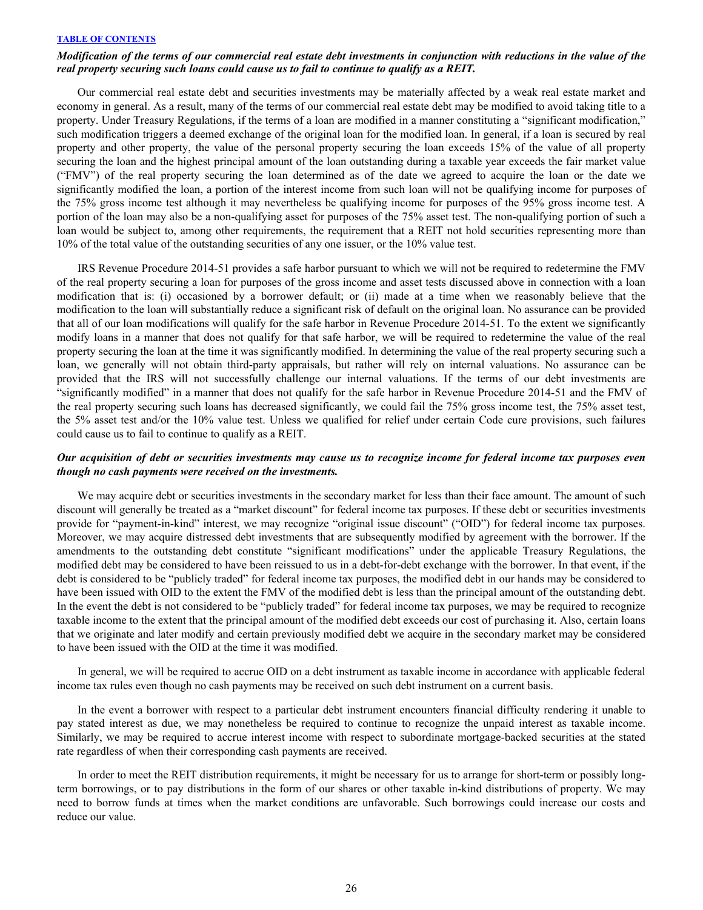## *Modification of the terms of our commercial real estate debt investments in conjunction with reductions in the value of the real property securing such loans could cause us to fail to continue to qualify as a REIT.*

Our commercial real estate debt and securities investments may be materially affected by a weak real estate market and economy in general. As a result, many of the terms of our commercial real estate debt may be modified to avoid taking title to a property. Under Treasury Regulations, if the terms of a loan are modified in a manner constituting a "significant modification," such modification triggers a deemed exchange of the original loan for the modified loan. In general, if a loan is secured by real property and other property, the value of the personal property securing the loan exceeds 15% of the value of all property securing the loan and the highest principal amount of the loan outstanding during a taxable year exceeds the fair market value ("FMV") of the real property securing the loan determined as of the date we agreed to acquire the loan or the date we significantly modified the loan, a portion of the interest income from such loan will not be qualifying income for purposes of the 75% gross income test although it may nevertheless be qualifying income for purposes of the 95% gross income test. A portion of the loan may also be a non-qualifying asset for purposes of the 75% asset test. The non-qualifying portion of such a loan would be subject to, among other requirements, the requirement that a REIT not hold securities representing more than 10% of the total value of the outstanding securities of any one issuer, or the 10% value test.

IRS Revenue Procedure 2014-51 provides a safe harbor pursuant to which we will not be required to redetermine the FMV of the real property securing a loan for purposes of the gross income and asset tests discussed above in connection with a loan modification that is: (i) occasioned by a borrower default; or (ii) made at a time when we reasonably believe that the modification to the loan will substantially reduce a significant risk of default on the original loan. No assurance can be provided that all of our loan modifications will qualify for the safe harbor in Revenue Procedure 2014-51. To the extent we significantly modify loans in a manner that does not qualify for that safe harbor, we will be required to redetermine the value of the real property securing the loan at the time it was significantly modified. In determining the value of the real property securing such a loan, we generally will not obtain third-party appraisals, but rather will rely on internal valuations. No assurance can be provided that the IRS will not successfully challenge our internal valuations. If the terms of our debt investments are "significantly modified" in a manner that does not qualify for the safe harbor in Revenue Procedure 2014-51 and the FMV of the real property securing such loans has decreased significantly, we could fail the 75% gross income test, the 75% asset test, the 5% asset test and/or the 10% value test. Unless we qualified for relief under certain Code cure provisions, such failures could cause us to fail to continue to qualify as a REIT.

## *Our acquisition of debt or securities investments may cause us to recognize income for federal income tax purposes even though no cash payments were received on the investments.*

We may acquire debt or securities investments in the secondary market for less than their face amount. The amount of such discount will generally be treated as a "market discount" for federal income tax purposes. If these debt or securities investments provide for "payment-in-kind" interest, we may recognize "original issue discount" ("OID") for federal income tax purposes. Moreover, we may acquire distressed debt investments that are subsequently modified by agreement with the borrower. If the amendments to the outstanding debt constitute "significant modifications" under the applicable Treasury Regulations, the modified debt may be considered to have been reissued to us in a debt-for-debt exchange with the borrower. In that event, if the debt is considered to be "publicly traded" for federal income tax purposes, the modified debt in our hands may be considered to have been issued with OID to the extent the FMV of the modified debt is less than the principal amount of the outstanding debt. In the event the debt is not considered to be "publicly traded" for federal income tax purposes, we may be required to recognize taxable income to the extent that the principal amount of the modified debt exceeds our cost of purchasing it. Also, certain loans that we originate and later modify and certain previously modified debt we acquire in the secondary market may be considered to have been issued with the OID at the time it was modified.

In general, we will be required to accrue OID on a debt instrument as taxable income in accordance with applicable federal income tax rules even though no cash payments may be received on such debt instrument on a current basis.

In the event a borrower with respect to a particular debt instrument encounters financial difficulty rendering it unable to pay stated interest as due, we may nonetheless be required to continue to recognize the unpaid interest as taxable income. Similarly, we may be required to accrue interest income with respect to subordinate mortgage-backed securities at the stated rate regardless of when their corresponding cash payments are received.

In order to meet the REIT distribution requirements, it might be necessary for us to arrange for short-term or possibly longterm borrowings, or to pay distributions in the form of our shares or other taxable in-kind distributions of property. We may need to borrow funds at times when the market conditions are unfavorable. Such borrowings could increase our costs and reduce our value.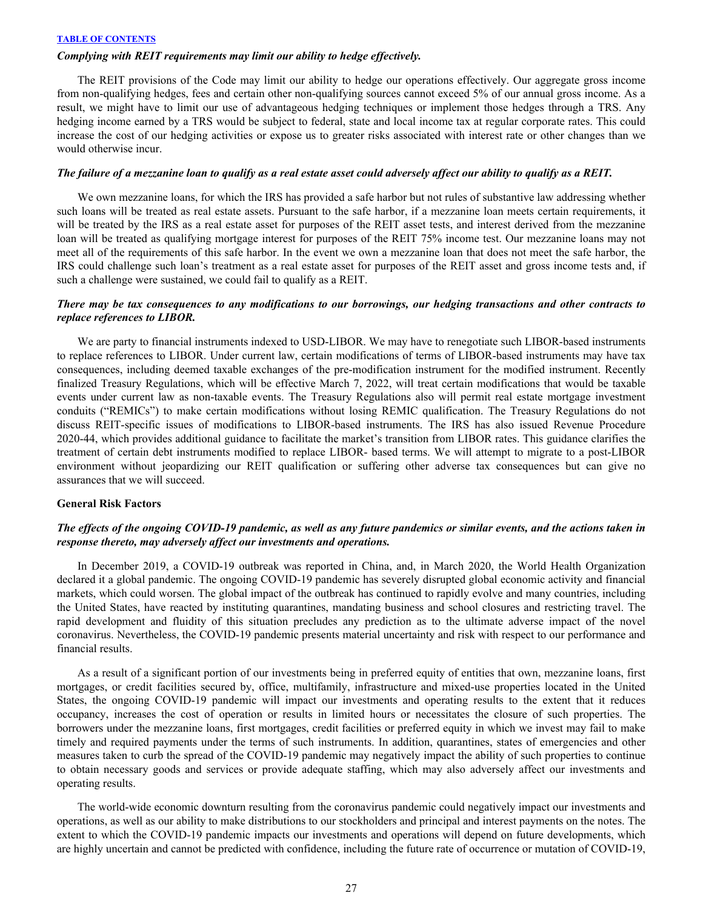### *Complying with REIT requirements may limit our ability to hedge effectively.*

The REIT provisions of the Code may limit our ability to hedge our operations effectively. Our aggregate gross income from non-qualifying hedges, fees and certain other non-qualifying sources cannot exceed 5% of our annual gross income. As a result, we might have to limit our use of advantageous hedging techniques or implement those hedges through a TRS. Any hedging income earned by a TRS would be subject to federal, state and local income tax at regular corporate rates. This could increase the cost of our hedging activities or expose us to greater risks associated with interest rate or other changes than we would otherwise incur.

#### *The failure of a mezzanine loan to qualify as a real estate asset could adversely affect our ability to qualify as a REIT.*

We own mezzanine loans, for which the IRS has provided a safe harbor but not rules of substantive law addressing whether such loans will be treated as real estate assets. Pursuant to the safe harbor, if a mezzanine loan meets certain requirements, it will be treated by the IRS as a real estate asset for purposes of the REIT asset tests, and interest derived from the mezzanine loan will be treated as qualifying mortgage interest for purposes of the REIT 75% income test. Our mezzanine loans may not meet all of the requirements of this safe harbor. In the event we own a mezzanine loan that does not meet the safe harbor, the IRS could challenge such loan's treatment as a real estate asset for purposes of the REIT asset and gross income tests and, if such a challenge were sustained, we could fail to qualify as a REIT.

## *There may be tax consequences to any modifications to our borrowings, our hedging transactions and other contracts to replace references to LIBOR.*

We are party to financial instruments indexed to USD-LIBOR. We may have to renegotiate such LIBOR-based instruments to replace references to LIBOR. Under current law, certain modifications of terms of LIBOR-based instruments may have tax consequences, including deemed taxable exchanges of the pre-modification instrument for the modified instrument. Recently finalized Treasury Regulations, which will be effective March 7, 2022, will treat certain modifications that would be taxable events under current law as non-taxable events. The Treasury Regulations also will permit real estate mortgage investment conduits ("REMICs") to make certain modifications without losing REMIC qualification. The Treasury Regulations do not discuss REIT-specific issues of modifications to LIBOR-based instruments. The IRS has also issued Revenue Procedure 2020-44, which provides additional guidance to facilitate the market's transition from LIBOR rates. This guidance clarifies the treatment of certain debt instruments modified to replace LIBOR- based terms. We will attempt to migrate to a post-LIBOR environment without jeopardizing our REIT qualification or suffering other adverse tax consequences but can give no assurances that we will succeed.

### **General Risk Factors**

## *The effects of the ongoing COVID-19 pandemic, as well as any future pandemics or similar events, and the actions taken in response thereto, may adversely affect our investments and operations.*

In December 2019, a COVID-19 outbreak was reported in China, and, in March 2020, the World Health Organization declared it a global pandemic. The ongoing COVID-19 pandemic has severely disrupted global economic activity and financial markets, which could worsen. The global impact of the outbreak has continued to rapidly evolve and many countries, including the United States, have reacted by instituting quarantines, mandating business and school closures and restricting travel. The rapid development and fluidity of this situation precludes any prediction as to the ultimate adverse impact of the novel coronavirus. Nevertheless, the COVID-19 pandemic presents material uncertainty and risk with respect to our performance and financial results.

As a result of a significant portion of our investments being in preferred equity of entities that own, mezzanine loans, first mortgages, or credit facilities secured by, office, multifamily, infrastructure and mixed-use properties located in the United States, the ongoing COVID-19 pandemic will impact our investments and operating results to the extent that it reduces occupancy, increases the cost of operation or results in limited hours or necessitates the closure of such properties. The borrowers under the mezzanine loans, first mortgages, credit facilities or preferred equity in which we invest may fail to make timely and required payments under the terms of such instruments. In addition, quarantines, states of emergencies and other measures taken to curb the spread of the COVID-19 pandemic may negatively impact the ability of such properties to continue to obtain necessary goods and services or provide adequate staffing, which may also adversely affect our investments and operating results.

The world-wide economic downturn resulting from the coronavirus pandemic could negatively impact our investments and operations, as well as our ability to make distributions to our stockholders and principal and interest payments on the notes. The extent to which the COVID-19 pandemic impacts our investments and operations will depend on future developments, which are highly uncertain and cannot be predicted with confidence, including the future rate of occurrence or mutation of COVID-19,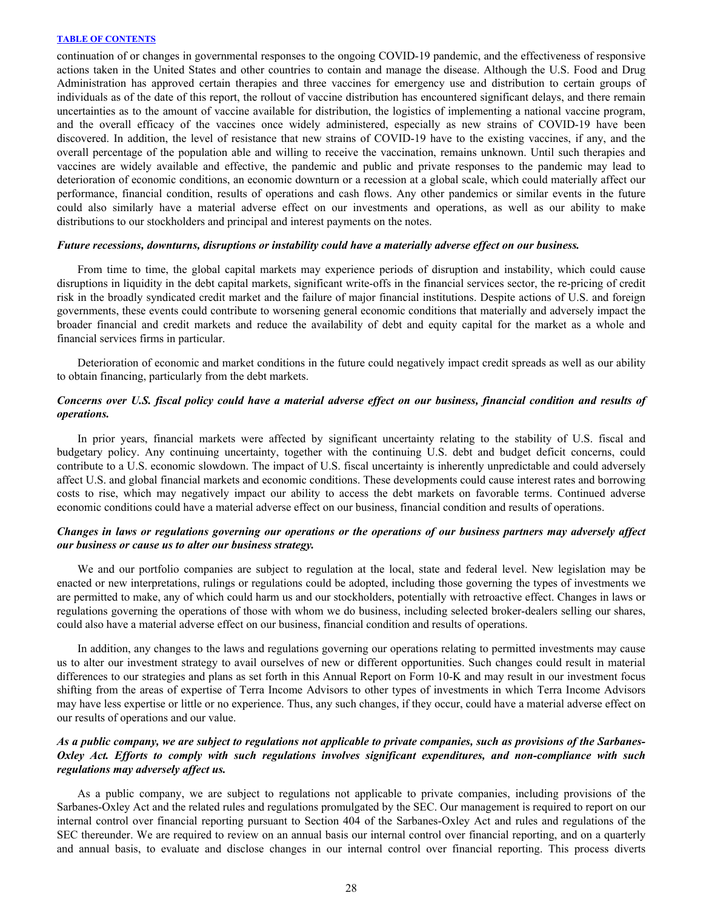continuation of or changes in governmental responses to the ongoing COVID-19 pandemic, and the effectiveness of responsive actions taken in the United States and other countries to contain and manage the disease. Although the U.S. Food and Drug Administration has approved certain therapies and three vaccines for emergency use and distribution to certain groups of individuals as of the date of this report, the rollout of vaccine distribution has encountered significant delays, and there remain uncertainties as to the amount of vaccine available for distribution, the logistics of implementing a national vaccine program, and the overall efficacy of the vaccines once widely administered, especially as new strains of COVID-19 have been discovered. In addition, the level of resistance that new strains of COVID-19 have to the existing vaccines, if any, and the overall percentage of the population able and willing to receive the vaccination, remains unknown. Until such therapies and vaccines are widely available and effective, the pandemic and public and private responses to the pandemic may lead to deterioration of economic conditions, an economic downturn or a recession at a global scale, which could materially affect our performance, financial condition, results of operations and cash flows. Any other pandemics or similar events in the future could also similarly have a material adverse effect on our investments and operations, as well as our ability to make distributions to our stockholders and principal and interest payments on the notes.

### *Future recessions, downturns, disruptions or instability could have a materially adverse effect on our business.*

From time to time, the global capital markets may experience periods of disruption and instability, which could cause disruptions in liquidity in the debt capital markets, significant write-offs in the financial services sector, the re-pricing of credit risk in the broadly syndicated credit market and the failure of major financial institutions. Despite actions of U.S. and foreign governments, these events could contribute to worsening general economic conditions that materially and adversely impact the broader financial and credit markets and reduce the availability of debt and equity capital for the market as a whole and financial services firms in particular.

Deterioration of economic and market conditions in the future could negatively impact credit spreads as well as our ability to obtain financing, particularly from the debt markets.

## *Concerns over U.S. fiscal policy could have a material adverse effect on our business, financial condition and results of operations.*

In prior years, financial markets were affected by significant uncertainty relating to the stability of U.S. fiscal and budgetary policy. Any continuing uncertainty, together with the continuing U.S. debt and budget deficit concerns, could contribute to a U.S. economic slowdown. The impact of U.S. fiscal uncertainty is inherently unpredictable and could adversely affect U.S. and global financial markets and economic conditions. These developments could cause interest rates and borrowing costs to rise, which may negatively impact our ability to access the debt markets on favorable terms. Continued adverse economic conditions could have a material adverse effect on our business, financial condition and results of operations.

## *Changes in laws or regulations governing our operations or the operations of our business partners may adversely affect our business or cause us to alter our business strategy.*

We and our portfolio companies are subject to regulation at the local, state and federal level. New legislation may be enacted or new interpretations, rulings or regulations could be adopted, including those governing the types of investments we are permitted to make, any of which could harm us and our stockholders, potentially with retroactive effect. Changes in laws or regulations governing the operations of those with whom we do business, including selected broker-dealers selling our shares, could also have a material adverse effect on our business, financial condition and results of operations.

In addition, any changes to the laws and regulations governing our operations relating to permitted investments may cause us to alter our investment strategy to avail ourselves of new or different opportunities. Such changes could result in material differences to our strategies and plans as set forth in this Annual Report on Form 10-K and may result in our investment focus shifting from the areas of expertise of Terra Income Advisors to other types of investments in which Terra Income Advisors may have less expertise or little or no experience. Thus, any such changes, if they occur, could have a material adverse effect on our results of operations and our value.

## *As a public company, we are subject to regulations not applicable to private companies, such as provisions of the Sarbanes-Oxley Act. Efforts to comply with such regulations involves significant expenditures, and non-compliance with such regulations may adversely affect us.*

As a public company, we are subject to regulations not applicable to private companies, including provisions of the Sarbanes-Oxley Act and the related rules and regulations promulgated by the SEC. Our management is required to report on our internal control over financial reporting pursuant to Section 404 of the Sarbanes-Oxley Act and rules and regulations of the SEC thereunder. We are required to review on an annual basis our internal control over financial reporting, and on a quarterly and annual basis, to evaluate and disclose changes in our internal control over financial reporting. This process diverts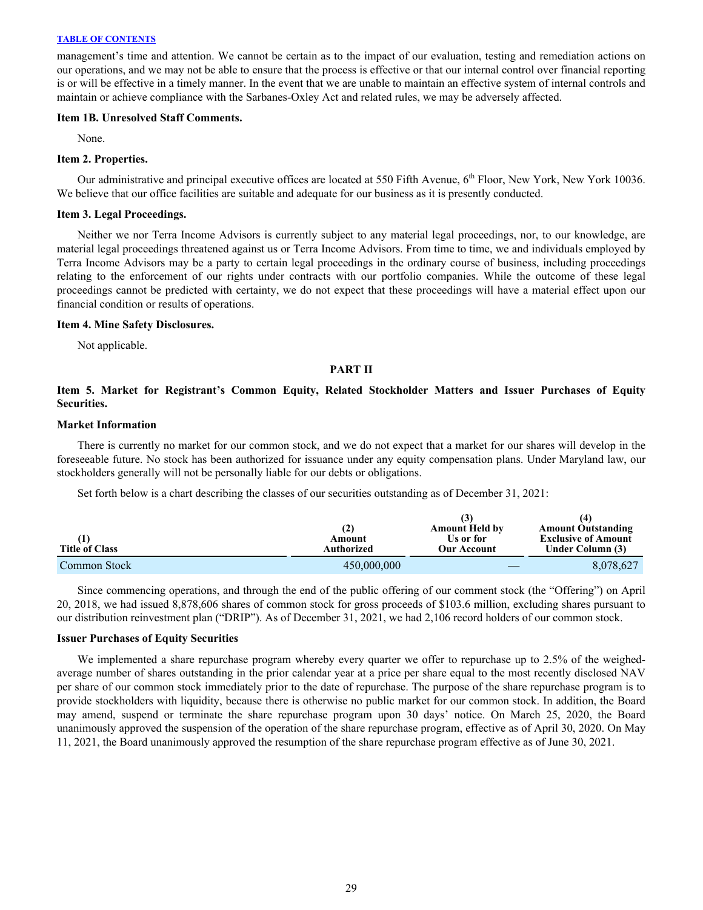<span id="page-34-0"></span>management's time and attention. We cannot be certain as to the impact of our evaluation, testing and remediation actions on our operations, and we may not be able to ensure that the process is effective or that our internal control over financial reporting is or will be effective in a timely manner. In the event that we are unable to maintain an effective system of internal controls and maintain or achieve compliance with the Sarbanes-Oxley Act and related rules, we may be adversely affected.

### **Item 1B. Unresolved Staff Comments.**

None.

## **Item 2. Properties.**

Our administrative and principal executive offices are located at 550 Fifth Avenue, 6<sup>th</sup> Floor, New York, New York 10036. We believe that our office facilities are suitable and adequate for our business as it is presently conducted.

## **Item 3. Legal Proceedings.**

Neither we nor Terra Income Advisors is currently subject to any material legal proceedings, nor, to our knowledge, are material legal proceedings threatened against us or Terra Income Advisors. From time to time, we and individuals employed by Terra Income Advisors may be a party to certain legal proceedings in the ordinary course of business, including proceedings relating to the enforcement of our rights under contracts with our portfolio companies. While the outcome of these legal proceedings cannot be predicted with certainty, we do not expect that these proceedings will have a material effect upon our financial condition or results of operations.

### **Item 4. Mine Safety Disclosures.**

Not applicable.

### **PART II**

## **Item 5. Market for Registrant's Common Equity, Related Stockholder Matters and Issuer Purchases of Equity Securities.**

#### **Market Information**

There is currently no market for our common stock, and we do not expect that a market for our shares will develop in the foreseeable future. No stock has been authorized for issuance under any equity compensation plans. Under Maryland law, our stockholders generally will not be personally liable for our debts or obligations.

Set forth below is a chart describing the classes of our securities outstanding as of December 31, 2021:

| <b>Title of Class</b> | Amount<br>Authorized | ا ک<br><b>Amount Held by</b><br>Us or for<br><b>Our Account</b> | <b>Amount Outstanding</b><br><b>Exclusive of Amount</b><br>Under Column (3) |
|-----------------------|----------------------|-----------------------------------------------------------------|-----------------------------------------------------------------------------|
| <b>Common Stock</b>   | 450,000,000          |                                                                 | 8.078.627                                                                   |
|                       |                      |                                                                 |                                                                             |

Since commencing operations, and through the end of the public offering of our comment stock (the "Offering") on April 20, 2018, we had issued 8,878,606 shares of common stock for gross proceeds of \$103.6 million, excluding shares pursuant to our distribution reinvestment plan ("DRIP"). As of December 31, 2021, we had 2,106 record holders of our common stock.

### **Issuer Purchases of Equity Securities**

We implemented a share repurchase program whereby every quarter we offer to repurchase up to 2.5% of the weighedaverage number of shares outstanding in the prior calendar year at a price per share equal to the most recently disclosed NAV per share of our common stock immediately prior to the date of repurchase. The purpose of the share repurchase program is to provide stockholders with liquidity, because there is otherwise no public market for our common stock. In addition, the Board may amend, suspend or terminate the share repurchase program upon 30 days' notice. On March 25, 2020, the Board unanimously approved the suspension of the operation of the share repurchase program, effective as of April 30, 2020. On May 11, 2021, the Board unanimously approved the resumption of the share repurchase program effective as of June 30, 2021.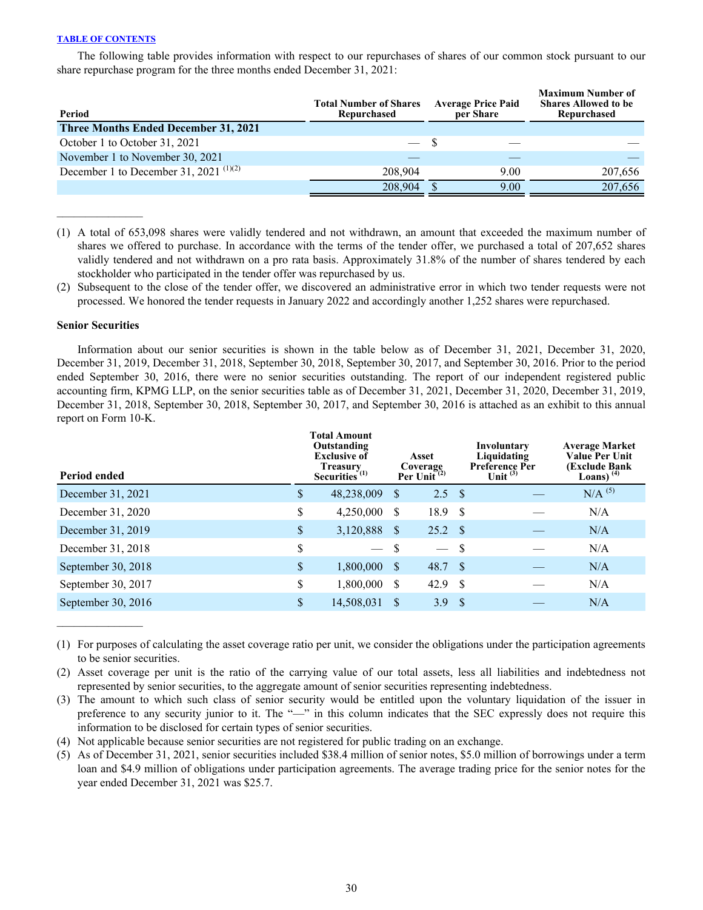The following table provides information with respect to our repurchases of shares of our common stock pursuant to our share repurchase program for the three months ended December 31, 2021:

| Period                                            | <b>Total Number of Shares</b><br>Repurchased | <b>Average Price Paid</b><br>per Share |      | <b>Maximum Number of</b><br><b>Shares Allowed to be</b><br>Repurchased |  |
|---------------------------------------------------|----------------------------------------------|----------------------------------------|------|------------------------------------------------------------------------|--|
| <b>Three Months Ended December 31, 2021</b>       |                                              |                                        |      |                                                                        |  |
| October 1 to October 31, 2021                     | $-$ \$                                       |                                        |      |                                                                        |  |
| November 1 to November 30, 2021                   |                                              |                                        |      |                                                                        |  |
| December 1 to December 31, 2021 <sup>(1)(2)</sup> | 208.904                                      |                                        | 9.00 | 207,656                                                                |  |
|                                                   | 208,904                                      |                                        | 9.00 | 207,656                                                                |  |

<sup>(1)</sup> A total of 653,098 shares were validly tendered and not withdrawn, an amount that exceeded the maximum number of shares we offered to purchase. In accordance with the terms of the tender offer, we purchased a total of 207,652 shares validly tendered and not withdrawn on a pro rata basis. Approximately 31.8% of the number of shares tendered by each stockholder who participated in the tender offer was repurchased by us.

(2) Subsequent to the close of the tender offer, we discovered an administrative error in which two tender requests were not processed. We honored the tender requests in January 2022 and accordingly another 1,252 shares were repurchased.

### **Senior Securities**

 $\mathcal{L}_\text{max}$  and  $\mathcal{L}_\text{max}$ 

Information about our senior securities is shown in the table below as of December 31, 2021, December 31, 2020, December 31, 2019, December 31, 2018, September 30, 2018, September 30, 2017, and September 30, 2016. Prior to the period ended September 30, 2016, there were no senior securities outstanding. The report of our independent registered public accounting firm, KPMG LLP, on the senior securities table as of December 31, 2021, December 31, 2020, December 31, 2019, December 31, 2018, September 30, 2018, September 30, 2017, and September 30, 2016 is attached as an exhibit to this annual report on Form 10-K.

| Period ended         | <b>Total Amount</b><br>Outstanding<br><b>Exclusive of</b><br><b>Treasury</b><br>Securities $\check{ }^{(1)}$ |   | Asset<br>Coverage<br>Per Unit <sup><math>(2)</math></sup> |      | Involuntary<br>Liquidating<br><b>Preference Per</b><br>Unit $^{(3)}$ | <b>Average Market</b><br><b>Value Per Unit</b><br>(Exclude Bank<br>Loans) $(4)$ |
|----------------------|--------------------------------------------------------------------------------------------------------------|---|-----------------------------------------------------------|------|----------------------------------------------------------------------|---------------------------------------------------------------------------------|
| December 31, 2021    | \$<br>48,238,009 \$                                                                                          |   | $2.5 \quad$                                               |      |                                                                      | $N/A$ <sup>(5)</sup>                                                            |
| December 31, 2020    | \$<br>4,250,000                                                                                              | S | 18.9                                                      | -S   |                                                                      | N/A                                                                             |
| December 31, 2019    | \$<br>3,120,888 \$                                                                                           |   | $25.2 \quad$                                              |      |                                                                      | N/A                                                                             |
| December 31, 2018    | \$<br>$-$ \$                                                                                                 |   | $-$ \$                                                    |      |                                                                      | N/A                                                                             |
| September 30, 2018   | \$<br>$1,800,000$ \$                                                                                         |   | 48.7                                                      | - \$ |                                                                      | N/A                                                                             |
| September 30, 2017   | \$<br>1,800,000                                                                                              | S | 42.9                                                      | -\$  |                                                                      | N/A                                                                             |
| September 30, $2016$ | \$<br>14,508,031                                                                                             | S | 3.9                                                       | -\$  |                                                                      | N/A                                                                             |

(1) For purposes of calculating the asset coverage ratio per unit, we consider the obligations under the participation agreements to be senior securities.

(2) Asset coverage per unit is the ratio of the carrying value of our total assets, less all liabilities and indebtedness not represented by senior securities, to the aggregate amount of senior securities representing indebtedness.

- (3) The amount to which such class of senior security would be entitled upon the voluntary liquidation of the issuer in preference to any security junior to it. The "—" in this column indicates that the SEC expressly does not require this information to be disclosed for certain types of senior securities.
- (4) Not applicable because senior securities are not registered for public trading on an exchange.

(5) As of December 31, 2021, senior securities included \$38.4 million of senior notes, \$5.0 million of borrowings under a term loan and \$4.9 million of obligations under participation agreements. The average trading price for the senior notes for the year ended December 31, 2021 was \$25.7.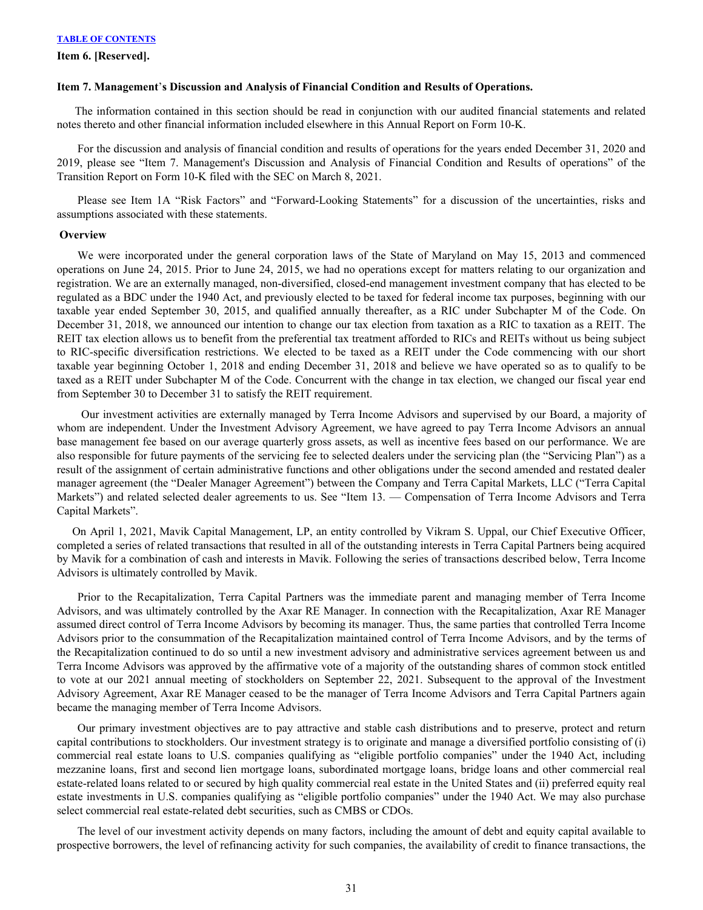**Item 6. [Reserved].**

### **Item 7. Management**'**s Discussion and Analysis of Financial Condition and Results of Operations.**

The information contained in this section should be read in conjunction with our audited financial statements and related notes thereto and other financial information included elsewhere in this Annual Report on Form 10-K.

For the discussion and analysis of financial condition and results of operations for the years ended December 31, 2020 and 2019, please see "Item 7. Management's Discussion and Analysis of Financial Condition and Results of operations" of the Transition Report on Form 10-K filed with the SEC on March 8, 2021.

Please see Item 1A "Risk Factors" and "Forward-Looking Statements" for a discussion of the uncertainties, risks and assumptions associated with these statements.

#### **Overview**

We were incorporated under the general corporation laws of the State of Maryland on May 15, 2013 and commenced operations on June 24, 2015. Prior to June 24, 2015, we had no operations except for matters relating to our organization and registration. We are an externally managed, non-diversified, closed-end management investment company that has elected to be regulated as a BDC under the 1940 Act, and previously elected to be taxed for federal income tax purposes, beginning with our taxable year ended September 30, 2015, and qualified annually thereafter, as a RIC under Subchapter M of the Code. On December 31, 2018, we announced our intention to change our tax election from taxation as a RIC to taxation as a REIT. The REIT tax election allows us to benefit from the preferential tax treatment afforded to RICs and REITs without us being subject to RIC-specific diversification restrictions. We elected to be taxed as a REIT under the Code commencing with our short taxable year beginning October 1, 2018 and ending December 31, 2018 and believe we have operated so as to qualify to be taxed as a REIT under Subchapter M of the Code. Concurrent with the change in tax election, we changed our fiscal year end from September 30 to December 31 to satisfy the REIT requirement.

 Our investment activities are externally managed by Terra Income Advisors and supervised by our Board, a majority of whom are independent. Under the Investment Advisory Agreement, we have agreed to pay Terra Income Advisors an annual base management fee based on our average quarterly gross assets, as well as incentive fees based on our performance. We are also responsible for future payments of the servicing fee to selected dealers under the servicing plan (the "Servicing Plan") as a result of the assignment of certain administrative functions and other obligations under the second amended and restated dealer manager agreement (the "Dealer Manager Agreement") between the Company and Terra Capital Markets, LLC ("Terra Capital Markets") and related selected dealer agreements to us. See "Item 13. — Compensation of Terra Income Advisors and Terra Capital Markets".

On April 1, 2021, Mavik Capital Management, LP, an entity controlled by Vikram S. Uppal, our Chief Executive Officer, completed a series of related transactions that resulted in all of the outstanding interests in Terra Capital Partners being acquired by Mavik for a combination of cash and interests in Mavik. Following the series of transactions described below, Terra Income Advisors is ultimately controlled by Mavik.

Prior to the Recapitalization, Terra Capital Partners was the immediate parent and managing member of Terra Income Advisors, and was ultimately controlled by the Axar RE Manager. In connection with the Recapitalization, Axar RE Manager assumed direct control of Terra Income Advisors by becoming its manager. Thus, the same parties that controlled Terra Income Advisors prior to the consummation of the Recapitalization maintained control of Terra Income Advisors, and by the terms of the Recapitalization continued to do so until a new investment advisory and administrative services agreement between us and Terra Income Advisors was approved by the affirmative vote of a majority of the outstanding shares of common stock entitled to vote at our 2021 annual meeting of stockholders on September 22, 2021. Subsequent to the approval of the Investment Advisory Agreement, Axar RE Manager ceased to be the manager of Terra Income Advisors and Terra Capital Partners again became the managing member of Terra Income Advisors.

Our primary investment objectives are to pay attractive and stable cash distributions and to preserve, protect and return capital contributions to stockholders. Our investment strategy is to originate and manage a diversified portfolio consisting of (i) commercial real estate loans to U.S. companies qualifying as "eligible portfolio companies" under the 1940 Act, including mezzanine loans, first and second lien mortgage loans, subordinated mortgage loans, bridge loans and other commercial real estate-related loans related to or secured by high quality commercial real estate in the United States and (ii) preferred equity real estate investments in U.S. companies qualifying as "eligible portfolio companies" under the 1940 Act. We may also purchase select commercial real estate-related debt securities, such as CMBS or CDOs.

The level of our investment activity depends on many factors, including the amount of debt and equity capital available to prospective borrowers, the level of refinancing activity for such companies, the availability of credit to finance transactions, the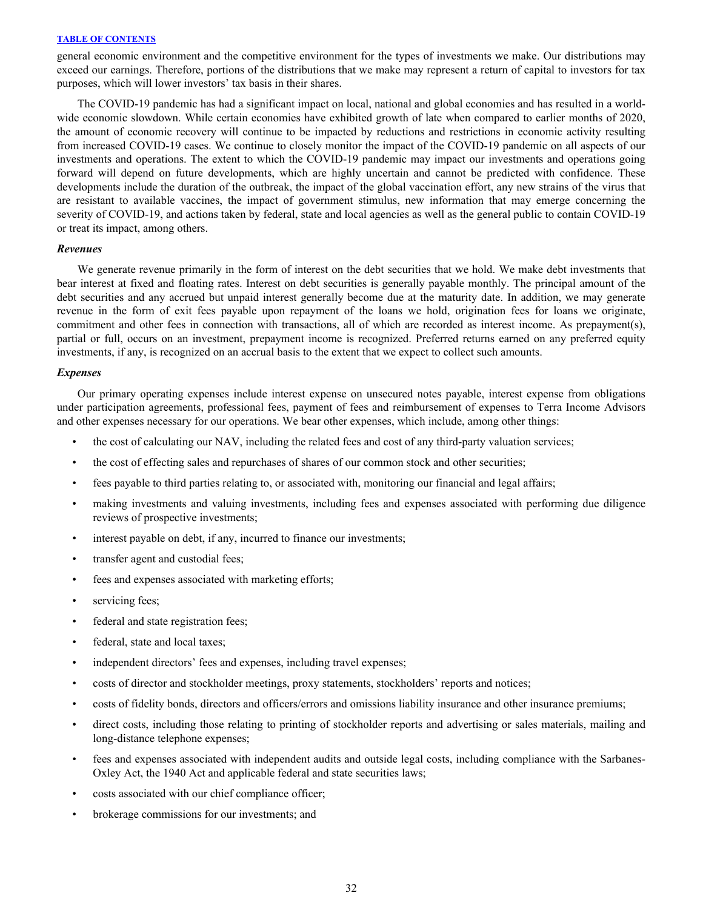general economic environment and the competitive environment for the types of investments we make. Our distributions may exceed our earnings. Therefore, portions of the distributions that we make may represent a return of capital to investors for tax purposes, which will lower investors' tax basis in their shares.

The COVID-19 pandemic has had a significant impact on local, national and global economies and has resulted in a worldwide economic slowdown. While certain economies have exhibited growth of late when compared to earlier months of 2020, the amount of economic recovery will continue to be impacted by reductions and restrictions in economic activity resulting from increased COVID-19 cases. We continue to closely monitor the impact of the COVID-19 pandemic on all aspects of our investments and operations. The extent to which the COVID-19 pandemic may impact our investments and operations going forward will depend on future developments, which are highly uncertain and cannot be predicted with confidence. These developments include the duration of the outbreak, the impact of the global vaccination effort, any new strains of the virus that are resistant to available vaccines, the impact of government stimulus, new information that may emerge concerning the severity of COVID-19, and actions taken by federal, state and local agencies as well as the general public to contain COVID-19 or treat its impact, among others.

## *Revenues*

We generate revenue primarily in the form of interest on the debt securities that we hold. We make debt investments that bear interest at fixed and floating rates. Interest on debt securities is generally payable monthly. The principal amount of the debt securities and any accrued but unpaid interest generally become due at the maturity date. In addition, we may generate revenue in the form of exit fees payable upon repayment of the loans we hold, origination fees for loans we originate, commitment and other fees in connection with transactions, all of which are recorded as interest income. As prepayment(s), partial or full, occurs on an investment, prepayment income is recognized. Preferred returns earned on any preferred equity investments, if any, is recognized on an accrual basis to the extent that we expect to collect such amounts.

### *Expenses*

Our primary operating expenses include interest expense on unsecured notes payable, interest expense from obligations under participation agreements, professional fees, payment of fees and reimbursement of expenses to Terra Income Advisors and other expenses necessary for our operations. We bear other expenses, which include, among other things:

- the cost of calculating our NAV, including the related fees and cost of any third-party valuation services;
- the cost of effecting sales and repurchases of shares of our common stock and other securities;
- fees payable to third parties relating to, or associated with, monitoring our financial and legal affairs;
- making investments and valuing investments, including fees and expenses associated with performing due diligence reviews of prospective investments;
- interest payable on debt, if any, incurred to finance our investments;
- transfer agent and custodial fees;
- fees and expenses associated with marketing efforts;
- servicing fees;
- federal and state registration fees;
- federal, state and local taxes;
- independent directors' fees and expenses, including travel expenses;
- costs of director and stockholder meetings, proxy statements, stockholders' reports and notices;
- costs of fidelity bonds, directors and officers/errors and omissions liability insurance and other insurance premiums;
- direct costs, including those relating to printing of stockholder reports and advertising or sales materials, mailing and long-distance telephone expenses;
- fees and expenses associated with independent audits and outside legal costs, including compliance with the Sarbanes-Oxley Act, the 1940 Act and applicable federal and state securities laws;
- costs associated with our chief compliance officer;
- brokerage commissions for our investments; and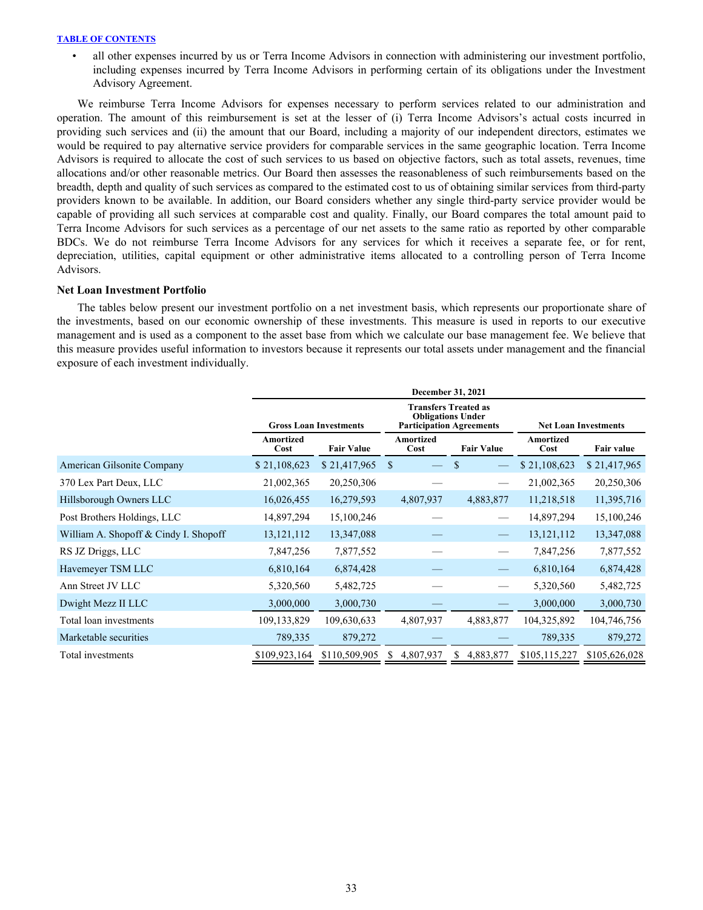• all other expenses incurred by us or Terra Income Advisors in connection with administering our investment portfolio, including expenses incurred by Terra Income Advisors in performing certain of its obligations under the Investment Advisory Agreement.

We reimburse Terra Income Advisors for expenses necessary to perform services related to our administration and operation. The amount of this reimbursement is set at the lesser of (i) Terra Income Advisors's actual costs incurred in providing such services and (ii) the amount that our Board, including a majority of our independent directors, estimates we would be required to pay alternative service providers for comparable services in the same geographic location. Terra Income Advisors is required to allocate the cost of such services to us based on objective factors, such as total assets, revenues, time allocations and/or other reasonable metrics. Our Board then assesses the reasonableness of such reimbursements based on the breadth, depth and quality of such services as compared to the estimated cost to us of obtaining similar services from third-party providers known to be available. In addition, our Board considers whether any single third-party service provider would be capable of providing all such services at comparable cost and quality. Finally, our Board compares the total amount paid to Terra Income Advisors for such services as a percentage of our net assets to the same ratio as reported by other comparable BDCs. We do not reimburse Terra Income Advisors for any services for which it receives a separate fee, or for rent, depreciation, utilities, capital equipment or other administrative items allocated to a controlling person of Terra Income Advisors.

## **Net Loan Investment Portfolio**

 The tables below present our investment portfolio on a net investment basis, which represents our proportionate share of the investments, based on our economic ownership of these investments. This measure is used in reports to our executive management and is used as a component to the asset base from which we calculate our base management fee. We believe that this measure provides useful information to investors because it represents our total assets under management and the financial exposure of each investment individually.

|                                       | December 31, 2021 |                                                                                                                                                            |                   |                   |                   |                   |  |  |  |  |
|---------------------------------------|-------------------|------------------------------------------------------------------------------------------------------------------------------------------------------------|-------------------|-------------------|-------------------|-------------------|--|--|--|--|
|                                       |                   | <b>Transfers Treated as</b><br><b>Obligations Under</b><br><b>Gross Loan Investments</b><br><b>Participation Agreements</b><br><b>Net Loan Investments</b> |                   |                   |                   |                   |  |  |  |  |
|                                       | Amortized<br>Cost | <b>Fair Value</b>                                                                                                                                          | Amortized<br>Cost | <b>Fair Value</b> | Amortized<br>Cost | <b>Fair value</b> |  |  |  |  |
| American Gilsonite Company            | \$21,108,623      | \$21,417,965                                                                                                                                               | <sup>\$</sup>     |                   | \$21,108,623      | \$21,417,965      |  |  |  |  |
| 370 Lex Part Deux, LLC                | 21,002,365        | 20,250,306                                                                                                                                                 |                   |                   | 21,002,365        | 20,250,306        |  |  |  |  |
| Hillsborough Owners LLC               | 16,026,455        | 16,279,593                                                                                                                                                 | 4,807,937         | 4,883,877         | 11,218,518        | 11,395,716        |  |  |  |  |
| Post Brothers Holdings, LLC           | 14,897,294        | 15,100,246                                                                                                                                                 |                   |                   | 14,897,294        | 15,100,246        |  |  |  |  |
| William A. Shopoff & Cindy I. Shopoff | 13, 121, 112      | 13,347,088                                                                                                                                                 |                   |                   | 13, 121, 112      | 13,347,088        |  |  |  |  |
| RS JZ Driggs, LLC                     | 7,847,256         | 7,877,552                                                                                                                                                  |                   |                   | 7,847,256         | 7,877,552         |  |  |  |  |
| Havemeyer TSM LLC                     | 6,810,164         | 6,874,428                                                                                                                                                  |                   |                   | 6,810,164         | 6,874,428         |  |  |  |  |
| Ann Street JV LLC                     | 5,320,560         | 5,482,725                                                                                                                                                  |                   |                   | 5,320,560         | 5,482,725         |  |  |  |  |
| Dwight Mezz II LLC                    | 3,000,000         | 3,000,730                                                                                                                                                  |                   |                   | 3,000,000         | 3,000,730         |  |  |  |  |
| Total loan investments                | 109,133,829       | 109,630,633                                                                                                                                                | 4,807,937         | 4,883,877         | 104,325,892       | 104,746,756       |  |  |  |  |
| Marketable securities                 | 789,335           | 879,272                                                                                                                                                    |                   |                   | 789,335           | 879,272           |  |  |  |  |
| Total investments                     | \$109,923,164     | \$110,509,905                                                                                                                                              | 4,807,937<br>S.   | 4,883,877<br>S    | \$105,115,227     | \$105,626,028     |  |  |  |  |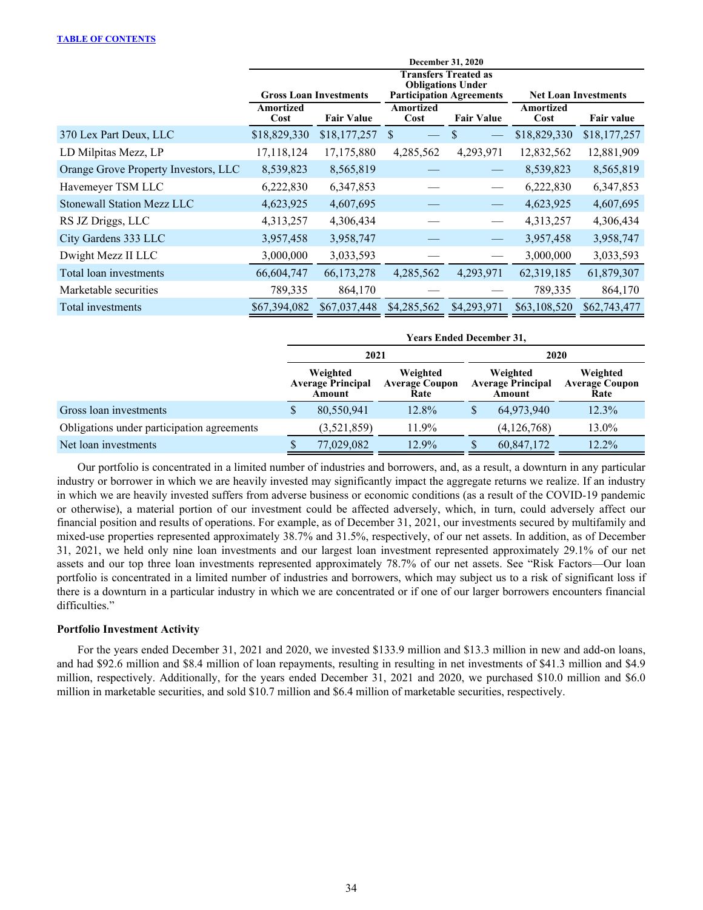|                                      |                   | <b>December 31, 2020</b>                                                                                                                                   |                   |                   |                   |                   |  |  |  |  |
|--------------------------------------|-------------------|------------------------------------------------------------------------------------------------------------------------------------------------------------|-------------------|-------------------|-------------------|-------------------|--|--|--|--|
|                                      |                   | <b>Transfers Treated as</b><br><b>Obligations Under</b><br><b>Participation Agreements</b><br><b>Gross Loan Investments</b><br><b>Net Loan Investments</b> |                   |                   |                   |                   |  |  |  |  |
|                                      | Amortized<br>Cost | <b>Fair Value</b>                                                                                                                                          | Amortized<br>Cost | <b>Fair Value</b> | Amortized<br>Cost | <b>Fair value</b> |  |  |  |  |
| 370 Lex Part Deux, LLC               | \$18,829,330      | \$18,177,257                                                                                                                                               | <sup>\$</sup>     | \$                | \$18,829,330      | \$18,177,257      |  |  |  |  |
| LD Milpitas Mezz, LP                 | 17,118,124        | 17,175,880                                                                                                                                                 | 4,285,562         | 4,293,971         | 12,832,562        | 12,881,909        |  |  |  |  |
| Orange Grove Property Investors, LLC | 8,539,823         | 8,565,819                                                                                                                                                  |                   |                   | 8,539,823         | 8,565,819         |  |  |  |  |
| Havemeyer TSM LLC                    | 6,222,830         | 6,347,853                                                                                                                                                  |                   |                   | 6,222,830         | 6,347,853         |  |  |  |  |
| Stonewall Station Mezz LLC           | 4,623,925         | 4,607,695                                                                                                                                                  |                   |                   | 4,623,925         | 4,607,695         |  |  |  |  |
| RS JZ Driggs, LLC                    | 4,313,257         | 4,306,434                                                                                                                                                  |                   |                   | 4,313,257         | 4,306,434         |  |  |  |  |
| City Gardens 333 LLC                 | 3,957,458         | 3,958,747                                                                                                                                                  |                   |                   | 3,957,458         | 3,958,747         |  |  |  |  |
| Dwight Mezz II LLC                   | 3,000,000         | 3,033,593                                                                                                                                                  |                   |                   | 3,000,000         | 3,033,593         |  |  |  |  |
| Total loan investments               | 66,604,747        | 66,173,278                                                                                                                                                 | 4,285,562         | 4,293,971         | 62,319,185        | 61,879,307        |  |  |  |  |
| Marketable securities                | 789,335           | 864,170                                                                                                                                                    |                   |                   | 789,335           | 864,170           |  |  |  |  |
| Total investments                    | \$67,394,082      | \$67,037,448                                                                                                                                               | \$4,285,562       | \$4,293,971       | \$63,108,520      | \$62,743,477      |  |  |  |  |

|                                            | <b>Years Ended December 31,</b> |                                                |                                           |  |                                                |                                           |  |  |  |
|--------------------------------------------|---------------------------------|------------------------------------------------|-------------------------------------------|--|------------------------------------------------|-------------------------------------------|--|--|--|
|                                            |                                 | 2021                                           |                                           |  | 2020                                           |                                           |  |  |  |
|                                            |                                 | Weighted<br><b>Average Principal</b><br>Amount | Weighted<br><b>Average Coupon</b><br>Rate |  | Weighted<br><b>Average Principal</b><br>Amount | Weighted<br><b>Average Coupon</b><br>Rate |  |  |  |
| Gross loan investments                     | \$                              | 80,550,941                                     | 12.8%                                     |  | 64,973,940                                     | 12.3%                                     |  |  |  |
| Obligations under participation agreements |                                 | (3,521,859)                                    | 11.9%                                     |  | (4, 126, 768)                                  | 13.0%                                     |  |  |  |
| Net loan investments                       |                                 | 77,029,082                                     | 12.9%                                     |  | 60,847,172                                     | 12.2%                                     |  |  |  |

Our portfolio is concentrated in a limited number of industries and borrowers, and, as a result, a downturn in any particular industry or borrower in which we are heavily invested may significantly impact the aggregate returns we realize. If an industry in which we are heavily invested suffers from adverse business or economic conditions (as a result of the COVID-19 pandemic or otherwise), a material portion of our investment could be affected adversely, which, in turn, could adversely affect our financial position and results of operations. For example, as of December 31, 2021, our investments secured by multifamily and mixed-use properties represented approximately 38.7% and 31.5%, respectively, of our net assets. In addition, as of December 31, 2021, we held only nine loan investments and our largest loan investment represented approximately 29.1% of our net assets and our top three loan investments represented approximately 78.7% of our net assets. See "Risk Factors—Our loan portfolio is concentrated in a limited number of industries and borrowers, which may subject us to a risk of significant loss if there is a downturn in a particular industry in which we are concentrated or if one of our larger borrowers encounters financial difficulties."

## **Portfolio Investment Activity**

For the years ended December 31, 2021 and 2020, we invested \$133.9 million and \$13.3 million in new and add-on loans, and had \$92.6 million and \$8.4 million of loan repayments, resulting in resulting in net investments of \$41.3 million and \$4.9 million, respectively. Additionally, for the years ended December 31, 2021 and 2020, we purchased \$10.0 million and \$6.0 million in marketable securities, and sold \$10.7 million and \$6.4 million of marketable securities, respectively.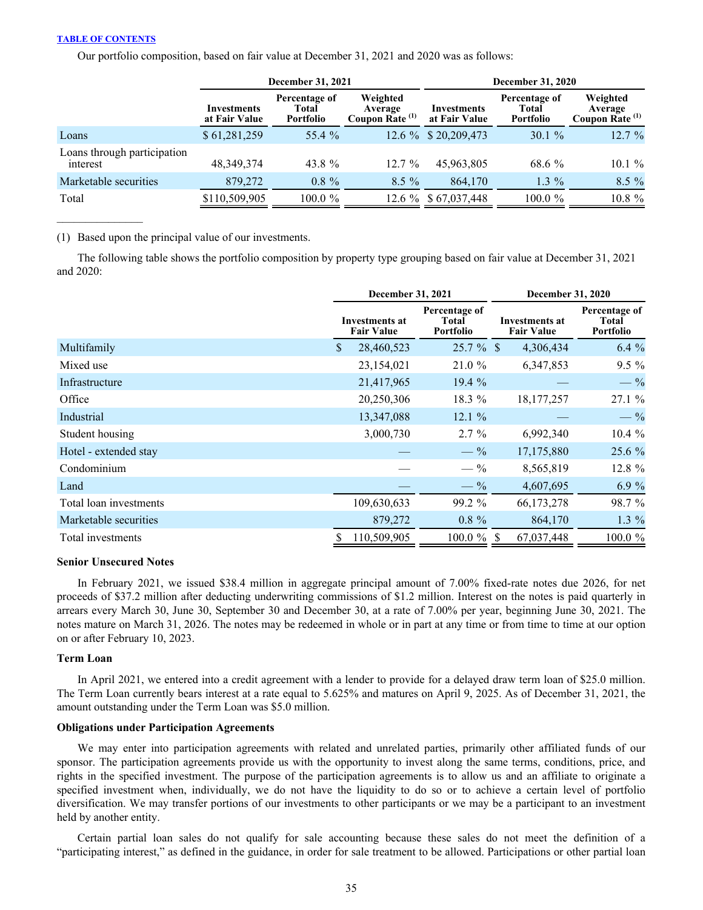Our portfolio composition, based on fair value at December 31, 2021 and 2020 was as follows:

|                                         |                              | December 31, 2021                          |                                                   | <b>December 31, 2020</b>     |                                                   |                                                   |  |
|-----------------------------------------|------------------------------|--------------------------------------------|---------------------------------------------------|------------------------------|---------------------------------------------------|---------------------------------------------------|--|
|                                         | Investments<br>at Fair Value | Percentage of<br>Total<br><b>Portfolio</b> | Weighted<br>Average<br>Coupon Rate <sup>(1)</sup> | Investments<br>at Fair Value | Percentage of<br><b>Total</b><br><b>Portfolio</b> | Weighted<br>Average<br>Coupon Rate <sup>(1)</sup> |  |
| Loans                                   | \$61,281,259                 | 55.4 %                                     |                                                   | 12.6 % \$20,209,473          | $30.1 \%$                                         | 12.7%                                             |  |
| Loans through participation<br>interest | 48, 349, 374                 | 43.8 %                                     | $12.7\%$                                          | 45.963.805                   | 68.6 %                                            | 10.1%                                             |  |
| Marketable securities                   | 879,272                      | $0.8 \%$                                   | $8.5\%$                                           | 864,170                      | $1.3\%$                                           | $8.5\%$                                           |  |
| Total                                   | \$110,509,905                | $100.0 \%$                                 |                                                   | 12.6 % \$67,037,448          | $100.0 \%$                                        | 10.8 %                                            |  |

(1) Based upon the principal value of our investments.

The following table shows the portfolio composition by property type grouping based on fair value at December 31, 2021 and 2020:

|                        | December 31, 2021                          |                                                   | <b>December 31, 2020</b>                   |                                            |
|------------------------|--------------------------------------------|---------------------------------------------------|--------------------------------------------|--------------------------------------------|
|                        | <b>Investments at</b><br><b>Fair Value</b> | Percentage of<br><b>Total</b><br><b>Portfolio</b> | <b>Investments at</b><br><b>Fair Value</b> | Percentage of<br><b>Total</b><br>Portfolio |
| Multifamily            | \$<br>28,460,523                           | $25.7 \%$ \$                                      | 4,306,434                                  | 6.4%                                       |
| Mixed use              | 23,154,021                                 | 21.0 %                                            | 6,347,853                                  | $9.5\%$                                    |
| Infrastructure         | 21,417,965                                 | 19.4%                                             |                                            | $-$ %                                      |
| Office                 | 20,250,306                                 | 18.3 %                                            | 18, 177, 257                               | 27.1 %                                     |
| Industrial             | 13,347,088                                 | 12.1%                                             |                                            | $-$ %                                      |
| Student housing        | 3,000,730                                  | $2.7\%$                                           | 6,992,340                                  | 10.4 %                                     |
| Hotel - extended stay  |                                            | $-$ %                                             | 17,175,880                                 | 25.6 %                                     |
| Condominium            |                                            | $-$ %                                             | 8,565,819                                  | 12.8 %                                     |
| Land                   |                                            | $- \frac{9}{6}$                                   | 4,607,695                                  | 6.9%                                       |
| Total loan investments | 109,630,633                                | 99.2 %                                            | 66,173,278                                 | 98.7 %                                     |
| Marketable securities  | 879,272                                    | $0.8 \%$                                          | 864,170                                    | $1.3\%$                                    |
| Total investments      | 110,509,905                                | $100.0 \%$                                        | 67,037,448                                 | $100.0 \%$                                 |

## **Senior Unsecured Notes**

In February 2021, we issued \$38.4 million in aggregate principal amount of 7.00% fixed-rate notes due 2026, for net proceeds of \$37.2 million after deducting underwriting commissions of \$1.2 million. Interest on the notes is paid quarterly in arrears every March 30, June 30, September 30 and December 30, at a rate of 7.00% per year, beginning June 30, 2021. The notes mature on March 31, 2026. The notes may be redeemed in whole or in part at any time or from time to time at our option on or after February 10, 2023.

### **Term Loan**

In April 2021, we entered into a credit agreement with a lender to provide for a delayed draw term loan of \$25.0 million. The Term Loan currently bears interest at a rate equal to 5.625% and matures on April 9, 2025. As of December 31, 2021, the amount outstanding under the Term Loan was \$5.0 million.

# **Obligations under Participation Agreements**

 We may enter into participation agreements with related and unrelated parties, primarily other affiliated funds of our sponsor. The participation agreements provide us with the opportunity to invest along the same terms, conditions, price, and rights in the specified investment. The purpose of the participation agreements is to allow us and an affiliate to originate a specified investment when, individually, we do not have the liquidity to do so or to achieve a certain level of portfolio diversification. We may transfer portions of our investments to other participants or we may be a participant to an investment held by another entity.

 Certain partial loan sales do not qualify for sale accounting because these sales do not meet the definition of a "participating interest," as defined in the guidance, in order for sale treatment to be allowed. Participations or other partial loan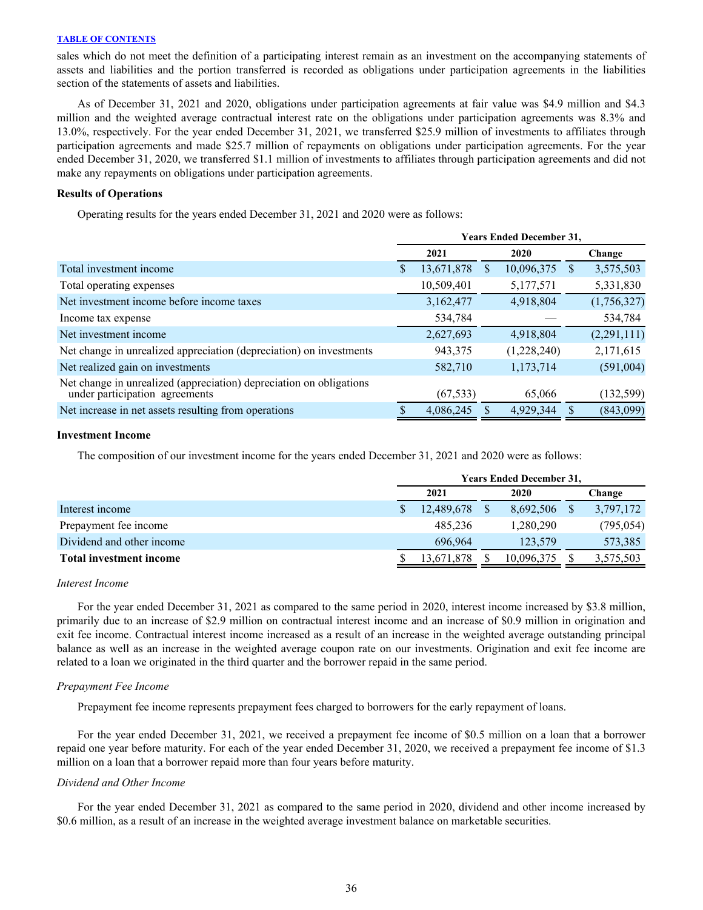sales which do not meet the definition of a participating interest remain as an investment on the accompanying statements of assets and liabilities and the portion transferred is recorded as obligations under participation agreements in the liabilities section of the statements of assets and liabilities.

As of December 31, 2021 and 2020, obligations under participation agreements at fair value was \$4.9 million and \$4.3 million and the weighted average contractual interest rate on the obligations under participation agreements was 8.3% and 13.0%, respectively. For the year ended December 31, 2021, we transferred \$25.9 million of investments to affiliates through participation agreements and made \$25.7 million of repayments on obligations under participation agreements. For the year ended December 31, 2020, we transferred \$1.1 million of investments to affiliates through participation agreements and did not make any repayments on obligations under participation agreements.

## **Results of Operations**

Operating results for the years ended December 31, 2021 and 2020 were as follows:

|                                                                                                       | <b>Years Ended December 31,</b> |            |   |             |   |             |  |
|-------------------------------------------------------------------------------------------------------|---------------------------------|------------|---|-------------|---|-------------|--|
|                                                                                                       |                                 | 2021       |   | 2020        |   | Change      |  |
| Total investment income                                                                               |                                 | 13,671,878 | S | 10,096,375  | D | 3,575,503   |  |
| Total operating expenses                                                                              |                                 | 10,509,401 |   | 5,177,571   |   | 5,331,830   |  |
| Net investment income before income taxes                                                             |                                 | 3,162,477  |   | 4,918,804   |   | (1,756,327) |  |
| Income tax expense                                                                                    |                                 | 534,784    |   |             |   | 534,784     |  |
| Net investment income                                                                                 |                                 | 2,627,693  |   | 4,918,804   |   | (2,291,111) |  |
| Net change in unrealized appreciation (depreciation) on investments                                   |                                 | 943,375    |   | (1,228,240) |   | 2,171,615   |  |
| Net realized gain on investments                                                                      |                                 | 582,710    |   | 1,173,714   |   | (591,004)   |  |
| Net change in unrealized (appreciation) depreciation on obligations<br>under participation agreements |                                 | (67, 533)  |   | 65,066      |   | (132, 599)  |  |
| Net increase in net assets resulting from operations                                                  |                                 | 4,086,245  |   | 4,929,344   |   | (843,099)   |  |

## **Investment Income**

The composition of our investment income for the years ended December 31, 2021 and 2020 were as follows:

|                                | <b>Years Ended December 31,</b> |            |  |            |  |            |  |  |
|--------------------------------|---------------------------------|------------|--|------------|--|------------|--|--|
|                                |                                 | 2021       |  | 2020       |  | Change     |  |  |
| Interest income                |                                 | 12,489,678 |  | 8,692,506  |  | 3,797,172  |  |  |
| Prepayment fee income          |                                 | 485.236    |  | 1,280,290  |  | (795, 054) |  |  |
| Dividend and other income      |                                 | 696,964    |  | 123.579    |  | 573,385    |  |  |
| <b>Total investment income</b> |                                 | 13,671,878 |  | 10,096,375 |  | 3,575,503  |  |  |

## *Interest Income*

For the year ended December 31, 2021 as compared to the same period in 2020, interest income increased by \$3.8 million, primarily due to an increase of \$2.9 million on contractual interest income and an increase of \$0.9 million in origination and exit fee income. Contractual interest income increased as a result of an increase in the weighted average outstanding principal balance as well as an increase in the weighted average coupon rate on our investments. Origination and exit fee income are related to a loan we originated in the third quarter and the borrower repaid in the same period.

### *Prepayment Fee Income*

Prepayment fee income represents prepayment fees charged to borrowers for the early repayment of loans.

For the year ended December 31, 2021, we received a prepayment fee income of \$0.5 million on a loan that a borrower repaid one year before maturity. For each of the year ended December 31, 2020, we received a prepayment fee income of \$1.3 million on a loan that a borrower repaid more than four years before maturity.

## *Dividend and Other Income*

For the year ended December 31, 2021 as compared to the same period in 2020, dividend and other income increased by \$0.6 million, as a result of an increase in the weighted average investment balance on marketable securities.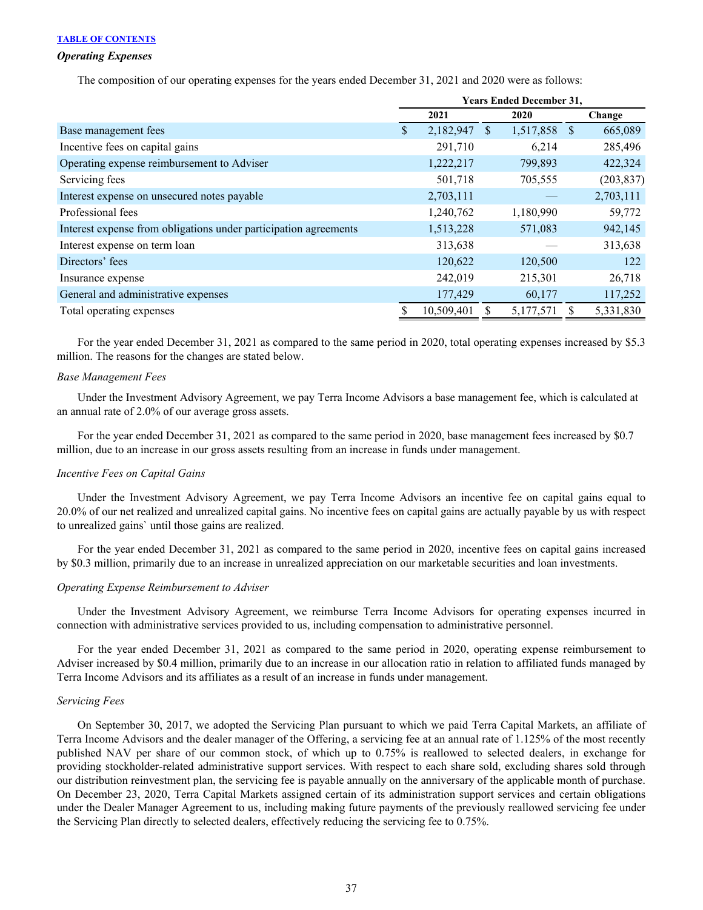## *Operating Expenses*

The composition of our operating expenses for the years ended December 31, 2021 and 2020 were as follows:

|                                                                  | <b>Years Ended December 31,</b> |            |   |              |  |            |
|------------------------------------------------------------------|---------------------------------|------------|---|--------------|--|------------|
|                                                                  |                                 | 2021       |   | 2020         |  | Change     |
| Base management fees                                             | \$                              | 2,182,947  | S | 1,517,858 \$ |  | 665,089    |
| Incentive fees on capital gains                                  |                                 | 291,710    |   | 6,214        |  | 285,496    |
| Operating expense reimbursement to Adviser                       |                                 | 1,222,217  |   | 799,893      |  | 422,324    |
| Servicing fees                                                   |                                 | 501,718    |   | 705,555      |  | (203, 837) |
| Interest expense on unsecured notes payable                      |                                 | 2,703,111  |   |              |  | 2,703,111  |
| Professional fees                                                |                                 | 1,240,762  |   | 1,180,990    |  | 59,772     |
| Interest expense from obligations under participation agreements |                                 | 1,513,228  |   | 571,083      |  | 942,145    |
| Interest expense on term loan                                    |                                 | 313,638    |   |              |  | 313,638    |
| Directors' fees                                                  |                                 | 120,622    |   | 120,500      |  | 122        |
| Insurance expense                                                |                                 | 242,019    |   | 215,301      |  | 26,718     |
| General and administrative expenses                              |                                 | 177,429    |   | 60,177       |  | 117,252    |
| Total operating expenses                                         |                                 | 10,509,401 |   | 5,177,571    |  | 5,331,830  |

 For the year ended December 31, 2021 as compared to the same period in 2020, total operating expenses increased by \$5.3 million. The reasons for the changes are stated below.

## *Base Management Fees*

 Under the Investment Advisory Agreement, we pay Terra Income Advisors a base management fee, which is calculated at an annual rate of 2.0% of our average gross assets.

For the year ended December 31, 2021 as compared to the same period in 2020, base management fees increased by \$0.7 million, due to an increase in our gross assets resulting from an increase in funds under management.

#### *Incentive Fees on Capital Gains*

Under the Investment Advisory Agreement, we pay Terra Income Advisors an incentive fee on capital gains equal to 20.0% of our net realized and unrealized capital gains. No incentive fees on capital gains are actually payable by us with respect to unrealized gains` until those gains are realized.

For the year ended December 31, 2021 as compared to the same period in 2020, incentive fees on capital gains increased by \$0.3 million, primarily due to an increase in unrealized appreciation on our marketable securities and loan investments.

#### *Operating Expense Reimbursement to Adviser*

 Under the Investment Advisory Agreement, we reimburse Terra Income Advisors for operating expenses incurred in connection with administrative services provided to us, including compensation to administrative personnel.

 For the year ended December 31, 2021 as compared to the same period in 2020, operating expense reimbursement to Adviser increased by \$0.4 million, primarily due to an increase in our allocation ratio in relation to affiliated funds managed by Terra Income Advisors and its affiliates as a result of an increase in funds under management.

## *Servicing Fees*

 On September 30, 2017, we adopted the Servicing Plan pursuant to which we paid Terra Capital Markets, an affiliate of Terra Income Advisors and the dealer manager of the Offering, a servicing fee at an annual rate of 1.125% of the most recently published NAV per share of our common stock, of which up to 0.75% is reallowed to selected dealers, in exchange for providing stockholder-related administrative support services. With respect to each share sold, excluding shares sold through our distribution reinvestment plan, the servicing fee is payable annually on the anniversary of the applicable month of purchase. On December 23, 2020, Terra Capital Markets assigned certain of its administration support services and certain obligations under the Dealer Manager Agreement to us, including making future payments of the previously reallowed servicing fee under the Servicing Plan directly to selected dealers, effectively reducing the servicing fee to 0.75%.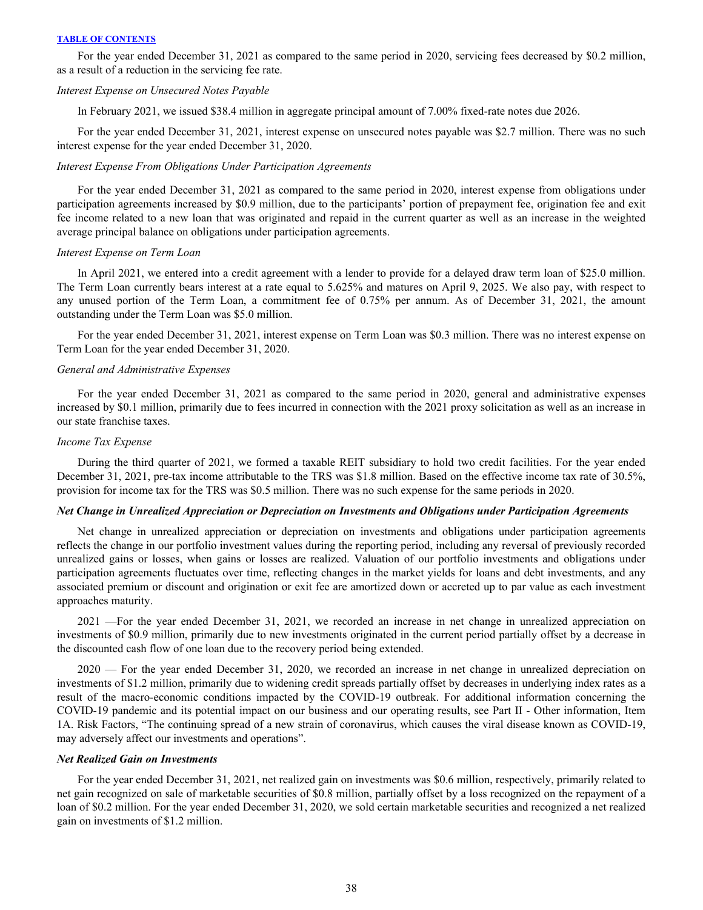For the year ended December 31, 2021 as compared to the same period in 2020, servicing fees decreased by \$0.2 million, as a result of a reduction in the servicing fee rate.

#### *Interest Expense on Unsecured Notes Payable*

In February 2021, we issued \$38.4 million in aggregate principal amount of 7.00% fixed-rate notes due 2026.

For the year ended December 31, 2021, interest expense on unsecured notes payable was \$2.7 million. There was no such interest expense for the year ended December 31, 2020.

#### *Interest Expense From Obligations Under Participation Agreements*

For the year ended December 31, 2021 as compared to the same period in 2020, interest expense from obligations under participation agreements increased by \$0.9 million, due to the participants' portion of prepayment fee, origination fee and exit fee income related to a new loan that was originated and repaid in the current quarter as well as an increase in the weighted average principal balance on obligations under participation agreements.

### *Interest Expense on Term Loan*

In April 2021, we entered into a credit agreement with a lender to provide for a delayed draw term loan of \$25.0 million. The Term Loan currently bears interest at a rate equal to 5.625% and matures on April 9, 2025. We also pay, with respect to any unused portion of the Term Loan, a commitment fee of 0.75% per annum. As of December 31, 2021, the amount outstanding under the Term Loan was \$5.0 million.

For the year ended December 31, 2021, interest expense on Term Loan was \$0.3 million. There was no interest expense on Term Loan for the year ended December 31, 2020.

#### *General and Administrative Expenses*

For the year ended December 31, 2021 as compared to the same period in 2020, general and administrative expenses increased by \$0.1 million, primarily due to fees incurred in connection with the 2021 proxy solicitation as well as an increase in our state franchise taxes.

#### *Income Tax Expense*

During the third quarter of 2021, we formed a taxable REIT subsidiary to hold two credit facilities. For the year ended December 31, 2021, pre-tax income attributable to the TRS was \$1.8 million. Based on the effective income tax rate of 30.5%, provision for income tax for the TRS was \$0.5 million. There was no such expense for the same periods in 2020.

#### *Net Change in Unrealized Appreciation or Depreciation on Investments and Obligations under Participation Agreements*

 Net change in unrealized appreciation or depreciation on investments and obligations under participation agreements reflects the change in our portfolio investment values during the reporting period, including any reversal of previously recorded unrealized gains or losses, when gains or losses are realized. Valuation of our portfolio investments and obligations under participation agreements fluctuates over time, reflecting changes in the market yields for loans and debt investments, and any associated premium or discount and origination or exit fee are amortized down or accreted up to par value as each investment approaches maturity.

2021 —For the year ended December 31, 2021, we recorded an increase in net change in unrealized appreciation on investments of \$0.9 million, primarily due to new investments originated in the current period partially offset by a decrease in the discounted cash flow of one loan due to the recovery period being extended.

2020 — For the year ended December 31, 2020, we recorded an increase in net change in unrealized depreciation on investments of \$1.2 million, primarily due to widening credit spreads partially offset by decreases in underlying index rates as a result of the macro-economic conditions impacted by the COVID-19 outbreak. For additional information concerning the COVID-19 pandemic and its potential impact on our business and our operating results, see Part II - Other information, Item 1A. Risk Factors, "The continuing spread of a new strain of coronavirus, which causes the viral disease known as COVID-19, may adversely affect our investments and operations".

## *Net Realized Gain on Investments*

For the year ended December 31, 2021, net realized gain on investments was \$0.6 million, respectively, primarily related to net gain recognized on sale of marketable securities of \$0.8 million, partially offset by a loss recognized on the repayment of a loan of \$0.2 million. For the year ended December 31, 2020, we sold certain marketable securities and recognized a net realized gain on investments of \$1.2 million.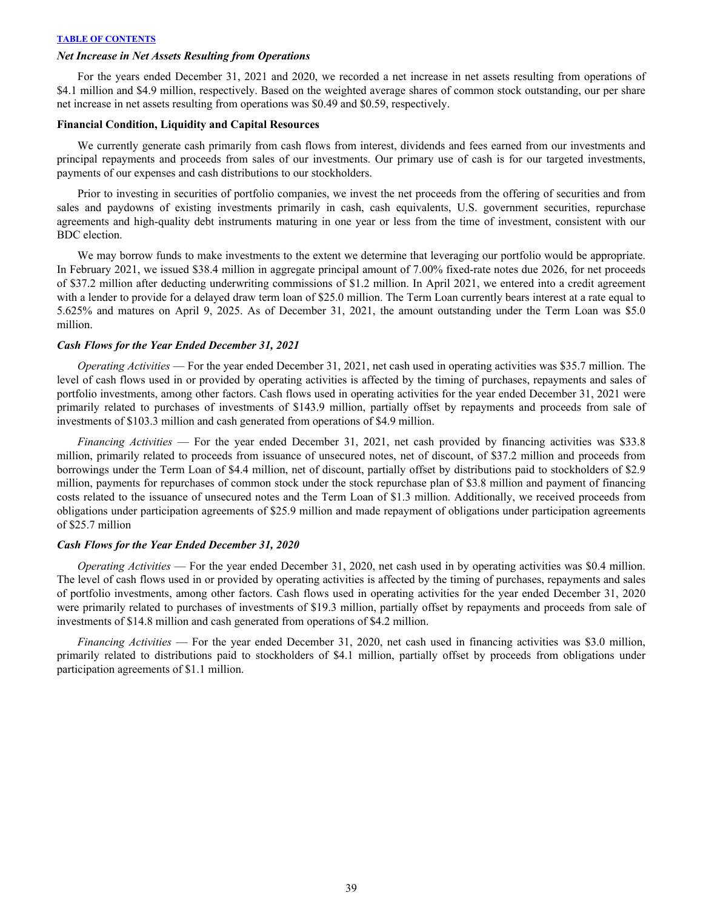## *Net Increase in Net Assets Resulting from Operations*

For the years ended December 31, 2021 and 2020, we recorded a net increase in net assets resulting from operations of \$4.1 million and \$4.9 million, respectively. Based on the weighted average shares of common stock outstanding, our per share net increase in net assets resulting from operations was \$0.49 and \$0.59, respectively.

### **Financial Condition, Liquidity and Capital Resources**

We currently generate cash primarily from cash flows from interest, dividends and fees earned from our investments and principal repayments and proceeds from sales of our investments. Our primary use of cash is for our targeted investments, payments of our expenses and cash distributions to our stockholders.

 Prior to investing in securities of portfolio companies, we invest the net proceeds from the offering of securities and from sales and paydowns of existing investments primarily in cash, cash equivalents, U.S. government securities, repurchase agreements and high-quality debt instruments maturing in one year or less from the time of investment, consistent with our BDC election.

We may borrow funds to make investments to the extent we determine that leveraging our portfolio would be appropriate. In February 2021, we issued \$38.4 million in aggregate principal amount of 7.00% fixed-rate notes due 2026, for net proceeds of \$37.2 million after deducting underwriting commissions of \$1.2 million. In April 2021, we entered into a credit agreement with a lender to provide for a delayed draw term loan of \$25.0 million. The Term Loan currently bears interest at a rate equal to 5.625% and matures on April 9, 2025. As of December 31, 2021, the amount outstanding under the Term Loan was \$5.0 million.

### *Cash Flows for the Year Ended December 31, 2021*

 *Operating Activities* — For the year ended December 31, 2021, net cash used in operating activities was \$35.7 million. The level of cash flows used in or provided by operating activities is affected by the timing of purchases, repayments and sales of portfolio investments, among other factors. Cash flows used in operating activities for the year ended December 31, 2021 were primarily related to purchases of investments of \$143.9 million, partially offset by repayments and proceeds from sale of investments of \$103.3 million and cash generated from operations of \$4.9 million.

*Financing Activities* — For the year ended December 31, 2021, net cash provided by financing activities was \$33.8 million, primarily related to proceeds from issuance of unsecured notes, net of discount, of \$37.2 million and proceeds from borrowings under the Term Loan of \$4.4 million, net of discount, partially offset by distributions paid to stockholders of \$2.9 million, payments for repurchases of common stock under the stock repurchase plan of \$3.8 million and payment of financing costs related to the issuance of unsecured notes and the Term Loan of \$1.3 million. Additionally, we received proceeds from obligations under participation agreements of \$25.9 million and made repayment of obligations under participation agreements of \$25.7 million

### *Cash Flows for the Year Ended December 31, 2020*

 *Operating Activities* — For the year ended December 31, 2020, net cash used in by operating activities was \$0.4 million. The level of cash flows used in or provided by operating activities is affected by the timing of purchases, repayments and sales of portfolio investments, among other factors. Cash flows used in operating activities for the year ended December 31, 2020 were primarily related to purchases of investments of \$19.3 million, partially offset by repayments and proceeds from sale of investments of \$14.8 million and cash generated from operations of \$4.2 million.

*Financing Activities* — For the year ended December 31, 2020, net cash used in financing activities was \$3.0 million, primarily related to distributions paid to stockholders of \$4.1 million, partially offset by proceeds from obligations under participation agreements of \$1.1 million.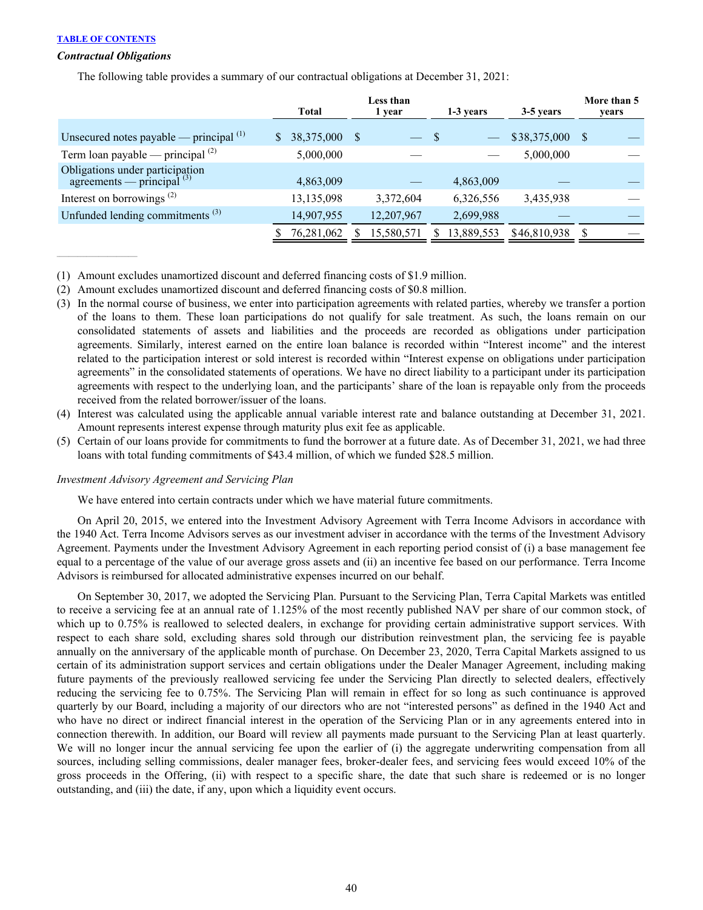## *Contractual Obligations*

The following table provides a summary of our contractual obligations at December 31, 2021:

|                                                                 | Total      | Less than<br>1 year |            | 1-3 years    | 3-5 years  |              | More than 5<br>years |  |
|-----------------------------------------------------------------|------------|---------------------|------------|--------------|------------|--------------|----------------------|--|
| Unsecured notes payable — principal $^{(1)}$                    | 38,375,000 | -S                  |            | <sup>S</sup> |            | \$38,375,000 | <sup>S</sup>         |  |
| Term loan payable — principal $^{(2)}$                          | 5,000,000  |                     |            |              |            | 5,000,000    |                      |  |
| Obligations under participation<br>agreements — principal $(3)$ | 4,863,009  |                     |            |              | 4,863,009  |              |                      |  |
| Interest on borrowings <sup><math>(2)</math></sup>              | 13,135,098 |                     | 3,372,604  |              | 6,326,556  | 3,435,938    |                      |  |
| Unfunded lending commitments $(3)$                              | 14,907,955 |                     | 12,207,967 |              | 2,699,988  |              |                      |  |
|                                                                 | 76,281,062 |                     | 15,580,571 | S            | 13,889,553 | \$46,810,938 |                      |  |

(1) Amount excludes unamortized discount and deferred financing costs of \$1.9 million.

(2) Amount excludes unamortized discount and deferred financing costs of \$0.8 million.

- (3) In the normal course of business, we enter into participation agreements with related parties, whereby we transfer a portion of the loans to them. These loan participations do not qualify for sale treatment. As such, the loans remain on our consolidated statements of assets and liabilities and the proceeds are recorded as obligations under participation agreements. Similarly, interest earned on the entire loan balance is recorded within "Interest income" and the interest related to the participation interest or sold interest is recorded within "Interest expense on obligations under participation agreements" in the consolidated statements of operations. We have no direct liability to a participant under its participation agreements with respect to the underlying loan, and the participants' share of the loan is repayable only from the proceeds received from the related borrower/issuer of the loans.
- (4) Interest was calculated using the applicable annual variable interest rate and balance outstanding at December 31, 2021. Amount represents interest expense through maturity plus exit fee as applicable.
- (5) Certain of our loans provide for commitments to fund the borrower at a future date. As of December 31, 2021, we had three loans with total funding commitments of \$43.4 million, of which we funded \$28.5 million.

### *Investment Advisory Agreement and Servicing Plan*

We have entered into certain contracts under which we have material future commitments.

On April 20, 2015, we entered into the Investment Advisory Agreement with Terra Income Advisors in accordance with the 1940 Act. Terra Income Advisors serves as our investment adviser in accordance with the terms of the Investment Advisory Agreement. Payments under the Investment Advisory Agreement in each reporting period consist of (i) a base management fee equal to a percentage of the value of our average gross assets and (ii) an incentive fee based on our performance. Terra Income Advisors is reimbursed for allocated administrative expenses incurred on our behalf.

 On September 30, 2017, we adopted the Servicing Plan. Pursuant to the Servicing Plan, Terra Capital Markets was entitled to receive a servicing fee at an annual rate of 1.125% of the most recently published NAV per share of our common stock, of which up to 0.75% is reallowed to selected dealers, in exchange for providing certain administrative support services. With respect to each share sold, excluding shares sold through our distribution reinvestment plan, the servicing fee is payable annually on the anniversary of the applicable month of purchase. On December 23, 2020, Terra Capital Markets assigned to us certain of its administration support services and certain obligations under the Dealer Manager Agreement, including making future payments of the previously reallowed servicing fee under the Servicing Plan directly to selected dealers, effectively reducing the servicing fee to 0.75%. The Servicing Plan will remain in effect for so long as such continuance is approved quarterly by our Board, including a majority of our directors who are not "interested persons" as defined in the 1940 Act and who have no direct or indirect financial interest in the operation of the Servicing Plan or in any agreements entered into in connection therewith. In addition, our Board will review all payments made pursuant to the Servicing Plan at least quarterly. We will no longer incur the annual servicing fee upon the earlier of (i) the aggregate underwriting compensation from all sources, including selling commissions, dealer manager fees, broker-dealer fees, and servicing fees would exceed 10% of the gross proceeds in the Offering, (ii) with respect to a specific share, the date that such share is redeemed or is no longer outstanding, and (iii) the date, if any, upon which a liquidity event occurs.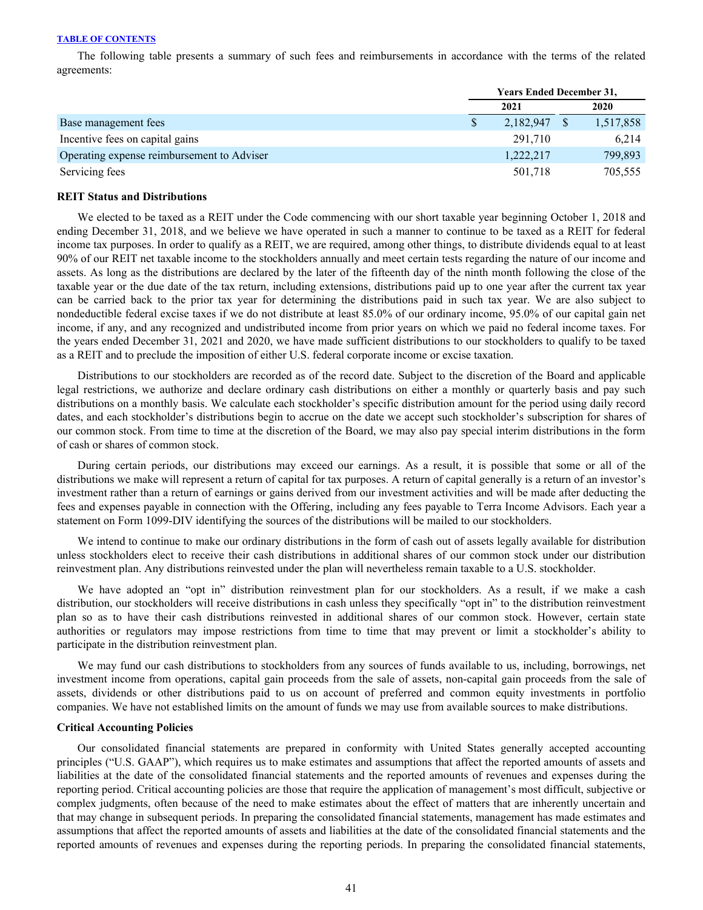The following table presents a summary of such fees and reimbursements in accordance with the terms of the related agreements:

|                                            | <b>Years Ended December 31,</b> |           |
|--------------------------------------------|---------------------------------|-----------|
|                                            | 2021                            | 2020      |
| Base management fees                       | 2,182,947                       | 1,517,858 |
| Incentive fees on capital gains            | 291.710                         | 6.214     |
| Operating expense reimbursement to Adviser | 1,222,217                       | 799,893   |
| Servicing fees                             | 501,718                         | 705,555   |

### **REIT Status and Distributions**

 We elected to be taxed as a REIT under the Code commencing with our short taxable year beginning October 1, 2018 and ending December 31, 2018, and we believe we have operated in such a manner to continue to be taxed as a REIT for federal income tax purposes. In order to qualify as a REIT, we are required, among other things, to distribute dividends equal to at least 90% of our REIT net taxable income to the stockholders annually and meet certain tests regarding the nature of our income and assets. As long as the distributions are declared by the later of the fifteenth day of the ninth month following the close of the taxable year or the due date of the tax return, including extensions, distributions paid up to one year after the current tax year can be carried back to the prior tax year for determining the distributions paid in such tax year. We are also subject to nondeductible federal excise taxes if we do not distribute at least 85.0% of our ordinary income, 95.0% of our capital gain net income, if any, and any recognized and undistributed income from prior years on which we paid no federal income taxes. For the years ended December 31, 2021 and 2020, we have made sufficient distributions to our stockholders to qualify to be taxed as a REIT and to preclude the imposition of either U.S. federal corporate income or excise taxation.

 Distributions to our stockholders are recorded as of the record date. Subject to the discretion of the Board and applicable legal restrictions, we authorize and declare ordinary cash distributions on either a monthly or quarterly basis and pay such distributions on a monthly basis. We calculate each stockholder's specific distribution amount for the period using daily record dates, and each stockholder's distributions begin to accrue on the date we accept such stockholder's subscription for shares of our common stock. From time to time at the discretion of the Board, we may also pay special interim distributions in the form of cash or shares of common stock.

 During certain periods, our distributions may exceed our earnings. As a result, it is possible that some or all of the distributions we make will represent a return of capital for tax purposes. A return of capital generally is a return of an investor's investment rather than a return of earnings or gains derived from our investment activities and will be made after deducting the fees and expenses payable in connection with the Offering, including any fees payable to Terra Income Advisors. Each year a statement on Form 1099-DIV identifying the sources of the distributions will be mailed to our stockholders.

 We intend to continue to make our ordinary distributions in the form of cash out of assets legally available for distribution unless stockholders elect to receive their cash distributions in additional shares of our common stock under our distribution reinvestment plan. Any distributions reinvested under the plan will nevertheless remain taxable to a U.S. stockholder.

 We have adopted an "opt in" distribution reinvestment plan for our stockholders. As a result, if we make a cash distribution, our stockholders will receive distributions in cash unless they specifically "opt in" to the distribution reinvestment plan so as to have their cash distributions reinvested in additional shares of our common stock. However, certain state authorities or regulators may impose restrictions from time to time that may prevent or limit a stockholder's ability to participate in the distribution reinvestment plan.

 We may fund our cash distributions to stockholders from any sources of funds available to us, including, borrowings, net investment income from operations, capital gain proceeds from the sale of assets, non-capital gain proceeds from the sale of assets, dividends or other distributions paid to us on account of preferred and common equity investments in portfolio companies. We have not established limits on the amount of funds we may use from available sources to make distributions.

#### **Critical Accounting Policies**

Our consolidated financial statements are prepared in conformity with United States generally accepted accounting principles ("U.S. GAAP"), which requires us to make estimates and assumptions that affect the reported amounts of assets and liabilities at the date of the consolidated financial statements and the reported amounts of revenues and expenses during the reporting period. Critical accounting policies are those that require the application of management's most difficult, subjective or complex judgments, often because of the need to make estimates about the effect of matters that are inherently uncertain and that may change in subsequent periods. In preparing the consolidated financial statements, management has made estimates and assumptions that affect the reported amounts of assets and liabilities at the date of the consolidated financial statements and the reported amounts of revenues and expenses during the reporting periods. In preparing the consolidated financial statements,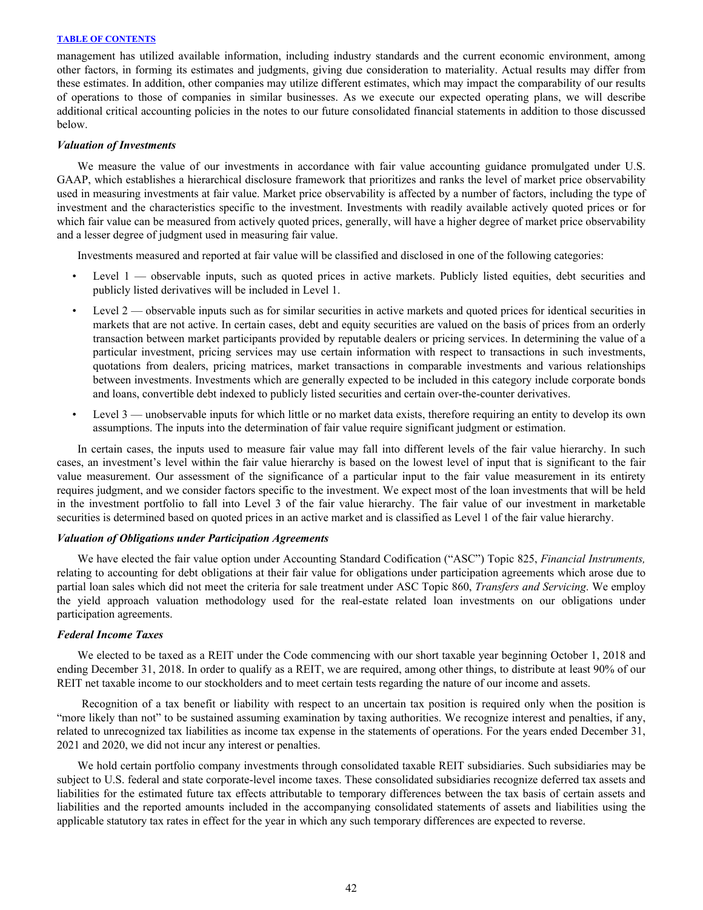management has utilized available information, including industry standards and the current economic environment, among other factors, in forming its estimates and judgments, giving due consideration to materiality. Actual results may differ from these estimates. In addition, other companies may utilize different estimates, which may impact the comparability of our results of operations to those of companies in similar businesses. As we execute our expected operating plans, we will describe additional critical accounting policies in the notes to our future consolidated financial statements in addition to those discussed below.

#### *Valuation of Investments*

We measure the value of our investments in accordance with fair value accounting guidance promulgated under U.S. GAAP, which establishes a hierarchical disclosure framework that prioritizes and ranks the level of market price observability used in measuring investments at fair value. Market price observability is affected by a number of factors, including the type of investment and the characteristics specific to the investment. Investments with readily available actively quoted prices or for which fair value can be measured from actively quoted prices, generally, will have a higher degree of market price observability and a lesser degree of judgment used in measuring fair value.

Investments measured and reported at fair value will be classified and disclosed in one of the following categories:

- Level 1 observable inputs, such as quoted prices in active markets. Publicly listed equities, debt securities and publicly listed derivatives will be included in Level 1.
- Level  $2$  observable inputs such as for similar securities in active markets and quoted prices for identical securities in markets that are not active. In certain cases, debt and equity securities are valued on the basis of prices from an orderly transaction between market participants provided by reputable dealers or pricing services. In determining the value of a particular investment, pricing services may use certain information with respect to transactions in such investments, quotations from dealers, pricing matrices, market transactions in comparable investments and various relationships between investments. Investments which are generally expected to be included in this category include corporate bonds and loans, convertible debt indexed to publicly listed securities and certain over-the-counter derivatives.
- Level 3 unobservable inputs for which little or no market data exists, therefore requiring an entity to develop its own assumptions. The inputs into the determination of fair value require significant judgment or estimation.

In certain cases, the inputs used to measure fair value may fall into different levels of the fair value hierarchy. In such cases, an investment's level within the fair value hierarchy is based on the lowest level of input that is significant to the fair value measurement. Our assessment of the significance of a particular input to the fair value measurement in its entirety requires judgment, and we consider factors specific to the investment. We expect most of the loan investments that will be held in the investment portfolio to fall into Level 3 of the fair value hierarchy. The fair value of our investment in marketable securities is determined based on quoted prices in an active market and is classified as Level 1 of the fair value hierarchy.

#### *Valuation of Obligations under Participation Agreements*

 We have elected the fair value option under Accounting Standard Codification ("ASC") Topic 825, *Financial Instruments,*  relating to accounting for debt obligations at their fair value for obligations under participation agreements which arose due to partial loan sales which did not meet the criteria for sale treatment under ASC Topic 860, *Transfers and Servicing*. We employ the yield approach valuation methodology used for the real-estate related loan investments on our obligations under participation agreements.

## *Federal Income Taxes*

We elected to be taxed as a REIT under the Code commencing with our short taxable year beginning October 1, 2018 and ending December 31, 2018. In order to qualify as a REIT, we are required, among other things, to distribute at least 90% of our REIT net taxable income to our stockholders and to meet certain tests regarding the nature of our income and assets.

 Recognition of a tax benefit or liability with respect to an uncertain tax position is required only when the position is "more likely than not" to be sustained assuming examination by taxing authorities. We recognize interest and penalties, if any, related to unrecognized tax liabilities as income tax expense in the statements of operations. For the years ended December 31, 2021 and 2020, we did not incur any interest or penalties.

We hold certain portfolio company investments through consolidated taxable REIT subsidiaries. Such subsidiaries may be subject to U.S. federal and state corporate-level income taxes. These consolidated subsidiaries recognize deferred tax assets and liabilities for the estimated future tax effects attributable to temporary differences between the tax basis of certain assets and liabilities and the reported amounts included in the accompanying consolidated statements of assets and liabilities using the applicable statutory tax rates in effect for the year in which any such temporary differences are expected to reverse.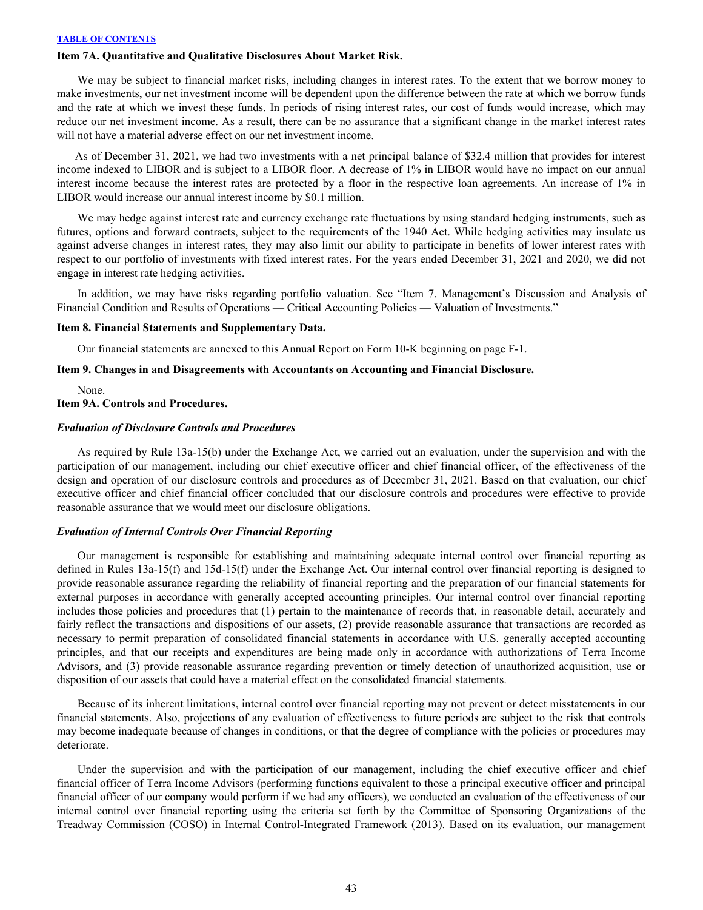### **Item 7A. Quantitative and Qualitative Disclosures About Market Risk.**

We may be subject to financial market risks, including changes in interest rates. To the extent that we borrow money to make investments, our net investment income will be dependent upon the difference between the rate at which we borrow funds and the rate at which we invest these funds. In periods of rising interest rates, our cost of funds would increase, which may reduce our net investment income. As a result, there can be no assurance that a significant change in the market interest rates will not have a material adverse effect on our net investment income.

As of December 31, 2021, we had two investments with a net principal balance of \$32.4 million that provides for interest income indexed to LIBOR and is subject to a LIBOR floor. A decrease of 1% in LIBOR would have no impact on our annual interest income because the interest rates are protected by a floor in the respective loan agreements. An increase of 1% in LIBOR would increase our annual interest income by \$0.1 million.

We may hedge against interest rate and currency exchange rate fluctuations by using standard hedging instruments, such as futures, options and forward contracts, subject to the requirements of the 1940 Act. While hedging activities may insulate us against adverse changes in interest rates, they may also limit our ability to participate in benefits of lower interest rates with respect to our portfolio of investments with fixed interest rates. For the years ended December 31, 2021 and 2020, we did not engage in interest rate hedging activities.

In addition, we may have risks regarding portfolio valuation. See "Item 7. Management's Discussion and Analysis of Financial Condition and Results of Operations — Critical Accounting Policies — Valuation of Investments."

#### **Item 8. Financial Statements and Supplementary Data.**

Our financial statements are annexed to this Annual Report on Form 10-K beginning on page F-1.

#### **Item 9. Changes in and Disagreements with Accountants on Accounting and Financial Disclosure.**

None.

## **Item 9A. Controls and Procedures.**

## *Evaluation of Disclosure Controls and Procedures*

 As required by Rule 13a-15(b) under the Exchange Act, we carried out an evaluation, under the supervision and with the participation of our management, including our chief executive officer and chief financial officer, of the effectiveness of the design and operation of our disclosure controls and procedures as of December 31, 2021. Based on that evaluation, our chief executive officer and chief financial officer concluded that our disclosure controls and procedures were effective to provide reasonable assurance that we would meet our disclosure obligations.

## *Evaluation of Internal Controls Over Financial Reporting*

Our management is responsible for establishing and maintaining adequate internal control over financial reporting as defined in Rules 13a-15(f) and 15d-15(f) under the Exchange Act. Our internal control over financial reporting is designed to provide reasonable assurance regarding the reliability of financial reporting and the preparation of our financial statements for external purposes in accordance with generally accepted accounting principles. Our internal control over financial reporting includes those policies and procedures that (1) pertain to the maintenance of records that, in reasonable detail, accurately and fairly reflect the transactions and dispositions of our assets, (2) provide reasonable assurance that transactions are recorded as necessary to permit preparation of consolidated financial statements in accordance with U.S. generally accepted accounting principles, and that our receipts and expenditures are being made only in accordance with authorizations of Terra Income Advisors, and (3) provide reasonable assurance regarding prevention or timely detection of unauthorized acquisition, use or disposition of our assets that could have a material effect on the consolidated financial statements.

Because of its inherent limitations, internal control over financial reporting may not prevent or detect misstatements in our financial statements. Also, projections of any evaluation of effectiveness to future periods are subject to the risk that controls may become inadequate because of changes in conditions, or that the degree of compliance with the policies or procedures may deteriorate.

Under the supervision and with the participation of our management, including the chief executive officer and chief financial officer of Terra Income Advisors (performing functions equivalent to those a principal executive officer and principal financial officer of our company would perform if we had any officers), we conducted an evaluation of the effectiveness of our internal control over financial reporting using the criteria set forth by the Committee of Sponsoring Organizations of the Treadway Commission (COSO) in Internal Control-Integrated Framework (2013). Based on its evaluation, our management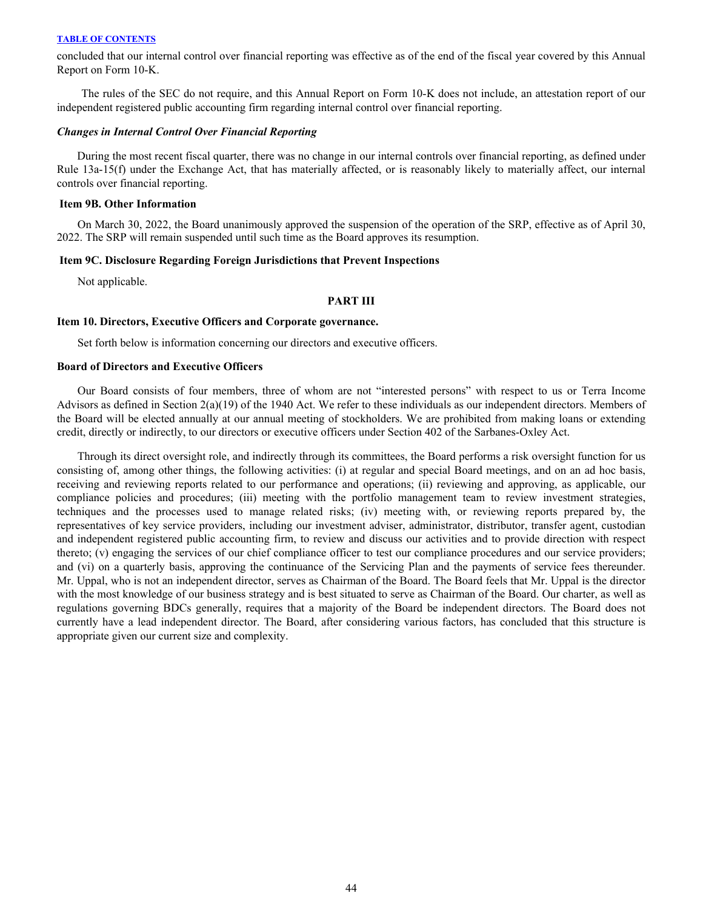concluded that our internal control over financial reporting was effective as of the end of the fiscal year covered by this Annual Report on Form 10-K.

 The rules of the SEC do not require, and this Annual Report on Form 10-K does not include, an attestation report of our independent registered public accounting firm regarding internal control over financial reporting.

#### *Changes in Internal Control Over Financial Reporting*

 During the most recent fiscal quarter, there was no change in our internal controls over financial reporting, as defined under Rule 13a-15(f) under the Exchange Act, that has materially affected, or is reasonably likely to materially affect, our internal controls over financial reporting.

### **Item 9B. Other Information**

On March 30, 2022, the Board unanimously approved the suspension of the operation of the SRP, effective as of April 30, 2022. The SRP will remain suspended until such time as the Board approves its resumption.

## **Item 9C. Disclosure Regarding Foreign Jurisdictions that Prevent Inspections**

Not applicable.

### **PART III**

## **Item 10. Directors, Executive Officers and Corporate governance.**

Set forth below is information concerning our directors and executive officers.

## **Board of Directors and Executive Officers**

Our Board consists of four members, three of whom are not "interested persons" with respect to us or Terra Income Advisors as defined in Section 2(a)(19) of the 1940 Act. We refer to these individuals as our independent directors. Members of the Board will be elected annually at our annual meeting of stockholders. We are prohibited from making loans or extending credit, directly or indirectly, to our directors or executive officers under Section 402 of the Sarbanes‑Oxley Act.

Through its direct oversight role, and indirectly through its committees, the Board performs a risk oversight function for us consisting of, among other things, the following activities: (i) at regular and special Board meetings, and on an ad hoc basis, receiving and reviewing reports related to our performance and operations; (ii) reviewing and approving, as applicable, our compliance policies and procedures; (iii) meeting with the portfolio management team to review investment strategies, techniques and the processes used to manage related risks; (iv) meeting with, or reviewing reports prepared by, the representatives of key service providers, including our investment adviser, administrator, distributor, transfer agent, custodian and independent registered public accounting firm, to review and discuss our activities and to provide direction with respect thereto; (v) engaging the services of our chief compliance officer to test our compliance procedures and our service providers; and (vi) on a quarterly basis, approving the continuance of the Servicing Plan and the payments of service fees thereunder. Mr. Uppal, who is not an independent director, serves as Chairman of the Board. The Board feels that Mr. Uppal is the director with the most knowledge of our business strategy and is best situated to serve as Chairman of the Board. Our charter, as well as regulations governing BDCs generally, requires that a majority of the Board be independent directors. The Board does not currently have a lead independent director. The Board, after considering various factors, has concluded that this structure is appropriate given our current size and complexity.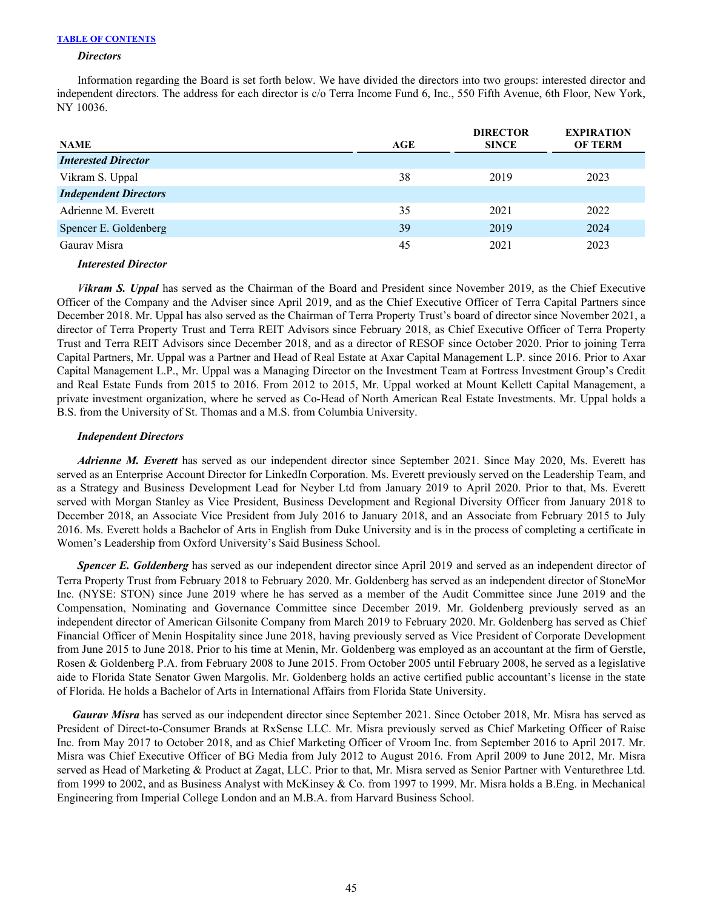#### *Directors*

Information regarding the Board is set forth below. We have divided the directors into two groups: interested director and independent directors. The address for each director is c/o Terra Income Fund 6, Inc., 550 Fifth Avenue, 6th Floor, New York, NY 10036.

|                              |     | <b>DIRECTOR</b> | <b>EXPIRATION</b> |
|------------------------------|-----|-----------------|-------------------|
| <b>NAME</b>                  | AGE | <b>SINCE</b>    | <b>OF TERM</b>    |
| <b>Interested Director</b>   |     |                 |                   |
| Vikram S. Uppal              | 38  | 2019            | 2023              |
| <b>Independent Directors</b> |     |                 |                   |
| Adrienne M. Everett          | 35  | 2021            | 2022              |
| Spencer E. Goldenberg        | 39  | 2019            | 2024              |
| Gauray Misra                 | 45  | 2021            | 2023              |

*Interested Director*

*Vikram S. Uppal* has served as the Chairman of the Board and President since November 2019, as the Chief Executive Officer of the Company and the Adviser since April 2019, and as the Chief Executive Officer of Terra Capital Partners since December 2018. Mr. Uppal has also served as the Chairman of Terra Property Trust's board of director since November 2021, a director of Terra Property Trust and Terra REIT Advisors since February 2018, as Chief Executive Officer of Terra Property Trust and Terra REIT Advisors since December 2018, and as a director of RESOF since October 2020. Prior to joining Terra Capital Partners, Mr. Uppal was a Partner and Head of Real Estate at Axar Capital Management L.P. since 2016. Prior to Axar Capital Management L.P., Mr. Uppal was a Managing Director on the Investment Team at Fortress Investment Group's Credit and Real Estate Funds from 2015 to 2016. From 2012 to 2015, Mr. Uppal worked at Mount Kellett Capital Management, a private investment organization, where he served as Co-Head of North American Real Estate Investments. Mr. Uppal holds a B.S. from the University of St. Thomas and a M.S. from Columbia University.

## *Independent Directors*

*Adrienne M. Everett* has served as our independent director since September 2021. Since May 2020, Ms. Everett has served as an Enterprise Account Director for LinkedIn Corporation. Ms. Everett previously served on the Leadership Team, and as a Strategy and Business Development Lead for Neyber Ltd from January 2019 to April 2020. Prior to that, Ms. Everett served with Morgan Stanley as Vice President, Business Development and Regional Diversity Officer from January 2018 to December 2018, an Associate Vice President from July 2016 to January 2018, and an Associate from February 2015 to July 2016. Ms. Everett holds a Bachelor of Arts in English from Duke University and is in the process of completing a certificate in Women's Leadership from Oxford University's Said Business School.

*Spencer E. Goldenberg* has served as our independent director since April 2019 and served as an independent director of Terra Property Trust from February 2018 to February 2020. Mr. Goldenberg has served as an independent director of StoneMor Inc. (NYSE: STON) since June 2019 where he has served as a member of the Audit Committee since June 2019 and the Compensation, Nominating and Governance Committee since December 2019. Mr. Goldenberg previously served as an independent director of American Gilsonite Company from March 2019 to February 2020. Mr. Goldenberg has served as Chief Financial Officer of Menin Hospitality since June 2018, having previously served as Vice President of Corporate Development from June 2015 to June 2018. Prior to his time at Menin, Mr. Goldenberg was employed as an accountant at the firm of Gerstle, Rosen & Goldenberg P.A. from February 2008 to June 2015. From October 2005 until February 2008, he served as a legislative aide to Florida State Senator Gwen Margolis. Mr. Goldenberg holds an active certified public accountant's license in the state of Florida. He holds a Bachelor of Arts in International Affairs from Florida State University.

*Gaurav Misra* has served as our independent director since September 2021. Since October 2018, Mr. Misra has served as President of Direct-to-Consumer Brands at RxSense LLC. Mr. Misra previously served as Chief Marketing Officer of Raise Inc. from May 2017 to October 2018, and as Chief Marketing Officer of Vroom Inc. from September 2016 to April 2017. Mr. Misra was Chief Executive Officer of BG Media from July 2012 to August 2016. From April 2009 to June 2012, Mr. Misra served as Head of Marketing & Product at Zagat, LLC. Prior to that, Mr. Misra served as Senior Partner with Venturethree Ltd. from 1999 to 2002, and as Business Analyst with McKinsey & Co. from 1997 to 1999. Mr. Misra holds a B.Eng. in Mechanical Engineering from Imperial College London and an M.B.A. from Harvard Business School.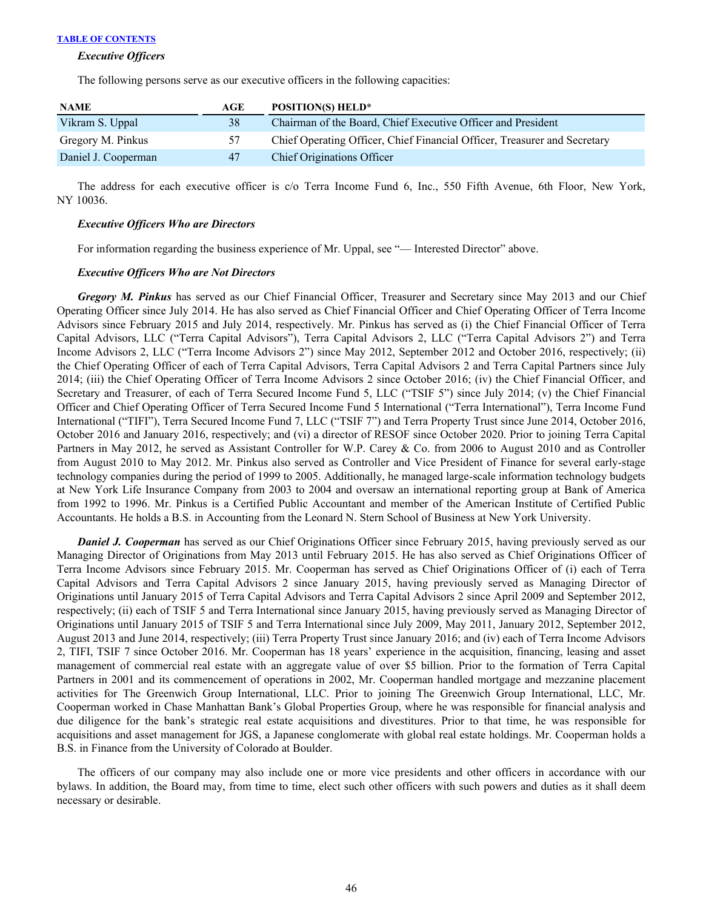## *Executive Officers*

The following persons serve as our executive officers in the following capacities:

| <b>NAME</b>         | AGE | <b>POSITION(S) HELD*</b>                                                  |
|---------------------|-----|---------------------------------------------------------------------------|
| Vikram S. Uppal     | 38  | Chairman of the Board, Chief Executive Officer and President              |
| Gregory M. Pinkus   | 57  | Chief Operating Officer, Chief Financial Officer, Treasurer and Secretary |
| Daniel J. Cooperman | 47  | <b>Chief Originations Officer</b>                                         |

The address for each executive officer is c/o Terra Income Fund 6, Inc., 550 Fifth Avenue, 6th Floor, New York, NY 10036.

## *Executive Officers Who are Directors*

For information regarding the business experience of Mr. Uppal, see "— Interested Director" above.

## *Executive Officers Who are Not Directors*

*Gregory M. Pinkus* has served as our Chief Financial Officer, Treasurer and Secretary since May 2013 and our Chief Operating Officer since July 2014. He has also served as Chief Financial Officer and Chief Operating Officer of Terra Income Advisors since February 2015 and July 2014, respectively. Mr. Pinkus has served as (i) the Chief Financial Officer of Terra Capital Advisors, LLC ("Terra Capital Advisors"), Terra Capital Advisors 2, LLC ("Terra Capital Advisors 2") and Terra Income Advisors 2, LLC ("Terra Income Advisors 2") since May 2012, September 2012 and October 2016, respectively; (ii) the Chief Operating Officer of each of Terra Capital Advisors, Terra Capital Advisors 2 and Terra Capital Partners since July 2014; (iii) the Chief Operating Officer of Terra Income Advisors 2 since October 2016; (iv) the Chief Financial Officer, and Secretary and Treasurer, of each of Terra Secured Income Fund 5, LLC ("TSIF 5") since July 2014; (v) the Chief Financial Officer and Chief Operating Officer of Terra Secured Income Fund 5 International ("Terra International"), Terra Income Fund International ("TIFI"), Terra Secured Income Fund 7, LLC ("TSIF 7") and Terra Property Trust since June 2014, October 2016, October 2016 and January 2016, respectively; and (vi) a director of RESOF since October 2020. Prior to joining Terra Capital Partners in May 2012, he served as Assistant Controller for W.P. Carey & Co. from 2006 to August 2010 and as Controller from August 2010 to May 2012. Mr. Pinkus also served as Controller and Vice President of Finance for several early‑stage technology companies during the period of 1999 to 2005. Additionally, he managed large‑scale information technology budgets at New York Life Insurance Company from 2003 to 2004 and oversaw an international reporting group at Bank of America from 1992 to 1996. Mr. Pinkus is a Certified Public Accountant and member of the American Institute of Certified Public Accountants. He holds a B.S. in Accounting from the Leonard N. Stern School of Business at New York University.

**Daniel J. Cooperman** has served as our Chief Originations Officer since February 2015, having previously served as our Managing Director of Originations from May 2013 until February 2015. He has also served as Chief Originations Officer of Terra Income Advisors since February 2015. Mr. Cooperman has served as Chief Originations Officer of (i) each of Terra Capital Advisors and Terra Capital Advisors 2 since January 2015, having previously served as Managing Director of Originations until January 2015 of Terra Capital Advisors and Terra Capital Advisors 2 since April 2009 and September 2012, respectively; (ii) each of TSIF 5 and Terra International since January 2015, having previously served as Managing Director of Originations until January 2015 of TSIF 5 and Terra International since July 2009, May 2011, January 2012, September 2012, August 2013 and June 2014, respectively; (iii) Terra Property Trust since January 2016; and (iv) each of Terra Income Advisors 2, TIFI, TSIF 7 since October 2016. Mr. Cooperman has 18 years' experience in the acquisition, financing, leasing and asset management of commercial real estate with an aggregate value of over \$5 billion. Prior to the formation of Terra Capital Partners in 2001 and its commencement of operations in 2002, Mr. Cooperman handled mortgage and mezzanine placement activities for The Greenwich Group International, LLC. Prior to joining The Greenwich Group International, LLC, Mr. Cooperman worked in Chase Manhattan Bank's Global Properties Group, where he was responsible for financial analysis and due diligence for the bank's strategic real estate acquisitions and divestitures. Prior to that time, he was responsible for acquisitions and asset management for JGS, a Japanese conglomerate with global real estate holdings. Mr. Cooperman holds a B.S. in Finance from the University of Colorado at Boulder.

The officers of our company may also include one or more vice presidents and other officers in accordance with our bylaws. In addition, the Board may, from time to time, elect such other officers with such powers and duties as it shall deem necessary or desirable.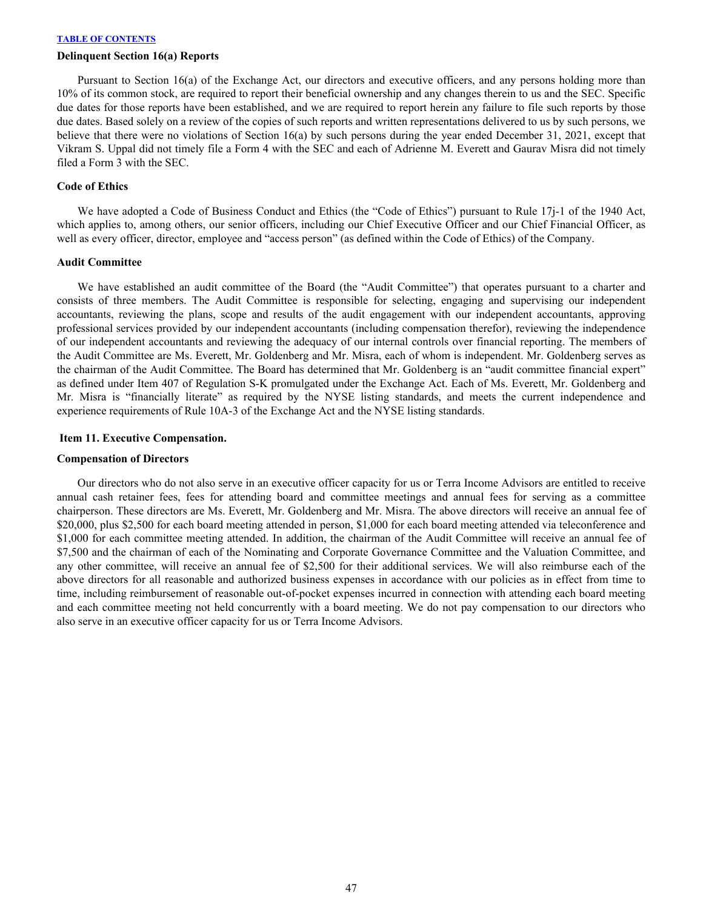### **Delinquent Section 16(a) Reports**

Pursuant to Section 16(a) of the Exchange Act, our directors and executive officers, and any persons holding more than 10% of its common stock, are required to report their beneficial ownership and any changes therein to us and the SEC. Specific due dates for those reports have been established, and we are required to report herein any failure to file such reports by those due dates. Based solely on a review of the copies of such reports and written representations delivered to us by such persons, we believe that there were no violations of Section 16(a) by such persons during the year ended December 31, 2021, except that Vikram S. Uppal did not timely file a Form 4 with the SEC and each of Adrienne M. Everett and Gaurav Misra did not timely filed a Form 3 with the SEC.

## **Code of Ethics**

We have adopted a Code of Business Conduct and Ethics (the "Code of Ethics") pursuant to Rule 17 $i$ –1 of the 1940 Act, which applies to, among others, our senior officers, including our Chief Executive Officer and our Chief Financial Officer, as well as every officer, director, employee and "access person" (as defined within the Code of Ethics) of the Company.

#### **Audit Committee**

We have established an audit committee of the Board (the "Audit Committee") that operates pursuant to a charter and consists of three members. The Audit Committee is responsible for selecting, engaging and supervising our independent accountants, reviewing the plans, scope and results of the audit engagement with our independent accountants, approving professional services provided by our independent accountants (including compensation therefor), reviewing the independence of our independent accountants and reviewing the adequacy of our internal controls over financial reporting. The members of the Audit Committee are Ms. Everett, Mr. Goldenberg and Mr. Misra, each of whom is independent. Mr. Goldenberg serves as the chairman of the Audit Committee. The Board has determined that Mr. Goldenberg is an "audit committee financial expert" as defined under Item 407 of Regulation S-K promulgated under the Exchange Act. Each of Ms. Everett, Mr. Goldenberg and Mr. Misra is "financially literate" as required by the NYSE listing standards, and meets the current independence and experience requirements of Rule 10A-3 of the Exchange Act and the NYSE listing standards.

#### **Item 11. Executive Compensation.**

#### **Compensation of Directors**

Our directors who do not also serve in an executive officer capacity for us or Terra Income Advisors are entitled to receive annual cash retainer fees, fees for attending board and committee meetings and annual fees for serving as a committee chairperson. These directors are Ms. Everett, Mr. Goldenberg and Mr. Misra. The above directors will receive an annual fee of \$20,000, plus \$2,500 for each board meeting attended in person, \$1,000 for each board meeting attended via teleconference and \$1,000 for each committee meeting attended. In addition, the chairman of the Audit Committee will receive an annual fee of \$7,500 and the chairman of each of the Nominating and Corporate Governance Committee and the Valuation Committee, and any other committee, will receive an annual fee of \$2,500 for their additional services. We will also reimburse each of the above directors for all reasonable and authorized business expenses in accordance with our policies as in effect from time to time, including reimbursement of reasonable out-of-pocket expenses incurred in connection with attending each board meeting and each committee meeting not held concurrently with a board meeting. We do not pay compensation to our directors who also serve in an executive officer capacity for us or Terra Income Advisors.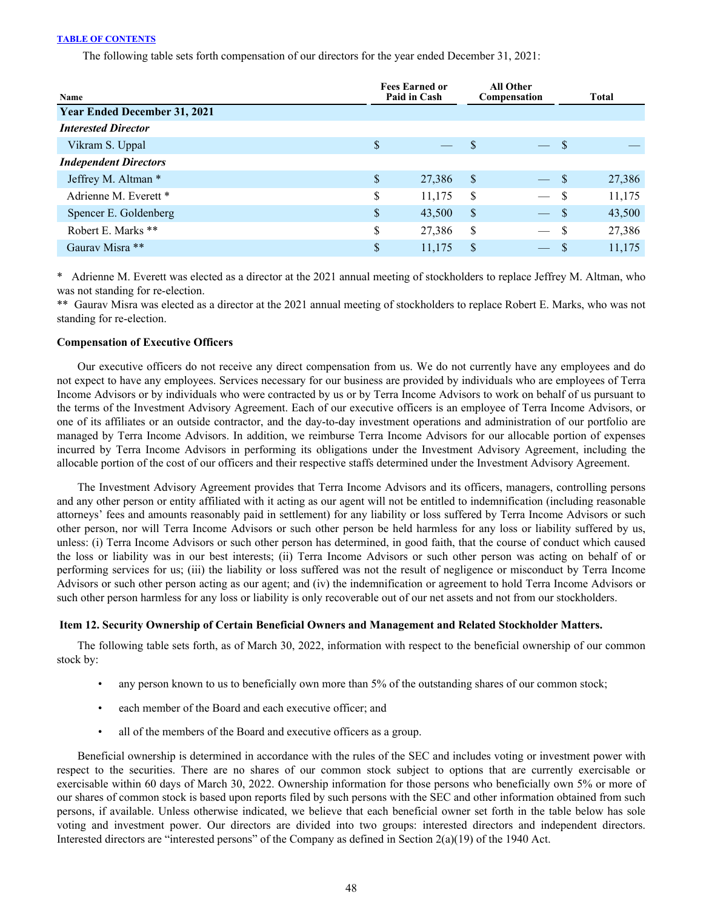The following table sets forth compensation of our directors for the year ended December 31, 2021:

| Name                                | <b>Fees Earned or</b><br>Paid in Cash |        | <b>All Other</b><br>Compensation |                          |               | Total  |
|-------------------------------------|---------------------------------------|--------|----------------------------------|--------------------------|---------------|--------|
| <b>Year Ended December 31, 2021</b> |                                       |        |                                  |                          |               |        |
| <b>Interested Director</b>          |                                       |        |                                  |                          |               |        |
| Vikram S. Uppal                     | \$                                    |        | -S                               |                          | -S            |        |
| <b>Independent Directors</b>        |                                       |        |                                  |                          |               |        |
| Jeffrey M. Altman *                 | \$                                    | 27,386 | -S                               | $-$ \$                   |               | 27,386 |
| Adrienne M. Everett *               | S                                     | 11,175 | -S                               |                          | - \$          | 11,175 |
| Spencer E. Goldenberg               | \$                                    | 43,500 | S                                | $\overline{\phantom{a}}$ | -S            | 43,500 |
| Robert E. Marks **                  | S                                     | 27,386 | S                                | $\overline{\phantom{a}}$ | - \$          | 27,386 |
| Gauray Misra **                     | \$                                    | 11,175 | <sup>S</sup>                     |                          | <sup>\$</sup> | 11,175 |

\* Adrienne M. Everett was elected as a director at the 2021 annual meeting of stockholders to replace Jeffrey M. Altman, who was not standing for re-election.

\*\* Gaurav Misra was elected as a director at the 2021 annual meeting of stockholders to replace Robert E. Marks, who was not standing for re-election.

## **Compensation of Executive Officers**

Our executive officers do not receive any direct compensation from us. We do not currently have any employees and do not expect to have any employees. Services necessary for our business are provided by individuals who are employees of Terra Income Advisors or by individuals who were contracted by us or by Terra Income Advisors to work on behalf of us pursuant to the terms of the Investment Advisory Agreement. Each of our executive officers is an employee of Terra Income Advisors, or one of its affiliates or an outside contractor, and the day-to-day investment operations and administration of our portfolio are managed by Terra Income Advisors. In addition, we reimburse Terra Income Advisors for our allocable portion of expenses incurred by Terra Income Advisors in performing its obligations under the Investment Advisory Agreement, including the allocable portion of the cost of our officers and their respective staffs determined under the Investment Advisory Agreement.

The Investment Advisory Agreement provides that Terra Income Advisors and its officers, managers, controlling persons and any other person or entity affiliated with it acting as our agent will not be entitled to indemnification (including reasonable attorneys' fees and amounts reasonably paid in settlement) for any liability or loss suffered by Terra Income Advisors or such other person, nor will Terra Income Advisors or such other person be held harmless for any loss or liability suffered by us, unless: (i) Terra Income Advisors or such other person has determined, in good faith, that the course of conduct which caused the loss or liability was in our best interests; (ii) Terra Income Advisors or such other person was acting on behalf of or performing services for us; (iii) the liability or loss suffered was not the result of negligence or misconduct by Terra Income Advisors or such other person acting as our agent; and (iv) the indemnification or agreement to hold Terra Income Advisors or such other person harmless for any loss or liability is only recoverable out of our net assets and not from our stockholders.

## **Item 12. Security Ownership of Certain Beneficial Owners and Management and Related Stockholder Matters.**

The following table sets forth, as of March 30, 2022, information with respect to the beneficial ownership of our common stock by:

- any person known to us to beneficially own more than 5% of the outstanding shares of our common stock;
- each member of the Board and each executive officer; and
- all of the members of the Board and executive officers as a group.

Beneficial ownership is determined in accordance with the rules of the SEC and includes voting or investment power with respect to the securities. There are no shares of our common stock subject to options that are currently exercisable or exercisable within 60 days of March 30, 2022. Ownership information for those persons who beneficially own 5% or more of our shares of common stock is based upon reports filed by such persons with the SEC and other information obtained from such persons, if available. Unless otherwise indicated, we believe that each beneficial owner set forth in the table below has sole voting and investment power. Our directors are divided into two groups: interested directors and independent directors. Interested directors are "interested persons" of the Company as defined in Section 2(a)(19) of the 1940 Act.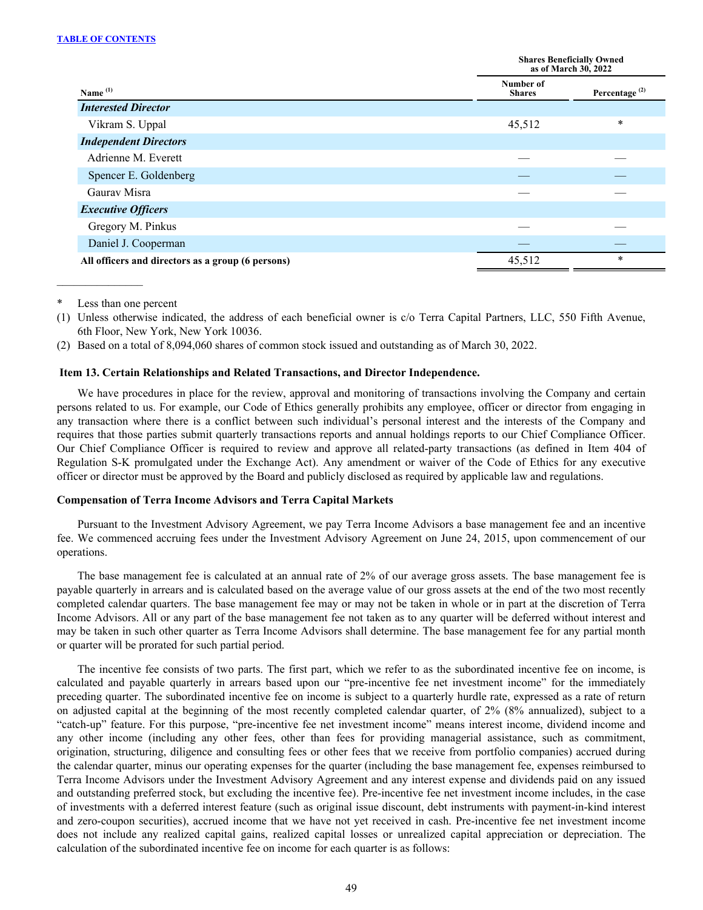|                                                   |                            | <b>Shares Beneficially Owned</b><br>as of March 30, 2022 |
|---------------------------------------------------|----------------------------|----------------------------------------------------------|
| Name $(1)$                                        | Number of<br><b>Shares</b> | Percentage <sup>(2)</sup>                                |
| <b>Interested Director</b>                        |                            |                                                          |
| Vikram S. Uppal                                   | 45,512                     | $\ast$                                                   |
| <b>Independent Directors</b>                      |                            |                                                          |
| Adrienne M. Everett                               |                            |                                                          |
| Spencer E. Goldenberg                             |                            |                                                          |
| Gaurav Misra                                      |                            |                                                          |
| <b>Executive Officers</b>                         |                            |                                                          |
| Gregory M. Pinkus                                 |                            |                                                          |
| Daniel J. Cooperman                               |                            |                                                          |
| All officers and directors as a group (6 persons) | 45,512                     | $\ast$                                                   |

Less than one percent

 $\mathcal{L}_\text{max}$  , where  $\mathcal{L}_\text{max}$ 

- (1) Unless otherwise indicated, the address of each beneficial owner is c/o Terra Capital Partners, LLC, 550 Fifth Avenue, 6th Floor, New York, New York 10036.
- (2) Based on a total of 8,094,060 shares of common stock issued and outstanding as of March 30, 2022.

## **Item 13. Certain Relationships and Related Transactions, and Director Independence.**

We have procedures in place for the review, approval and monitoring of transactions involving the Company and certain persons related to us. For example, our Code of Ethics generally prohibits any employee, officer or director from engaging in any transaction where there is a conflict between such individual's personal interest and the interests of the Company and requires that those parties submit quarterly transactions reports and annual holdings reports to our Chief Compliance Officer. Our Chief Compliance Officer is required to review and approve all related-party transactions (as defined in Item 404 of Regulation S-K promulgated under the Exchange Act). Any amendment or waiver of the Code of Ethics for any executive officer or director must be approved by the Board and publicly disclosed as required by applicable law and regulations.

## **Compensation of Terra Income Advisors and Terra Capital Markets**

Pursuant to the Investment Advisory Agreement, we pay Terra Income Advisors a base management fee and an incentive fee. We commenced accruing fees under the Investment Advisory Agreement on June 24, 2015, upon commencement of our operations.

The base management fee is calculated at an annual rate of 2% of our average gross assets. The base management fee is payable quarterly in arrears and is calculated based on the average value of our gross assets at the end of the two most recently completed calendar quarters. The base management fee may or may not be taken in whole or in part at the discretion of Terra Income Advisors. All or any part of the base management fee not taken as to any quarter will be deferred without interest and may be taken in such other quarter as Terra Income Advisors shall determine. The base management fee for any partial month or quarter will be prorated for such partial period.

The incentive fee consists of two parts. The first part, which we refer to as the subordinated incentive fee on income, is calculated and payable quarterly in arrears based upon our "pre-incentive fee net investment income" for the immediately preceding quarter. The subordinated incentive fee on income is subject to a quarterly hurdle rate, expressed as a rate of return on adjusted capital at the beginning of the most recently completed calendar quarter, of 2% (8% annualized), subject to a "catch-up" feature. For this purpose, "pre-incentive fee net investment income" means interest income, dividend income and any other income (including any other fees, other than fees for providing managerial assistance, such as commitment, origination, structuring, diligence and consulting fees or other fees that we receive from portfolio companies) accrued during the calendar quarter, minus our operating expenses for the quarter (including the base management fee, expenses reimbursed to Terra Income Advisors under the Investment Advisory Agreement and any interest expense and dividends paid on any issued and outstanding preferred stock, but excluding the incentive fee). Pre-incentive fee net investment income includes, in the case of investments with a deferred interest feature (such as original issue discount, debt instruments with payment-in-kind interest and zero-coupon securities), accrued income that we have not yet received in cash. Pre-incentive fee net investment income does not include any realized capital gains, realized capital losses or unrealized capital appreciation or depreciation. The calculation of the subordinated incentive fee on income for each quarter is as follows: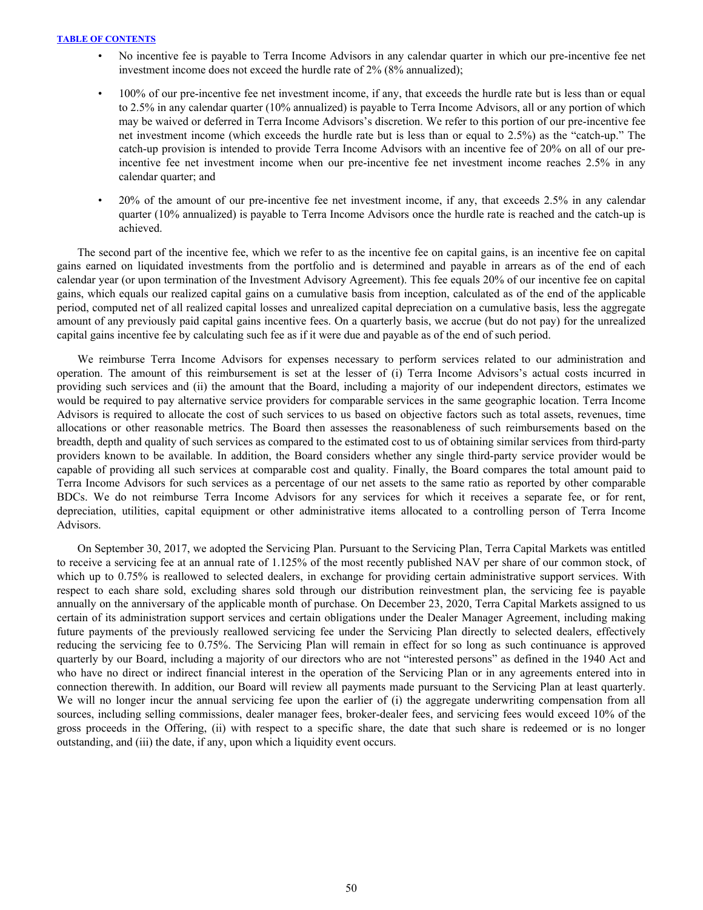- No incentive fee is payable to Terra Income Advisors in any calendar quarter in which our pre-incentive fee net investment income does not exceed the hurdle rate of 2% (8% annualized);
- 100% of our pre-incentive fee net investment income, if any, that exceeds the hurdle rate but is less than or equal to 2.5% in any calendar quarter (10% annualized) is payable to Terra Income Advisors, all or any portion of which may be waived or deferred in Terra Income Advisors's discretion. We refer to this portion of our pre-incentive fee net investment income (which exceeds the hurdle rate but is less than or equal to 2.5%) as the "catch-up." The catch-up provision is intended to provide Terra Income Advisors with an incentive fee of 20% on all of our preincentive fee net investment income when our pre-incentive fee net investment income reaches 2.5% in any calendar quarter; and
- 20% of the amount of our pre-incentive fee net investment income, if any, that exceeds 2.5% in any calendar quarter (10% annualized) is payable to Terra Income Advisors once the hurdle rate is reached and the catch-up is achieved.

The second part of the incentive fee, which we refer to as the incentive fee on capital gains, is an incentive fee on capital gains earned on liquidated investments from the portfolio and is determined and payable in arrears as of the end of each calendar year (or upon termination of the Investment Advisory Agreement). This fee equals 20% of our incentive fee on capital gains, which equals our realized capital gains on a cumulative basis from inception, calculated as of the end of the applicable period, computed net of all realized capital losses and unrealized capital depreciation on a cumulative basis, less the aggregate amount of any previously paid capital gains incentive fees. On a quarterly basis, we accrue (but do not pay) for the unrealized capital gains incentive fee by calculating such fee as if it were due and payable as of the end of such period.

We reimburse Terra Income Advisors for expenses necessary to perform services related to our administration and operation. The amount of this reimbursement is set at the lesser of (i) Terra Income Advisors's actual costs incurred in providing such services and (ii) the amount that the Board, including a majority of our independent directors, estimates we would be required to pay alternative service providers for comparable services in the same geographic location. Terra Income Advisors is required to allocate the cost of such services to us based on objective factors such as total assets, revenues, time allocations or other reasonable metrics. The Board then assesses the reasonableness of such reimbursements based on the breadth, depth and quality of such services as compared to the estimated cost to us of obtaining similar services from third-party providers known to be available. In addition, the Board considers whether any single third-party service provider would be capable of providing all such services at comparable cost and quality. Finally, the Board compares the total amount paid to Terra Income Advisors for such services as a percentage of our net assets to the same ratio as reported by other comparable BDCs. We do not reimburse Terra Income Advisors for any services for which it receives a separate fee, or for rent, depreciation, utilities, capital equipment or other administrative items allocated to a controlling person of Terra Income Advisors.

On September 30, 2017, we adopted the Servicing Plan. Pursuant to the Servicing Plan, Terra Capital Markets was entitled to receive a servicing fee at an annual rate of 1.125% of the most recently published NAV per share of our common stock, of which up to 0.75% is reallowed to selected dealers, in exchange for providing certain administrative support services. With respect to each share sold, excluding shares sold through our distribution reinvestment plan, the servicing fee is payable annually on the anniversary of the applicable month of purchase. On December 23, 2020, Terra Capital Markets assigned to us certain of its administration support services and certain obligations under the Dealer Manager Agreement, including making future payments of the previously reallowed servicing fee under the Servicing Plan directly to selected dealers, effectively reducing the servicing fee to 0.75%. The Servicing Plan will remain in effect for so long as such continuance is approved quarterly by our Board, including a majority of our directors who are not "interested persons" as defined in the 1940 Act and who have no direct or indirect financial interest in the operation of the Servicing Plan or in any agreements entered into in connection therewith. In addition, our Board will review all payments made pursuant to the Servicing Plan at least quarterly. We will no longer incur the annual servicing fee upon the earlier of (i) the aggregate underwriting compensation from all sources, including selling commissions, dealer manager fees, broker-dealer fees, and servicing fees would exceed 10% of the gross proceeds in the Offering, (ii) with respect to a specific share, the date that such share is redeemed or is no longer outstanding, and (iii) the date, if any, upon which a liquidity event occurs.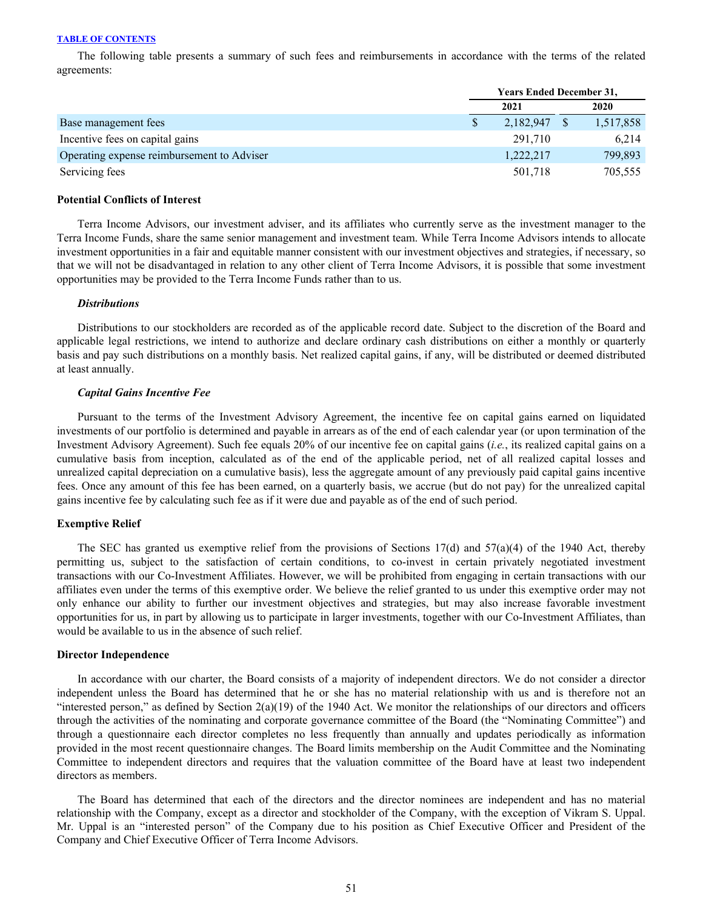The following table presents a summary of such fees and reimbursements in accordance with the terms of the related agreements:

|                                            | <b>Years Ended December 31,</b> |           |
|--------------------------------------------|---------------------------------|-----------|
|                                            | 2021                            | 2020      |
| Base management fees                       | 2,182,947                       | 1,517,858 |
| Incentive fees on capital gains            | 291.710                         | 6.214     |
| Operating expense reimbursement to Adviser | 1,222,217                       | 799,893   |
| Servicing fees                             | 501,718                         | 705,555   |

#### **Potential Conflicts of Interest**

Terra Income Advisors, our investment adviser, and its affiliates who currently serve as the investment manager to the Terra Income Funds, share the same senior management and investment team. While Terra Income Advisors intends to allocate investment opportunities in a fair and equitable manner consistent with our investment objectives and strategies, if necessary, so that we will not be disadvantaged in relation to any other client of Terra Income Advisors, it is possible that some investment opportunities may be provided to the Terra Income Funds rather than to us.

#### *Distributions*

Distributions to our stockholders are recorded as of the applicable record date. Subject to the discretion of the Board and applicable legal restrictions, we intend to authorize and declare ordinary cash distributions on either a monthly or quarterly basis and pay such distributions on a monthly basis. Net realized capital gains, if any, will be distributed or deemed distributed at least annually.

## *Capital Gains Incentive Fee*

Pursuant to the terms of the Investment Advisory Agreement, the incentive fee on capital gains earned on liquidated investments of our portfolio is determined and payable in arrears as of the end of each calendar year (or upon termination of the Investment Advisory Agreement). Such fee equals 20% of our incentive fee on capital gains (*i.e.*, its realized capital gains on a cumulative basis from inception, calculated as of the end of the applicable period, net of all realized capital losses and unrealized capital depreciation on a cumulative basis), less the aggregate amount of any previously paid capital gains incentive fees. Once any amount of this fee has been earned, on a quarterly basis, we accrue (but do not pay) for the unrealized capital gains incentive fee by calculating such fee as if it were due and payable as of the end of such period.

### **Exemptive Relief**

The SEC has granted us exemptive relief from the provisions of Sections  $17(d)$  and  $57(a)(4)$  of the 1940 Act, thereby permitting us, subject to the satisfaction of certain conditions, to co-invest in certain privately negotiated investment transactions with our Co-Investment Affiliates. However, we will be prohibited from engaging in certain transactions with our affiliates even under the terms of this exemptive order. We believe the relief granted to us under this exemptive order may not only enhance our ability to further our investment objectives and strategies, but may also increase favorable investment opportunities for us, in part by allowing us to participate in larger investments, together with our Co-Investment Affiliates, than would be available to us in the absence of such relief.

#### **Director Independence**

In accordance with our charter, the Board consists of a majority of independent directors. We do not consider a director independent unless the Board has determined that he or she has no material relationship with us and is therefore not an "interested person," as defined by Section  $2(a)(19)$  of the 1940 Act. We monitor the relationships of our directors and officers through the activities of the nominating and corporate governance committee of the Board (the "Nominating Committee") and through a questionnaire each director completes no less frequently than annually and updates periodically as information provided in the most recent questionnaire changes. The Board limits membership on the Audit Committee and the Nominating Committee to independent directors and requires that the valuation committee of the Board have at least two independent directors as members.

The Board has determined that each of the directors and the director nominees are independent and has no material relationship with the Company, except as a director and stockholder of the Company, with the exception of Vikram S. Uppal. Mr. Uppal is an "interested person" of the Company due to his position as Chief Executive Officer and President of the Company and Chief Executive Officer of Terra Income Advisors.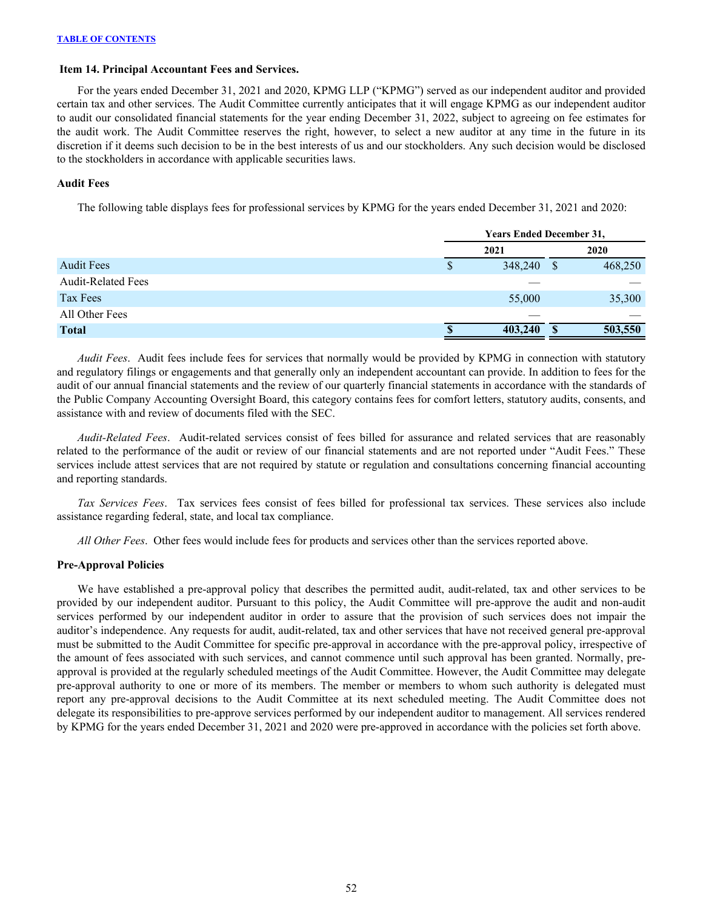## **Item 14. Principal Accountant Fees and Services.**

For the years ended December 31, 2021 and 2020, KPMG LLP ("KPMG") served as our independent auditor and provided certain tax and other services. The Audit Committee currently anticipates that it will engage KPMG as our independent auditor to audit our consolidated financial statements for the year ending December 31, 2022, subject to agreeing on fee estimates for the audit work. The Audit Committee reserves the right, however, to select a new auditor at any time in the future in its discretion if it deems such decision to be in the best interests of us and our stockholders. Any such decision would be disclosed to the stockholders in accordance with applicable securities laws.

## **Audit Fees**

The following table displays fees for professional services by KPMG for the years ended December 31, 2021 and 2020:

|                           |      | <b>Years Ended December 31,</b> |              |         |  |  |
|---------------------------|------|---------------------------------|--------------|---------|--|--|
|                           | 2021 |                                 |              | 2020    |  |  |
| <b>Audit Fees</b>         | S    | 348,240                         | <sup>S</sup> | 468,250 |  |  |
| <b>Audit-Related Fees</b> |      |                                 |              |         |  |  |
| Tax Fees                  |      | 55,000                          |              | 35,300  |  |  |
| All Other Fees            |      |                                 |              |         |  |  |
| <b>Total</b>              | æ    | 403,240                         |              | 503,550 |  |  |

*Audit Fees*. Audit fees include fees for services that normally would be provided by KPMG in connection with statutory and regulatory filings or engagements and that generally only an independent accountant can provide. In addition to fees for the audit of our annual financial statements and the review of our quarterly financial statements in accordance with the standards of the Public Company Accounting Oversight Board, this category contains fees for comfort letters, statutory audits, consents, and assistance with and review of documents filed with the SEC.

*Audit-Related Fees*. Audit-related services consist of fees billed for assurance and related services that are reasonably related to the performance of the audit or review of our financial statements and are not reported under "Audit Fees." These services include attest services that are not required by statute or regulation and consultations concerning financial accounting and reporting standards.

*Tax Services Fees*. Tax services fees consist of fees billed for professional tax services. These services also include assistance regarding federal, state, and local tax compliance.

*All Other Fees*. Other fees would include fees for products and services other than the services reported above.

### **Pre-Approval Policies**

We have established a pre-approval policy that describes the permitted audit, audit-related, tax and other services to be provided by our independent auditor. Pursuant to this policy, the Audit Committee will pre-approve the audit and non-audit services performed by our independent auditor in order to assure that the provision of such services does not impair the auditor's independence. Any requests for audit, audit-related, tax and other services that have not received general pre-approval must be submitted to the Audit Committee for specific pre-approval in accordance with the pre-approval policy, irrespective of the amount of fees associated with such services, and cannot commence until such approval has been granted. Normally, preapproval is provided at the regularly scheduled meetings of the Audit Committee. However, the Audit Committee may delegate pre-approval authority to one or more of its members. The member or members to whom such authority is delegated must report any pre-approval decisions to the Audit Committee at its next scheduled meeting. The Audit Committee does not delegate its responsibilities to pre-approve services performed by our independent auditor to management. All services rendered by KPMG for the years ended December 31, 2021 and 2020 were pre-approved in accordance with the policies set forth above.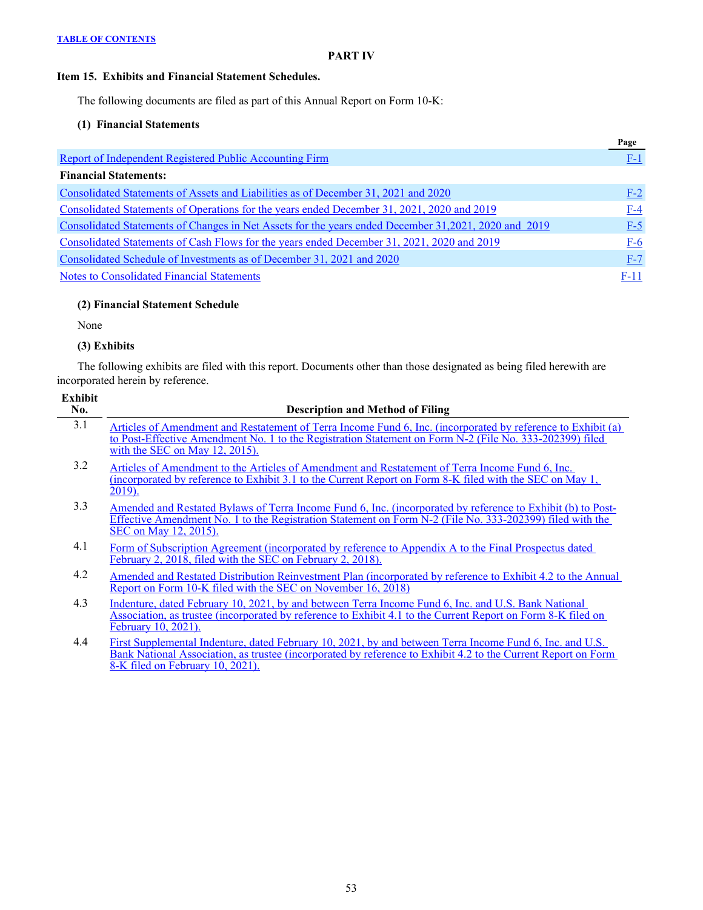# **PART IV**

# **Item 15. Exhibits and Financial Statement Schedules.**

The following documents are filed as part of this Annual Report on Form 10-K:

# **(1) Financial Statements**

|                                                                                                      | Page   |
|------------------------------------------------------------------------------------------------------|--------|
| Report of Independent Registered Public Accounting Firm                                              | $F-1$  |
| <b>Financial Statements:</b>                                                                         |        |
| Consolidated Statements of Assets and Liabilities as of December 31, 2021 and 2020                   | $F-2$  |
| Consolidated Statements of Operations for the years ended December 31, 2021, 2020 and 2019           | $F-4$  |
| Consolidated Statements of Changes in Net Assets for the years ended December 31,2021, 2020 and 2019 | $F-5$  |
| Consolidated Statements of Cash Flows for the years ended December 31, 2021, 2020 and 2019           | $F-6$  |
| Consolidated Schedule of Investments as of December 31, 2021 and 2020                                | $F-7$  |
| <b>Notes to Consolidated Financial Statements</b>                                                    | $F-11$ |

# **(2) Financial Statement Schedule**

[8-K filed on February 10, 2021\).](http://www.sec.gov/Archives/edgar/data/1577134/000110465921019542/tm216056d1_ex4-2.htm)

None

L,

# **(3) Exhibits**

The following exhibits are filed with this report. Documents other than those designated as being filed herewith are incorporated herein by reference.

| <b>Exhibit</b><br>No. | <b>Description and Method of Filing</b>                                                                                                                                                                                                                   |
|-----------------------|-----------------------------------------------------------------------------------------------------------------------------------------------------------------------------------------------------------------------------------------------------------|
| 3.1                   | Articles of Amendment and Restatement of Terra Income Fund 6, Inc. (incorporated by reference to Exhibit (a)<br>to Post-Effective Amendment No. 1 to the Registration Statement on Form N-2 (File No. 333-202399) filed<br>with the SEC on May 12, 2015). |
| 3.2                   | Articles of Amendment to the Articles of Amendment and Restatement of Terra Income Fund 6. Inc.<br>(incorporated by reference to Exhibit 3.1 to the Current Report on Form 8-K filed with the SEC on May 1,<br><u>2019).</u>                              |
| 3.3                   | Amended and Restated Bylaws of Terra Income Fund 6, Inc. (incorporated by reference to Exhibit (b) to Post-<br>Effective Amendment No. 1 to the Registration Statement on Form N-2 (File No. 333-202399) filed with the<br>SEC on May 12, 2015).          |
| 4.1                   | Form of Subscription Agreement (incorporated by reference to Appendix A to the Final Prospectus dated<br>February 2, 2018, filed with the SEC on February 2, 2018).                                                                                       |
| 4.2                   | Amended and Restated Distribution Reinvestment Plan (incorporated by reference to Exhibit 4.2 to the Annual<br>Report on Form 10-K filed with the SEC on November 16, 2018)                                                                               |
| 4.3                   | Indenture, dated February 10, 2021, by and between Terra Income Fund 6, Inc. and U.S. Bank National<br>Association, as trustee (incorporated by reference to Exhibit 4.1 to the Current Report on Form 8-K filed on<br>February 10, 2021).                |
| 4.4                   | First Supplemental Indenture, dated February 10, 2021, by and between Terra Income Fund 6, Inc. and U.S.<br>Bank National Association, as trustee (incorporated by reference to Exhibit 4.2 to the Current Report on Form                                 |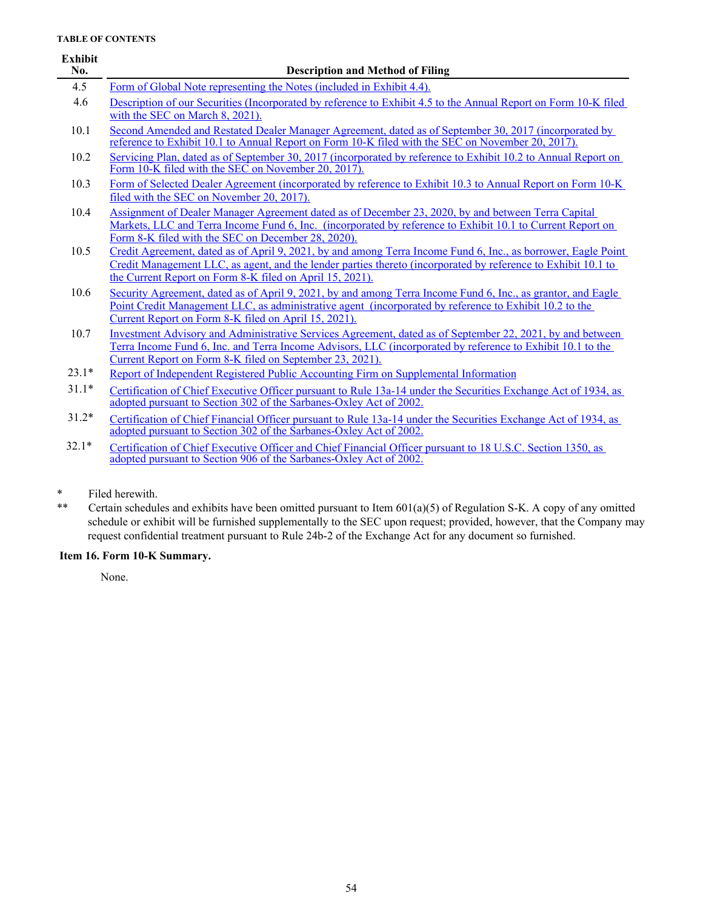| <b>Exhibit</b><br>No. | <b>Description and Method of Filing</b>                                                                                                                                                                                                                                                                                                          |
|-----------------------|--------------------------------------------------------------------------------------------------------------------------------------------------------------------------------------------------------------------------------------------------------------------------------------------------------------------------------------------------|
| 4.5                   | Form of Global Note representing the Notes (included in Exhibit 4.4).                                                                                                                                                                                                                                                                            |
| 4.6                   | Description of our Securities (Incorporated by reference to Exhibit 4.5 to the Annual Report on Form 10-K filed<br>with the SEC on March 8, 2021).                                                                                                                                                                                               |
| 10.1                  | Second Amended and Restated Dealer Manager Agreement, dated as of September 30, 2017 (incorporated by<br>reference to Exhibit 10.1 to Annual Report on Form 10-K filed with the SEC on November 20, 2017).                                                                                                                                       |
| 10.2                  | Servicing Plan, dated as of September 30, 2017 (incorporated by reference to Exhibit 10.2 to Annual Report on<br>Form 10-K filed with the SEC on November 20, 2017).                                                                                                                                                                             |
| 10.3                  | Form of Selected Dealer Agreement (incorporated by reference to Exhibit 10.3 to Annual Report on Form 10-K)<br>filed with the SEC on November 20, 2017).                                                                                                                                                                                         |
| 10.4                  | Assignment of Dealer Manager Agreement dated as of December 23, 2020, by and between Terra Capital<br>Markets, LLC and Terra Income Fund 6, Inc. (incorporated by reference to Exhibit 10.1 to Current Report on                                                                                                                                 |
| 10.5                  | Form 8-K filed with the SEC on December 28, 2020).<br>Credit Agreement, dated as of April 9, 2021, by and among Terra Income Fund 6, Inc., as borrower, Eagle Point<br>Credit Management LLC, as agent, and the lender parties thereto (incorporated by reference to Exhibit 10.1 to<br>the Current Report on Form 8-K filed on April 15, 2021). |
| 10.6                  | Security Agreement, dated as of April 9, 2021, by and among Terra Income Fund 6, Inc., as grantor, and Eagle<br>Point Credit Management LLC, as administrative agent (incorporated by reference to Exhibit 10.2 to the<br>Current Report on Form 8-K filed on April 15, 2021).                                                                   |
| 10.7                  | Investment Advisory and Administrative Services Agreement, dated as of September 22, 2021, by and between<br>Terra Income Fund 6, Inc. and Terra Income Advisors, LLC (incorporated by reference to Exhibit 10.1 to the<br>Current Report on Form 8-K filed on September 23, 2021).                                                              |
| $23.1*$               | Report of Independent Registered Public Accounting Firm on Supplemental Information                                                                                                                                                                                                                                                              |
| $31.1*$               | Certification of Chief Executive Officer pursuant to Rule 13a-14 under the Securities Exchange Act of 1934, as<br>adopted pursuant to Section 302 of the Sarbanes-Oxley Act of 2002.                                                                                                                                                             |
| $31.2*$               | Certification of Chief Financial Officer pursuant to Rule 13a-14 under the Securities Exchange Act of 1934, as<br>adopted pursuant to Section 302 of the Sarbanes-Oxley Act of 2002.                                                                                                                                                             |
| $321*$                | Cortification of Chief Executive Officer and Chief Einangial Officer purguent to 19 U.S.C. Section 1250, as                                                                                                                                                                                                                                      |

32.1\* Certification of Chief Executive Officer and Chief Financial Officer pursuant to 18 U.S.C. Section 1350, as [adopted pursuant to Section 906 of the Sarbanes-Oxley Act of 2002.](a123121exhibit32.htm)

# \* Filed herewith.

\*\* Certain schedules and exhibits have been omitted pursuant to Item 601(a)(5) of Regulation S-K. A copy of any omitted schedule or exhibit will be furnished supplementally to the SEC upon request; provided, however, that the Company may request confidential treatment pursuant to Rule 24b-2 of the Exchange Act for any document so furnished.

# **Item 16. Form 10-K Summary.**

None.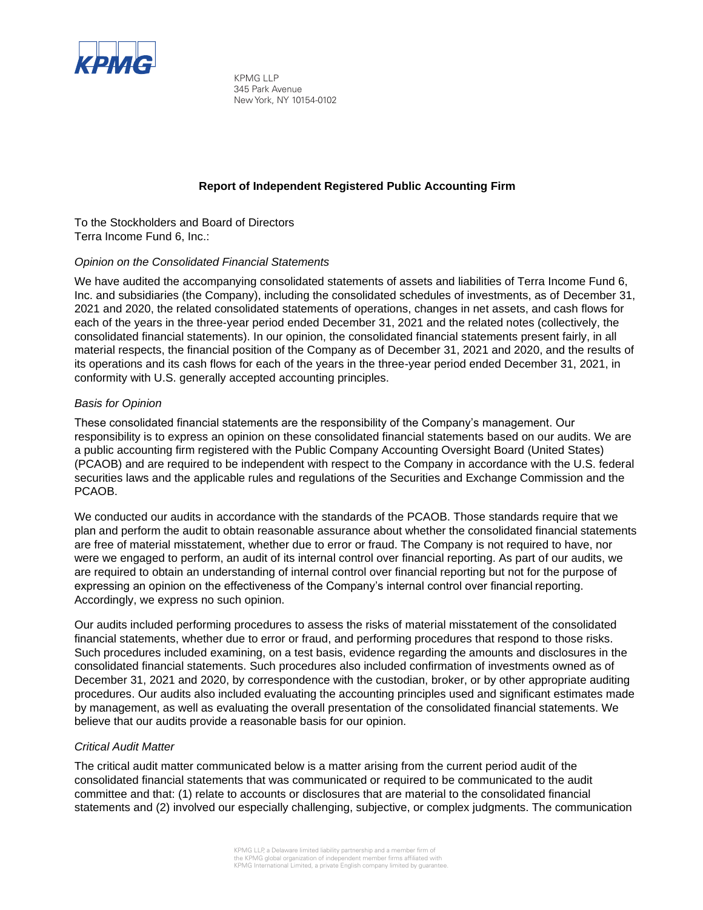

KPMG LLP 345 Park Avenue New York, NY 10154-0102

# **Report of Independent Registered Public Accounting Firm**

To the Stockholders and Board of Directors Terra Income Fund 6, Inc.:

# *Opinion on the Consolidated Financial Statements*

We have audited the accompanying consolidated statements of assets and liabilities of Terra Income Fund 6, Inc. and subsidiaries (the Company), including the consolidated schedules of investments, as of December 31, 2021 and 2020, the related consolidated statements of operations, changes in net assets, and cash flows for each of the years in the three-year period ended December 31, 2021 and the related notes (collectively, the consolidated financial statements). In our opinion, the consolidated financial statements present fairly, in all material respects, the financial position of the Company as of December 31, 2021 and 2020, and the results of its operations and its cash flows for each of the years in the three-year period ended December 31, 2021, in conformity with U.S. generally accepted accounting principles.

# *Basis for Opinion*

These consolidated financial statements are the responsibility of the Company's management. Our responsibility is to express an opinion on these consolidated financial statements based on our audits. We are a public accounting firm registered with the Public Company Accounting Oversight Board (United States) (PCAOB) and are required to be independent with respect to the Company in accordance with the U.S. federal securities laws and the applicable rules and regulations of the Securities and Exchange Commission and the PCAOB.

We conducted our audits in accordance with the standards of the PCAOB. Those standards require that we plan and perform the audit to obtain reasonable assurance about whether the consolidated financial statements are free of material misstatement, whether due to error or fraud. The Company is not required to have, nor were we engaged to perform, an audit of its internal control over financial reporting. As part of our audits, we are required to obtain an understanding of internal control over financial reporting but not for the purpose of expressing an opinion on the effectiveness of the Company's internal control over financial reporting. Accordingly, we express no such opinion.

Our audits included performing procedures to assess the risks of material misstatement of the consolidated financial statements, whether due to error or fraud, and performing procedures that respond to those risks. Such procedures included examining, on a test basis, evidence regarding the amounts and disclosures in the consolidated financial statements. Such procedures also included confirmation of investments owned as of December 31, 2021 and 2020, by correspondence with the custodian, broker, or by other appropriate auditing procedures. Our audits also included evaluating the accounting principles used and significant estimates made by management, as well as evaluating the overall presentation of the consolidated financial statements. We believe that our audits provide a reasonable basis for our opinion.

# *Critical Audit Matter*

The critical audit matter communicated below is a matter arising from the current period audit of the consolidated financial statements that was communicated or required to be communicated to the audit committee and that: (1) relate to accounts or disclosures that are material to the consolidated financial statements and (2) involved our especially challenging, subjective, or complex judgments. The communication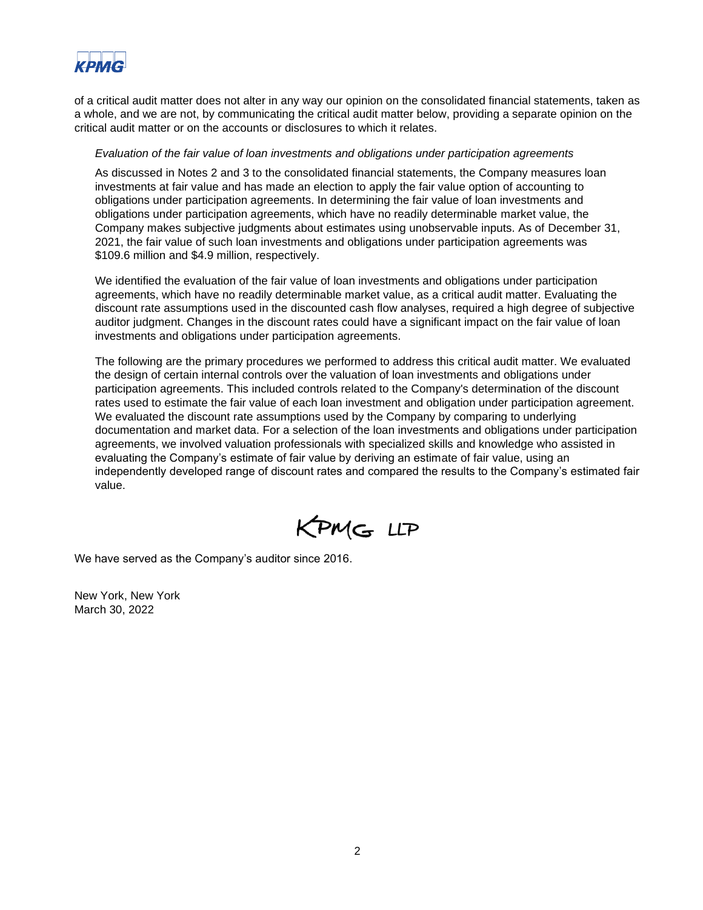

of a critical audit matter does not alter in any way our opinion on the consolidated financial statements, taken as a whole, and we are not, by communicating the critical audit matter below, providing a separate opinion on the critical audit matter or on the accounts or disclosures to which it relates.

## *Evaluation of the fair value of loan investments and obligations under participation agreements*

As discussed in Notes 2 and 3 to the consolidated financial statements, the Company measures loan investments at fair value and has made an election to apply the fair value option of accounting to obligations under participation agreements. In determining the fair value of loan investments and obligations under participation agreements, which have no readily determinable market value, the Company makes subjective judgments about estimates using unobservable inputs. As of December 31, 2021, the fair value of such loan investments and obligations under participation agreements was \$109.6 million and \$4.9 million, respectively.

We identified the evaluation of the fair value of loan investments and obligations under participation agreements, which have no readily determinable market value, as a critical audit matter. Evaluating the discount rate assumptions used in the discounted cash flow analyses, required a high degree of subjective auditor judgment. Changes in the discount rates could have a significant impact on the fair value of loan investments and obligations under participation agreements.

The following are the primary procedures we performed to address this critical audit matter. We evaluated the design of certain internal controls over the valuation of loan investments and obligations under participation agreements. This included controls related to the Company's determination of the discount rates used to estimate the fair value of each loan investment and obligation under participation agreement. We evaluated the discount rate assumptions used by the Company by comparing to underlying documentation and market data. For a selection of the loan investments and obligations under participation agreements, we involved valuation professionals with specialized skills and knowledge who assisted in evaluating the Company's estimate of fair value by deriving an estimate of fair value, using an independently developed range of discount rates and compared the results to the Company's estimated fair value.



We have served as the Company's auditor since 2016.

New York, New York March 30, 2022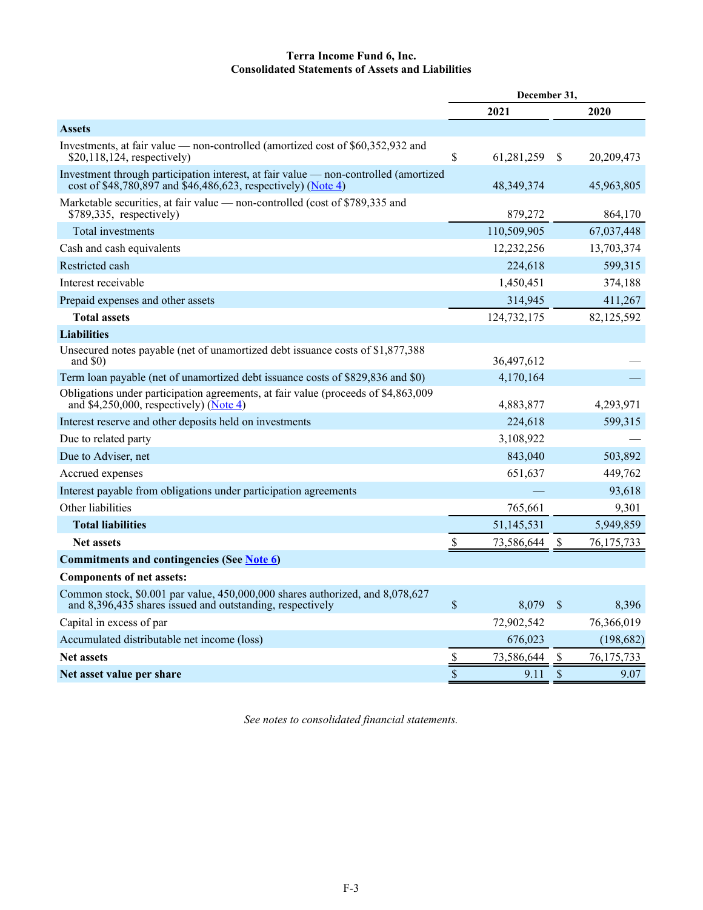# **Terra Income Fund 6, Inc. Consolidated Statements of Assets and Liabilities**

| 2021<br>2020<br><b>Assets</b><br>Investments, at fair value — non-controlled (amortized cost of \$60,352,932 and<br>\$<br>$$20,118,124$ , respectively)<br>61,281,259<br>\$<br>20,209,473<br>Investment through participation interest, at fair value — non-controlled (amortized<br>cost of \$48,780,897 and \$46,486,623, respectively) (Note 4)<br>48,349,374<br>45,963,805<br>Marketable securities, at fair value - non-controlled (cost of \$789,335 and<br>$$789,335$ , respectively)<br>879,272<br>864,170<br>110,509,905<br>67,037,448<br>Total investments<br>Cash and cash equivalents<br>12,232,256<br>13,703,374<br>Restricted cash<br>224,618<br>599,315<br>Interest receivable<br>1,450,451<br>374,188<br>Prepaid expenses and other assets<br>314,945<br>411,267<br><b>Total assets</b><br>124,732,175<br>82,125,592<br><b>Liabilities</b><br>Unsecured notes payable (net of unamortized debt issuance costs of \$1,877,388)<br>and $$0)$<br>36,497,612<br>Term loan payable (net of unamortized debt issuance costs of \$829,836 and \$0)<br>4,170,164<br>Obligations under participation agreements, at fair value (proceeds of \$4,863,009<br>and $$4,250,000$ , respectively) (Note 4)<br>4,883,877<br>4,293,971<br>Interest reserve and other deposits held on investments<br>599,315<br>224,618<br>Due to related party<br>3,108,922<br>843,040<br>503,892<br>Due to Adviser, net<br>Accrued expenses<br>651,637<br>449,762<br>93,618<br>Interest payable from obligations under participation agreements<br>Other liabilities<br>765,661<br>9,301<br><b>Total liabilities</b><br>51,145,531<br>5,949,859<br>\$<br><b>Net assets</b><br>73,586,644<br>\$<br>76,175,733<br>Commitments and contingencies (See Note 6)<br><b>Components of net assets:</b><br>Common stock, \$0.001 par value, 450,000,000 shares authorized, and 8,078,627<br>$\boldsymbol{\mathsf{S}}$<br>and 8,396,435 shares issued and outstanding, respectively<br>8,079<br>$\boldsymbol{\mathsf{S}}$<br>8,396<br>72,902,542<br>Capital in excess of par<br>76,366,019<br>Accumulated distributable net income (loss)<br>676,023<br>(198, 682)<br>$\frac{1}{2}$<br>73,586,644<br><b>Net assets</b><br>S<br>76, 175, 733<br>$\boldsymbol{\mathsf{S}}$<br>$\mathcal{S}$<br>Net asset value per share<br>9.11<br>9.07 |  | December 31, |  |
|---------------------------------------------------------------------------------------------------------------------------------------------------------------------------------------------------------------------------------------------------------------------------------------------------------------------------------------------------------------------------------------------------------------------------------------------------------------------------------------------------------------------------------------------------------------------------------------------------------------------------------------------------------------------------------------------------------------------------------------------------------------------------------------------------------------------------------------------------------------------------------------------------------------------------------------------------------------------------------------------------------------------------------------------------------------------------------------------------------------------------------------------------------------------------------------------------------------------------------------------------------------------------------------------------------------------------------------------------------------------------------------------------------------------------------------------------------------------------------------------------------------------------------------------------------------------------------------------------------------------------------------------------------------------------------------------------------------------------------------------------------------------------------------------------------------------------------------------------------------------------------------------------------------------------------------------------------------------------------------------------------------------------------------------------------------------------------------------------------------------------------------------------------------------------------------------------------------------------------------------------------------------------------------------------------------|--|--------------|--|
|                                                                                                                                                                                                                                                                                                                                                                                                                                                                                                                                                                                                                                                                                                                                                                                                                                                                                                                                                                                                                                                                                                                                                                                                                                                                                                                                                                                                                                                                                                                                                                                                                                                                                                                                                                                                                                                                                                                                                                                                                                                                                                                                                                                                                                                                                                               |  |              |  |
|                                                                                                                                                                                                                                                                                                                                                                                                                                                                                                                                                                                                                                                                                                                                                                                                                                                                                                                                                                                                                                                                                                                                                                                                                                                                                                                                                                                                                                                                                                                                                                                                                                                                                                                                                                                                                                                                                                                                                                                                                                                                                                                                                                                                                                                                                                               |  |              |  |
|                                                                                                                                                                                                                                                                                                                                                                                                                                                                                                                                                                                                                                                                                                                                                                                                                                                                                                                                                                                                                                                                                                                                                                                                                                                                                                                                                                                                                                                                                                                                                                                                                                                                                                                                                                                                                                                                                                                                                                                                                                                                                                                                                                                                                                                                                                               |  |              |  |
|                                                                                                                                                                                                                                                                                                                                                                                                                                                                                                                                                                                                                                                                                                                                                                                                                                                                                                                                                                                                                                                                                                                                                                                                                                                                                                                                                                                                                                                                                                                                                                                                                                                                                                                                                                                                                                                                                                                                                                                                                                                                                                                                                                                                                                                                                                               |  |              |  |
|                                                                                                                                                                                                                                                                                                                                                                                                                                                                                                                                                                                                                                                                                                                                                                                                                                                                                                                                                                                                                                                                                                                                                                                                                                                                                                                                                                                                                                                                                                                                                                                                                                                                                                                                                                                                                                                                                                                                                                                                                                                                                                                                                                                                                                                                                                               |  |              |  |
|                                                                                                                                                                                                                                                                                                                                                                                                                                                                                                                                                                                                                                                                                                                                                                                                                                                                                                                                                                                                                                                                                                                                                                                                                                                                                                                                                                                                                                                                                                                                                                                                                                                                                                                                                                                                                                                                                                                                                                                                                                                                                                                                                                                                                                                                                                               |  |              |  |
|                                                                                                                                                                                                                                                                                                                                                                                                                                                                                                                                                                                                                                                                                                                                                                                                                                                                                                                                                                                                                                                                                                                                                                                                                                                                                                                                                                                                                                                                                                                                                                                                                                                                                                                                                                                                                                                                                                                                                                                                                                                                                                                                                                                                                                                                                                               |  |              |  |
|                                                                                                                                                                                                                                                                                                                                                                                                                                                                                                                                                                                                                                                                                                                                                                                                                                                                                                                                                                                                                                                                                                                                                                                                                                                                                                                                                                                                                                                                                                                                                                                                                                                                                                                                                                                                                                                                                                                                                                                                                                                                                                                                                                                                                                                                                                               |  |              |  |
|                                                                                                                                                                                                                                                                                                                                                                                                                                                                                                                                                                                                                                                                                                                                                                                                                                                                                                                                                                                                                                                                                                                                                                                                                                                                                                                                                                                                                                                                                                                                                                                                                                                                                                                                                                                                                                                                                                                                                                                                                                                                                                                                                                                                                                                                                                               |  |              |  |
|                                                                                                                                                                                                                                                                                                                                                                                                                                                                                                                                                                                                                                                                                                                                                                                                                                                                                                                                                                                                                                                                                                                                                                                                                                                                                                                                                                                                                                                                                                                                                                                                                                                                                                                                                                                                                                                                                                                                                                                                                                                                                                                                                                                                                                                                                                               |  |              |  |
|                                                                                                                                                                                                                                                                                                                                                                                                                                                                                                                                                                                                                                                                                                                                                                                                                                                                                                                                                                                                                                                                                                                                                                                                                                                                                                                                                                                                                                                                                                                                                                                                                                                                                                                                                                                                                                                                                                                                                                                                                                                                                                                                                                                                                                                                                                               |  |              |  |
|                                                                                                                                                                                                                                                                                                                                                                                                                                                                                                                                                                                                                                                                                                                                                                                                                                                                                                                                                                                                                                                                                                                                                                                                                                                                                                                                                                                                                                                                                                                                                                                                                                                                                                                                                                                                                                                                                                                                                                                                                                                                                                                                                                                                                                                                                                               |  |              |  |
|                                                                                                                                                                                                                                                                                                                                                                                                                                                                                                                                                                                                                                                                                                                                                                                                                                                                                                                                                                                                                                                                                                                                                                                                                                                                                                                                                                                                                                                                                                                                                                                                                                                                                                                                                                                                                                                                                                                                                                                                                                                                                                                                                                                                                                                                                                               |  |              |  |
|                                                                                                                                                                                                                                                                                                                                                                                                                                                                                                                                                                                                                                                                                                                                                                                                                                                                                                                                                                                                                                                                                                                                                                                                                                                                                                                                                                                                                                                                                                                                                                                                                                                                                                                                                                                                                                                                                                                                                                                                                                                                                                                                                                                                                                                                                                               |  |              |  |
|                                                                                                                                                                                                                                                                                                                                                                                                                                                                                                                                                                                                                                                                                                                                                                                                                                                                                                                                                                                                                                                                                                                                                                                                                                                                                                                                                                                                                                                                                                                                                                                                                                                                                                                                                                                                                                                                                                                                                                                                                                                                                                                                                                                                                                                                                                               |  |              |  |
|                                                                                                                                                                                                                                                                                                                                                                                                                                                                                                                                                                                                                                                                                                                                                                                                                                                                                                                                                                                                                                                                                                                                                                                                                                                                                                                                                                                                                                                                                                                                                                                                                                                                                                                                                                                                                                                                                                                                                                                                                                                                                                                                                                                                                                                                                                               |  |              |  |
|                                                                                                                                                                                                                                                                                                                                                                                                                                                                                                                                                                                                                                                                                                                                                                                                                                                                                                                                                                                                                                                                                                                                                                                                                                                                                                                                                                                                                                                                                                                                                                                                                                                                                                                                                                                                                                                                                                                                                                                                                                                                                                                                                                                                                                                                                                               |  |              |  |
|                                                                                                                                                                                                                                                                                                                                                                                                                                                                                                                                                                                                                                                                                                                                                                                                                                                                                                                                                                                                                                                                                                                                                                                                                                                                                                                                                                                                                                                                                                                                                                                                                                                                                                                                                                                                                                                                                                                                                                                                                                                                                                                                                                                                                                                                                                               |  |              |  |
|                                                                                                                                                                                                                                                                                                                                                                                                                                                                                                                                                                                                                                                                                                                                                                                                                                                                                                                                                                                                                                                                                                                                                                                                                                                                                                                                                                                                                                                                                                                                                                                                                                                                                                                                                                                                                                                                                                                                                                                                                                                                                                                                                                                                                                                                                                               |  |              |  |
|                                                                                                                                                                                                                                                                                                                                                                                                                                                                                                                                                                                                                                                                                                                                                                                                                                                                                                                                                                                                                                                                                                                                                                                                                                                                                                                                                                                                                                                                                                                                                                                                                                                                                                                                                                                                                                                                                                                                                                                                                                                                                                                                                                                                                                                                                                               |  |              |  |
|                                                                                                                                                                                                                                                                                                                                                                                                                                                                                                                                                                                                                                                                                                                                                                                                                                                                                                                                                                                                                                                                                                                                                                                                                                                                                                                                                                                                                                                                                                                                                                                                                                                                                                                                                                                                                                                                                                                                                                                                                                                                                                                                                                                                                                                                                                               |  |              |  |
|                                                                                                                                                                                                                                                                                                                                                                                                                                                                                                                                                                                                                                                                                                                                                                                                                                                                                                                                                                                                                                                                                                                                                                                                                                                                                                                                                                                                                                                                                                                                                                                                                                                                                                                                                                                                                                                                                                                                                                                                                                                                                                                                                                                                                                                                                                               |  |              |  |
|                                                                                                                                                                                                                                                                                                                                                                                                                                                                                                                                                                                                                                                                                                                                                                                                                                                                                                                                                                                                                                                                                                                                                                                                                                                                                                                                                                                                                                                                                                                                                                                                                                                                                                                                                                                                                                                                                                                                                                                                                                                                                                                                                                                                                                                                                                               |  |              |  |
|                                                                                                                                                                                                                                                                                                                                                                                                                                                                                                                                                                                                                                                                                                                                                                                                                                                                                                                                                                                                                                                                                                                                                                                                                                                                                                                                                                                                                                                                                                                                                                                                                                                                                                                                                                                                                                                                                                                                                                                                                                                                                                                                                                                                                                                                                                               |  |              |  |
|                                                                                                                                                                                                                                                                                                                                                                                                                                                                                                                                                                                                                                                                                                                                                                                                                                                                                                                                                                                                                                                                                                                                                                                                                                                                                                                                                                                                                                                                                                                                                                                                                                                                                                                                                                                                                                                                                                                                                                                                                                                                                                                                                                                                                                                                                                               |  |              |  |
|                                                                                                                                                                                                                                                                                                                                                                                                                                                                                                                                                                                                                                                                                                                                                                                                                                                                                                                                                                                                                                                                                                                                                                                                                                                                                                                                                                                                                                                                                                                                                                                                                                                                                                                                                                                                                                                                                                                                                                                                                                                                                                                                                                                                                                                                                                               |  |              |  |
|                                                                                                                                                                                                                                                                                                                                                                                                                                                                                                                                                                                                                                                                                                                                                                                                                                                                                                                                                                                                                                                                                                                                                                                                                                                                                                                                                                                                                                                                                                                                                                                                                                                                                                                                                                                                                                                                                                                                                                                                                                                                                                                                                                                                                                                                                                               |  |              |  |
|                                                                                                                                                                                                                                                                                                                                                                                                                                                                                                                                                                                                                                                                                                                                                                                                                                                                                                                                                                                                                                                                                                                                                                                                                                                                                                                                                                                                                                                                                                                                                                                                                                                                                                                                                                                                                                                                                                                                                                                                                                                                                                                                                                                                                                                                                                               |  |              |  |
|                                                                                                                                                                                                                                                                                                                                                                                                                                                                                                                                                                                                                                                                                                                                                                                                                                                                                                                                                                                                                                                                                                                                                                                                                                                                                                                                                                                                                                                                                                                                                                                                                                                                                                                                                                                                                                                                                                                                                                                                                                                                                                                                                                                                                                                                                                               |  |              |  |
|                                                                                                                                                                                                                                                                                                                                                                                                                                                                                                                                                                                                                                                                                                                                                                                                                                                                                                                                                                                                                                                                                                                                                                                                                                                                                                                                                                                                                                                                                                                                                                                                                                                                                                                                                                                                                                                                                                                                                                                                                                                                                                                                                                                                                                                                                                               |  |              |  |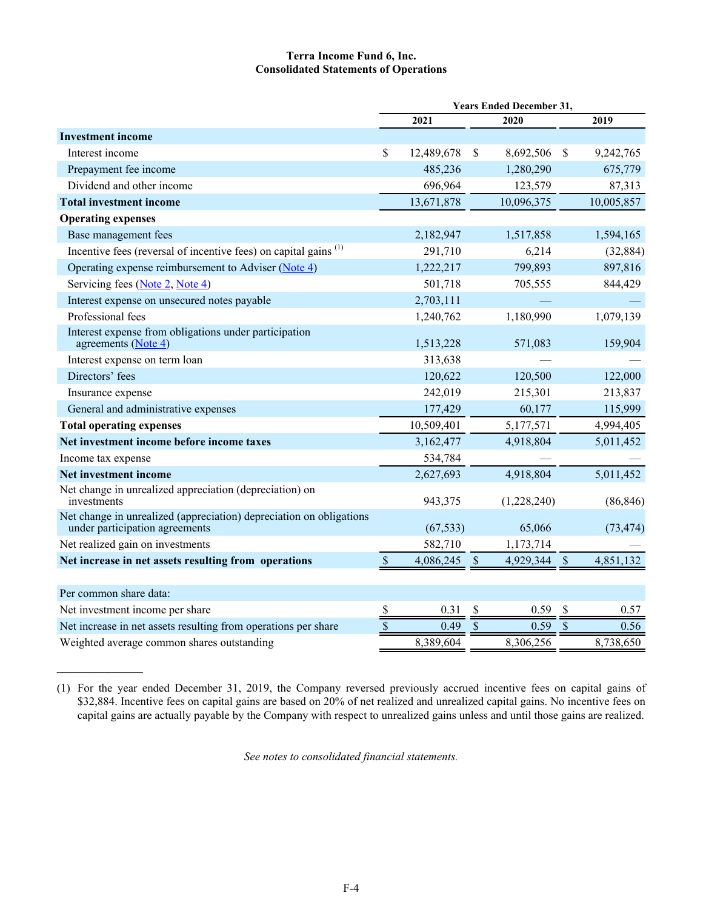# **Terra Income Fund 6, Inc. Consolidated Statements of Operations**

<span id="page-63-0"></span>

|                                                                                                       | <b>Years Ended December 31,</b> |            |                          |             |                          |            |
|-------------------------------------------------------------------------------------------------------|---------------------------------|------------|--------------------------|-------------|--------------------------|------------|
|                                                                                                       |                                 | 2021       |                          | 2020        |                          | 2019       |
| <b>Investment</b> income                                                                              |                                 |            |                          |             |                          |            |
| Interest income                                                                                       | \$                              | 12,489,678 | \$                       | 8,692,506   | $\mathcal{S}$            | 9,242,765  |
| Prepayment fee income                                                                                 |                                 | 485,236    |                          | 1,280,290   |                          | 675,779    |
| Dividend and other income                                                                             |                                 | 696,964    |                          | 123,579     |                          | 87,313     |
| <b>Total investment income</b>                                                                        |                                 | 13,671,878 |                          | 10,096,375  |                          | 10,005,857 |
| <b>Operating expenses</b>                                                                             |                                 |            |                          |             |                          |            |
| Base management fees                                                                                  |                                 | 2,182,947  |                          | 1,517,858   |                          | 1,594,165  |
| Incentive fees (reversal of incentive fees) on capital gains <sup>(1)</sup>                           |                                 | 291,710    |                          | 6,214       |                          | (32, 884)  |
| Operating expense reimbursement to Adviser $(Note 4)$                                                 |                                 | 1,222,217  |                          | 799,893     |                          | 897,816    |
| Servicing fees (Note 2, Note 4)                                                                       |                                 | 501,718    |                          | 705,555     |                          | 844,429    |
| Interest expense on unsecured notes payable                                                           |                                 | 2,703,111  |                          |             |                          |            |
| Professional fees                                                                                     |                                 | 1,240,762  |                          | 1,180,990   |                          | 1,079,139  |
| Interest expense from obligations under participation<br>agreements (Note 4)                          |                                 | 1,513,228  |                          | 571,083     |                          | 159,904    |
| Interest expense on term loan                                                                         |                                 | 313,638    |                          |             |                          |            |
| Directors' fees                                                                                       |                                 | 120,622    |                          | 120,500     |                          | 122,000    |
| Insurance expense                                                                                     |                                 | 242,019    |                          | 215,301     |                          | 213,837    |
| General and administrative expenses                                                                   |                                 | 177,429    |                          | 60,177      |                          | 115,999    |
| <b>Total operating expenses</b>                                                                       |                                 | 10,509,401 |                          | 5,177,571   |                          | 4,994,405  |
| Net investment income before income taxes                                                             |                                 | 3,162,477  |                          | 4,918,804   |                          | 5,011,452  |
| Income tax expense                                                                                    |                                 | 534,784    |                          |             |                          |            |
| Net investment income                                                                                 |                                 | 2,627,693  |                          | 4,918,804   |                          | 5,011,452  |
| Net change in unrealized appreciation (depreciation) on<br>investments                                |                                 | 943,375    |                          | (1,228,240) |                          | (86, 846)  |
| Net change in unrealized (appreciation) depreciation on obligations<br>under participation agreements |                                 | (67, 533)  |                          | 65,066      |                          | (73, 474)  |
| Net realized gain on investments                                                                      |                                 | 582,710    |                          | 1,173,714   |                          |            |
| Net increase in net assets resulting from operations                                                  | $\mathcal{S}$                   | 4,086,245  | $\$$                     | 4,929,344   | $\mathcal{S}$            | 4,851,132  |
|                                                                                                       |                                 |            |                          |             |                          |            |
| Per common share data:                                                                                |                                 |            |                          |             |                          |            |
| Net investment income per share                                                                       | \$                              | 0.31       | S                        | 0.59        | \$                       | 0.57       |
| Net increase in net assets resulting from operations per share                                        | $\overline{\mathbf{s}}$         | 0.49       | $\overline{\mathcal{S}}$ | 0.59        | $\overline{\mathcal{S}}$ | 0.56       |
| Weighted average common shares outstanding                                                            |                                 | 8,389,604  |                          | 8,306,256   |                          | 8,738,650  |

(1) For the year ended December 31, 2019, the Company reversed previously accrued incentive fees on capital gains of \$32,884. Incentive fees on capital gains are based on 20% of net realized and unrealized capital gains. No incentive fees on capital gains are actually payable by the Company with respect to unrealized gains unless and until those gains are realized.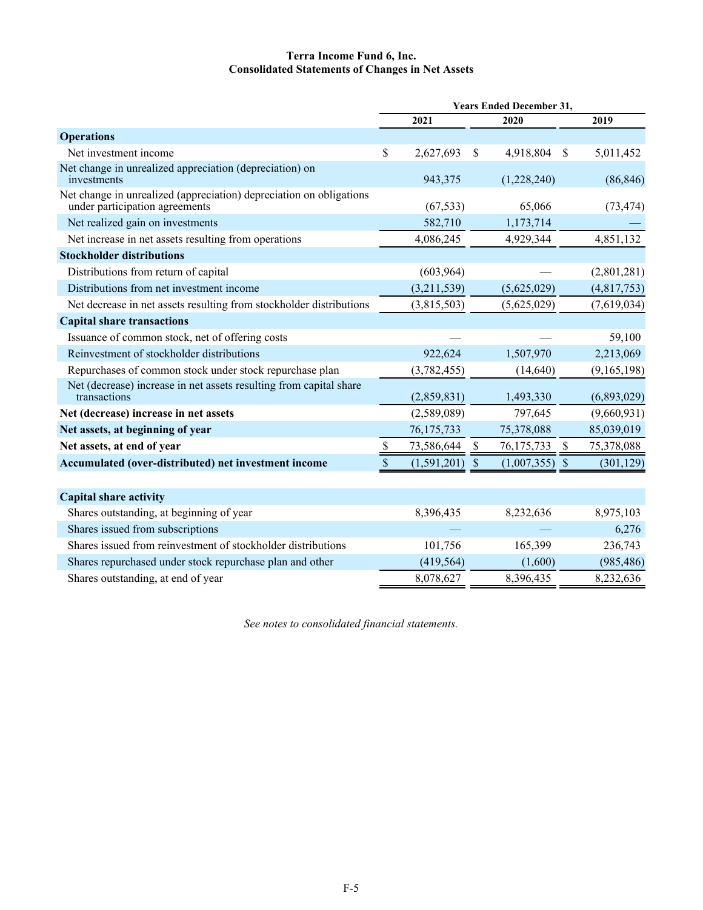# **Terra Income Fund 6, Inc. Consolidated Statements of Changes in Net Assets**

<span id="page-64-0"></span>

|                                                                                                       |                  |    | <b>Years Ended December 31,</b> |             |
|-------------------------------------------------------------------------------------------------------|------------------|----|---------------------------------|-------------|
|                                                                                                       | 2021             |    | 2020                            | 2019        |
| <b>Operations</b>                                                                                     |                  |    |                                 |             |
| Net investment income                                                                                 | \$<br>2,627,693  | \$ | 4,918,804<br>S                  | 5,011,452   |
| Net change in unrealized appreciation (depreciation) on<br>investments                                | 943,375          |    | (1,228,240)                     | (86, 846)   |
| Net change in unrealized (appreciation) depreciation on obligations<br>under participation agreements | (67, 533)        |    | 65,066                          | (73, 474)   |
| Net realized gain on investments                                                                      | 582,710          |    | 1,173,714                       |             |
| Net increase in net assets resulting from operations                                                  | 4,086,245        |    | 4,929,344                       | 4,851,132   |
| <b>Stockholder distributions</b>                                                                      |                  |    |                                 |             |
| Distributions from return of capital                                                                  | (603,964)        |    |                                 | (2,801,281) |
| Distributions from net investment income                                                              | (3,211,539)      |    | (5,625,029)                     | (4,817,753) |
| Net decrease in net assets resulting from stockholder distributions                                   | (3,815,503)      |    | (5,625,029)                     | (7,619,034) |
| <b>Capital share transactions</b>                                                                     |                  |    |                                 |             |
| Issuance of common stock, net of offering costs                                                       |                  |    |                                 | 59,100      |
| Reinvestment of stockholder distributions                                                             | 922,624          |    | 1,507,970                       | 2,213,069   |
| Repurchases of common stock under stock repurchase plan                                               | (3,782,455)      |    | (14, 640)                       | (9,165,198) |
| Net (decrease) increase in net assets resulting from capital share<br>transactions                    | (2,859,831)      |    | 1,493,330                       | (6,893,029) |
| Net (decrease) increase in net assets                                                                 | (2,589,089)      |    | 797,645                         | (9,660,931) |
| Net assets, at beginning of year                                                                      | 76, 175, 733     |    | 75,378,088                      | 85,039,019  |
| Net assets, at end of year                                                                            | \$<br>73,586,644 | \$ | \$<br>76, 175, 733              | 75,378,088  |
| Accumulated (over-distributed) net investment income                                                  | (1,591,201)      | S  | $(1,007,355)$ \$                | (301, 129)  |
| <b>Capital share activity</b>                                                                         |                  |    |                                 |             |
| Shares outstanding, at beginning of year                                                              | 8,396,435        |    | 8,232,636                       | 8,975,103   |
| Shares issued from subscriptions                                                                      |                  |    |                                 | 6,276       |
| Shares issued from reinvestment of stockholder distributions                                          | 101,756          |    | 165,399                         | 236,743     |
| Shares repurchased under stock repurchase plan and other                                              | (419, 564)       |    | (1,600)                         | (985, 486)  |
| Shares outstanding, at end of year                                                                    | 8,078,627        |    | 8,396,435                       | 8,232,636   |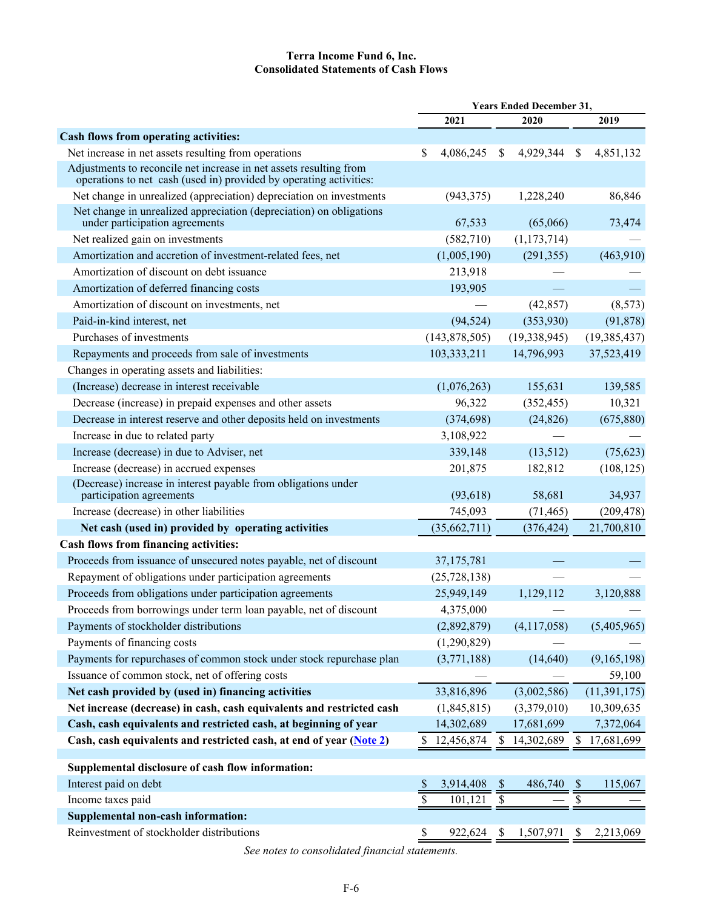# **Terra Income Fund 6, Inc. Consolidated Statements of Cash Flows**

<span id="page-65-0"></span>

|                                                                                                                                          |                                        | <b>Years Ended December 31,</b>      |                          |
|------------------------------------------------------------------------------------------------------------------------------------------|----------------------------------------|--------------------------------------|--------------------------|
|                                                                                                                                          | 2021                                   | 2020                                 | 2019                     |
| Cash flows from operating activities:                                                                                                    |                                        |                                      |                          |
| Net increase in net assets resulting from operations                                                                                     | \$<br>4,086,245                        | 4,929,344<br>\$                      | 4,851,132<br>\$          |
| Adjustments to reconcile net increase in net assets resulting from<br>operations to net cash (used in) provided by operating activities: |                                        |                                      |                          |
| Net change in unrealized (appreciation) depreciation on investments                                                                      | (943, 375)                             | 1,228,240                            | 86,846                   |
| Net change in unrealized appreciation (depreciation) on obligations<br>under participation agreements                                    | 67,533                                 | (65,066)                             | 73,474                   |
| Net realized gain on investments                                                                                                         | (582,710)                              | (1, 173, 714)                        |                          |
| Amortization and accretion of investment-related fees, net                                                                               | (1,005,190)                            | (291, 355)                           | (463,910)                |
| Amortization of discount on debt issuance                                                                                                | 213,918                                |                                      |                          |
| Amortization of deferred financing costs                                                                                                 | 193,905                                |                                      |                          |
| Amortization of discount on investments, net                                                                                             |                                        | (42, 857)                            | (8, 573)                 |
| Paid-in-kind interest, net                                                                                                               | (94, 524)                              | (353,930)                            | (91, 878)                |
| Purchases of investments                                                                                                                 | (143, 878, 505)                        | (19, 338, 945)                       | (19, 385, 437)           |
| Repayments and proceeds from sale of investments                                                                                         | 103,333,211                            | 14,796,993                           | 37,523,419               |
| Changes in operating assets and liabilities:                                                                                             |                                        |                                      |                          |
| (Increase) decrease in interest receivable                                                                                               | (1,076,263)                            | 155,631                              | 139,585                  |
| Decrease (increase) in prepaid expenses and other assets                                                                                 | 96,322                                 | (352, 455)                           | 10,321                   |
| Decrease in interest reserve and other deposits held on investments                                                                      | (374, 698)                             | (24, 826)                            | (675,880)                |
| Increase in due to related party                                                                                                         | 3,108,922                              |                                      |                          |
| Increase (decrease) in due to Adviser, net                                                                                               | 339,148                                | (13,512)                             | (75, 623)                |
| Increase (decrease) in accrued expenses                                                                                                  | 201,875                                | 182,812                              | (108, 125)               |
| (Decrease) increase in interest payable from obligations under<br>participation agreements                                               | (93, 618)                              | 58,681                               | 34,937                   |
| Increase (decrease) in other liabilities                                                                                                 | 745,093                                | (71, 465)                            | (209, 478)               |
| Net cash (used in) provided by operating activities                                                                                      | (35,662,711)                           | (376, 424)                           | 21,700,810               |
| Cash flows from financing activities:                                                                                                    |                                        |                                      |                          |
| Proceeds from issuance of unsecured notes payable, net of discount                                                                       | 37, 175, 781                           |                                      |                          |
| Repayment of obligations under participation agreements                                                                                  | (25, 728, 138)                         |                                      |                          |
| Proceeds from obligations under participation agreements                                                                                 | 25,949,149                             | 1,129,112                            | 3,120,888                |
| Proceeds from borrowings under term loan payable, net of discount                                                                        | 4,375,000                              |                                      |                          |
| Payments of stockholder distributions                                                                                                    | (2,892,879)                            | (4,117,058)                          | (5,405,965)              |
| Payments of financing costs                                                                                                              | (1,290,829)                            |                                      |                          |
| Payments for repurchases of common stock under stock repurchase plan                                                                     | (3,771,188)                            | (14, 640)                            | (9,165,198)              |
| Issuance of common stock, net of offering costs                                                                                          |                                        |                                      | 59,100                   |
| Net cash provided by (used in) financing activities                                                                                      | 33,816,896                             | (3,002,586)                          | (11, 391, 175)           |
| Net increase (decrease) in cash, cash equivalents and restricted cash                                                                    | (1,845,815)                            | (3,379,010)                          | 10,309,635               |
| Cash, cash equivalents and restricted cash, at beginning of year                                                                         | 14,302,689                             | 17,681,699                           | 7,372,064                |
| Cash, cash equivalents and restricted cash, at end of year (Note 2)                                                                      | 12,456,874<br>S.                       | 14,302,689<br>$\mathbb{S}$           | 17,681,699<br>\$         |
| Supplemental disclosure of cash flow information:                                                                                        |                                        |                                      |                          |
| Interest paid on debt                                                                                                                    | 3,914,408<br>$\boldsymbol{\mathsf{S}}$ | $\boldsymbol{\mathsf{S}}$<br>486,740 | $\mathcal{S}$<br>115,067 |
| Income taxes paid                                                                                                                        | \$<br>101,121                          | $\mathbb{S}$                         | \$                       |
| <b>Supplemental non-cash information:</b>                                                                                                |                                        |                                      |                          |
| Reinvestment of stockholder distributions                                                                                                | 922,624<br>$\overline{\mathcal{E}}$    | 1,507,971<br><sup>8</sup>            | 2,213,069<br>- S         |
|                                                                                                                                          |                                        |                                      |                          |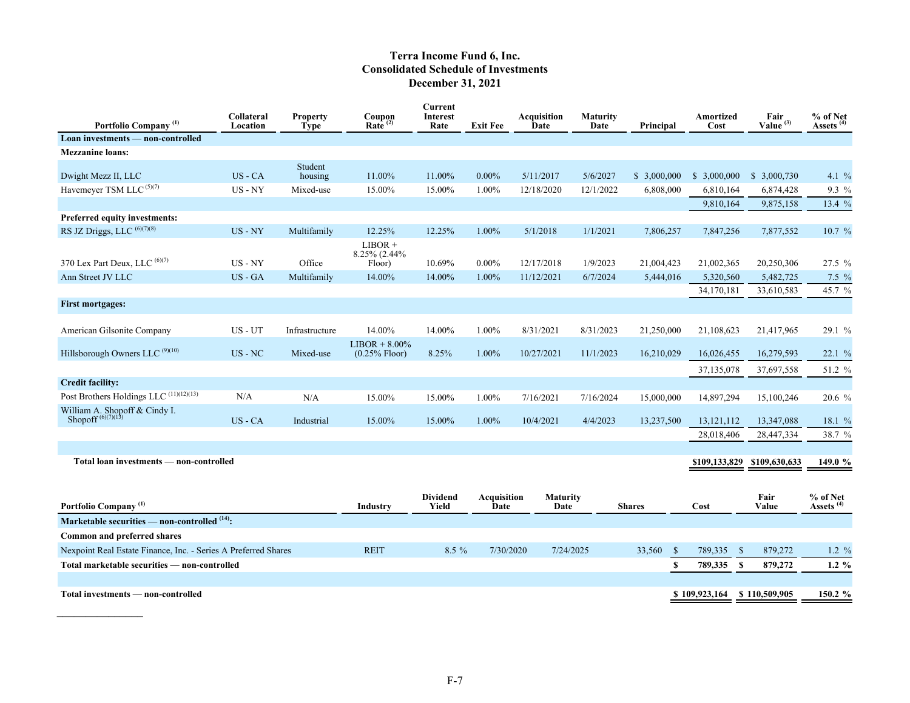# **Terra Income Fund 6, Inc. Consolidated Schedule of Investments December 31, 2021**

<span id="page-66-0"></span>

| Portfolio Company <sup>(1)</sup>                               | Collateral<br>Location | <b>Property</b><br><b>Type</b> | Coupon<br>Rate <sup>(2)</sup>        | Current<br><b>Interest</b><br>Rate | <b>Exit Fee</b>            | <b>Acquisition</b><br>Date | <b>Maturity</b><br>Date | Principal               | Amortized<br>Cost   | Fair<br>Value $(3)$ | % of Net<br>Assets <sup>(4)</sup> |
|----------------------------------------------------------------|------------------------|--------------------------------|--------------------------------------|------------------------------------|----------------------------|----------------------------|-------------------------|-------------------------|---------------------|---------------------|-----------------------------------|
| Loan investments — non-controlled                              |                        |                                |                                      |                                    |                            |                            |                         |                         |                     |                     |                                   |
| <b>Mezzanine loans:</b>                                        |                        |                                |                                      |                                    |                            |                            |                         |                         |                     |                     |                                   |
| Dwight Mezz II, LLC                                            | $US - CA$              | Student<br>housing             | 11.00%                               | 11.00%                             | $0.00\%$                   | 5/11/2017                  | 5/6/2027                | \$3,000,000             | \$3,000,000         | \$ 3,000,730        | 4.1 $%$                           |
| Havemeyer TSM LLC <sup>(5)(7)</sup>                            | US - NY                | Mixed-use                      | 15.00%                               | 15.00%                             | 1.00%                      | 12/18/2020                 | 12/1/2022               | 6,808,000               | 6,810,164           | 6,874,428           | 9.3 %                             |
|                                                                |                        |                                |                                      |                                    |                            |                            |                         |                         | 9,810,164           | 9,875,158           | 13.4 %                            |
| Preferred equity investments:                                  |                        |                                |                                      |                                    |                            |                            |                         |                         |                     |                     |                                   |
| RS JZ Driggs, LLC <sup>(6)(7)(8)</sup>                         | US - NY                | Multifamily                    | 12.25%                               | 12.25%                             | $1.00\%$                   | 5/1/2018                   | 1/1/2021                | 7,806,257               | 7,847,256           | 7,877,552           | 10.7%                             |
| 370 Lex Part Deux, LLC (6)(7)                                  | US - NY                | Office                         | $LIBOR +$<br>8.25% (2.44%<br>Floor)  | 10.69%                             | $0.00\%$                   | 12/17/2018                 | 1/9/2023                | 21,004,423              | 21,002,365          | 20,250,306          | 27.5 %                            |
| Ann Street JV LLC                                              | US - GA                | Multifamily                    | 14.00%                               | 14.00%                             | 1.00%                      | 11/12/2021                 | 6/7/2024                | 5,444,016               | 5,320,560           | 5,482,725           | $7.5\%$                           |
|                                                                |                        |                                |                                      |                                    |                            |                            |                         |                         | 34,170,181          | 33,610,583          | 45.7 %                            |
| <b>First mortgages:</b>                                        |                        |                                |                                      |                                    |                            |                            |                         |                         |                     |                     |                                   |
|                                                                |                        |                                |                                      |                                    |                            |                            |                         |                         |                     |                     |                                   |
| American Gilsonite Company                                     | US - UT                | Infrastructure                 | 14.00%                               | 14.00%                             | 1.00%                      | 8/31/2021                  | 8/31/2023               | 21,250,000              | 21,108,623          | 21,417,965          | 29.1 %                            |
| Hillsborough Owners LLC <sup>(9)(10)</sup>                     | $US$ - $NC$            | Mixed-use                      | $LIBOR + 8.00\%$<br>$(0.25\%$ Floor) | 8.25%                              | 1.00%                      | 10/27/2021                 | 11/1/2023               | 16,210,029              | 16,026,455          | 16,279,593          | 22.1 %                            |
|                                                                |                        |                                |                                      |                                    |                            |                            |                         |                         | 37,135,078          | 37,697,558          | 51.2 %                            |
| <b>Credit facility:</b>                                        |                        |                                |                                      |                                    |                            |                            |                         |                         |                     |                     |                                   |
| Post Brothers Holdings LLC (11)(12)(13)                        | N/A                    | N/A                            | 15.00%                               | 15.00%                             | 1.00%                      | 7/16/2021                  | 7/16/2024               | 15,000,000              | 14,897,294          | 15,100,246          | 20.6 %                            |
| William A. Shopoff & Cindy I.<br>Shopoff $(6)(7)(13)$          | US - CA                | Industrial                     | 15.00%                               | 15.00%                             | 1.00%                      | 10/4/2021                  | 4/4/2023                | 13,237,500              | 13, 121, 112        | 13,347,088          | 18.1%                             |
|                                                                |                        |                                |                                      |                                    |                            |                            |                         |                         | 28,018,406          | 28,447,334          | 38.7 %                            |
|                                                                |                        |                                |                                      |                                    |                            |                            |                         |                         |                     |                     |                                   |
| Total loan investments - non-controlled                        |                        |                                |                                      |                                    |                            |                            |                         |                         | \$109,133,829       | \$109,630,633       | 149.0 %                           |
|                                                                |                        |                                |                                      |                                    |                            |                            |                         |                         |                     |                     |                                   |
| Portfolio Company <sup>(1)</sup>                               |                        |                                | Industry                             | <b>Dividend</b><br>Yield           | <b>Acquisition</b><br>Date |                            | <b>Maturity</b><br>Date | <b>Shares</b>           | Cost                | Fair<br>Value       | % of Net<br>Assets <sup>(4)</sup> |
| Marketable securities — non-controlled $(14)$ :                |                        |                                |                                      |                                    |                            |                            |                         |                         |                     |                     |                                   |
| Common and preferred shares                                    |                        |                                |                                      |                                    |                            |                            |                         |                         |                     |                     |                                   |
| Nexpoint Real Estate Finance, Inc. - Series A Preferred Shares |                        |                                | <b>REIT</b>                          | 8.5 %                              | 7/30/2020                  |                            | 7/24/2025               | 33,560<br><sup>\$</sup> | 789,335<br>-\$      | 879,272             | $1.2 \%$                          |
| Total marketable securities - non-controlled                   |                        |                                |                                      |                                    |                            |                            |                         | <b>S</b>                | 789,335<br><b>S</b> | 879,272             | $1.2\%$                           |
|                                                                |                        |                                |                                      |                                    |                            |                            |                         |                         |                     |                     |                                   |
| Total investments — non-controlled                             |                        |                                |                                      |                                    |                            |                            |                         |                         | \$109,923,164       | \$110,509,905       | 150.2 %                           |
|                                                                |                        |                                |                                      |                                    |                            |                            |                         |                         |                     |                     |                                   |

 $\mathcal{L}_\text{max}$  , where  $\mathcal{L}_\text{max}$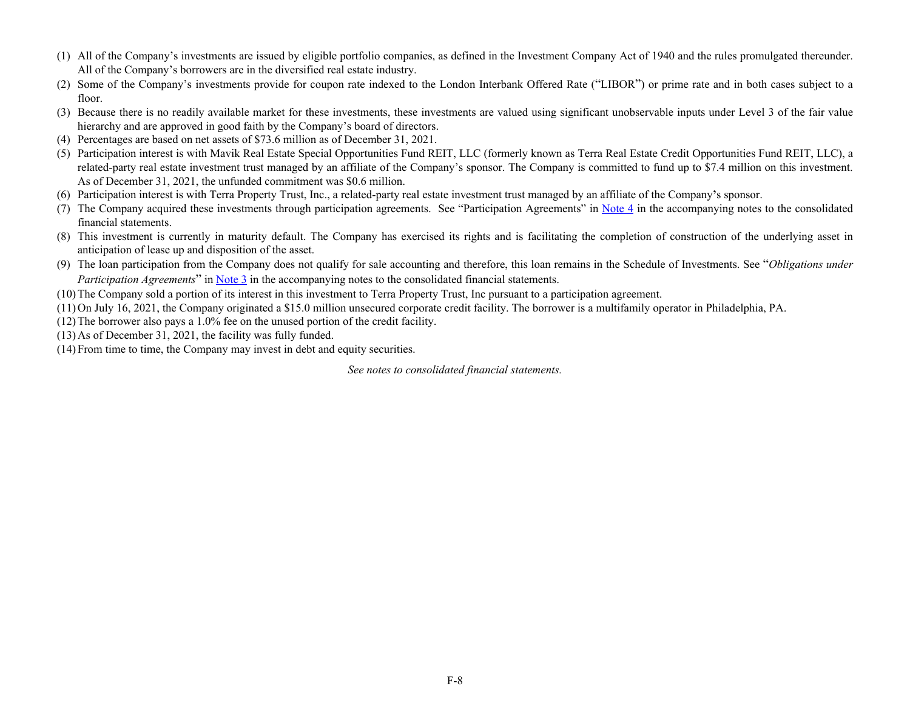- (1) All of the Company's investments are issued by eligible portfolio companies, as defined in the Investment Company Act of 1940 and the rules promulgated thereunder. All of the Company's borrowers are in the diversified real estate industry.
- (2) Some of the Company's investments provide for coupon rate indexed to the London Interbank Offered Rate ("LIBOR") or prime rate and in both cases subject to a floor.
- (3) Because there is no readily available market for these investments, these investments are valued using significant unobservable inputs under Level 3 of the fair value hierarchy and are approved in good faith by the Company's board of directors.
- (4) Percentages are based on net assets of \$73.6 million as of December 31, 2021.
- (5) Participation interest is with Mavik Real Estate Special Opportunities Fund REIT, LLC (formerly known as Terra Real Estate Credit Opportunities Fund REIT, LLC), a related-party real estate investment trust managed by an affiliate of the Company's sponsor. The Company is committed to fund up to \$7.4 million on this investment. As of December 31, 2021, the unfunded commitment was \$0.6 million.
- (6) Participation interest is with Terra Property Trust, Inc., a related-party real estate investment trust managed by an affiliate of the Company**'**s sponsor.
- (7) The Company acquired these investments through participation agreements. See "Participation Agreements" in [Note 4](#page-78-0) in the accompanying notes to the consolidated financial statements.
- (8) This investment is currently in maturity default. The Company has exercised its rights and is facilitating the completion of construction of the underlying asset in anticipation of lease up and disposition of the asset.
- (9) The loan participation from the Company does not qualify for sale accounting and therefore, this loan remains in the Schedule of Investments. See "*Obligations under Participation Agreements*" in [Note 3](#page-75-0) in the accompanying notes to the consolidated financial statements.
- (10)The Company sold a portion of its interest in this investment to Terra Property Trust, Inc pursuant to a participation agreement.
- (11)On July 16, 2021, the Company originated a \$15.0 million unsecured corporate credit facility. The borrower is a multifamily operator in Philadelphia, PA.
- (12)The borrower also pays a 1.0% fee on the unused portion of the credit facility.
- (13)As of December 31, 2021, the facility was fully funded.
- (14)From time to time, the Company may invest in debt and equity securities.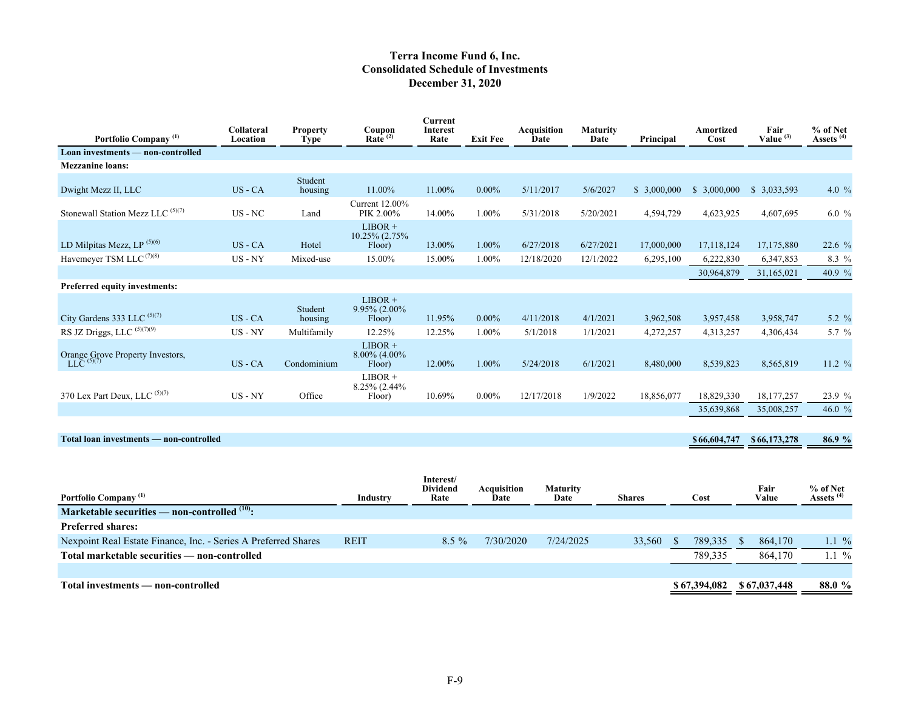# **Terra Income Fund 6, Inc. Consolidated Schedule of Investments December 31, 2020**

| Portfolio Company <sup>(1)</sup>                                         | <b>Collateral</b><br>Location | <b>Property</b><br><b>Type</b> | Coupon<br>Rate <sup>(2)</sup>         | <b>Current</b><br><b>Interest</b><br>Rate | <b>Exit Fee</b> | <b>Acquisition</b><br>Date     | <b>Maturity</b><br>Date | Principal   | Amortized<br>Cost | Fair<br>Value $(3)$ | $%$ of Net<br>Assets <sup>(4)</sup> |
|--------------------------------------------------------------------------|-------------------------------|--------------------------------|---------------------------------------|-------------------------------------------|-----------------|--------------------------------|-------------------------|-------------|-------------------|---------------------|-------------------------------------|
| Loan investments — non-controlled                                        |                               |                                |                                       |                                           |                 |                                |                         |             |                   |                     |                                     |
| <b>Mezzanine loans:</b>                                                  |                               |                                |                                       |                                           |                 |                                |                         |             |                   |                     |                                     |
| Dwight Mezz II, LLC                                                      | US - CA                       | Student<br>housing             | 11.00%                                | 11.00%                                    | $0.00\%$        | 5/11/2017                      | 5/6/2027                | \$3,000,000 | \$3,000,000       | \$ 3,033,593        | 4.0 $%$                             |
| Stonewall Station Mezz LLC <sup>(5)(7)</sup>                             | $US$ - $NC$                   | Land                           | Current 12.00%<br>PIK 2.00%           | 14.00%                                    | 1.00%           | 5/31/2018                      | 5/20/2021               | 4,594,729   | 4,623,925         | 4,607,695           | 6.0 %                               |
| LD Milpitas Mezz, LP <sup>(5)(6)</sup>                                   | $US - CA$                     | Hotel                          | $LIBOR +$<br>10.25% (2.75%)<br>Floor) | 13.00%                                    | 1.00%           | 6/27/2018                      | 6/27/2021               | 17,000,000  | 17,118,124        | 17,175,880          | 22.6 %                              |
| Havemeyer TSM LLC <sup>(7)(8)</sup>                                      | US - NY                       | Mixed-use                      | 15.00%                                | 15.00%                                    | 1.00%           | 12/18/2020                     | 12/1/2022               | 6,295,100   | 6,222,830         | 6,347,853           | 8.3 %                               |
|                                                                          |                               |                                |                                       |                                           |                 |                                |                         |             | 30,964,879        | 31,165,021          | 40.9 %                              |
| Preferred equity investments:                                            |                               |                                |                                       |                                           |                 |                                |                         |             |                   |                     |                                     |
| City Gardens 333 LLC (5)(7)                                              | US - CA                       | Student<br>housing             | $LIBOR +$<br>9.95% (2.00%)<br>Floor)  | 11.95%                                    | $0.00\%$        | 4/11/2018                      | 4/1/2021                | 3,962,508   | 3,957,458         | 3,958,747           | 5.2 %                               |
| RS JZ Driggs, LLC <sup>(5)(7)(9)</sup>                                   | US - NY                       | Multifamily                    | 12.25%                                | 12.25%                                    | 1.00%           | 5/1/2018                       | 1/1/2021                | 4,272,257   | 4,313,257         | 4,306,434           | 5.7 %                               |
| Orange Grove Property Investors,<br>$LLC$ <sup><math>(5)(7)</math></sup> | US-CA                         | Condominium                    | $LIBOR +$<br>8.00% (4.00%)<br>Floor)  | 12.00%                                    | 1.00%           | 5/24/2018                      | 6/1/2021                | 8,480,000   | 8,539,823         | 8,565,819           | $11.2 \%$                           |
| 370 Lex Part Deux, LLC (5)(7)                                            | US - NY                       | Office                         | $LIBOR +$<br>8.25% (2.44%)<br>Floor)  | 10.69%                                    | $0.00\%$        | 12/17/2018                     | 1/9/2022                | 18,856,077  | 18,829,330        | 18, 177, 257        | 23.9 %                              |
|                                                                          |                               |                                |                                       |                                           |                 |                                |                         |             | 35,639,868        | 35,008,257          | 46.0 %                              |
|                                                                          |                               |                                |                                       |                                           |                 |                                |                         |             |                   |                     |                                     |
| Total loan investments - non-controlled                                  |                               |                                |                                       |                                           |                 |                                |                         |             | \$66,604,747      | \$66,173,278        | 86.9%                               |
|                                                                          |                               |                                |                                       | Interest/<br>Dividend.                    | $A$ containing  | $M_{\odot}$ is a set of $\sim$ |                         |             |                   | $E = 1$             | $0/2$ of NL+                        |

| Portfolio Company <sup>(1)</sup>                               | Industry    | <b>Dividend</b><br>Rate | Acquisition<br>Date | <b>Maturity</b><br>Date | <b>Shares</b> | Cost          | Fair<br>Value | % of Net<br>Assets <sup><math>(4)</math></sup> |
|----------------------------------------------------------------|-------------|-------------------------|---------------------|-------------------------|---------------|---------------|---------------|------------------------------------------------|
| Marketable securities — non-controlled $(10)$ :                |             |                         |                     |                         |               |               |               |                                                |
| <b>Preferred shares:</b>                                       |             |                         |                     |                         |               |               |               |                                                |
| Nexpoint Real Estate Finance, Inc. - Series A Preferred Shares | <b>REIT</b> | $8.5 \%$                | 7/30/2020           | 7/24/2025               | 33.560        | 789.335<br>-8 | 864,170       | $1.1\%$                                        |
| Total marketable securities — non-controlled                   |             |                         |                     |                         |               | 789,335       | 864,170       | $.1\%$                                         |
|                                                                |             |                         |                     |                         |               |               |               |                                                |
| Total investments — non-controlled                             |             |                         |                     |                         |               | \$67,394,082  | \$67,037,448  | 88.0 %                                         |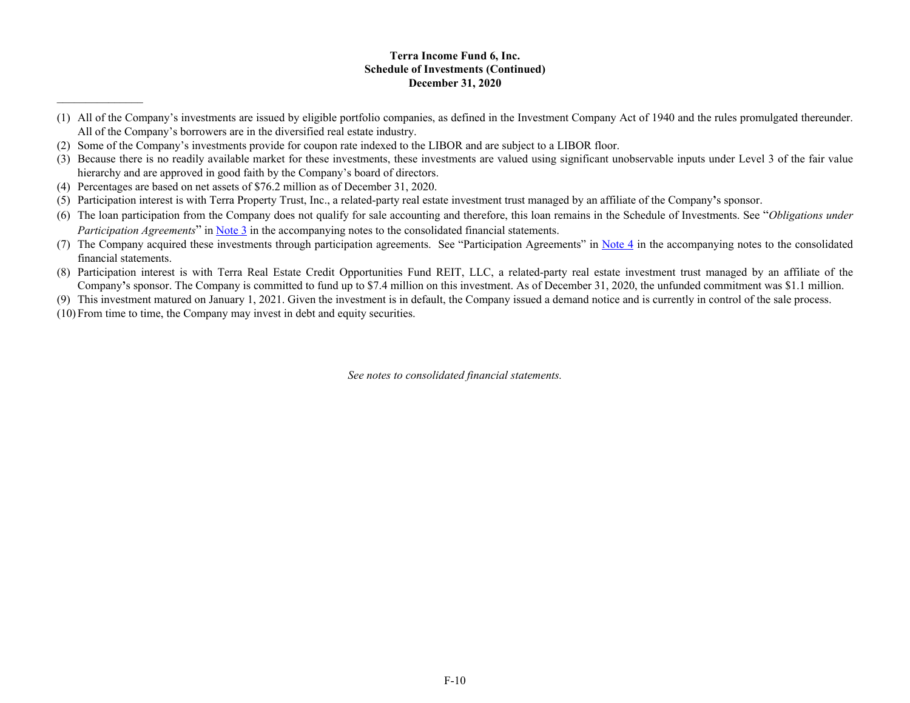# **Terra Income Fund 6, Inc. Schedule of Investments (Continued) December 31, 2020**

- (1) All of the Company's investments are issued by eligible portfolio companies, as defined in the Investment Company Act of 1940 and the rules promulgated thereunder. All of the Company's borrowers are in the diversified real estate industry.
- (2) Some of the Company's investments provide for coupon rate indexed to the LIBOR and are subject to a LIBOR floor.
- (3) Because there is no readily available market for these investments, these investments are valued using significant unobservable inputs under Level 3 of the fair value hierarchy and are approved in good faith by the Company's board of directors.
- (4) Percentages are based on net assets of \$76.2 million as of December 31, 2020.

 $\mathcal{L}_\text{max}$  , where  $\mathcal{L}_\text{max}$ 

- (5) Participation interest is with Terra Property Trust, Inc., a related-party real estate investment trust managed by an affiliate of the Company**'**s sponsor.
- (6) The loan participation from the Company does not qualify for sale accounting and therefore, this loan remains in the Schedule of Investments. See "*Obligations under Participation Agreements*" in [Note 3](#page-75-0) in the accompanying notes to the consolidated financial statements.
- (7) The Company acquired these investments through participation agreements. See "Participation Agreements" in [Note 4](#page-78-0) in the accompanying notes to the consolidated financial statements.
- (8) Participation interest is with Terra Real Estate Credit Opportunities Fund REIT, LLC, a related-party real estate investment trust managed by an affiliate of the Company**'**s sponsor. The Company is committed to fund up to \$7.4 million on this investment. As of December 31, 2020, the unfunded commitment was \$1.1 million.
- (9) This investment matured on January 1, 2021. Given the investment is in default, the Company issued a demand notice and is currently in control of the sale process.
- (10)From time to time, the Company may invest in debt and equity securities.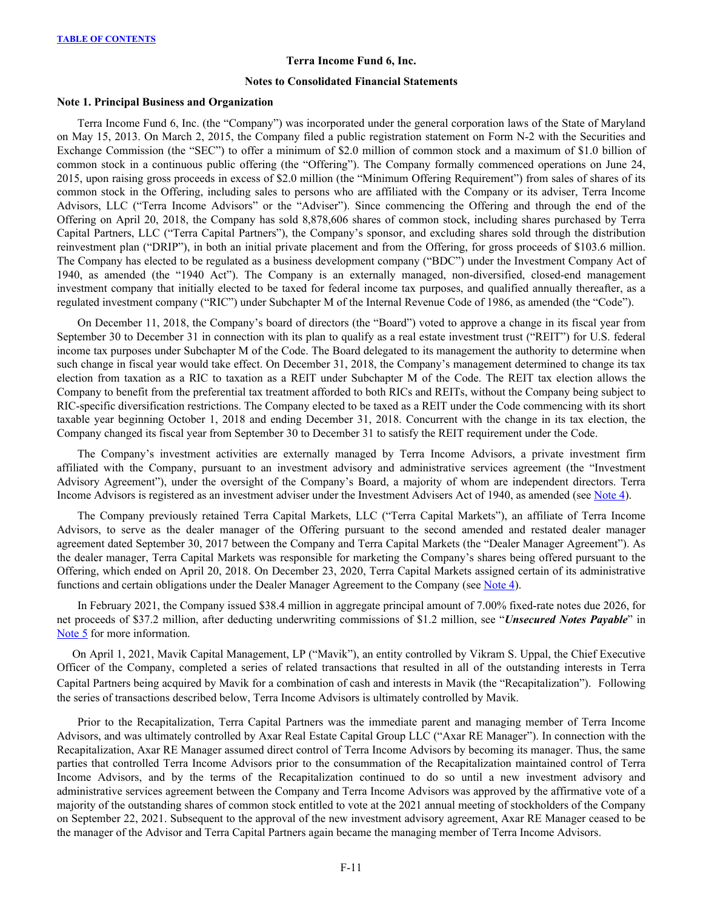## **Terra Income Fund 6, Inc.**

### **Notes to Consolidated Financial Statements**

#### <span id="page-70-0"></span>**Note 1. Principal Business and Organization**

Terra Income Fund 6, Inc. (the "Company") was incorporated under the general corporation laws of the State of Maryland on May 15, 2013. On March 2, 2015, the Company filed a public registration statement on Form N-2 with the Securities and Exchange Commission (the "SEC") to offer a minimum of \$2.0 million of common stock and a maximum of \$1.0 billion of common stock in a continuous public offering (the "Offering"). The Company formally commenced operations on June 24, 2015, upon raising gross proceeds in excess of \$2.0 million (the "Minimum Offering Requirement") from sales of shares of its common stock in the Offering, including sales to persons who are affiliated with the Company or its adviser, Terra Income Advisors, LLC ("Terra Income Advisors" or the "Adviser"). Since commencing the Offering and through the end of the Offering on April 20, 2018, the Company has sold 8,878,606 shares of common stock, including shares purchased by Terra Capital Partners, LLC ("Terra Capital Partners"), the Company's sponsor, and excluding shares sold through the distribution reinvestment plan ("DRIP"), in both an initial private placement and from the Offering, for gross proceeds of \$103.6 million. The Company has elected to be regulated as a business development company ("BDC") under the Investment Company Act of 1940, as amended (the "1940 Act"). The Company is an externally managed, non-diversified, closed-end management investment company that initially elected to be taxed for federal income tax purposes, and qualified annually thereafter, as a regulated investment company ("RIC") under Subchapter M of the Internal Revenue Code of 1986, as amended (the "Code").

On December 11, 2018, the Company's board of directors (the "Board") voted to approve a change in its fiscal year from September 30 to December 31 in connection with its plan to qualify as a real estate investment trust ("REIT") for U.S. federal income tax purposes under Subchapter M of the Code. The Board delegated to its management the authority to determine when such change in fiscal year would take effect. On December 31, 2018, the Company's management determined to change its tax election from taxation as a RIC to taxation as a REIT under Subchapter M of the Code. The REIT tax election allows the Company to benefit from the preferential tax treatment afforded to both RICs and REITs, without the Company being subject to RIC-specific diversification restrictions. The Company elected to be taxed as a REIT under the Code commencing with its short taxable year beginning October 1, 2018 and ending December 31, 2018. Concurrent with the change in its tax election, the Company changed its fiscal year from September 30 to December 31 to satisfy the REIT requirement under the Code.

The Company's investment activities are externally managed by Terra Income Advisors, a private investment firm affiliated with the Company, pursuant to an investment advisory and administrative services agreement (the "Investment Advisory Agreement"), under the oversight of the Company's Board, a majority of whom are independent directors. Terra Income Advisors is registered as an investment adviser under the Investment Advisers Act of 1940, as amended (see [Note 4\)](#page-78-0).

The Company previously retained Terra Capital Markets, LLC ("Terra Capital Markets"), an affiliate of Terra Income Advisors, to serve as the dealer manager of the Offering pursuant to the second amended and restated dealer manager agreement dated September 30, 2017 between the Company and Terra Capital Markets (the "Dealer Manager Agreement"). As the dealer manager, Terra Capital Markets was responsible for marketing the Company's shares being offered pursuant to the Offering, which ended on April 20, 2018. On December 23, 2020, Terra Capital Markets assigned certain of its administrative functions and certain obligations under the Dealer Manager Agreement to the Company (see [Note 4](#page-78-0)).

In February 2021, the Company issued \$38.4 million in aggregate principal amount of 7.00% fixed-rate notes due 2026, for net proceeds of \$37.2 million, after deducting underwriting commissions of \$1.2 million, see "*Unsecured Notes Payable*" in [Note 5](#page-82-0) for more information.

On April 1, 2021, Mavik Capital Management, LP ("Mavik"), an entity controlled by Vikram S. Uppal, the Chief Executive Officer of the Company, completed a series of related transactions that resulted in all of the outstanding interests in Terra Capital Partners being acquired by Mavik for a combination of cash and interests in Mavik (the "Recapitalization"). Following the series of transactions described below, Terra Income Advisors is ultimately controlled by Mavik.

Prior to the Recapitalization, Terra Capital Partners was the immediate parent and managing member of Terra Income Advisors, and was ultimately controlled by Axar Real Estate Capital Group LLC ("Axar RE Manager"). In connection with the Recapitalization, Axar RE Manager assumed direct control of Terra Income Advisors by becoming its manager. Thus, the same parties that controlled Terra Income Advisors prior to the consummation of the Recapitalization maintained control of Terra Income Advisors, and by the terms of the Recapitalization continued to do so until a new investment advisory and administrative services agreement between the Company and Terra Income Advisors was approved by the affirmative vote of a majority of the outstanding shares of common stock entitled to vote at the 2021 annual meeting of stockholders of the Company on September 22, 2021. Subsequent to the approval of the new investment advisory agreement, Axar RE Manager ceased to be the manager of the Advisor and Terra Capital Partners again became the managing member of Terra Income Advisors.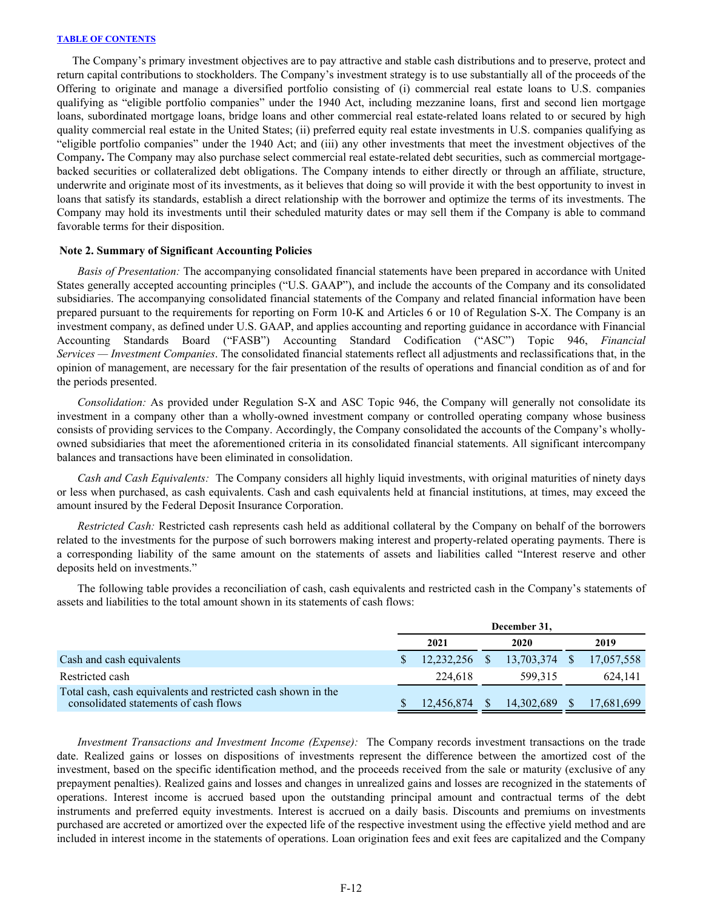<span id="page-71-0"></span>The Company's primary investment objectives are to pay attractive and stable cash distributions and to preserve, protect and return capital contributions to stockholders. The Company's investment strategy is to use substantially all of the proceeds of the Offering to originate and manage a diversified portfolio consisting of (i) commercial real estate loans to U.S. companies qualifying as "eligible portfolio companies" under the 1940 Act, including mezzanine loans, first and second lien mortgage loans, subordinated mortgage loans, bridge loans and other commercial real estate-related loans related to or secured by high quality commercial real estate in the United States; (ii) preferred equity real estate investments in U.S. companies qualifying as "eligible portfolio companies" under the 1940 Act; and (iii) any other investments that meet the investment objectives of the Company**.** The Company may also purchase select commercial real estate-related debt securities, such as commercial mortgagebacked securities or collateralized debt obligations. The Company intends to either directly or through an affiliate, structure, underwrite and originate most of its investments, as it believes that doing so will provide it with the best opportunity to invest in loans that satisfy its standards, establish a direct relationship with the borrower and optimize the terms of its investments. The Company may hold its investments until their scheduled maturity dates or may sell them if the Company is able to command favorable terms for their disposition.

### **Note 2. Summary of Significant Accounting Policies**

*Basis of Presentation:* The accompanying consolidated financial statements have been prepared in accordance with United States generally accepted accounting principles ("U.S. GAAP"), and include the accounts of the Company and its consolidated subsidiaries. The accompanying consolidated financial statements of the Company and related financial information have been prepared pursuant to the requirements for reporting on Form 10-K and Articles 6 or 10 of Regulation S-X. The Company is an investment company, as defined under U.S. GAAP, and applies accounting and reporting guidance in accordance with Financial Accounting Standards Board ("FASB") Accounting Standard Codification ("ASC") Topic 946, *Financial Services — Investment Companies*. The consolidated financial statements reflect all adjustments and reclassifications that, in the opinion of management, are necessary for the fair presentation of the results of operations and financial condition as of and for the periods presented.

*Consolidation:* As provided under Regulation S-X and ASC Topic 946, the Company will generally not consolidate its investment in a company other than a wholly-owned investment company or controlled operating company whose business consists of providing services to the Company. Accordingly, the Company consolidated the accounts of the Company's whollyowned subsidiaries that meet the aforementioned criteria in its consolidated financial statements. All significant intercompany balances and transactions have been eliminated in consolidation.

*Cash and Cash Equivalents:* The Company considers all highly liquid investments, with original maturities of ninety days or less when purchased, as cash equivalents. Cash and cash equivalents held at financial institutions, at times, may exceed the amount insured by the Federal Deposit Insurance Corporation.

*Restricted Cash:* Restricted cash represents cash held as additional collateral by the Company on behalf of the borrowers related to the investments for the purpose of such borrowers making interest and property-related operating payments. There is a corresponding liability of the same amount on the statements of assets and liabilities called "Interest reserve and other deposits held on investments."

 The following table provides a reconciliation of cash, cash equivalents and restricted cash in the Company's statements of assets and liabilities to the total amount shown in its statements of cash flows:

|                                                                                                        | December 31, |            |  |            |  |            |  |
|--------------------------------------------------------------------------------------------------------|--------------|------------|--|------------|--|------------|--|
|                                                                                                        |              | 2021       |  | 2020       |  | 2019       |  |
| Cash and cash equivalents                                                                              |              | 12,232,256 |  | 13,703,374 |  | 17.057.558 |  |
| Restricted cash                                                                                        |              | 224.618    |  | 599.315    |  | 624,141    |  |
| Total cash, cash equivalents and restricted cash shown in the<br>consolidated statements of cash flows |              | 12,456,874 |  | 14,302,689 |  | 17,681,699 |  |

*Investment Transactions and Investment Income (Expense):* The Company records investment transactions on the trade date. Realized gains or losses on dispositions of investments represent the difference between the amortized cost of the investment, based on the specific identification method, and the proceeds received from the sale or maturity (exclusive of any prepayment penalties). Realized gains and losses and changes in unrealized gains and losses are recognized in the statements of operations. Interest income is accrued based upon the outstanding principal amount and contractual terms of the debt instruments and preferred equity investments. Interest is accrued on a daily basis. Discounts and premiums on investments purchased are accreted or amortized over the expected life of the respective investment using the effective yield method and are included in interest income in the statements of operations. Loan origination fees and exit fees are capitalized and the Company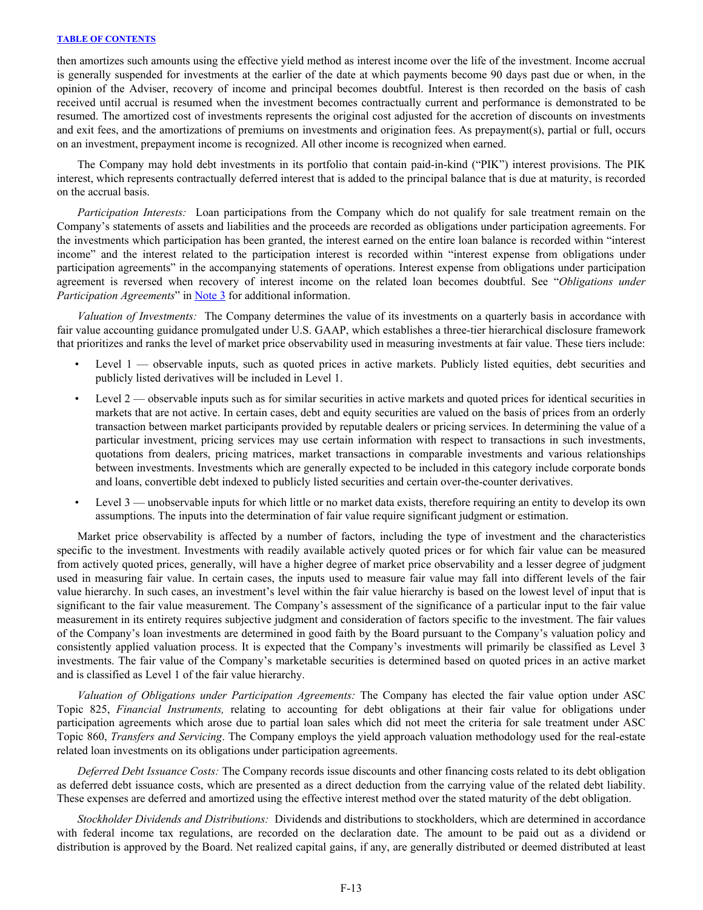then amortizes such amounts using the effective yield method as interest income over the life of the investment. Income accrual is generally suspended for investments at the earlier of the date at which payments become 90 days past due or when, in the opinion of the Adviser, recovery of income and principal becomes doubtful. Interest is then recorded on the basis of cash received until accrual is resumed when the investment becomes contractually current and performance is demonstrated to be resumed. The amortized cost of investments represents the original cost adjusted for the accretion of discounts on investments and exit fees, and the amortizations of premiums on investments and origination fees. As prepayment(s), partial or full, occurs on an investment, prepayment income is recognized. All other income is recognized when earned.

 The Company may hold debt investments in its portfolio that contain paid-in-kind ("PIK") interest provisions. The PIK interest, which represents contractually deferred interest that is added to the principal balance that is due at maturity, is recorded on the accrual basis.

*Participation Interests:* Loan participations from the Company which do not qualify for sale treatment remain on the Company's statements of assets and liabilities and the proceeds are recorded as obligations under participation agreements. For the investments which participation has been granted, the interest earned on the entire loan balance is recorded within "interest income" and the interest related to the participation interest is recorded within "interest expense from obligations under participation agreements" in the accompanying statements of operations. Interest expense from obligations under participation agreement is reversed when recovery of interest income on the related loan becomes doubtful. See "*Obligations under Participation Agreements*" in [Note 3](#page-75-0) for additional information.

*Valuation of Investments:* The Company determines the value of its investments on a quarterly basis in accordance with fair value accounting guidance promulgated under U.S. GAAP, which establishes a three-tier hierarchical disclosure framework that prioritizes and ranks the level of market price observability used in measuring investments at fair value. These tiers include:

- Level 1 observable inputs, such as quoted prices in active markets. Publicly listed equities, debt securities and publicly listed derivatives will be included in Level 1.
- Level 2 observable inputs such as for similar securities in active markets and quoted prices for identical securities in markets that are not active. In certain cases, debt and equity securities are valued on the basis of prices from an orderly transaction between market participants provided by reputable dealers or pricing services. In determining the value of a particular investment, pricing services may use certain information with respect to transactions in such investments, quotations from dealers, pricing matrices, market transactions in comparable investments and various relationships between investments. Investments which are generally expected to be included in this category include corporate bonds and loans, convertible debt indexed to publicly listed securities and certain over-the-counter derivatives.
- Level 3 unobservable inputs for which little or no market data exists, therefore requiring an entity to develop its own assumptions. The inputs into the determination of fair value require significant judgment or estimation.

Market price observability is affected by a number of factors, including the type of investment and the characteristics specific to the investment. Investments with readily available actively quoted prices or for which fair value can be measured from actively quoted prices, generally, will have a higher degree of market price observability and a lesser degree of judgment used in measuring fair value. In certain cases, the inputs used to measure fair value may fall into different levels of the fair value hierarchy. In such cases, an investment's level within the fair value hierarchy is based on the lowest level of input that is significant to the fair value measurement. The Company's assessment of the significance of a particular input to the fair value measurement in its entirety requires subjective judgment and consideration of factors specific to the investment. The fair values of the Company's loan investments are determined in good faith by the Board pursuant to the Company's valuation policy and consistently applied valuation process. It is expected that the Company's investments will primarily be classified as Level 3 investments. The fair value of the Company's marketable securities is determined based on quoted prices in an active market and is classified as Level 1 of the fair value hierarchy.

 *Valuation of Obligations under Participation Agreements:* The Company has elected the fair value option under ASC Topic 825, *Financial Instruments,* relating to accounting for debt obligations at their fair value for obligations under participation agreements which arose due to partial loan sales which did not meet the criteria for sale treatment under ASC Topic 860, *Transfers and Servicing*. The Company employs the yield approach valuation methodology used for the real-estate related loan investments on its obligations under participation agreements.

*Deferred Debt Issuance Costs:* The Company records issue discounts and other financing costs related to its debt obligation as deferred debt issuance costs, which are presented as a direct deduction from the carrying value of the related debt liability. These expenses are deferred and amortized using the effective interest method over the stated maturity of the debt obligation.

*Stockholder Dividends and Distributions:* Dividends and distributions to stockholders, which are determined in accordance with federal income tax regulations, are recorded on the declaration date. The amount to be paid out as a dividend or distribution is approved by the Board. Net realized capital gains, if any, are generally distributed or deemed distributed at least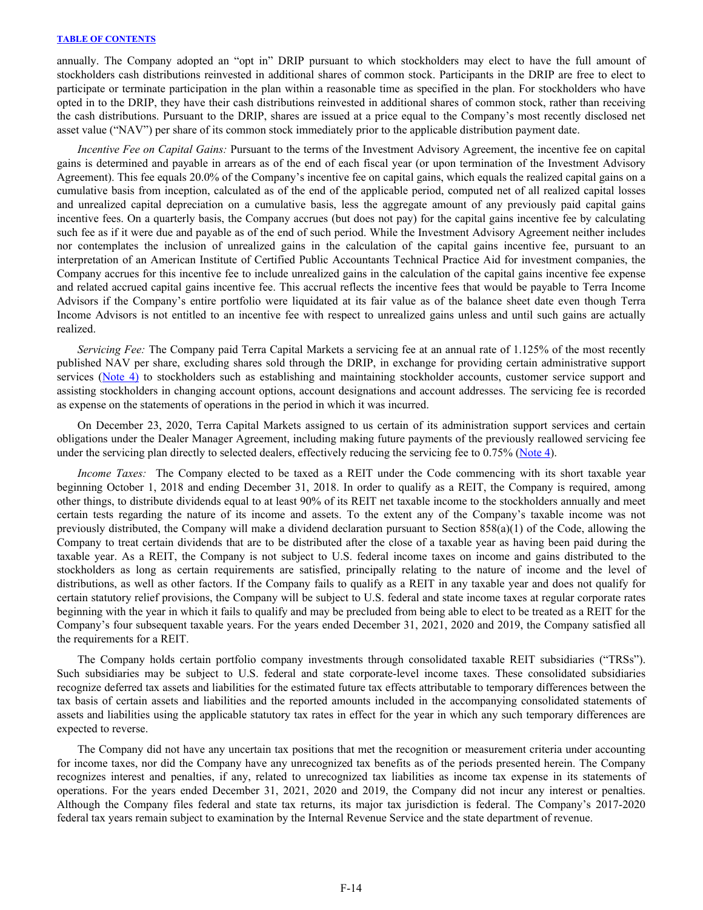annually. The Company adopted an "opt in" DRIP pursuant to which stockholders may elect to have the full amount of stockholders cash distributions reinvested in additional shares of common stock. Participants in the DRIP are free to elect to participate or terminate participation in the plan within a reasonable time as specified in the plan. For stockholders who have opted in to the DRIP, they have their cash distributions reinvested in additional shares of common stock, rather than receiving the cash distributions. Pursuant to the DRIP, shares are issued at a price equal to the Company's most recently disclosed net asset value ("NAV") per share of its common stock immediately prior to the applicable distribution payment date.

 *Incentive Fee on Capital Gains:* Pursuant to the terms of the Investment Advisory Agreement, the incentive fee on capital gains is determined and payable in arrears as of the end of each fiscal year (or upon termination of the Investment Advisory Agreement). This fee equals 20.0% of the Company's incentive fee on capital gains, which equals the realized capital gains on a cumulative basis from inception, calculated as of the end of the applicable period, computed net of all realized capital losses and unrealized capital depreciation on a cumulative basis, less the aggregate amount of any previously paid capital gains incentive fees. On a quarterly basis, the Company accrues (but does not pay) for the capital gains incentive fee by calculating such fee as if it were due and payable as of the end of such period. While the Investment Advisory Agreement neither includes nor contemplates the inclusion of unrealized gains in the calculation of the capital gains incentive fee, pursuant to an interpretation of an American Institute of Certified Public Accountants Technical Practice Aid for investment companies, the Company accrues for this incentive fee to include unrealized gains in the calculation of the capital gains incentive fee expense and related accrued capital gains incentive fee. This accrual reflects the incentive fees that would be payable to Terra Income Advisors if the Company's entire portfolio were liquidated at its fair value as of the balance sheet date even though Terra Income Advisors is not entitled to an incentive fee with respect to unrealized gains unless and until such gains are actually realized.

*Servicing Fee:* The Company paid Terra Capital Markets a servicing fee at an annual rate of 1.125% of the most recently published NAV per share, excluding shares sold through the DRIP, in exchange for providing certain administrative support services [\(Note 4\)](#page-78-0) to stockholders such as establishing and maintaining stockholder accounts, customer service support and assisting stockholders in changing account options, account designations and account addresses. The servicing fee is recorded as expense on the statements of operations in the period in which it was incurred.

On December 23, 2020, Terra Capital Markets assigned to us certain of its administration support services and certain obligations under the Dealer Manager Agreement, including making future payments of the previously reallowed servicing fee under the servicing plan directly to selected dealers, effectively reducing the servicing fee to  $0.75\%$  ([Note 4\)](#page-78-0).

*Income Taxes:* The Company elected to be taxed as a REIT under the Code commencing with its short taxable year beginning October 1, 2018 and ending December 31, 2018. In order to qualify as a REIT, the Company is required, among other things, to distribute dividends equal to at least 90% of its REIT net taxable income to the stockholders annually and meet certain tests regarding the nature of its income and assets. To the extent any of the Company's taxable income was not previously distributed, the Company will make a dividend declaration pursuant to Section 858(a)(1) of the Code, allowing the Company to treat certain dividends that are to be distributed after the close of a taxable year as having been paid during the taxable year. As a REIT, the Company is not subject to U.S. federal income taxes on income and gains distributed to the stockholders as long as certain requirements are satisfied, principally relating to the nature of income and the level of distributions, as well as other factors. If the Company fails to qualify as a REIT in any taxable year and does not qualify for certain statutory relief provisions, the Company will be subject to U.S. federal and state income taxes at regular corporate rates beginning with the year in which it fails to qualify and may be precluded from being able to elect to be treated as a REIT for the Company's four subsequent taxable years. For the years ended December 31, 2021, 2020 and 2019, the Company satisfied all the requirements for a REIT.

The Company holds certain portfolio company investments through consolidated taxable REIT subsidiaries ("TRSs"). Such subsidiaries may be subject to U.S. federal and state corporate-level income taxes. These consolidated subsidiaries recognize deferred tax assets and liabilities for the estimated future tax effects attributable to temporary differences between the tax basis of certain assets and liabilities and the reported amounts included in the accompanying consolidated statements of assets and liabilities using the applicable statutory tax rates in effect for the year in which any such temporary differences are expected to reverse.

The Company did not have any uncertain tax positions that met the recognition or measurement criteria under accounting for income taxes, nor did the Company have any unrecognized tax benefits as of the periods presented herein. The Company recognizes interest and penalties, if any, related to unrecognized tax liabilities as income tax expense in its statements of operations. For the years ended December 31, 2021, 2020 and 2019, the Company did not incur any interest or penalties. Although the Company files federal and state tax returns, its major tax jurisdiction is federal. The Company's 2017-2020 federal tax years remain subject to examination by the Internal Revenue Service and the state department of revenue.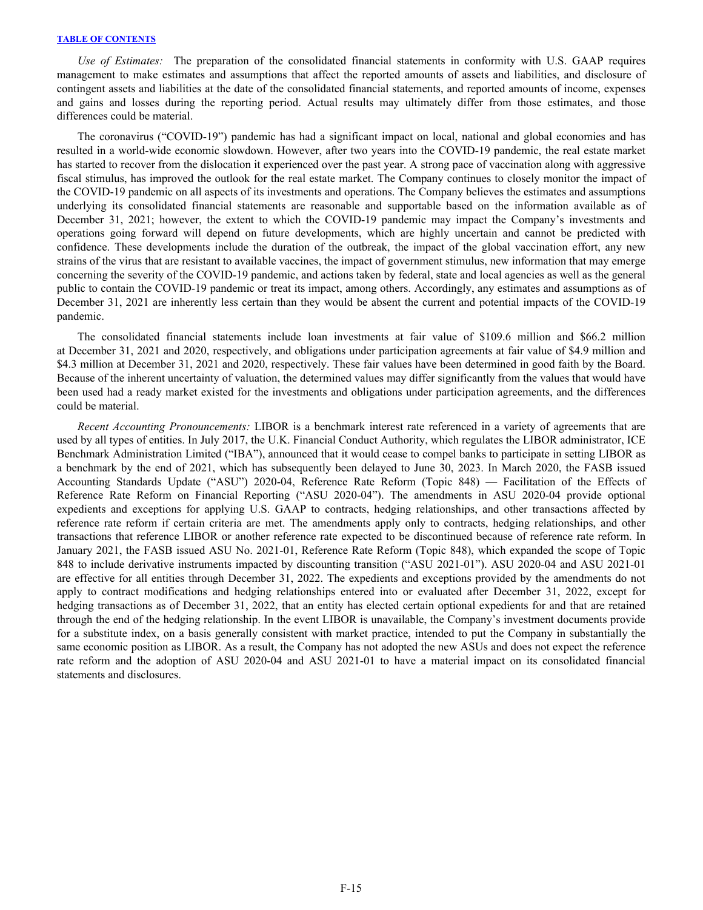*Use of Estimates:* The preparation of the consolidated financial statements in conformity with U.S. GAAP requires management to make estimates and assumptions that affect the reported amounts of assets and liabilities, and disclosure of contingent assets and liabilities at the date of the consolidated financial statements, and reported amounts of income, expenses and gains and losses during the reporting period. Actual results may ultimately differ from those estimates, and those differences could be material.

The coronavirus ("COVID-19") pandemic has had a significant impact on local, national and global economies and has resulted in a world-wide economic slowdown. However, after two years into the COVID-19 pandemic, the real estate market has started to recover from the dislocation it experienced over the past year. A strong pace of vaccination along with aggressive fiscal stimulus, has improved the outlook for the real estate market. The Company continues to closely monitor the impact of the COVID-19 pandemic on all aspects of its investments and operations. The Company believes the estimates and assumptions underlying its consolidated financial statements are reasonable and supportable based on the information available as of December 31, 2021; however, the extent to which the COVID-19 pandemic may impact the Company's investments and operations going forward will depend on future developments, which are highly uncertain and cannot be predicted with confidence. These developments include the duration of the outbreak, the impact of the global vaccination effort, any new strains of the virus that are resistant to available vaccines, the impact of government stimulus, new information that may emerge concerning the severity of the COVID-19 pandemic, and actions taken by federal, state and local agencies as well as the general public to contain the COVID-19 pandemic or treat its impact, among others. Accordingly, any estimates and assumptions as of December 31, 2021 are inherently less certain than they would be absent the current and potential impacts of the COVID-19 pandemic.

The consolidated financial statements include loan investments at fair value of \$109.6 million and \$66.2 million at December 31, 2021 and 2020, respectively, and obligations under participation agreements at fair value of \$4.9 million and \$4.3 million at December 31, 2021 and 2020, respectively. These fair values have been determined in good faith by the Board. Because of the inherent uncertainty of valuation, the determined values may differ significantly from the values that would have been used had a ready market existed for the investments and obligations under participation agreements, and the differences could be material.

*Recent Accounting Pronouncements:* LIBOR is a benchmark interest rate referenced in a variety of agreements that are used by all types of entities. In July 2017, the U.K. Financial Conduct Authority, which regulates the LIBOR administrator, ICE Benchmark Administration Limited ("IBA"), announced that it would cease to compel banks to participate in setting LIBOR as a benchmark by the end of 2021, which has subsequently been delayed to June 30, 2023. In March 2020, the FASB issued Accounting Standards Update ("ASU") 2020-04, Reference Rate Reform (Topic 848) — Facilitation of the Effects of Reference Rate Reform on Financial Reporting ("ASU 2020-04"). The amendments in ASU 2020-04 provide optional expedients and exceptions for applying U.S. GAAP to contracts, hedging relationships, and other transactions affected by reference rate reform if certain criteria are met. The amendments apply only to contracts, hedging relationships, and other transactions that reference LIBOR or another reference rate expected to be discontinued because of reference rate reform. In January 2021, the FASB issued ASU No. 2021-01, Reference Rate Reform (Topic 848), which expanded the scope of Topic 848 to include derivative instruments impacted by discounting transition ("ASU 2021-01"). ASU 2020-04 and ASU 2021-01 are effective for all entities through December 31, 2022. The expedients and exceptions provided by the amendments do not apply to contract modifications and hedging relationships entered into or evaluated after December 31, 2022, except for hedging transactions as of December 31, 2022, that an entity has elected certain optional expedients for and that are retained through the end of the hedging relationship. In the event LIBOR is unavailable, the Company's investment documents provide for a substitute index, on a basis generally consistent with market practice, intended to put the Company in substantially the same economic position as LIBOR. As a result, the Company has not adopted the new ASUs and does not expect the reference rate reform and the adoption of ASU 2020-04 and ASU 2021-01 to have a material impact on its consolidated financial statements and disclosures.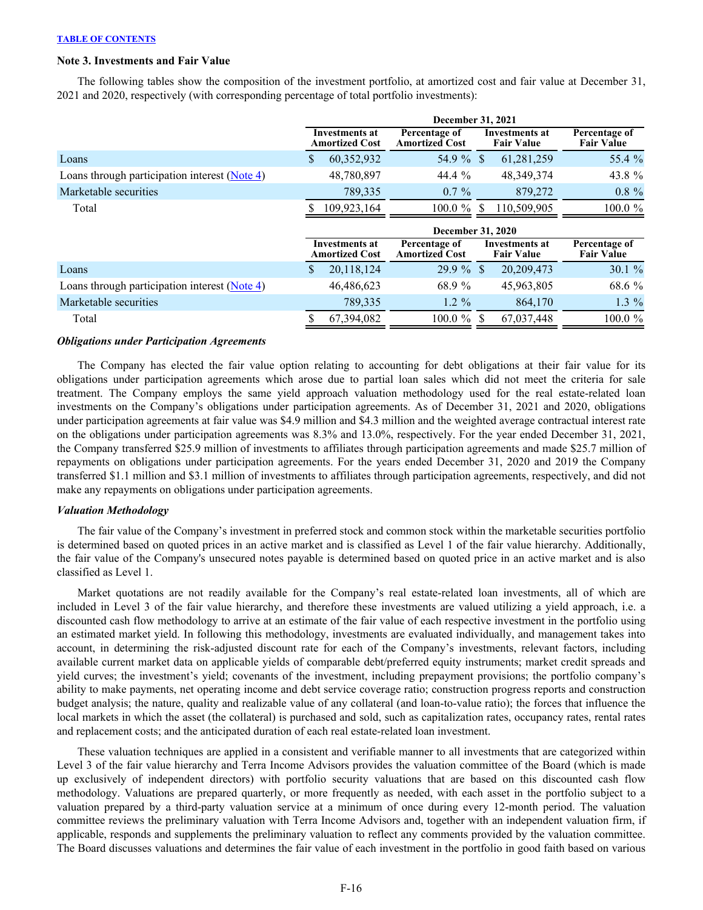## <span id="page-75-0"></span>**Note 3. Investments and Fair Value**

The following tables show the composition of the investment portfolio, at amortized cost and fair value at December 31, 2021 and 2020, respectively (with corresponding percentage of total portfolio investments):

|                                                 |    | December 31, 2021                              |                                        |              |                                     |                                    |  |  |
|-------------------------------------------------|----|------------------------------------------------|----------------------------------------|--------------|-------------------------------------|------------------------------------|--|--|
|                                                 |    | <b>Investments at</b><br><b>Amortized Cost</b> | Percentage of<br><b>Amortized Cost</b> |              | Investments at<br><b>Fair Value</b> | Percentage of<br><b>Fair Value</b> |  |  |
| Loans                                           | \$ | 60,352,932                                     | 54.9 % \$                              |              | 61,281,259                          | 55.4 %                             |  |  |
| Loans through participation interest $(Note 4)$ |    | 48,780,897                                     | 44.4 %                                 |              | 48, 349, 374                        | 43.8 %                             |  |  |
| Marketable securities                           |    | 789,335                                        | $0.7\%$                                |              | 879,272                             | $0.8 \%$                           |  |  |
| Total                                           |    | 109,923,164                                    | $100.0 \%$                             | -S           | 110,509,905                         | $100.0 \%$                         |  |  |
|                                                 |    | December 31, 2020                              |                                        |              |                                     |                                    |  |  |
|                                                 |    | <b>Investments at</b><br><b>Amortized Cost</b> | Percentage of<br><b>Amortized Cost</b> |              | Investments at<br><b>Fair Value</b> | Percentage of<br><b>Fair Value</b> |  |  |
| Loans                                           | \$ | 20,118,124                                     | $29.9\%$                               | <sup>S</sup> | 20,209,473                          | 30.1%                              |  |  |
| Loans through participation interest (Note 4)   |    | 46,486,623                                     | 68.9 %                                 |              | 45,963,805                          | 68.6 %                             |  |  |
| Marketable securities                           |    | 789,335                                        | $1.2 \%$                               |              | 864,170                             | 1.3 %                              |  |  |
| Total                                           |    |                                                |                                        | $100.0 \%$   | 67,037,448                          | 100.0 %                            |  |  |

### *Obligations under Participation Agreements*

 The Company has elected the fair value option relating to accounting for debt obligations at their fair value for its obligations under participation agreements which arose due to partial loan sales which did not meet the criteria for sale treatment. The Company employs the same yield approach valuation methodology used for the real estate-related loan investments on the Company's obligations under participation agreements. As of December 31, 2021 and 2020, obligations under participation agreements at fair value was \$4.9 million and \$4.3 million and the weighted average contractual interest rate on the obligations under participation agreements was 8.3% and 13.0%, respectively. For the year ended December 31, 2021, the Company transferred \$25.9 million of investments to affiliates through participation agreements and made \$25.7 million of repayments on obligations under participation agreements. For the years ended December 31, 2020 and 2019 the Company transferred \$1.1 million and \$3.1 million of investments to affiliates through participation agreements, respectively, and did not make any repayments on obligations under participation agreements.

### *Valuation Methodology*

 The fair value of the Company's investment in preferred stock and common stock within the marketable securities portfolio is determined based on quoted prices in an active market and is classified as Level 1 of the fair value hierarchy. Additionally, the fair value of the Company's unsecured notes payable is determined based on quoted price in an active market and is also classified as Level 1.

Market quotations are not readily available for the Company's real estate-related loan investments, all of which are included in Level 3 of the fair value hierarchy, and therefore these investments are valued utilizing a yield approach, i.e. a discounted cash flow methodology to arrive at an estimate of the fair value of each respective investment in the portfolio using an estimated market yield. In following this methodology, investments are evaluated individually, and management takes into account, in determining the risk-adjusted discount rate for each of the Company's investments, relevant factors, including available current market data on applicable yields of comparable debt/preferred equity instruments; market credit spreads and yield curves; the investment's yield; covenants of the investment, including prepayment provisions; the portfolio company's ability to make payments, net operating income and debt service coverage ratio; construction progress reports and construction budget analysis; the nature, quality and realizable value of any collateral (and loan-to-value ratio); the forces that influence the local markets in which the asset (the collateral) is purchased and sold, such as capitalization rates, occupancy rates, rental rates and replacement costs; and the anticipated duration of each real estate-related loan investment.

These valuation techniques are applied in a consistent and verifiable manner to all investments that are categorized within Level 3 of the fair value hierarchy and Terra Income Advisors provides the valuation committee of the Board (which is made up exclusively of independent directors) with portfolio security valuations that are based on this discounted cash flow methodology. Valuations are prepared quarterly, or more frequently as needed, with each asset in the portfolio subject to a valuation prepared by a third-party valuation service at a minimum of once during every 12-month period. The valuation committee reviews the preliminary valuation with Terra Income Advisors and, together with an independent valuation firm, if applicable, responds and supplements the preliminary valuation to reflect any comments provided by the valuation committee. The Board discusses valuations and determines the fair value of each investment in the portfolio in good faith based on various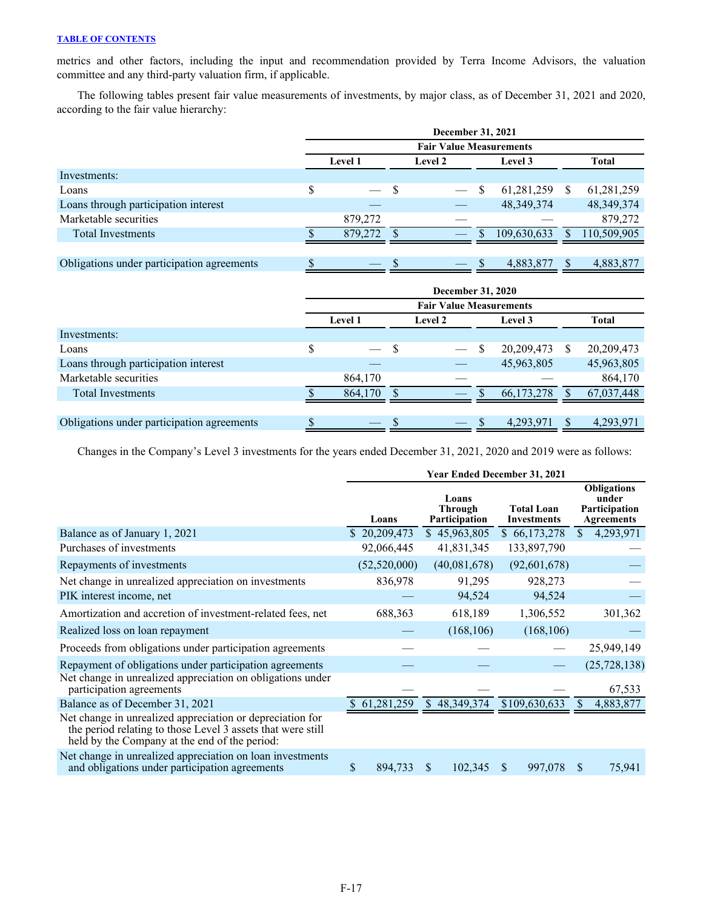metrics and other factors, including the input and recommendation provided by Terra Income Advisors, the valuation committee and any third-party valuation firm, if applicable.

The following tables present fair value measurements of investments, by major class, as of December 31, 2021 and 2020, according to the fair value hierarchy:

|                                            | December 31, 2021              |    |         |   |              |   |              |  |
|--------------------------------------------|--------------------------------|----|---------|---|--------------|---|--------------|--|
|                                            | <b>Fair Value Measurements</b> |    |         |   |              |   |              |  |
|                                            | Level 1                        |    | Level 2 |   | Level 3      |   | <b>Total</b> |  |
| Investments:                               |                                |    |         |   |              |   |              |  |
| Loans                                      | \$<br>$\frac{1}{2}$            | -S |         | S | 61,281,259   | S | 61,281,259   |  |
| Loans through participation interest       |                                |    |         |   | 48, 349, 374 |   | 48, 349, 374 |  |
| Marketable securities                      | 879,272                        |    |         |   |              |   | 879,272      |  |
| <b>Total Investments</b>                   | 879,272                        |    |         |   | 109,630,633  |   | 110,509,905  |  |
|                                            |                                |    |         |   |              |   |              |  |
| Obligations under participation agreements |                                |    |         |   | 4,883,877    |   | 4,883,877    |  |

|                                            | <b>December 31, 2020</b>                                                                                                                                                                                                                                                                                                                                                                                                                                                   |   |         |    |              |   |              |  |  |
|--------------------------------------------|----------------------------------------------------------------------------------------------------------------------------------------------------------------------------------------------------------------------------------------------------------------------------------------------------------------------------------------------------------------------------------------------------------------------------------------------------------------------------|---|---------|----|--------------|---|--------------|--|--|
|                                            | <b>Fair Value Measurements</b>                                                                                                                                                                                                                                                                                                                                                                                                                                             |   |         |    |              |   |              |  |  |
|                                            | <b>Level 1</b>                                                                                                                                                                                                                                                                                                                                                                                                                                                             |   | Level 2 |    | Level 3      |   | <b>Total</b> |  |  |
| Investments:                               |                                                                                                                                                                                                                                                                                                                                                                                                                                                                            |   |         |    |              |   |              |  |  |
| Loans                                      | \$<br>$\frac{1}{1}$                                                                                                                                                                                                                                                                                                                                                                                                                                                        | S |         | \$ | 20,209,473   | S | 20,209,473   |  |  |
| Loans through participation interest       |                                                                                                                                                                                                                                                                                                                                                                                                                                                                            |   |         |    | 45,963,805   |   | 45,963,805   |  |  |
| Marketable securities                      | 864.170                                                                                                                                                                                                                                                                                                                                                                                                                                                                    |   |         |    |              |   | 864,170      |  |  |
| <b>Total Investments</b>                   | 864,170                                                                                                                                                                                                                                                                                                                                                                                                                                                                    |   |         |    | 66, 173, 278 |   | 67,037,448   |  |  |
|                                            |                                                                                                                                                                                                                                                                                                                                                                                                                                                                            |   |         |    |              |   |              |  |  |
| Obligations under participation agreements | $\frac{1}{2} \left( \frac{1}{2} \right) \left( \frac{1}{2} \right) \left( \frac{1}{2} \right) \left( \frac{1}{2} \right) \left( \frac{1}{2} \right) \left( \frac{1}{2} \right) \left( \frac{1}{2} \right) \left( \frac{1}{2} \right) \left( \frac{1}{2} \right) \left( \frac{1}{2} \right) \left( \frac{1}{2} \right) \left( \frac{1}{2} \right) \left( \frac{1}{2} \right) \left( \frac{1}{2} \right) \left( \frac{1}{2} \right) \left( \frac{1}{2} \right) \left( \frac$ |   |         |    | 4,293,971    |   | 4,293,971    |  |  |

Changes in the Company's Level 3 investments for the years ended December 31, 2021, 2020 and 2019 were as follows:

|                                                                                                                                                                           | <b>Year Ended December 31, 2021</b> |                                   |                                         |                                                                   |  |  |  |
|---------------------------------------------------------------------------------------------------------------------------------------------------------------------------|-------------------------------------|-----------------------------------|-----------------------------------------|-------------------------------------------------------------------|--|--|--|
|                                                                                                                                                                           | Loans                               | Loans<br>Through<br>Participation | <b>Total Loan</b><br><b>Investments</b> | <b>Obligations</b><br>under<br>Participation<br><b>Agreements</b> |  |  |  |
| Balance as of January 1, 2021                                                                                                                                             | \$20,209,473                        | \$45,963,805                      | \$66,173,278                            | 4,293,971<br>$\mathcal{S}$                                        |  |  |  |
| Purchases of investments                                                                                                                                                  | 92,066,445                          | 41,831,345                        | 133,897,790                             |                                                                   |  |  |  |
| Repayments of investments                                                                                                                                                 | (52, 520, 000)                      | (40,081,678)                      | (92,601,678)                            |                                                                   |  |  |  |
| Net change in unrealized appreciation on investments                                                                                                                      | 836,978                             | 91,295                            | 928,273                                 |                                                                   |  |  |  |
| PIK interest income, net                                                                                                                                                  |                                     | 94,524                            | 94,524                                  |                                                                   |  |  |  |
| Amortization and accretion of investment-related fees, net                                                                                                                | 688,363                             | 618,189                           | 1,306,552                               | 301,362                                                           |  |  |  |
| Realized loss on loan repayment                                                                                                                                           |                                     | (168, 106)                        | (168, 106)                              |                                                                   |  |  |  |
| Proceeds from obligations under participation agreements                                                                                                                  |                                     |                                   |                                         | 25,949,149                                                        |  |  |  |
| Repayment of obligations under participation agreements                                                                                                                   |                                     |                                   |                                         | (25, 728, 138)                                                    |  |  |  |
| Net change in unrealized appreciation on obligations under<br>participation agreements                                                                                    |                                     |                                   |                                         | 67,533                                                            |  |  |  |
| Balance as of December 31, 2021                                                                                                                                           | 61,281,259<br>S.                    | \$48,349,374                      | \$109,630,633                           | 4,883,877                                                         |  |  |  |
| Net change in unrealized appreciation or depreciation for<br>the period relating to those Level 3 assets that were still<br>held by the Company at the end of the period: |                                     |                                   |                                         |                                                                   |  |  |  |
| Net change in unrealized appreciation on loan investments<br>and obligations under participation agreements                                                               | \$<br>894,733                       | S.<br>102,345                     | <sup>\$</sup><br>997,078                | <sup>S</sup><br>75,941                                            |  |  |  |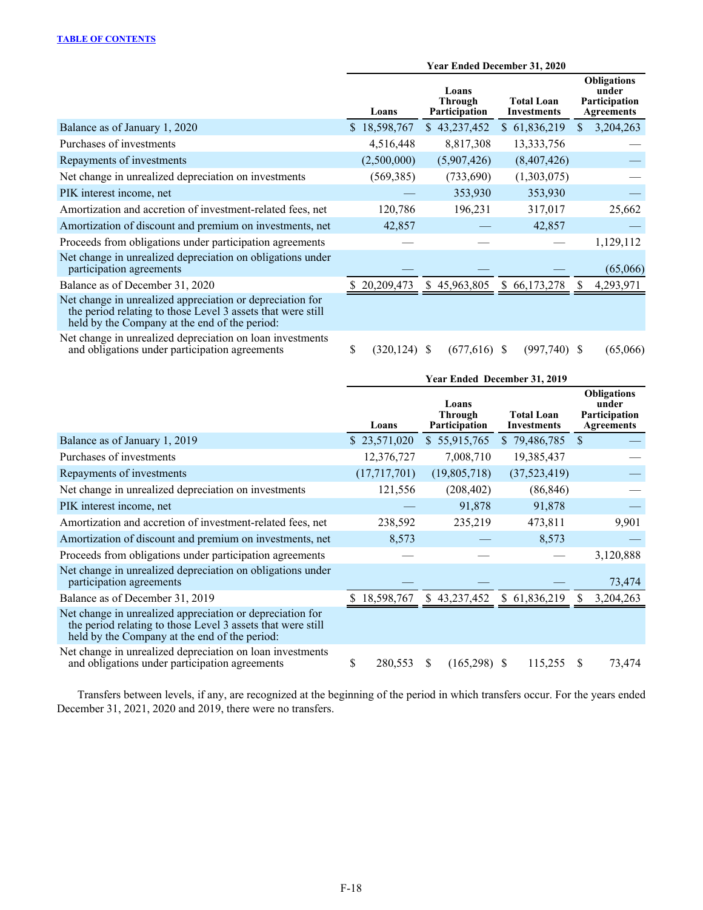|                                                                                                                                                                           | <b>Year Ended December 31, 2020</b> |                                          |                                         |                                                                   |  |  |
|---------------------------------------------------------------------------------------------------------------------------------------------------------------------------|-------------------------------------|------------------------------------------|-----------------------------------------|-------------------------------------------------------------------|--|--|
|                                                                                                                                                                           | Loans                               | Loans<br>Through<br><b>Participation</b> | <b>Total Loan</b><br><b>Investments</b> | <b>Obligations</b><br>under<br>Participation<br><b>Agreements</b> |  |  |
| Balance as of January 1, 2020                                                                                                                                             | \$18,598,767                        | \$43,237,452                             | \$61,836,219                            | 3,204,263<br>S.                                                   |  |  |
| Purchases of investments                                                                                                                                                  | 4,516,448                           | 8,817,308                                | 13,333,756                              |                                                                   |  |  |
| Repayments of investments                                                                                                                                                 | (2,500,000)                         | (5,907,426)                              | (8,407,426)                             |                                                                   |  |  |
| Net change in unrealized depreciation on investments                                                                                                                      | (569, 385)                          | (733,690)                                | (1,303,075)                             |                                                                   |  |  |
| PIK interest income, net                                                                                                                                                  |                                     | 353,930                                  | 353,930                                 |                                                                   |  |  |
| Amortization and accretion of investment-related fees, net                                                                                                                | 120,786                             | 196,231                                  | 317,017                                 | 25,662                                                            |  |  |
| Amortization of discount and premium on investments, net                                                                                                                  | 42,857                              |                                          | 42,857                                  |                                                                   |  |  |
| Proceeds from obligations under participation agreements                                                                                                                  |                                     |                                          |                                         | 1,129,112                                                         |  |  |
| Net change in unrealized depreciation on obligations under<br>participation agreements                                                                                    |                                     |                                          |                                         | (65,066)                                                          |  |  |
| Balance as of December 31, 2020                                                                                                                                           | 20,209,473<br>S.                    | \$45,963,805                             | \$66,173,278                            | 4,293,971<br>У,                                                   |  |  |
| Net change in unrealized appreciation or depreciation for<br>the period relating to those Level 3 assets that were still<br>held by the Company at the end of the period: |                                     |                                          |                                         |                                                                   |  |  |
| Net change in unrealized depreciation on loan investments<br>and obligations under participation agreements                                                               | \$<br>(320,124)                     | $(677,616)$ \$<br>S.                     | (997,740)                               | (65,066)<br><sup>8</sup>                                          |  |  |

|                                                                                                                                                                           | Year Ended December 31, 2019 |                                   |                                         |                                                                   |  |
|---------------------------------------------------------------------------------------------------------------------------------------------------------------------------|------------------------------|-----------------------------------|-----------------------------------------|-------------------------------------------------------------------|--|
|                                                                                                                                                                           | Loans                        | Loans<br>Through<br>Participation | <b>Total Loan</b><br><b>Investments</b> | <b>Obligations</b><br>under<br>Participation<br><b>Agreements</b> |  |
| Balance as of January 1, 2019                                                                                                                                             | \$23,571,020                 | \$55,915,765                      | \$79,486,785                            | <sup>S</sup>                                                      |  |
| Purchases of investments                                                                                                                                                  | 12,376,727                   | 7,008,710                         | 19,385,437                              |                                                                   |  |
| Repayments of investments                                                                                                                                                 | (17,717,701)                 | (19,805,718)                      | (37, 523, 419)                          |                                                                   |  |
| Net change in unrealized depreciation on investments                                                                                                                      | 121,556                      | (208, 402)                        | (86, 846)                               |                                                                   |  |
| PIK interest income, net                                                                                                                                                  |                              | 91,878                            | 91,878                                  |                                                                   |  |
| Amortization and accretion of investment-related fees, net                                                                                                                | 238,592                      | 235,219                           | 473,811                                 | 9,901                                                             |  |
| Amortization of discount and premium on investments, net                                                                                                                  | 8,573                        |                                   | 8,573                                   |                                                                   |  |
| Proceeds from obligations under participation agreements                                                                                                                  |                              |                                   |                                         | 3,120,888                                                         |  |
| Net change in unrealized depreciation on obligations under<br>participation agreements                                                                                    |                              |                                   |                                         | 73,474                                                            |  |
| Balance as of December 31, 2019                                                                                                                                           | 18,598,767                   | \$43,237,452                      | 61,836,219<br>S.                        | 3,204,263                                                         |  |
| Net change in unrealized appreciation or depreciation for<br>the period relating to those Level 3 assets that were still<br>held by the Company at the end of the period: |                              |                                   |                                         |                                                                   |  |
| Net change in unrealized depreciation on loan investments<br>and obligations under participation agreements                                                               | \$<br>280,553                | $(165,298)$ \$<br>S.              | 115,255                                 | S<br>73,474                                                       |  |

 Transfers between levels, if any, are recognized at the beginning of the period in which transfers occur. For the years ended December 31, 2021, 2020 and 2019, there were no transfers.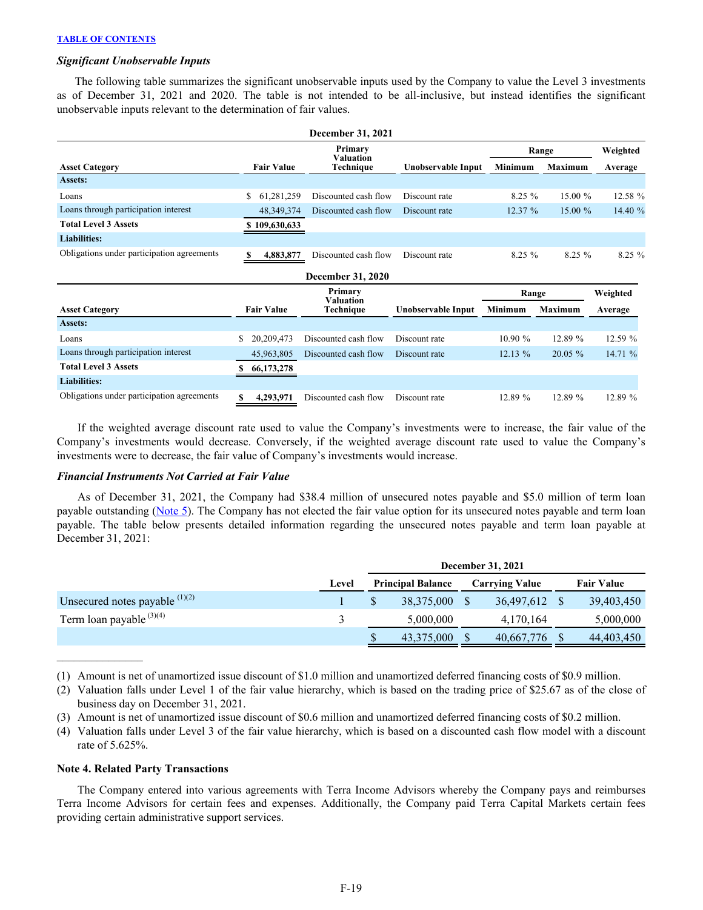## <span id="page-78-0"></span>*Significant Unobservable Inputs*

The following table summarizes the significant unobservable inputs used by the Company to value the Level 3 investments as of December 31, 2021 and 2020. The table is not intended to be all-inclusive, but instead identifies the significant unobservable inputs relevant to the determination of fair values.

|                                            |                   | December 31, 2021           |                    |                |                |           |
|--------------------------------------------|-------------------|-----------------------------|--------------------|----------------|----------------|-----------|
|                                            |                   | Primary<br><b>Valuation</b> |                    | Range          | Weighted       |           |
| <b>Asset Category</b>                      | <b>Fair Value</b> | Technique                   | Unobservable Input | <b>Minimum</b> | <b>Maximum</b> |           |
| Assets:                                    |                   |                             |                    |                |                |           |
| Loans                                      | 61,281,259<br>S.  | Discounted cash flow        | Discount rate      | 8.25%          | 15.00 %        | 12.58 %   |
| Loans through participation interest       | 48, 349, 374      | Discounted cash flow        | Discount rate      | 12.37 %        | 15.00 %        | 14.40 %   |
| <b>Total Level 3 Assets</b>                | \$109,630,633     |                             |                    |                |                |           |
| <b>Liabilities:</b>                        |                   |                             |                    |                |                |           |
| Obligations under participation agreements | 4,883,877<br>S    | Discounted cash flow        | Discount rate      | 8.25 %         | 8.25 %         | $8.25 \%$ |
|                                            |                   | December 31, 2020           |                    |                |                |           |
|                                            |                   | Primary                     |                    | Range          |                | Weighted  |
| <b>Asset Category</b>                      | <b>Fair Value</b> | Valuation<br>Technique      | Unobservable Input | <b>Minimum</b> | <b>Maximum</b> | Average   |
| Assets:                                    |                   |                             |                    |                |                |           |
| Loans                                      | 20,209,473<br>\$  | Discounted cash flow        | Discount rate      | 10.90 %        | 12.89 %        | 12.59 %   |
| Loans through participation interest       | 45,963,805        | Discounted cash flow        | Discount rate      | 12.13 %        | $20.05 \%$     | 14.71 %   |
| <b>Total Level 3 Assets</b>                | 66,173,278        |                             |                    |                |                |           |
| <b>Liabilities:</b>                        |                   |                             |                    |                |                |           |
| Obligations under participation agreements | 4,293,971<br>S    | Discounted cash flow        | Discount rate      | 12.89 %        | 12.89 %        | 12.89 %   |

 If the weighted average discount rate used to value the Company's investments were to increase, the fair value of the Company's investments would decrease. Conversely, if the weighted average discount rate used to value the Company's investments were to decrease, the fair value of Company's investments would increase.

#### *Financial Instruments Not Carried at Fair Value*

As of December 31, 2021, the Company had \$38.4 million of unsecured notes payable and \$5.0 million of term loan payable outstanding [\(Note 5](#page-82-0)). The Company has not elected the fair value option for its unsecured notes payable and term loan payable. The table below presents detailed information regarding the unsecured notes payable and term loan payable at December 31, 2021:

|                                  |       | <b>December 31, 2021</b> |                          |  |                       |  |                   |
|----------------------------------|-------|--------------------------|--------------------------|--|-----------------------|--|-------------------|
|                                  | Level |                          | <b>Principal Balance</b> |  | <b>Carrying Value</b> |  | <b>Fair Value</b> |
| Unsecured notes payable $(1)(2)$ |       |                          | 38,375,000               |  | 36,497,612 \$         |  | 39,403,450        |
| Term loan payable $(3)(4)$       |       |                          | 5,000,000                |  | 4,170,164             |  | 5,000,000         |
|                                  |       |                          | 43,375,000               |  | 40,667,776            |  | 44,403,450        |

(1) Amount is net of unamortized issue discount of \$1.0 million and unamortized deferred financing costs of \$0.9 million.

(2) Valuation falls under Level 1 of the fair value hierarchy, which is based on the trading price of \$25.67 as of the close of business day on December 31, 2021.

- (3) Amount is net of unamortized issue discount of \$0.6 million and unamortized deferred financing costs of \$0.2 million.
- (4) Valuation falls under Level 3 of the fair value hierarchy, which is based on a discounted cash flow model with a discount rate of 5.625%.

## **Note 4. Related Party Transactions**

 $\mathcal{L}_\text{max}$  and  $\mathcal{L}_\text{max}$ 

The Company entered into various agreements with Terra Income Advisors whereby the Company pays and reimburses Terra Income Advisors for certain fees and expenses. Additionally, the Company paid Terra Capital Markets certain fees providing certain administrative support services.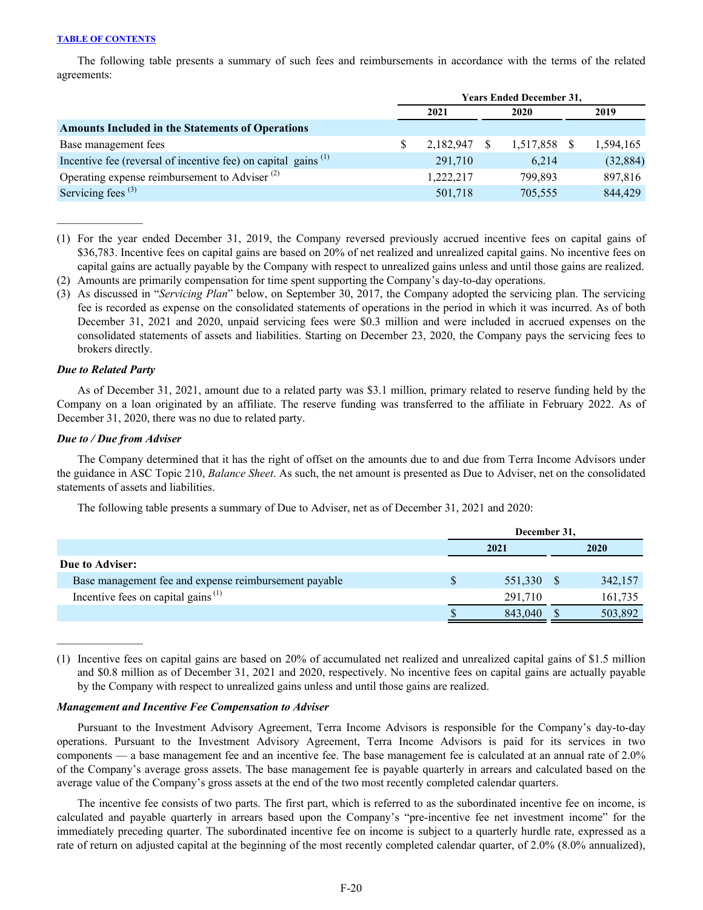The following table presents a summary of such fees and reimbursements in accordance with the terms of the related agreements:

|                                                                           | <b>Years Ended December 31,</b> |           |  |           |  |           |
|---------------------------------------------------------------------------|---------------------------------|-----------|--|-----------|--|-----------|
|                                                                           |                                 | 2021      |  | 2020      |  | 2019      |
| <b>Amounts Included in the Statements of Operations</b>                   |                                 |           |  |           |  |           |
| Base management fees                                                      |                                 | 2,182,947 |  | 1,517,858 |  | 1,594,165 |
| Incentive fee (reversal of incentive fee) on capital gains <sup>(1)</sup> |                                 | 291.710   |  | 6.214     |  | (32, 884) |
| Operating expense reimbursement to Adviser <sup>(2)</sup>                 |                                 | 1,222,217 |  | 799.893   |  | 897,816   |
| Servicing fees $(3)$                                                      |                                 | 501,718   |  | 705,555   |  | 844,429   |

(1) For the year ended December 31, 2019, the Company reversed previously accrued incentive fees on capital gains of \$36,783. Incentive fees on capital gains are based on 20% of net realized and unrealized capital gains. No incentive fees on capital gains are actually payable by the Company with respect to unrealized gains unless and until those gains are realized.

- (2) Amounts are primarily compensation for time spent supporting the Company's day-to-day operations.
- (3) As discussed in "*Servicing Plan*" below, on September 30, 2017, the Company adopted the servicing plan. The servicing fee is recorded as expense on the consolidated statements of operations in the period in which it was incurred. As of both December 31, 2021 and 2020, unpaid servicing fees were \$0.3 million and were included in accrued expenses on the consolidated statements of assets and liabilities. Starting on December 23, 2020, the Company pays the servicing fees to brokers directly.

## *Due to Related Party*

 $\mathcal{L}_\text{max}$  and  $\mathcal{L}_\text{max}$ 

As of December 31, 2021, amount due to a related party was \$3.1 million, primary related to reserve funding held by the Company on a loan originated by an affiliate. The reserve funding was transferred to the affiliate in February 2022. As of December 31, 2020, there was no due to related party.

## *Due to / Due from Adviser*

The Company determined that it has the right of offset on the amounts due to and due from Terra Income Advisors under the guidance in ASC Topic 210, *Balance Sheet*. As such, the net amount is presented as Due to Adviser, net on the consolidated statements of assets and liabilities.

The following table presents a summary of Due to Adviser, net as of December 31, 2021 and 2020:

|                                                             |   | December 31,        |  |         |  |
|-------------------------------------------------------------|---|---------------------|--|---------|--|
|                                                             |   | 2021<br><b>2020</b> |  |         |  |
| Due to Adviser:                                             |   |                     |  |         |  |
| Base management fee and expense reimbursement payable       |   | 551,330             |  | 342,157 |  |
| Incentive fees on capital gains <sup><math>(1)</math></sup> |   | 291.710             |  | 161,735 |  |
|                                                             | C | 843,040             |  | 503,892 |  |

(1) Incentive fees on capital gains are based on 20% of accumulated net realized and unrealized capital gains of \$1.5 million and \$0.8 million as of December 31, 2021 and 2020, respectively. No incentive fees on capital gains are actually payable by the Company with respect to unrealized gains unless and until those gains are realized.

## *Management and Incentive Fee Compensation to Adviser*

Pursuant to the Investment Advisory Agreement, Terra Income Advisors is responsible for the Company's day-to-day operations. Pursuant to the Investment Advisory Agreement, Terra Income Advisors is paid for its services in two components — a base management fee and an incentive fee. The base management fee is calculated at an annual rate of 2.0% of the Company's average gross assets. The base management fee is payable quarterly in arrears and calculated based on the average value of the Company's gross assets at the end of the two most recently completed calendar quarters.

The incentive fee consists of two parts. The first part, which is referred to as the subordinated incentive fee on income, is calculated and payable quarterly in arrears based upon the Company's "pre-incentive fee net investment income" for the immediately preceding quarter. The subordinated incentive fee on income is subject to a quarterly hurdle rate, expressed as a rate of return on adjusted capital at the beginning of the most recently completed calendar quarter, of 2.0% (8.0% annualized),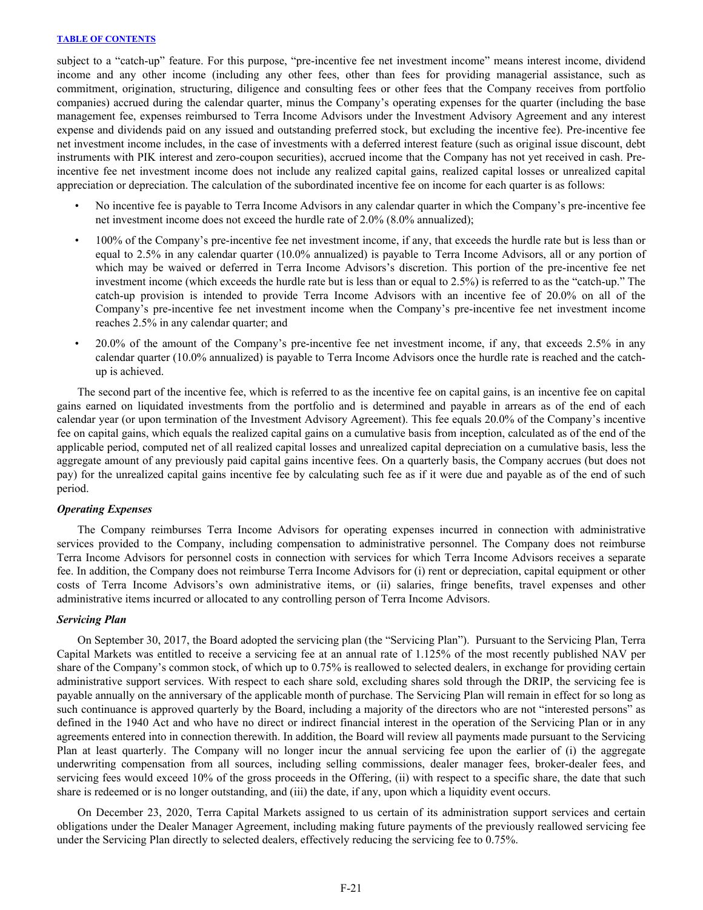subject to a "catch-up" feature. For this purpose, "pre-incentive fee net investment income" means interest income, dividend income and any other income (including any other fees, other than fees for providing managerial assistance, such as commitment, origination, structuring, diligence and consulting fees or other fees that the Company receives from portfolio companies) accrued during the calendar quarter, minus the Company's operating expenses for the quarter (including the base management fee, expenses reimbursed to Terra Income Advisors under the Investment Advisory Agreement and any interest expense and dividends paid on any issued and outstanding preferred stock, but excluding the incentive fee). Pre-incentive fee net investment income includes, in the case of investments with a deferred interest feature (such as original issue discount, debt instruments with PIK interest and zero-coupon securities), accrued income that the Company has not yet received in cash. Preincentive fee net investment income does not include any realized capital gains, realized capital losses or unrealized capital appreciation or depreciation. The calculation of the subordinated incentive fee on income for each quarter is as follows:

- No incentive fee is payable to Terra Income Advisors in any calendar quarter in which the Company's pre-incentive fee net investment income does not exceed the hurdle rate of 2.0% (8.0% annualized);
- 100% of the Company's pre-incentive fee net investment income, if any, that exceeds the hurdle rate but is less than or equal to 2.5% in any calendar quarter (10.0% annualized) is payable to Terra Income Advisors, all or any portion of which may be waived or deferred in Terra Income Advisors's discretion. This portion of the pre-incentive fee net investment income (which exceeds the hurdle rate but is less than or equal to 2.5%) is referred to as the "catch-up." The catch-up provision is intended to provide Terra Income Advisors with an incentive fee of 20.0% on all of the Company's pre-incentive fee net investment income when the Company's pre-incentive fee net investment income reaches 2.5% in any calendar quarter; and
- 20.0% of the amount of the Company's pre-incentive fee net investment income, if any, that exceeds 2.5% in any calendar quarter (10.0% annualized) is payable to Terra Income Advisors once the hurdle rate is reached and the catchup is achieved.

The second part of the incentive fee, which is referred to as the incentive fee on capital gains, is an incentive fee on capital gains earned on liquidated investments from the portfolio and is determined and payable in arrears as of the end of each calendar year (or upon termination of the Investment Advisory Agreement). This fee equals 20.0% of the Company's incentive fee on capital gains, which equals the realized capital gains on a cumulative basis from inception, calculated as of the end of the applicable period, computed net of all realized capital losses and unrealized capital depreciation on a cumulative basis, less the aggregate amount of any previously paid capital gains incentive fees. On a quarterly basis, the Company accrues (but does not pay) for the unrealized capital gains incentive fee by calculating such fee as if it were due and payable as of the end of such period.

#### *Operating Expenses*

The Company reimburses Terra Income Advisors for operating expenses incurred in connection with administrative services provided to the Company, including compensation to administrative personnel. The Company does not reimburse Terra Income Advisors for personnel costs in connection with services for which Terra Income Advisors receives a separate fee. In addition, the Company does not reimburse Terra Income Advisors for (i) rent or depreciation, capital equipment or other costs of Terra Income Advisors's own administrative items, or (ii) salaries, fringe benefits, travel expenses and other administrative items incurred or allocated to any controlling person of Terra Income Advisors.

### *Servicing Plan*

On September 30, 2017, the Board adopted the servicing plan (the "Servicing Plan"). Pursuant to the Servicing Plan, Terra Capital Markets was entitled to receive a servicing fee at an annual rate of 1.125% of the most recently published NAV per share of the Company's common stock, of which up to 0.75% is reallowed to selected dealers, in exchange for providing certain administrative support services. With respect to each share sold, excluding shares sold through the DRIP, the servicing fee is payable annually on the anniversary of the applicable month of purchase. The Servicing Plan will remain in effect for so long as such continuance is approved quarterly by the Board, including a majority of the directors who are not "interested persons" as defined in the 1940 Act and who have no direct or indirect financial interest in the operation of the Servicing Plan or in any agreements entered into in connection therewith. In addition, the Board will review all payments made pursuant to the Servicing Plan at least quarterly. The Company will no longer incur the annual servicing fee upon the earlier of (i) the aggregate underwriting compensation from all sources, including selling commissions, dealer manager fees, broker-dealer fees, and servicing fees would exceed 10% of the gross proceeds in the Offering, (ii) with respect to a specific share, the date that such share is redeemed or is no longer outstanding, and (iii) the date, if any, upon which a liquidity event occurs.

On December 23, 2020, Terra Capital Markets assigned to us certain of its administration support services and certain obligations under the Dealer Manager Agreement, including making future payments of the previously reallowed servicing fee under the Servicing Plan directly to selected dealers, effectively reducing the servicing fee to 0.75%.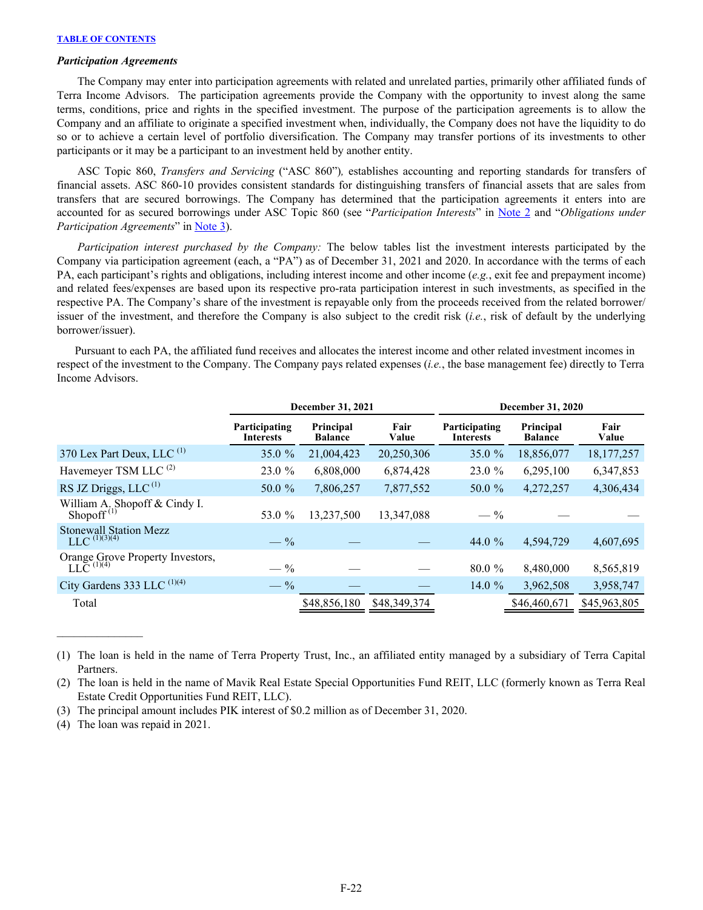## *Participation Agreements*

The Company may enter into participation agreements with related and unrelated parties, primarily other affiliated funds of Terra Income Advisors. The participation agreements provide the Company with the opportunity to invest along the same terms, conditions, price and rights in the specified investment. The purpose of the participation agreements is to allow the Company and an affiliate to originate a specified investment when, individually, the Company does not have the liquidity to do so or to achieve a certain level of portfolio diversification. The Company may transfer portions of its investments to other participants or it may be a participant to an investment held by another entity.

ASC Topic 860, *Transfers and Servicing* ("ASC 860")*,* establishes accounting and reporting standards for transfers of financial assets. ASC 860-10 provides consistent standards for distinguishing transfers of financial assets that are sales from transfers that are secured borrowings. The Company has determined that the participation agreements it enters into are accounted for as secured borrowings under ASC Topic 860 (see "*Participation Interests*" in [Note 2](#page-71-0) and "*Obligations under Participation Agreements*" in [Note 3\)](#page-75-0).

*Participation interest purchased by the Company:* The below tables list the investment interests participated by the Company via participation agreement (each, a "PA") as of December 31, 2021 and 2020. In accordance with the terms of each PA, each participant's rights and obligations, including interest income and other income (*e.g.*, exit fee and prepayment income) and related fees/expenses are based upon its respective pro-rata participation interest in such investments, as specified in the respective PA. The Company's share of the investment is repayable only from the proceeds received from the related borrower/ issuer of the investment, and therefore the Company is also subject to the credit risk (*i.e.*, risk of default by the underlying borrower/issuer).

Pursuant to each PA, the affiliated fund receives and allocates the interest income and other related investment incomes in respect of the investment to the Company. The Company pays related expenses (*i.e.*, the base management fee) directly to Terra Income Advisors.

|                                   |                             |               | December 31, 2020          |                             |               |  |  |
|-----------------------------------|-----------------------------|---------------|----------------------------|-----------------------------|---------------|--|--|
| Participating<br><b>Interests</b> | Principal<br><b>Balance</b> | Fair<br>Value | Participating<br>Interests | Principal<br><b>Balance</b> | Fair<br>Value |  |  |
| 35.0 %                            | 21,004,423                  | 20,250,306    | 35.0%                      | 18,856,077                  | 18, 177, 257  |  |  |
| 23.0 %                            | 6,808,000                   | 6,874,428     | 23.0 %                     | 6,295,100                   | 6,347,853     |  |  |
| 50.0 $%$                          | 7,806,257                   | 7,877,552     | 50.0 $%$                   | 4,272,257                   | 4,306,434     |  |  |
| 53.0 %                            | 13,237,500                  | 13,347,088    | $- \frac{9}{6}$            |                             |               |  |  |
| $-$ %                             |                             |               | 44.0 $\%$                  | 4,594,729                   | 4,607,695     |  |  |
| $-$ %                             |                             |               | $80.0 \%$                  | 8,480,000                   | 8,565,819     |  |  |
| $-$ %                             |                             |               | 14.0 $%$                   | 3,962,508                   | 3,958,747     |  |  |
|                                   | \$48,856,180                | \$48,349,374  |                            | \$46,460,671                | \$45,963,805  |  |  |
|                                   |                             |               | December 31, 2021          |                             |               |  |  |

(1) The loan is held in the name of Terra Property Trust, Inc., an affiliated entity managed by a subsidiary of Terra Capital Partners.

(2) The loan is held in the name of Mavik Real Estate Special Opportunities Fund REIT, LLC (formerly known as Terra Real Estate Credit Opportunities Fund REIT, LLC).

(3) The principal amount includes PIK interest of \$0.2 million as of December 31, 2020.

(4) The loan was repaid in 2021.

 $\mathcal{L}_\text{max}$  and  $\mathcal{L}_\text{max}$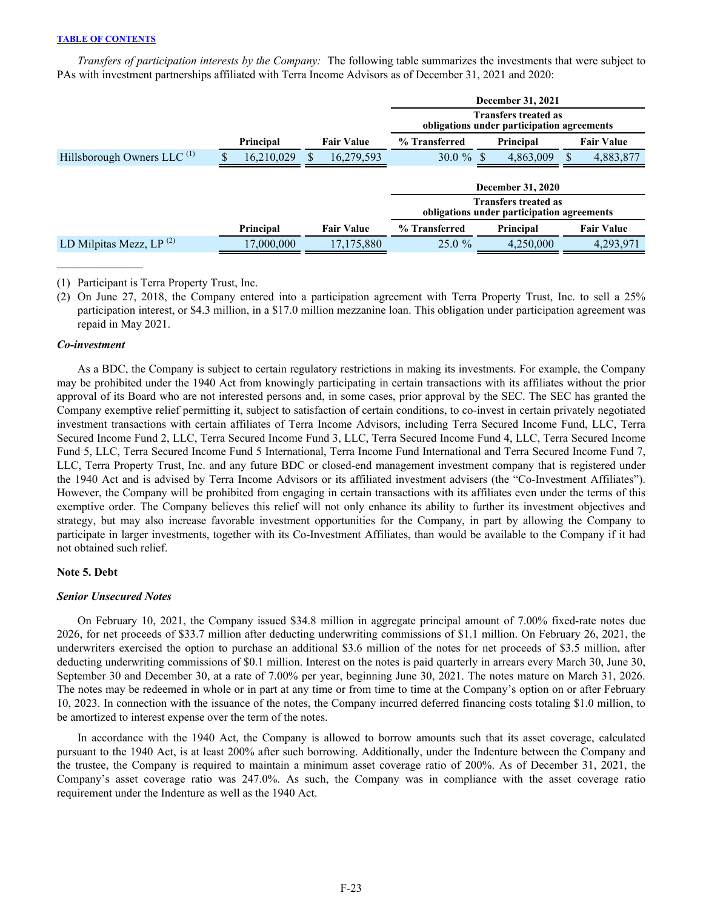<span id="page-82-0"></span>*Transfers of participation interests by the Company:* The following table summarizes the investments that were subject to PAs with investment partnerships affiliated with Terra Income Advisors as of December 31, 2021 and 2020:

|                                        |            |                   | December 31, 2021                                                         |                                                                           |                   |  |  |
|----------------------------------------|------------|-------------------|---------------------------------------------------------------------------|---------------------------------------------------------------------------|-------------------|--|--|
|                                        |            |                   | <b>Transfers treated as</b><br>obligations under participation agreements |                                                                           |                   |  |  |
|                                        | Principal  | <b>Fair Value</b> | % Transferred                                                             | Principal                                                                 | <b>Fair Value</b> |  |  |
| Hillsborough Owners LLC <sup>(1)</sup> | 16,210,029 | 16,279,593        | 30.0 $\%$                                                                 | 4,863,009                                                                 | 4,883,877         |  |  |
|                                        |            |                   | December 31, 2020                                                         |                                                                           |                   |  |  |
|                                        |            |                   |                                                                           | <b>Transfers treated as</b><br>obligations under participation agreements |                   |  |  |
|                                        | Principal  | <b>Fair Value</b> | % Transferred                                                             | Principal                                                                 | <b>Fair Value</b> |  |  |
| LD Milpitas Mezz, LP $^{(2)}$          | 17,000,000 | 17,175,880        | 25.0%                                                                     | 4,250,000                                                                 | 4,293,971         |  |  |

(1) Participant is Terra Property Trust, Inc.

(2) On June 27, 2018, the Company entered into a participation agreement with Terra Property Trust, Inc. to sell a 25% participation interest, or \$4.3 million, in a \$17.0 million mezzanine loan. This obligation under participation agreement was repaid in May 2021.

#### *Co-investment*

As a BDC, the Company is subject to certain regulatory restrictions in making its investments. For example, the Company may be prohibited under the 1940 Act from knowingly participating in certain transactions with its affiliates without the prior approval of its Board who are not interested persons and, in some cases, prior approval by the SEC. The SEC has granted the Company exemptive relief permitting it, subject to satisfaction of certain conditions, to co-invest in certain privately negotiated investment transactions with certain affiliates of Terra Income Advisors, including Terra Secured Income Fund, LLC, Terra Secured Income Fund 2, LLC, Terra Secured Income Fund 3, LLC, Terra Secured Income Fund 4, LLC, Terra Secured Income Fund 5, LLC, Terra Secured Income Fund 5 International, Terra Income Fund International and Terra Secured Income Fund 7, LLC, Terra Property Trust, Inc. and any future BDC or closed-end management investment company that is registered under the 1940 Act and is advised by Terra Income Advisors or its affiliated investment advisers (the "Co-Investment Affiliates"). However, the Company will be prohibited from engaging in certain transactions with its affiliates even under the terms of this exemptive order. The Company believes this relief will not only enhance its ability to further its investment objectives and strategy, but may also increase favorable investment opportunities for the Company, in part by allowing the Company to participate in larger investments, together with its Co-Investment Affiliates, than would be available to the Company if it had not obtained such relief.

### **Note 5. Debt**

#### *Senior Unsecured Notes*

On February 10, 2021, the Company issued \$34.8 million in aggregate principal amount of 7.00% fixed-rate notes due 2026, for net proceeds of \$33.7 million after deducting underwriting commissions of \$1.1 million. On February 26, 2021, the underwriters exercised the option to purchase an additional \$3.6 million of the notes for net proceeds of \$3.5 million, after deducting underwriting commissions of \$0.1 million. Interest on the notes is paid quarterly in arrears every March 30, June 30, September 30 and December 30, at a rate of 7.00% per year, beginning June 30, 2021. The notes mature on March 31, 2026. The notes may be redeemed in whole or in part at any time or from time to time at the Company's option on or after February 10, 2023. In connection with the issuance of the notes, the Company incurred deferred financing costs totaling \$1.0 million, to be amortized to interest expense over the term of the notes.

In accordance with the 1940 Act, the Company is allowed to borrow amounts such that its asset coverage, calculated pursuant to the 1940 Act, is at least 200% after such borrowing. Additionally, under the Indenture between the Company and the trustee, the Company is required to maintain a minimum asset coverage ratio of 200%. As of December 31, 2021, the Company's asset coverage ratio was 247.0%. As such, the Company was in compliance with the asset coverage ratio requirement under the Indenture as well as the 1940 Act.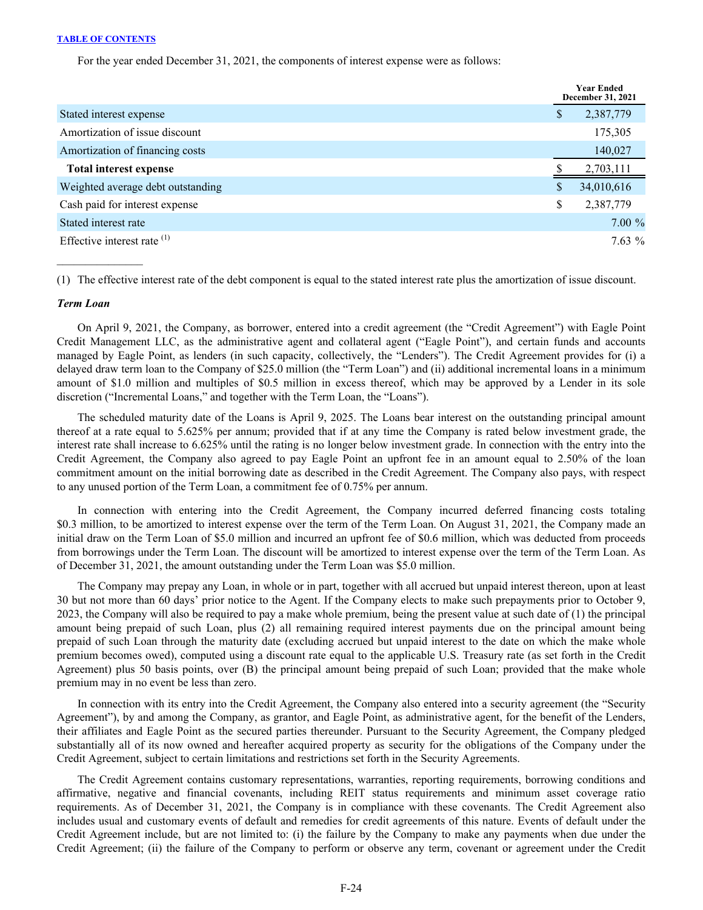For the year ended December 31, 2021, the components of interest expense were as follows:

|                                   |   | <b>Year Ended</b><br>December 31, 2021 |
|-----------------------------------|---|----------------------------------------|
| Stated interest expense           | S | 2,387,779                              |
| Amortization of issue discount    |   | 175,305                                |
| Amortization of financing costs   |   | 140,027                                |
| <b>Total interest expense</b>     |   | 2,703,111                              |
| Weighted average debt outstanding | S | 34,010,616                             |
| Cash paid for interest expense    | S | 2,387,779                              |
| Stated interest rate              |   | 7.00 %                                 |
| Effective interest rate $(1)$     |   | $7.63\%$                               |

(1) The effective interest rate of the debt component is equal to the stated interest rate plus the amortization of issue discount.

## *Term Loan*

 $\mathcal{L}_\text{max}$  and  $\mathcal{L}_\text{max}$ 

On April 9, 2021, the Company, as borrower, entered into a credit agreement (the "Credit Agreement") with Eagle Point Credit Management LLC, as the administrative agent and collateral agent ("Eagle Point"), and certain funds and accounts managed by Eagle Point, as lenders (in such capacity, collectively, the "Lenders"). The Credit Agreement provides for (i) a delayed draw term loan to the Company of \$25.0 million (the "Term Loan") and (ii) additional incremental loans in a minimum amount of \$1.0 million and multiples of \$0.5 million in excess thereof, which may be approved by a Lender in its sole discretion ("Incremental Loans," and together with the Term Loan, the "Loans").

The scheduled maturity date of the Loans is April 9, 2025. The Loans bear interest on the outstanding principal amount thereof at a rate equal to 5.625% per annum; provided that if at any time the Company is rated below investment grade, the interest rate shall increase to 6.625% until the rating is no longer below investment grade. In connection with the entry into the Credit Agreement, the Company also agreed to pay Eagle Point an upfront fee in an amount equal to 2.50% of the loan commitment amount on the initial borrowing date as described in the Credit Agreement. The Company also pays, with respect to any unused portion of the Term Loan, a commitment fee of 0.75% per annum.

In connection with entering into the Credit Agreement, the Company incurred deferred financing costs totaling \$0.3 million, to be amortized to interest expense over the term of the Term Loan. On August 31, 2021, the Company made an initial draw on the Term Loan of \$5.0 million and incurred an upfront fee of \$0.6 million, which was deducted from proceeds from borrowings under the Term Loan. The discount will be amortized to interest expense over the term of the Term Loan. As of December 31, 2021, the amount outstanding under the Term Loan was \$5.0 million.

The Company may prepay any Loan, in whole or in part, together with all accrued but unpaid interest thereon, upon at least 30 but not more than 60 days' prior notice to the Agent. If the Company elects to make such prepayments prior to October 9, 2023, the Company will also be required to pay a make whole premium, being the present value at such date of (1) the principal amount being prepaid of such Loan, plus (2) all remaining required interest payments due on the principal amount being prepaid of such Loan through the maturity date (excluding accrued but unpaid interest to the date on which the make whole premium becomes owed), computed using a discount rate equal to the applicable U.S. Treasury rate (as set forth in the Credit Agreement) plus 50 basis points, over (B) the principal amount being prepaid of such Loan; provided that the make whole premium may in no event be less than zero.

In connection with its entry into the Credit Agreement, the Company also entered into a security agreement (the "Security Agreement"), by and among the Company, as grantor, and Eagle Point, as administrative agent, for the benefit of the Lenders, their affiliates and Eagle Point as the secured parties thereunder. Pursuant to the Security Agreement, the Company pledged substantially all of its now owned and hereafter acquired property as security for the obligations of the Company under the Credit Agreement, subject to certain limitations and restrictions set forth in the Security Agreements.

The Credit Agreement contains customary representations, warranties, reporting requirements, borrowing conditions and affirmative, negative and financial covenants, including REIT status requirements and minimum asset coverage ratio requirements. As of December 31, 2021, the Company is in compliance with these covenants. The Credit Agreement also includes usual and customary events of default and remedies for credit agreements of this nature. Events of default under the Credit Agreement include, but are not limited to: (i) the failure by the Company to make any payments when due under the Credit Agreement; (ii) the failure of the Company to perform or observe any term, covenant or agreement under the Credit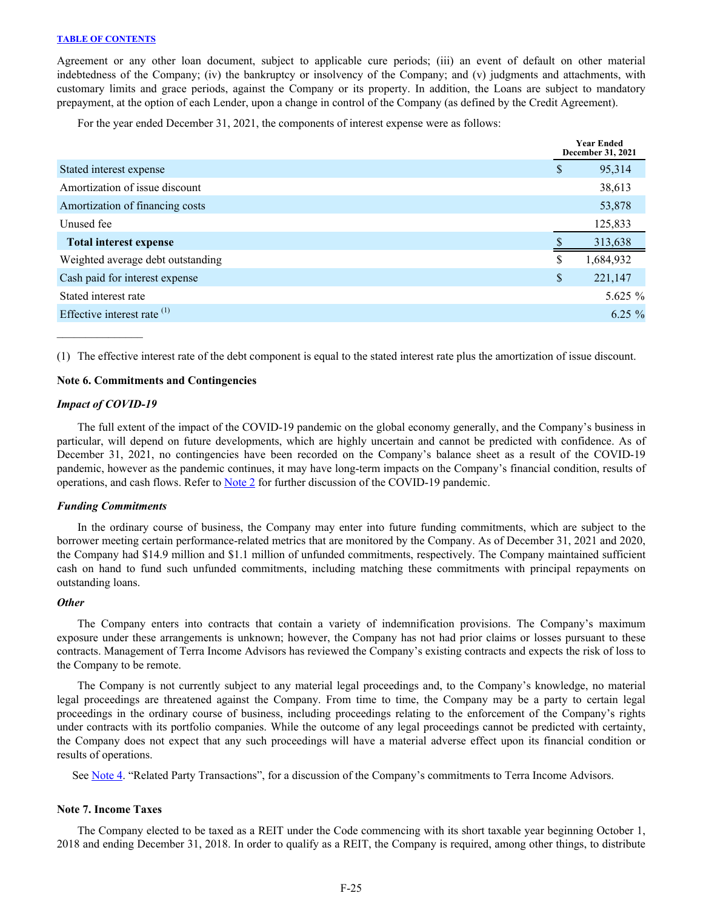Agreement or any other loan document, subject to applicable cure periods; (iii) an event of default on other material indebtedness of the Company; (iv) the bankruptcy or insolvency of the Company; and (v) judgments and attachments, with customary limits and grace periods, against the Company or its property. In addition, the Loans are subject to mandatory prepayment, at the option of each Lender, upon a change in control of the Company (as defined by the Credit Agreement).

For the year ended December 31, 2021, the components of interest expense were as follows:

|    | <b>Year Ended</b><br>December 31, 2021 |
|----|----------------------------------------|
| \$ | 95,314                                 |
|    | 38,613                                 |
|    | 53,878                                 |
|    | 125,833                                |
|    | 313,638                                |
| S  | 1,684,932                              |
| \$ | 221,147                                |
|    | 5.625 $%$                              |
|    | $6.25 \%$                              |
|    |                                        |

(1) The effective interest rate of the debt component is equal to the stated interest rate plus the amortization of issue discount.

## **Note 6. Commitments and Contingencies**

## *Impact of COVID-19*

 $\mathcal{L}_\text{max}$  and  $\mathcal{L}_\text{max}$ 

The full extent of the impact of the COVID-19 pandemic on the global economy generally, and the Company's business in particular, will depend on future developments, which are highly uncertain and cannot be predicted with confidence. As of December 31, 2021, no contingencies have been recorded on the Company's balance sheet as a result of the COVID-19 pandemic, however as the pandemic continues, it may have long-term impacts on the Company's financial condition, results of operations, and cash flows. Refer to [Note 2](#page-71-0) for further discussion of the COVID-19 pandemic.

### *Funding Commitments*

In the ordinary course of business, the Company may enter into future funding commitments, which are subject to the borrower meeting certain performance-related metrics that are monitored by the Company. As of December 31, 2021 and 2020, the Company had \$14.9 million and \$1.1 million of unfunded commitments, respectively. The Company maintained sufficient cash on hand to fund such unfunded commitments, including matching these commitments with principal repayments on outstanding loans.

## *Other*

The Company enters into contracts that contain a variety of indemnification provisions. The Company's maximum exposure under these arrangements is unknown; however, the Company has not had prior claims or losses pursuant to these contracts. Management of Terra Income Advisors has reviewed the Company's existing contracts and expects the risk of loss to the Company to be remote.

The Company is not currently subject to any material legal proceedings and, to the Company's knowledge, no material legal proceedings are threatened against the Company. From time to time, the Company may be a party to certain legal proceedings in the ordinary course of business, including proceedings relating to the enforcement of the Company's rights under contracts with its portfolio companies. While the outcome of any legal proceedings cannot be predicted with certainty, the Company does not expect that any such proceedings will have a material adverse effect upon its financial condition or results of operations.

See [Note 4.](#page-78-0) "Related Party Transactions", for a discussion of the Company's commitments to Terra Income Advisors.

### **Note 7. Income Taxes**

The Company elected to be taxed as a REIT under the Code commencing with its short taxable year beginning October 1, 2018 and ending December 31, 2018. In order to qualify as a REIT, the Company is required, among other things, to distribute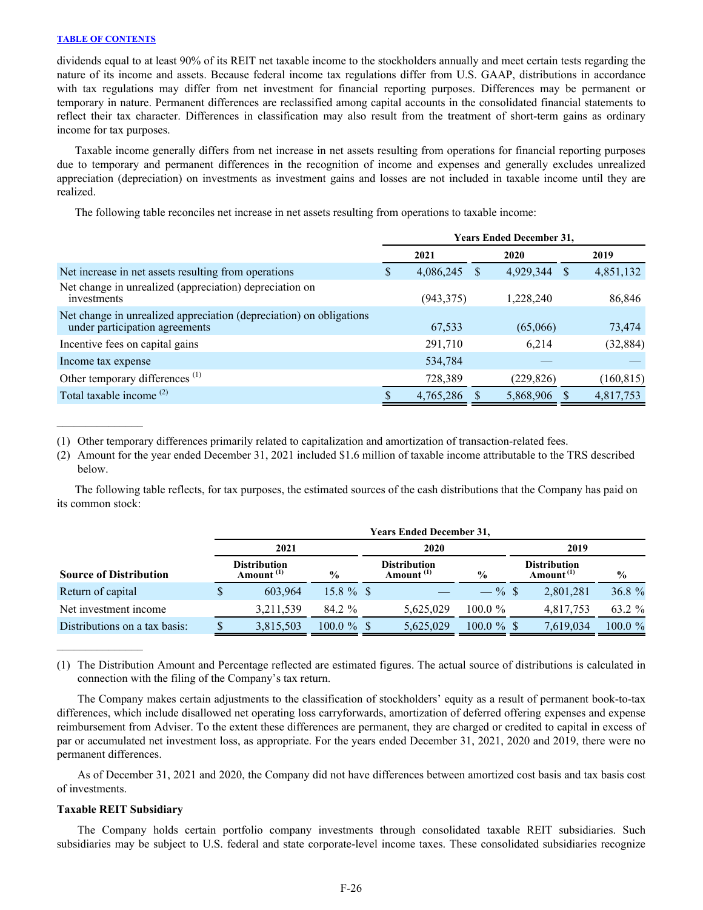dividends equal to at least 90% of its REIT net taxable income to the stockholders annually and meet certain tests regarding the nature of its income and assets. Because federal income tax regulations differ from U.S. GAAP, distributions in accordance with tax regulations may differ from net investment for financial reporting purposes. Differences may be permanent or temporary in nature. Permanent differences are reclassified among capital accounts in the consolidated financial statements to reflect their tax character. Differences in classification may also result from the treatment of short-term gains as ordinary income for tax purposes.

Taxable income generally differs from net increase in net assets resulting from operations for financial reporting purposes due to temporary and permanent differences in the recognition of income and expenses and generally excludes unrealized appreciation (depreciation) on investments as investment gains and losses are not included in taxable income until they are realized.

The following table reconciles net increase in net assets resulting from operations to taxable income:

|                                                                                                       | <b>Years Ended December 31,</b> |            |   |            |    |            |  |  |
|-------------------------------------------------------------------------------------------------------|---------------------------------|------------|---|------------|----|------------|--|--|
|                                                                                                       |                                 | 2021       |   | 2020       |    | 2019       |  |  |
| Net increase in net assets resulting from operations                                                  |                                 | 4,086,245  | S | 4,929,344  | -S | 4,851,132  |  |  |
| Net change in unrealized (appreciation) depreciation on<br>investments                                |                                 | (943, 375) |   | 1,228,240  |    | 86,846     |  |  |
| Net change in unrealized appreciation (depreciation) on obligations<br>under participation agreements |                                 | 67,533     |   | (65,066)   |    | 73,474     |  |  |
| Incentive fees on capital gains                                                                       |                                 | 291,710    |   | 6,214      |    | (32, 884)  |  |  |
| Income tax expense                                                                                    |                                 | 534,784    |   |            |    |            |  |  |
| Other temporary differences <sup>(1)</sup>                                                            |                                 | 728,389    |   | (229, 826) |    | (160, 815) |  |  |
| Total taxable income <sup>(2)</sup>                                                                   |                                 | 4,765,286  |   | 5,868,906  |    | 4,817,753  |  |  |

(1) Other temporary differences primarily related to capitalization and amortization of transaction-related fees.

(2) Amount for the year ended December 31, 2021 included \$1.6 million of taxable income attributable to the TRS described below.

The following table reflects, for tax purposes, the estimated sources of the cash distributions that the Company has paid on its common stock:

|                               | <b>Years Ended December 31,</b> |                                                               |               |                                              |           |               |      |                                              |               |  |  |  |
|-------------------------------|---------------------------------|---------------------------------------------------------------|---------------|----------------------------------------------|-----------|---------------|------|----------------------------------------------|---------------|--|--|--|
|                               | 2021                            |                                                               |               |                                              | 2020      |               | 2019 |                                              |               |  |  |  |
| <b>Source of Distribution</b> |                                 | <b>Distribution</b><br>Amount <sup>(1)</sup><br>$\frac{6}{6}$ |               | <b>Distribution</b><br>Amount <sup>(1)</sup> |           | $\frac{0}{0}$ |      | <b>Distribution</b><br>Amount <sup>(1)</sup> | $\frac{0}{0}$ |  |  |  |
| Return of capital             |                                 | 603.964                                                       | $15.8 \%$ \$  |                                              |           | $-$ % \$      |      | 2,801,281                                    | 36.8%         |  |  |  |
| Net investment income         |                                 | 3,211,539                                                     | 84.2 %        |                                              | 5,625,029 | $100.0 \%$    |      | 4,817,753                                    | 63.2 %        |  |  |  |
| Distributions on a tax basis: |                                 | 3,815,503                                                     | $100.0 \%$ \$ |                                              | 5,625,029 | $100.0 \%$ \$ |      | 7,619,034                                    | $100.0 \%$    |  |  |  |

(1) The Distribution Amount and Percentage reflected are estimated figures. The actual source of distributions is calculated in connection with the filing of the Company's tax return.

The Company makes certain adjustments to the classification of stockholders' equity as a result of permanent book-to-tax differences, which include disallowed net operating loss carryforwards, amortization of deferred offering expenses and expense reimbursement from Adviser. To the extent these differences are permanent, they are charged or credited to capital in excess of par or accumulated net investment loss, as appropriate. For the years ended December 31, 2021, 2020 and 2019, there were no permanent differences.

As of December 31, 2021 and 2020, the Company did not have differences between amortized cost basis and tax basis cost of investments.

## **Taxable REIT Subsidiary**

 $\mathcal{L}_\text{max}$  and  $\mathcal{L}_\text{max}$ 

The Company holds certain portfolio company investments through consolidated taxable REIT subsidiaries. Such subsidiaries may be subject to U.S. federal and state corporate-level income taxes. These consolidated subsidiaries recognize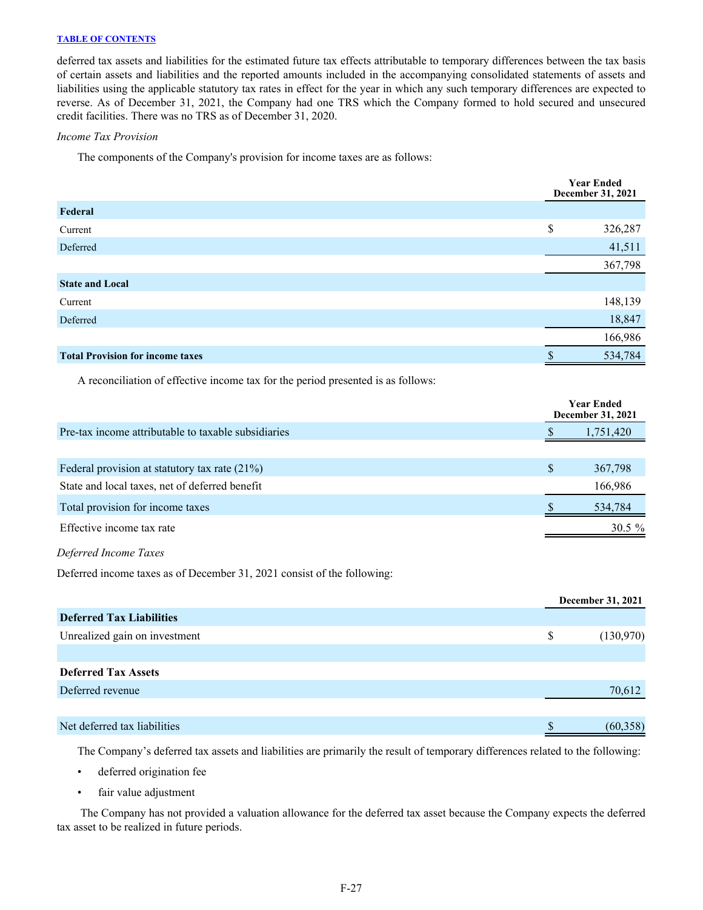deferred tax assets and liabilities for the estimated future tax effects attributable to temporary differences between the tax basis of certain assets and liabilities and the reported amounts included in the accompanying consolidated statements of assets and liabilities using the applicable statutory tax rates in effect for the year in which any such temporary differences are expected to reverse. As of December 31, 2021, the Company had one TRS which the Company formed to hold secured and unsecured credit facilities. There was no TRS as of December 31, 2020.

## *Income Tax Provision*

The components of the Company's provision for income taxes are as follows:

|                                         | <b>Year Ended</b><br><b>December 31, 2021</b> |         |  |  |
|-----------------------------------------|-----------------------------------------------|---------|--|--|
| Federal                                 |                                               |         |  |  |
| Current                                 | \$                                            | 326,287 |  |  |
| Deferred                                |                                               | 41,511  |  |  |
|                                         |                                               | 367,798 |  |  |
| <b>State and Local</b>                  |                                               |         |  |  |
| Current                                 |                                               | 148,139 |  |  |
| Deferred                                |                                               | 18,847  |  |  |
|                                         |                                               | 166,986 |  |  |
| <b>Total Provision for income taxes</b> |                                               | 534,784 |  |  |

A reconciliation of effective income tax for the period presented is as follows:

|                                                     | <b>Year Ended</b><br>December 31, 2021 |           |  |  |  |
|-----------------------------------------------------|----------------------------------------|-----------|--|--|--|
| Pre-tax income attributable to taxable subsidiaries |                                        | 1,751,420 |  |  |  |
|                                                     |                                        |           |  |  |  |
| Federal provision at statutory tax rate $(21\%)$    | S                                      | 367,798   |  |  |  |
| State and local taxes, net of deferred benefit      |                                        | 166,986   |  |  |  |
| Total provision for income taxes                    |                                        | 534,784   |  |  |  |
| Effective income tax rate                           |                                        | $30.5 \%$ |  |  |  |
|                                                     |                                        |           |  |  |  |

*Deferred Income Taxes*

Deferred income taxes as of December 31, 2021 consist of the following:

|                                 |   | December 31, 2021 |
|---------------------------------|---|-------------------|
| <b>Deferred Tax Liabilities</b> |   |                   |
| Unrealized gain on investment   | S | (130,970)         |
|                                 |   |                   |
| <b>Deferred Tax Assets</b>      |   |                   |
| Deferred revenue                |   | 70,612            |
|                                 |   |                   |
| Net deferred tax liabilities    |   | (60, 358)         |

The Company's deferred tax assets and liabilities are primarily the result of temporary differences related to the following:

- deferred origination fee
- fair value adjustment

 The Company has not provided a valuation allowance for the deferred tax asset because the Company expects the deferred tax asset to be realized in future periods.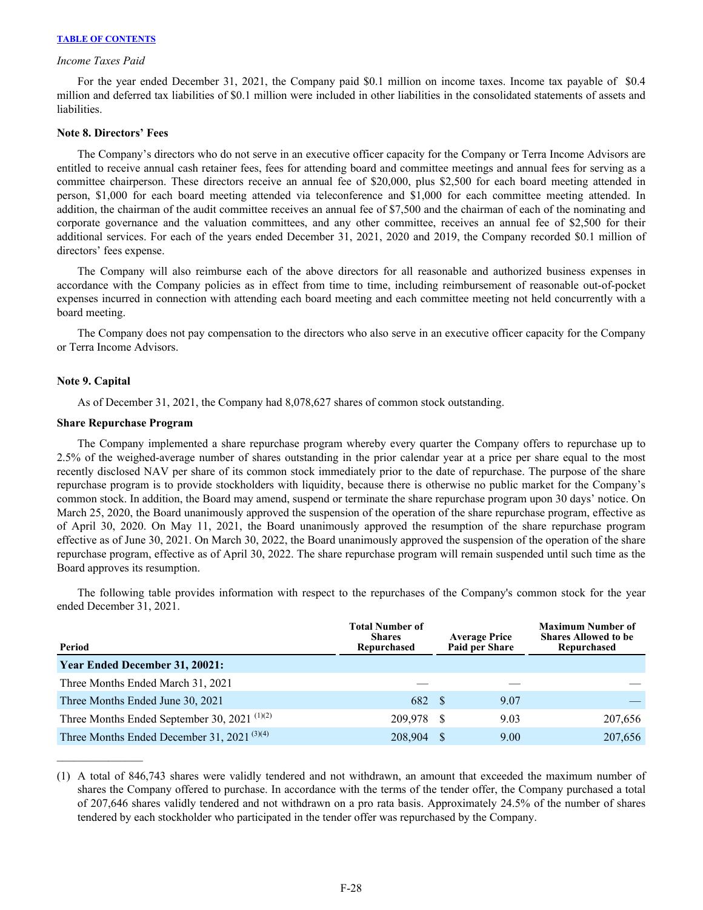### *Income Taxes Paid*

For the year ended December 31, 2021, the Company paid \$0.1 million on income taxes. Income tax payable of \$0.4 million and deferred tax liabilities of \$0.1 million were included in other liabilities in the consolidated statements of assets and liabilities.

### **Note 8. Directors' Fees**

The Company's directors who do not serve in an executive officer capacity for the Company or Terra Income Advisors are entitled to receive annual cash retainer fees, fees for attending board and committee meetings and annual fees for serving as a committee chairperson. These directors receive an annual fee of \$20,000, plus \$2,500 for each board meeting attended in person, \$1,000 for each board meeting attended via teleconference and \$1,000 for each committee meeting attended. In addition, the chairman of the audit committee receives an annual fee of \$7,500 and the chairman of each of the nominating and corporate governance and the valuation committees, and any other committee, receives an annual fee of \$2,500 for their additional services. For each of the years ended December 31, 2021, 2020 and 2019, the Company recorded \$0.1 million of directors' fees expense.

The Company will also reimburse each of the above directors for all reasonable and authorized business expenses in accordance with the Company policies as in effect from time to time, including reimbursement of reasonable out-of-pocket expenses incurred in connection with attending each board meeting and each committee meeting not held concurrently with a board meeting.

The Company does not pay compensation to the directors who also serve in an executive officer capacity for the Company or Terra Income Advisors.

### **Note 9. Capital**

As of December 31, 2021, the Company had 8,078,627 shares of common stock outstanding.

### **Share Repurchase Program**

 The Company implemented a share repurchase program whereby every quarter the Company offers to repurchase up to 2.5% of the weighed-average number of shares outstanding in the prior calendar year at a price per share equal to the most recently disclosed NAV per share of its common stock immediately prior to the date of repurchase. The purpose of the share repurchase program is to provide stockholders with liquidity, because there is otherwise no public market for the Company's common stock. In addition, the Board may amend, suspend or terminate the share repurchase program upon 30 days' notice. On March 25, 2020, the Board unanimously approved the suspension of the operation of the share repurchase program, effective as of April 30, 2020. On May 11, 2021, the Board unanimously approved the resumption of the share repurchase program effective as of June 30, 2021. On March 30, 2022, the Board unanimously approved the suspension of the operation of the share repurchase program, effective as of April 30, 2022. The share repurchase program will remain suspended until such time as the Board approves its resumption.

The following table provides information with respect to the repurchases of the Company's common stock for the year ended December 31, 2021.

| Period                                                               | <b>Total Number of</b><br><b>Shares</b><br>Repurchased | <b>Average Price</b><br>Paid per Share |      | <b>Maximum Number of</b><br><b>Shares Allowed to be</b><br>Repurchased |
|----------------------------------------------------------------------|--------------------------------------------------------|----------------------------------------|------|------------------------------------------------------------------------|
| <b>Year Ended December 31, 20021:</b>                                |                                                        |                                        |      |                                                                        |
| Three Months Ended March 31, 2021                                    |                                                        |                                        |      |                                                                        |
| Three Months Ended June 30, 2021                                     | 682 \$                                                 |                                        | 9.07 |                                                                        |
| Three Months Ended September 30, 2021 <sup><math>(1)(2)</math></sup> | 209.978 \$                                             |                                        | 9.03 | 207,656                                                                |
| Three Months Ended December 31, 2021 <sup>(3)(4)</sup>               | 208,904                                                |                                        | 9.00 | 207,656                                                                |

<sup>(1)</sup> A total of 846,743 shares were validly tendered and not withdrawn, an amount that exceeded the maximum number of shares the Company offered to purchase. In accordance with the terms of the tender offer, the Company purchased a total of 207,646 shares validly tendered and not withdrawn on a pro rata basis. Approximately 24.5% of the number of shares tendered by each stockholder who participated in the tender offer was repurchased by the Company.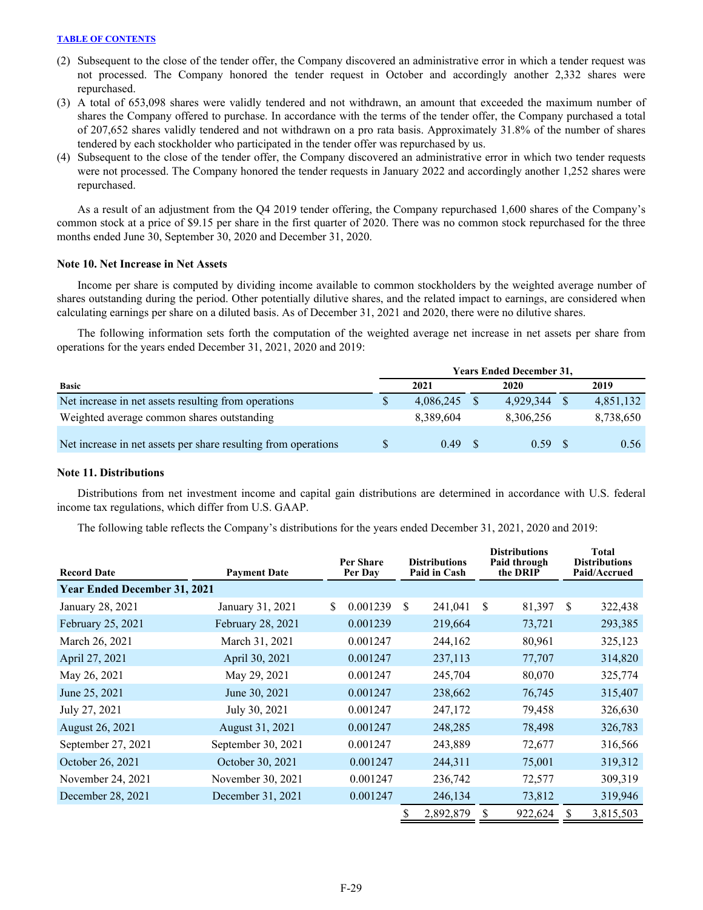- (2) Subsequent to the close of the tender offer, the Company discovered an administrative error in which a tender request was not processed. The Company honored the tender request in October and accordingly another 2,332 shares were repurchased.
- (3) A total of 653,098 shares were validly tendered and not withdrawn, an amount that exceeded the maximum number of shares the Company offered to purchase. In accordance with the terms of the tender offer, the Company purchased a total of 207,652 shares validly tendered and not withdrawn on a pro rata basis. Approximately 31.8% of the number of shares tendered by each stockholder who participated in the tender offer was repurchased by us.
- (4) Subsequent to the close of the tender offer, the Company discovered an administrative error in which two tender requests were not processed. The Company honored the tender requests in January 2022 and accordingly another 1,252 shares were repurchased.

As a result of an adjustment from the Q4 2019 tender offering, the Company repurchased 1,600 shares of the Company's common stock at a price of \$9.15 per share in the first quarter of 2020. There was no common stock repurchased for the three months ended June 30, September 30, 2020 and December 31, 2020.

## **Note 10. Net Increase in Net Assets**

Income per share is computed by dividing income available to common stockholders by the weighted average number of shares outstanding during the period. Other potentially dilutive shares, and the related impact to earnings, are considered when calculating earnings per share on a diluted basis. As of December 31, 2021 and 2020, there were no dilutive shares.

The following information sets forth the computation of the weighted average net increase in net assets per share from operations for the years ended December 31, 2021, 2020 and 2019:

|                                                                | <b>Years Ended December 31,</b> |           |  |           |  |           |  |  |
|----------------------------------------------------------------|---------------------------------|-----------|--|-----------|--|-----------|--|--|
| <b>Basic</b>                                                   | 2021                            |           |  | 2020      |  | 2019      |  |  |
| Net increase in net assets resulting from operations           |                                 | 4,086,245 |  | 4.929.344 |  | 4,851,132 |  |  |
| Weighted average common shares outstanding                     |                                 | 8.389.604 |  | 8,306,256 |  | 8,738,650 |  |  |
| Net increase in net assets per share resulting from operations |                                 | 0.49      |  | 0.59      |  | 0.56      |  |  |

## **Note 11. Distributions**

Distributions from net investment income and capital gain distributions are determined in accordance with U.S. federal income tax regulations, which differ from U.S. GAAP.

**Distributions**

The following table reflects the Company's distributions for the years ended December 31, 2021, 2020 and 2019:

| <b>Record Date</b>                  | <b>Payment Date</b> |    | Per Share<br>Per Day |    | <b>Distributions</b><br><b>Distributions</b><br>Paid through<br>the DRIP<br>Paid in Cash |    |         | Total<br><b>Distributions</b><br>Paid/Accrued |
|-------------------------------------|---------------------|----|----------------------|----|------------------------------------------------------------------------------------------|----|---------|-----------------------------------------------|
| <b>Year Ended December 31, 2021</b> |                     |    |                      |    |                                                                                          |    |         |                                               |
| January 28, 2021                    | January 31, 2021    | \$ | 0.001239             | \$ | 241,041                                                                                  | S  | 81,397  | \$<br>322,438                                 |
| February 25, 2021                   | February 28, 2021   |    | 0.001239             |    | 219,664                                                                                  |    | 73,721  | 293,385                                       |
| March 26, 2021                      | March 31, 2021      |    | 0.001247             |    | 244,162                                                                                  |    | 80,961  | 325,123                                       |
| April 27, 2021                      | April 30, 2021      |    | 0.001247             |    | 237,113                                                                                  |    | 77,707  | 314,820                                       |
| May 26, 2021                        | May 29, 2021        |    | 0.001247             |    | 245,704                                                                                  |    | 80,070  | 325,774                                       |
| June 25, 2021                       | June 30, 2021       |    | 0.001247             |    | 238,662                                                                                  |    | 76,745  | 315,407                                       |
| July 27, 2021                       | July 30, 2021       |    | 0.001247             |    | 247,172                                                                                  |    | 79,458  | 326,630                                       |
| August 26, 2021                     | August 31, 2021     |    | 0.001247             |    | 248,285                                                                                  |    | 78,498  | 326,783                                       |
| September 27, 2021                  | September 30, 2021  |    | 0.001247             |    | 243,889                                                                                  |    | 72,677  | 316,566                                       |
| October 26, 2021                    | October 30, 2021    |    | 0.001247             |    | 244,311                                                                                  |    | 75,001  | 319,312                                       |
| November 24, 2021                   | November 30, 2021   |    | 0.001247             |    | 236,742                                                                                  |    | 72,577  | 309,319                                       |
| December 28, 2021                   | December 31, 2021   |    | 0.001247             |    | 246,134                                                                                  |    | 73,812  | 319,946                                       |
|                                     |                     |    |                      | \$ | 2,892,879                                                                                | \$ | 922,624 | \$<br>3,815,503                               |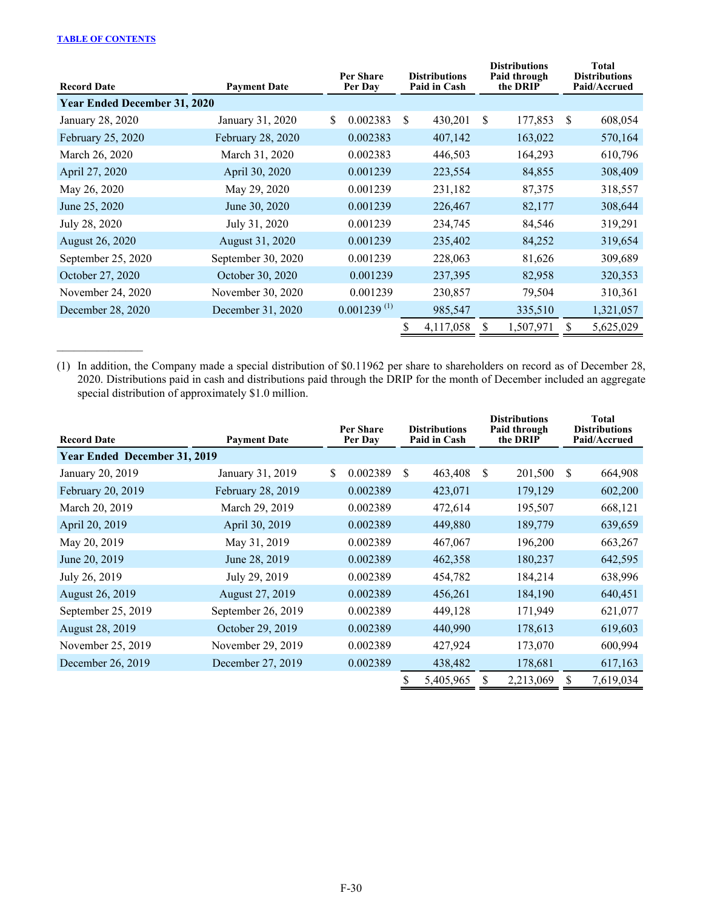$\mathcal{L}_\text{max}$  and  $\mathcal{L}_\text{max}$ 

| <b>Record Date</b>                  | <b>Payment Date</b> | Per Share<br>Per Day |               | <b>Distributions</b><br>Paid through<br><b>Distributions</b><br>Paid in Cash<br>the DRIP |   |           | <b>Total</b><br><b>Distributions</b><br>Paid/Accrued |
|-------------------------------------|---------------------|----------------------|---------------|------------------------------------------------------------------------------------------|---|-----------|------------------------------------------------------|
| <b>Year Ended December 31, 2020</b> |                     |                      |               |                                                                                          |   |           |                                                      |
| January 28, 2020                    | January 31, 2020    | 0.002383<br>\$       | <sup>\$</sup> | 430,201                                                                                  | S | 177,853   | \$<br>608,054                                        |
| February 25, 2020                   | February 28, 2020   | 0.002383             |               | 407,142                                                                                  |   | 163,022   | 570,164                                              |
| March 26, 2020                      | March 31, 2020      | 0.002383             |               | 446,503                                                                                  |   | 164,293   | 610,796                                              |
| April 27, 2020                      | April 30, 2020      | 0.001239             |               | 223,554                                                                                  |   | 84,855    | 308,409                                              |
| May 26, 2020                        | May 29, 2020        | 0.001239             |               | 231,182                                                                                  |   | 87,375    | 318,557                                              |
| June 25, 2020                       | June 30, 2020       | 0.001239             |               | 226,467                                                                                  |   | 82,177    | 308,644                                              |
| July 28, 2020                       | July 31, 2020       | 0.001239             |               | 234,745                                                                                  |   | 84,546    | 319,291                                              |
| <b>August 26, 2020</b>              | August 31, 2020     | 0.001239             |               | 235,402                                                                                  |   | 84,252    | 319,654                                              |
| September 25, 2020                  | September 30, 2020  | 0.001239             |               | 228,063                                                                                  |   | 81,626    | 309,689                                              |
| October 27, 2020                    | October 30, 2020    | 0.001239             |               | 237,395                                                                                  |   | 82,958    | 320,353                                              |
| November 24, 2020                   | November 30, 2020   | 0.001239             |               | 230,857                                                                                  |   | 79,504    | 310,361                                              |
| December 28, 2020                   | December 31, 2020   | $0.001239^{(1)}$     |               | 985,547                                                                                  |   | 335,510   | 1,321,057                                            |
|                                     |                     |                      |               | 4,117,058                                                                                |   | 1,507,971 | 5,625,029                                            |

(1) In addition, the Company made a special distribution of \$0.11962 per share to shareholders on record as of December 28, 2020. Distributions paid in cash and distributions paid through the DRIP for the month of December included an aggregate special distribution of approximately \$1.0 million.

| <b>Record Date</b>           | <b>Payment Date</b> |    | Per Share<br><b>Distributions</b><br>Per Day<br>Paid in Cash |     |           | <b>Distributions</b><br>Paid through<br>the DRIP |           | <b>Total</b><br><b>Distributions</b><br>Paid/Accrued |           |
|------------------------------|---------------------|----|--------------------------------------------------------------|-----|-----------|--------------------------------------------------|-----------|------------------------------------------------------|-----------|
| Year Ended December 31, 2019 |                     |    |                                                              |     |           |                                                  |           |                                                      |           |
| January 20, 2019             | January 31, 2019    | S. | 0.002389                                                     | \$. | 463,408   | <b>S</b>                                         | 201,500   | S                                                    | 664,908   |
| February 20, 2019            | February 28, 2019   |    | 0.002389                                                     |     | 423,071   |                                                  | 179,129   |                                                      | 602,200   |
| March 20, 2019               | March 29, 2019      |    | 0.002389                                                     |     | 472,614   |                                                  | 195,507   |                                                      | 668,121   |
| April 20, 2019               | April 30, 2019      |    | 0.002389                                                     |     | 449,880   |                                                  | 189,779   |                                                      | 639,659   |
| May 20, 2019                 | May 31, 2019        |    | 0.002389                                                     |     | 467,067   |                                                  | 196,200   |                                                      | 663,267   |
| June 20, 2019                | June 28, 2019       |    | 0.002389                                                     |     | 462,358   |                                                  | 180,237   |                                                      | 642,595   |
| July 26, 2019                | July 29, 2019       |    | 0.002389                                                     |     | 454,782   |                                                  | 184,214   |                                                      | 638,996   |
| August 26, 2019              | August 27, 2019     |    | 0.002389                                                     |     | 456,261   |                                                  | 184,190   |                                                      | 640,451   |
| September 25, 2019           | September 26, 2019  |    | 0.002389                                                     |     | 449,128   |                                                  | 171,949   |                                                      | 621,077   |
| <b>August 28, 2019</b>       | October 29, 2019    |    | 0.002389                                                     |     | 440,990   |                                                  | 178,613   |                                                      | 619,603   |
| November 25, 2019            | November 29, 2019   |    | 0.002389                                                     |     | 427,924   |                                                  | 173,070   |                                                      | 600,994   |
| December 26, 2019            | December 27, 2019   |    | 0.002389                                                     |     | 438,482   |                                                  | 178,681   |                                                      | 617,163   |
|                              |                     |    |                                                              |     | 5,405,965 |                                                  | 2,213,069 |                                                      | 7,619,034 |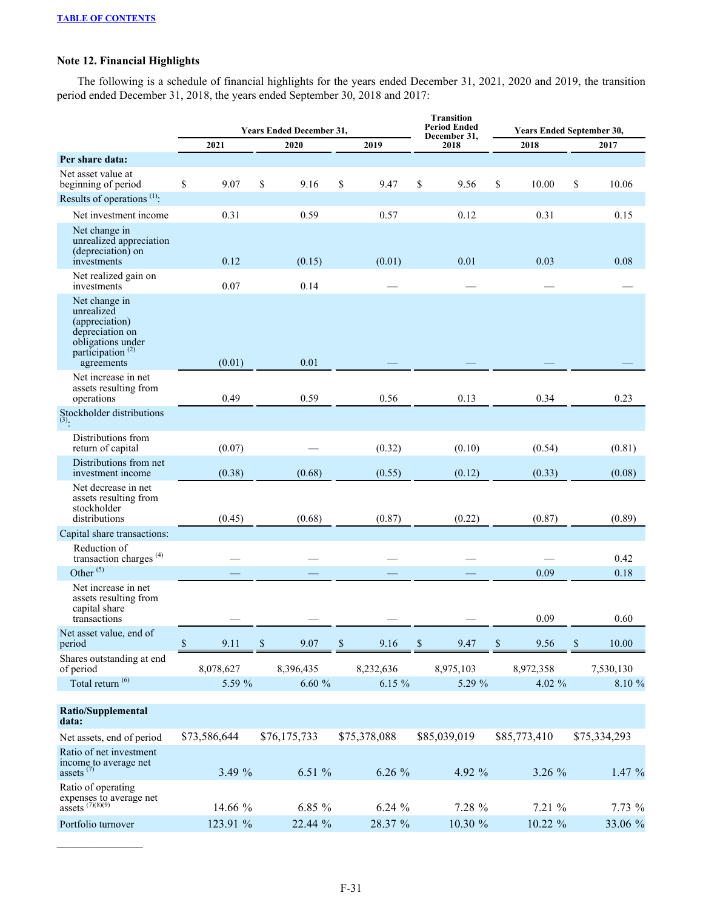$\mathcal{L}_\text{max}$  , where  $\mathcal{L}_\text{max}$ 

# **Note 12. Financial Highlights**

The following is a schedule of financial highlights for the years ended December 31, 2021, 2020 and 2019, the transition period ended December 31, 2018, the years ended September 30, 2018 and 2017:

|                                                                                                                                     | <b>Years Ended December 31,</b> |         |              |      |              | <b>Transition</b><br><b>Period Ended</b> |              | <b>Years Ended September 30,</b> |              |               |              |
|-------------------------------------------------------------------------------------------------------------------------------------|---------------------------------|---------|--------------|------|--------------|------------------------------------------|--------------|----------------------------------|--------------|---------------|--------------|
|                                                                                                                                     | 2021                            | 2020    |              | 2019 |              | December 31,<br>2018                     |              | 2018                             |              | 2017          |              |
| Per share data:                                                                                                                     |                                 |         |              |      |              |                                          |              |                                  |              |               |              |
| Net asset value at<br>beginning of period<br>Results of operations $(1)$ :                                                          | \$<br>9.07                      |         | \$<br>9.16   | \$   | 9.47         | \$                                       | 9.56         | \$                               | 10.00        | \$            | 10.06        |
|                                                                                                                                     |                                 |         |              |      |              |                                          |              |                                  |              |               |              |
| Net investment income<br>Net change in                                                                                              | 0.31                            |         | 0.59         |      | 0.57         |                                          | 0.12         |                                  | 0.31         |               | 0.15         |
| unrealized appreciation<br>$(depreciation)$ on<br>investments                                                                       | 0.12                            |         | (0.15)       |      | (0.01)       |                                          | 0.01         |                                  | 0.03         |               | 0.08         |
| Net realized gain on<br>investments                                                                                                 | 0.07                            |         | 0.14         |      |              |                                          |              |                                  |              |               |              |
| Net change in<br>unrealized<br>(appreciation)<br>depreciation on<br>obligations under<br>participation <sup>(2)</sup><br>agreements | (0.01)                          |         | 0.01         |      |              |                                          |              |                                  |              |               |              |
| Net increase in net<br>assets resulting from<br>operations                                                                          | 0.49                            |         | 0.59         |      | 0.56         |                                          | 0.13         |                                  | 0.34         |               | 0.23         |
| Stockholder distributions $(3)$ .                                                                                                   |                                 |         |              |      |              |                                          |              |                                  |              |               |              |
| Distributions from<br>return of capital                                                                                             | (0.07)                          |         |              |      | (0.32)       |                                          | (0.10)       |                                  | (0.54)       |               | (0.81)       |
| Distributions from net<br>investment income                                                                                         | (0.38)                          |         | (0.68)       |      | (0.55)       |                                          | (0.12)       |                                  | (0.33)       |               | (0.08)       |
| Net decrease in net<br>assets resulting from<br>stockholder<br>distributions                                                        | (0.45)                          |         | (0.68)       |      | (0.87)       |                                          | (0.22)       |                                  | (0.87)       |               | (0.89)       |
| Capital share transactions:                                                                                                         |                                 |         |              |      |              |                                          |              |                                  |              |               |              |
| Reduction of<br>transaction charges <sup>(4)</sup>                                                                                  |                                 |         |              |      |              |                                          |              |                                  |              |               | 0.42         |
| Other $(5)$                                                                                                                         |                                 |         |              |      |              |                                          |              |                                  | 0.09         |               | 0.18         |
| Net increase in net<br>assets resulting from<br>capital share<br>transactions                                                       |                                 |         |              |      |              |                                          |              |                                  | 0.09         |               | 0.60         |
| Net asset value, end of<br>period                                                                                                   | \$<br>9.11                      |         | 9.07<br>\$   | \$   | 9.16         | \$                                       | 9.47         | \$                               | 9.56         | <sup>\$</sup> | 10.00        |
| Shares outstanding at end<br>of period                                                                                              | 8,078,627                       |         | 8,396,435    |      | 8,232,636    |                                          | 8,975,103    |                                  | 8,972,358    |               | 7,530,130    |
| Total return <sup>(6)</sup>                                                                                                         |                                 | 5.59 %  | 6.60%        |      | 6.15 %       |                                          | 5.29 %       |                                  | 4.02 %       |               | 8.10 %       |
| Ratio/Supplemental<br>data:                                                                                                         |                                 |         |              |      |              |                                          |              |                                  |              |               |              |
| Net assets, end of period                                                                                                           | \$73,586,644                    |         | \$76,175,733 |      | \$75,378,088 |                                          | \$85,039,019 |                                  | \$85,773,410 |               | \$75,334,293 |
| Ratio of net investment<br>income to average net<br>assets $(7)$                                                                    |                                 | 3.49 %  | 6.51 %       |      | 6.26 %       |                                          | 4.92 %       |                                  | 3.26 %       |               | $1.47\%$     |
| Ratio of operating<br>expenses to average net<br>assets $(7)(8)(9)$                                                                 |                                 | 14.66 % | 6.85 %       |      | 6.24%        |                                          | 7.28 %       |                                  | 7.21 %       |               | 7.73%        |
| Portfolio turnover                                                                                                                  | 123.91 %                        |         | 22.44 %      |      | 28.37 %      |                                          | 10.30 %      |                                  | 10.22 %      |               | 33.06 %      |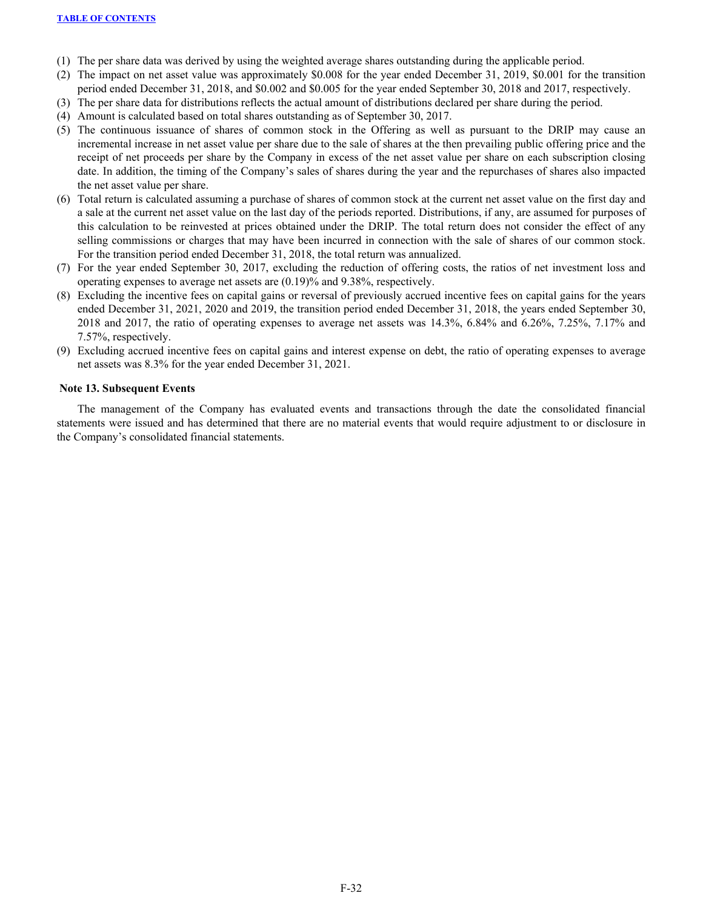- (1) The per share data was derived by using the weighted average shares outstanding during the applicable period.
- (2) The impact on net asset value was approximately \$0.008 for the year ended December 31, 2019, \$0.001 for the transition period ended December 31, 2018, and \$0.002 and \$0.005 for the year ended September 30, 2018 and 2017, respectively.
- (3) The per share data for distributions reflects the actual amount of distributions declared per share during the period.
- (4) Amount is calculated based on total shares outstanding as of September 30, 2017.
- (5) The continuous issuance of shares of common stock in the Offering as well as pursuant to the DRIP may cause an incremental increase in net asset value per share due to the sale of shares at the then prevailing public offering price and the receipt of net proceeds per share by the Company in excess of the net asset value per share on each subscription closing date. In addition, the timing of the Company's sales of shares during the year and the repurchases of shares also impacted the net asset value per share.
- (6) Total return is calculated assuming a purchase of shares of common stock at the current net asset value on the first day and a sale at the current net asset value on the last day of the periods reported. Distributions, if any, are assumed for purposes of this calculation to be reinvested at prices obtained under the DRIP. The total return does not consider the effect of any selling commissions or charges that may have been incurred in connection with the sale of shares of our common stock. For the transition period ended December 31, 2018, the total return was annualized.
- (7) For the year ended September 30, 2017, excluding the reduction of offering costs, the ratios of net investment loss and operating expenses to average net assets are (0.19)% and 9.38%, respectively.
- (8) Excluding the incentive fees on capital gains or reversal of previously accrued incentive fees on capital gains for the years ended December 31, 2021, 2020 and 2019, the transition period ended December 31, 2018, the years ended September 30, 2018 and 2017, the ratio of operating expenses to average net assets was 14.3%, 6.84% and 6.26%, 7.25%, 7.17% and 7.57%, respectively.
- (9) Excluding accrued incentive fees on capital gains and interest expense on debt, the ratio of operating expenses to average net assets was 8.3% for the year ended December 31, 2021.

### **Note 13. Subsequent Events**

The management of the Company has evaluated events and transactions through the date the consolidated financial statements were issued and has determined that there are no material events that would require adjustment to or disclosure in the Company's consolidated financial statements.